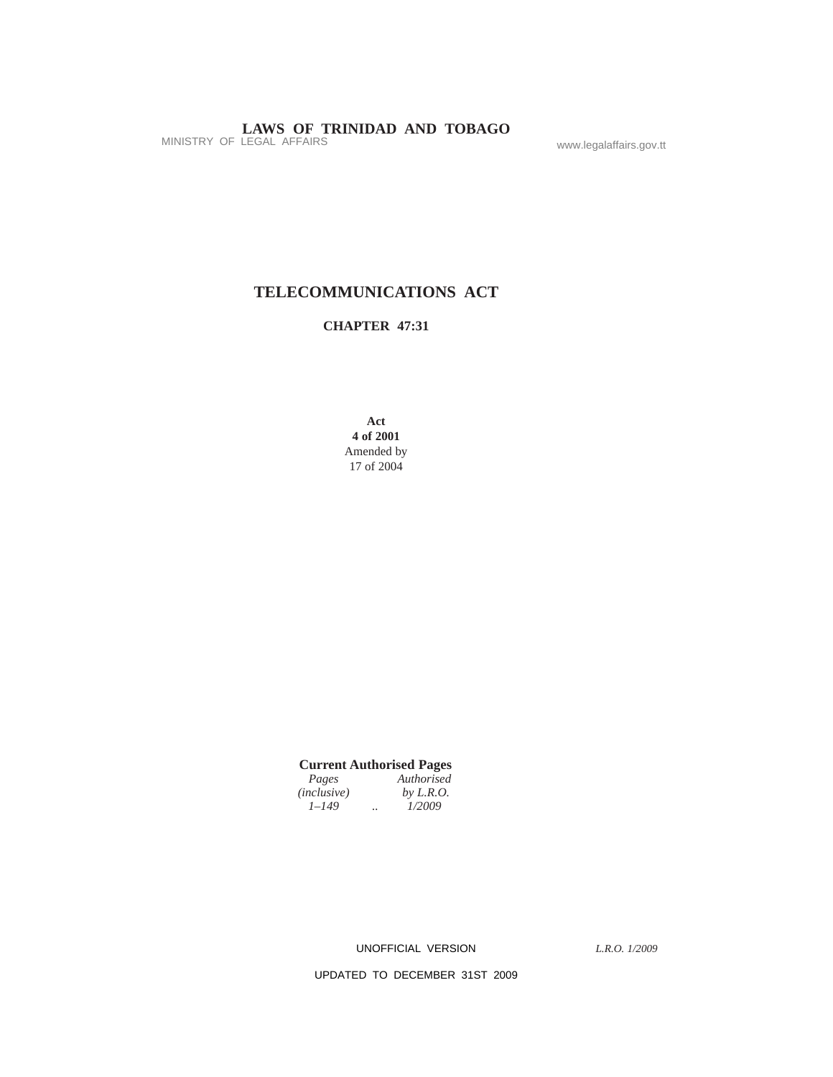## **TELECOMMUNICATIONS ACT**

## **CHAPTER 47:31**

**Act 4 of 2001** Amended by 17 of 2004

## **Current Authorised Pages**

| Pages              | Authorised  |
|--------------------|-------------|
| <i>(inclusive)</i> | by $L.R.O.$ |
| $1 - 149$          | <br>1/2009  |

UNOFFICIAL VERSION

*L.R.O. 1/2009*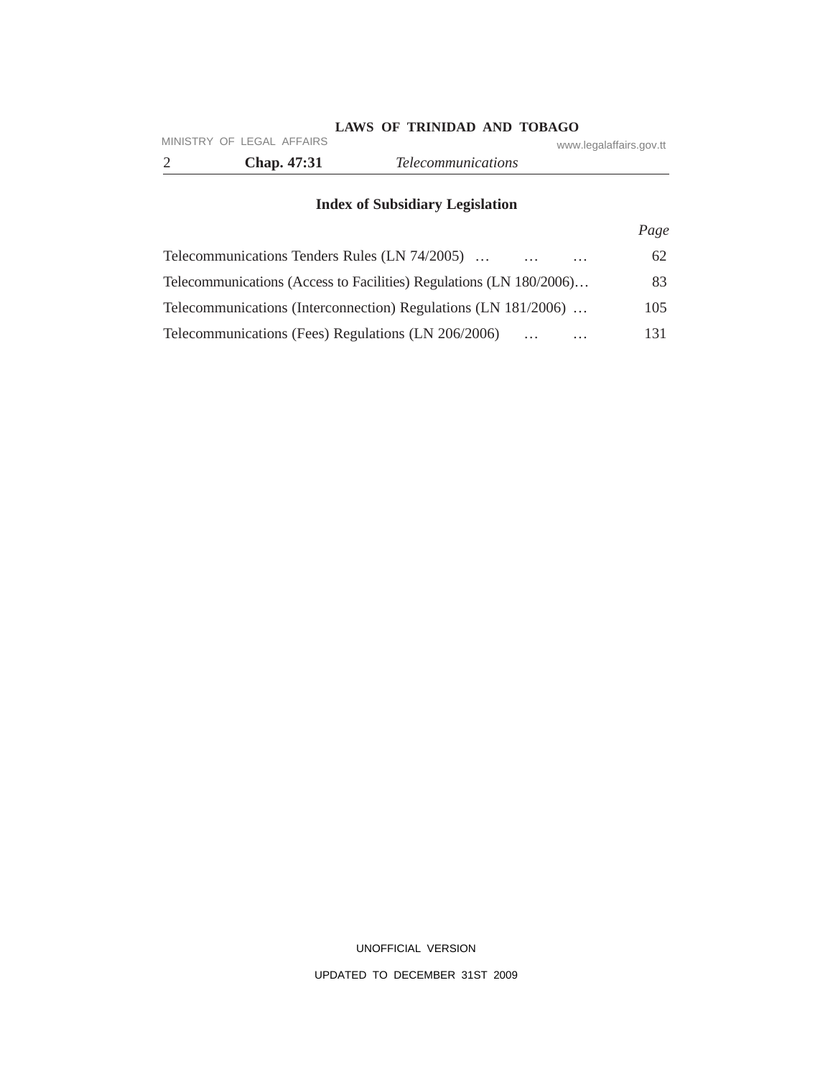|                           | LAWS OF TRINIDAD AND TOBAGO |                         |
|---------------------------|-----------------------------|-------------------------|
| MINISTRY OF LEGAL AFFAIRS |                             | www.legalaffairs.gov.tt |
| <b>Chap.</b> 47:31        | <i>Telecommunications</i>   |                         |

# **Index of Subsidiary Legislation**

|                                                                       | Page |
|-----------------------------------------------------------------------|------|
| Telecommunications Tenders Rules (LN 74/2005)<br>$\cdots$<br>$\cdots$ | 62   |
| Telecommunications (Access to Facilities) Regulations (LN 180/2006)   | 83   |
| Telecommunications (Interconnection) Regulations (LN 181/2006)        | 105  |
| Telecommunications (Fees) Regulations (LN 206/2006)<br>$\cdots$       | 131  |

UNOFFICIAL VERSION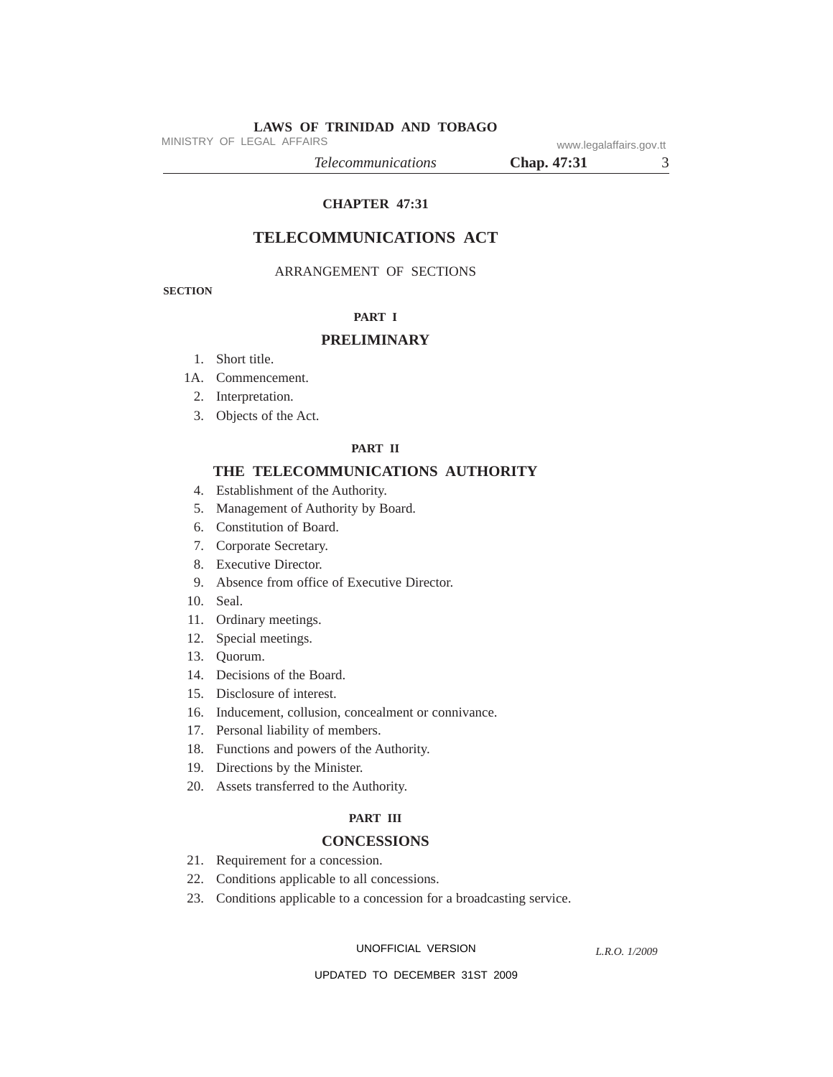MINISTRY OF LEGAL AFFAIRS www.legalaffairs.gov.tt

*Telecommunications* **Chap. 47:31** 3

## **CHAPTER 47:31**

## **TELECOMMUNICATIONS ACT**

### ARRANGEMENT OF SECTIONS

**SECTION**

### **PART I**

### **PRELIMINARY**

- 1. Short title.
- 1A. Commencement.
- 2. Interpretation.
- 3. Objects of the Act.

### **PART II**

### **THE TELECOMMUNICATIONS AUTHORITY**

- 4. Establishment of the Authority.
- 5. Management of Authority by Board.
- 6. Constitution of Board.
- 7. Corporate Secretary.
- 8. Executive Director.
- 9. Absence from office of Executive Director.
- 10. Seal.
- 11. Ordinary meetings.
- 12. Special meetings.
- 13. Quorum.
- 14. Decisions of the Board.
- 15. Disclosure of interest.
- 16. Inducement, collusion, concealment or connivance.
- 17. Personal liability of members.
- 18. Functions and powers of the Authority.
- 19. Directions by the Minister.
- 20. Assets transferred to the Authority.

### **PART III**

## **CONCESSIONS**

- 21. Requirement for a concession.
- 22. Conditions applicable to all concessions.
- 23. Conditions applicable to a concession for a broadcasting service.

UNOFFICIAL VERSION

*L.R.O. 1/2009*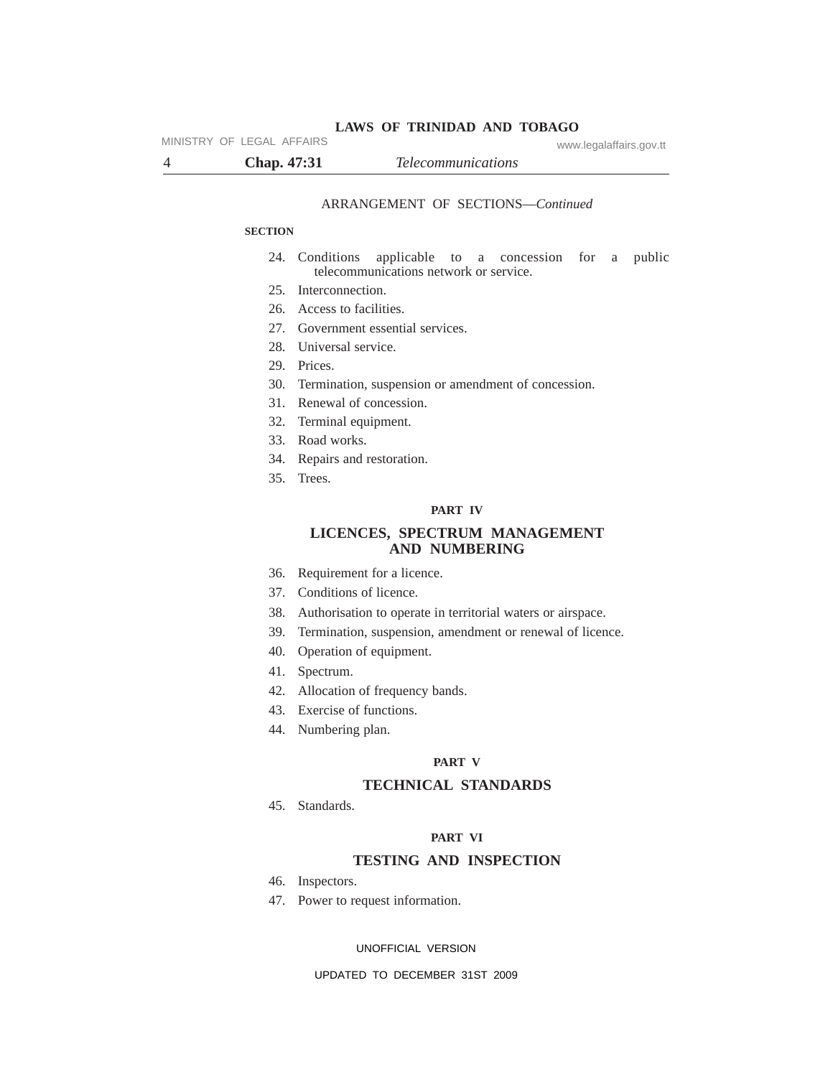MINISTRY OF LEGAL AFFAIRS www.legalaffairs.gov.tt

4 **Chap. 47:31** *Telecommunications*

#### ARRANGEMENT OF SECTIONS—*Continued*

### **SECTION**

- 24. Conditions applicable to a concession for a public telecommunications network or service.
- 25. Interconnection.
- 26. Access to facilities.
- 27. Government essential services.
- 28. Universal service.
- 29. Prices.
- 30. Termination, suspension or amendment of concession.
- 31. Renewal of concession.
- 32. Terminal equipment.
- 33. Road works.
- 34. Repairs and restoration.
- 35. Trees.

### **PART IV**

### **LICENCES, SPECTRUM MANAGEMENT AND NUMBERING**

- 36. Requirement for a licence.
- 37. Conditions of licence.
- 38. Authorisation to operate in territorial waters or airspace.
- 39. Termination, suspension, amendment or renewal of licence.
- 40. Operation of equipment.
- 41. Spectrum.
- 42. Allocation of frequency bands.
- 43. Exercise of functions.
- 44. Numbering plan.

### **PART V**

### **TECHNICAL STANDARDS**

45. Standards.

### **PART VI**

### **TESTING AND INSPECTION**

- 46. Inspectors.
- 47. Power to request information.

#### UNOFFICIAL VERSION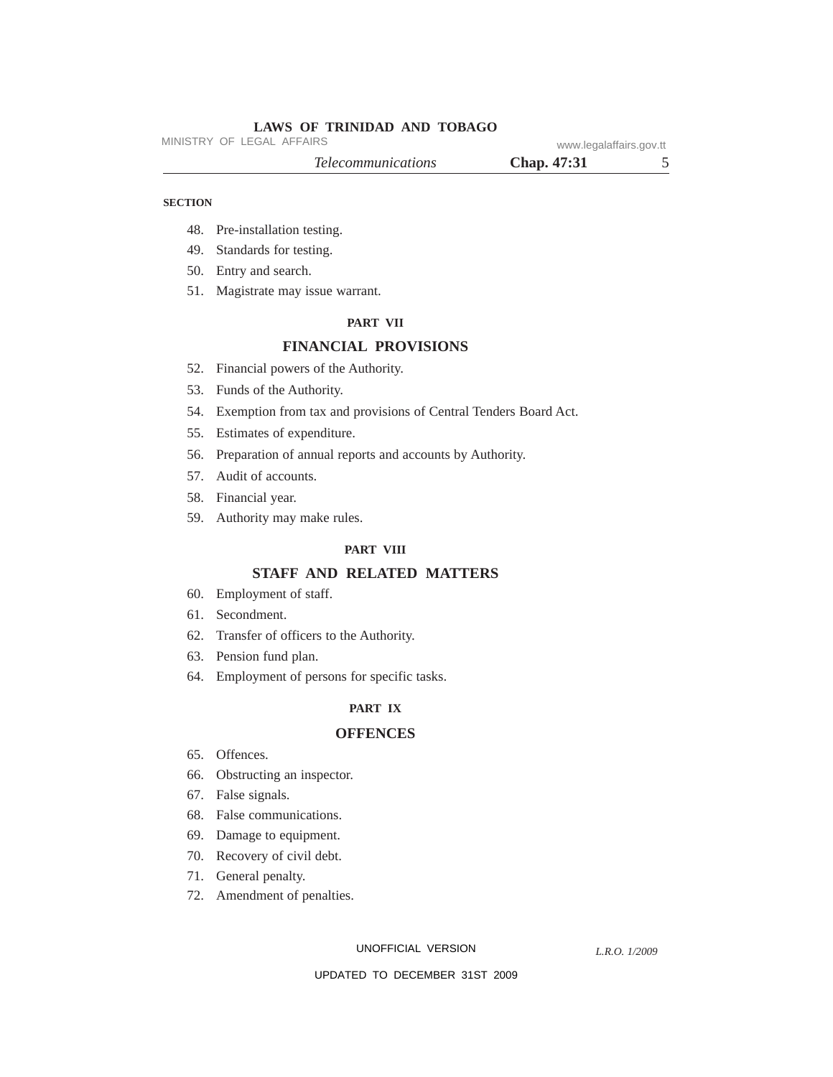MINISTRY OF LEGAL AFFAIRS www.legalaffairs.gov.tt

| Chap. 47:31 |  |
|-------------|--|
|             |  |

### **SECTION**

- 48. Pre-installation testing.
- 49. Standards for testing.
- 50. Entry and search.
- 51. Magistrate may issue warrant.

### **PART VII**

## **FINANCIAL PROVISIONS**

- 52. Financial powers of the Authority.
- 53. Funds of the Authority.
- 54. Exemption from tax and provisions of Central Tenders Board Act.
- 55. Estimates of expenditure.
- 56. Preparation of annual reports and accounts by Authority.
- 57. Audit of accounts.
- 58. Financial year.
- 59. Authority may make rules.

### **PART VIII**

### **STAFF AND RELATED MATTERS**

- 60. Employment of staff.
- 61. Secondment.
- 62. Transfer of officers to the Authority.
- 63. Pension fund plan.
- 64. Employment of persons for specific tasks.

### **PART IX**

### **OFFENCES**

- 65. Offences.
- 66. Obstructing an inspector.
- 67. False signals.
- 68. False communications.
- 69. Damage to equipment.
- 70. Recovery of civil debt.
- 71. General penalty.
- 72. Amendment of penalties.

UNOFFICIAL VERSION

*L.R.O. 1/2009*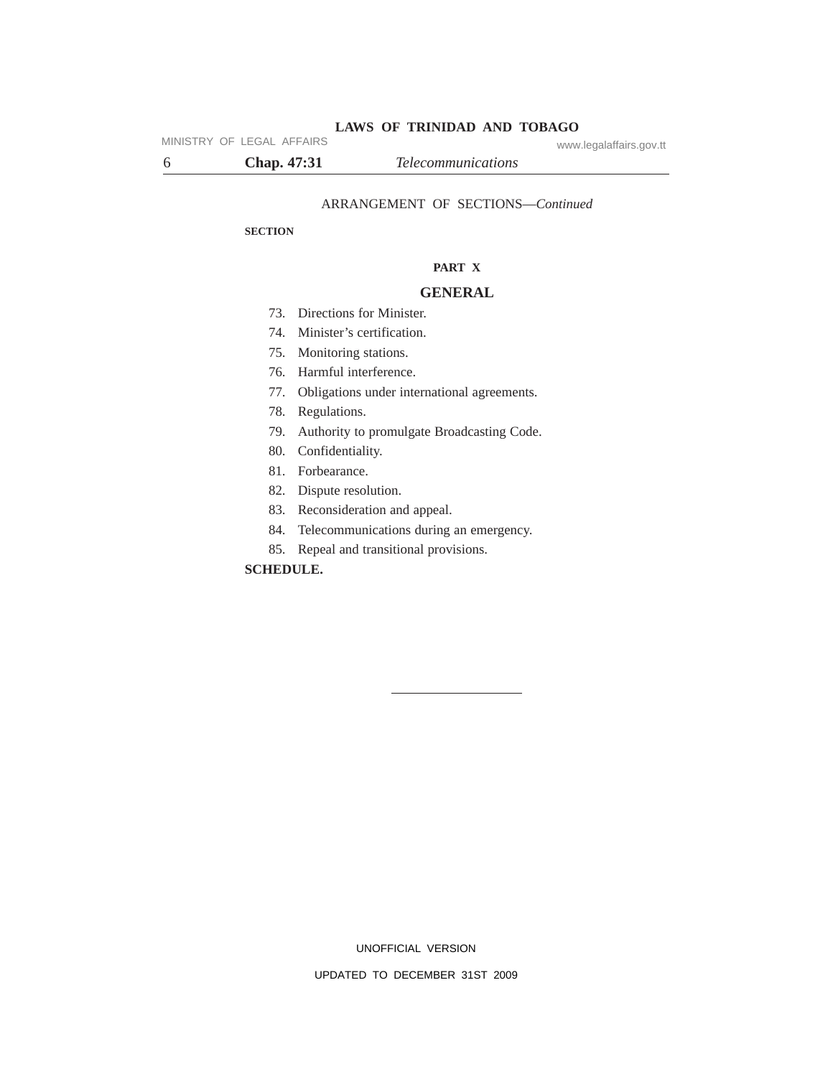MINISTRY OF LEGAL AFFAIRS www.legalaffairs.gov.tt

6 **Chap. 47:31** *Telecommunications*

ARRANGEMENT OF SECTIONS—*Continued*

### **SECTION**

### **PART X**

## **GENERAL**

- 73. Directions for Minister.
- 74. Minister's certification.
- 75. Monitoring stations.
- 76. Harmful interference.
- 77. Obligations under international agreements.
- 78. Regulations.
- 79. Authority to promulgate Broadcasting Code.
- 80. Confidentiality.
- 81. Forbearance.
- 82. Dispute resolution.
- 83. Reconsideration and appeal.
- 84. Telecommunications during an emergency.
- 85. Repeal and transitional provisions.

## **SCHEDULE.**

UNOFFICIAL VERSION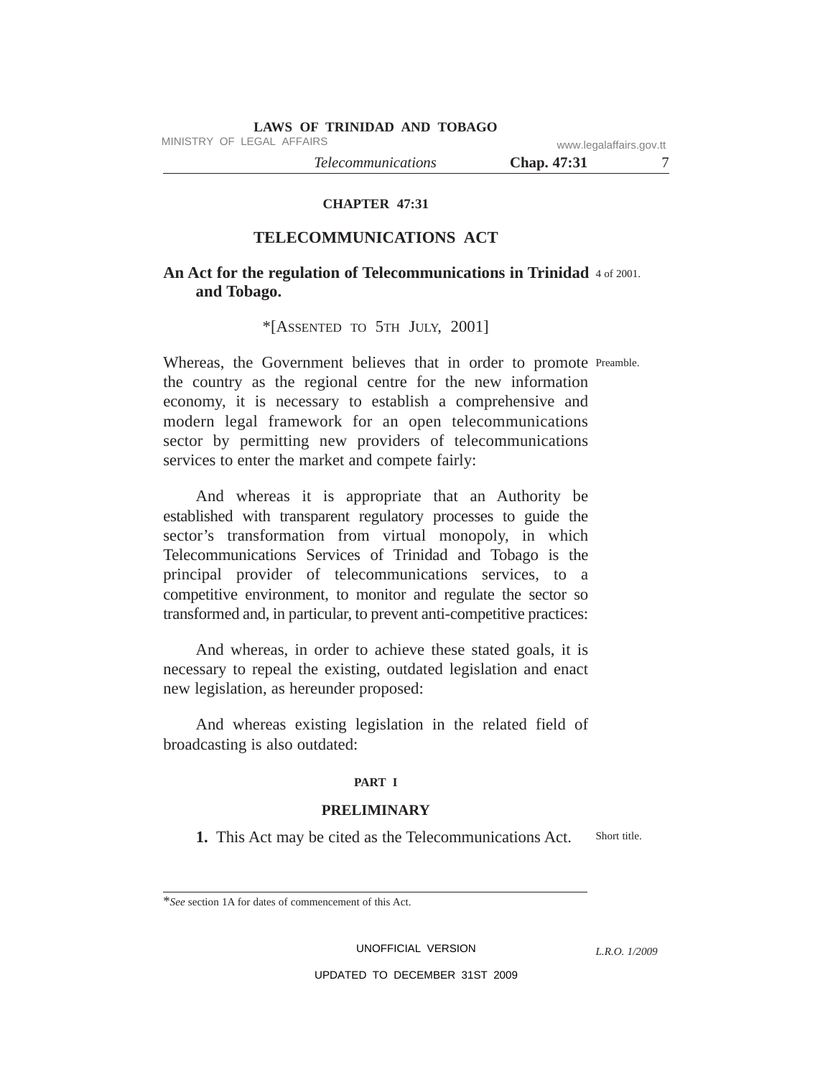MINISTRY OF LEGAL AFFAIRS www.legalaffairs.gov.tt

*Telecommunications* **Chap. 47:31** 7

**CHAPTER 47:31**

## **TELECOMMUNICATIONS ACT**

## An Act for the regulation of Telecommunications in Trinidad 4 of 2001. **and Tobago.**

### \*[ASSENTED TO 5TH JULY, 2001]

Whereas, the Government believes that in order to promote Preamble. the country as the regional centre for the new information economy, it is necessary to establish a comprehensive and modern legal framework for an open telecommunications sector by permitting new providers of telecommunications services to enter the market and compete fairly:

And whereas it is appropriate that an Authority be established with transparent regulatory processes to guide the sector's transformation from virtual monopoly, in which Telecommunications Services of Trinidad and Tobago is the principal provider of telecommunications services, to a competitive environment, to monitor and regulate the sector so transformed and, in particular, to prevent anti-competitive practices:

And whereas, in order to achieve these stated goals, it is necessary to repeal the existing, outdated legislation and enact new legislation, as hereunder proposed:

And whereas existing legislation in the related field of broadcasting is also outdated:

### **PART I**

### **PRELIMINARY**

Short title. **1.** This Act may be cited as the Telecommunications Act.

UNOFFICIAL VERSION

*L.R.O. 1/2009*

<sup>\*</sup>*See* section 1A for dates of commencement of this Act.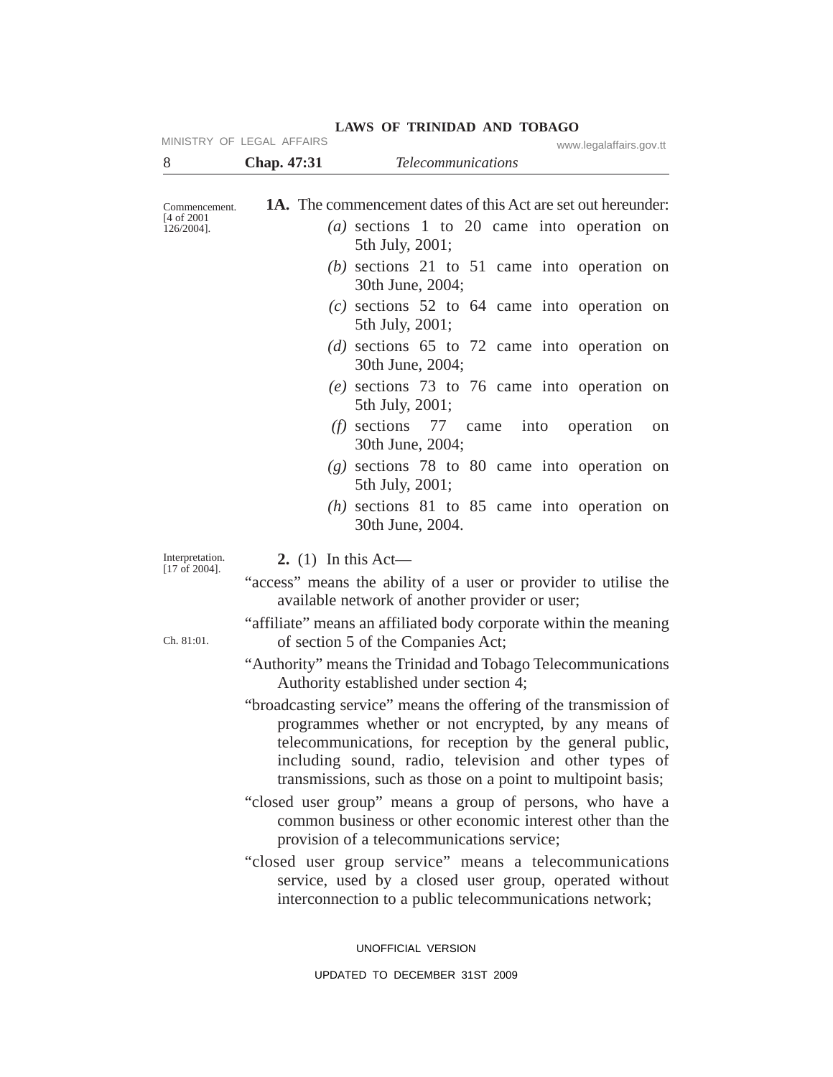| 8                                       | Chap. 47:31         | www.legalaffairs.gov.tt<br><i>Telecommunications</i>                                                                                                                                                                                                                                                                                                                                                                                   |
|-----------------------------------------|---------------------|----------------------------------------------------------------------------------------------------------------------------------------------------------------------------------------------------------------------------------------------------------------------------------------------------------------------------------------------------------------------------------------------------------------------------------------|
|                                         |                     |                                                                                                                                                                                                                                                                                                                                                                                                                                        |
| Commencement.<br>$[4 \text{ of } 2001]$ |                     | <b>1A.</b> The commencement dates of this Act are set out hereunder:                                                                                                                                                                                                                                                                                                                                                                   |
| $126/2004$ ].                           |                     | (a) sections 1 to 20 came into operation on<br>5th July, 2001;                                                                                                                                                                                                                                                                                                                                                                         |
|                                         |                     | $(b)$ sections 21 to 51 came into operation on<br>30th June, 2004;                                                                                                                                                                                                                                                                                                                                                                     |
|                                         |                     | $(c)$ sections 52 to 64 came into operation on<br>5th July, 2001;                                                                                                                                                                                                                                                                                                                                                                      |
|                                         |                     | (d) sections $65$ to $72$ came into operation on<br>30th June, 2004;                                                                                                                                                                                                                                                                                                                                                                   |
|                                         |                     | $(e)$ sections 73 to 76 came into operation on<br>5th July, 2001;                                                                                                                                                                                                                                                                                                                                                                      |
|                                         |                     | ( <i>f</i> ) sections $77$ came<br>into operation<br>on<br>30th June, 2004;                                                                                                                                                                                                                                                                                                                                                            |
|                                         |                     | $(g)$ sections 78 to 80 came into operation on<br>5th July, 2001;                                                                                                                                                                                                                                                                                                                                                                      |
|                                         |                     | $(h)$ sections 81 to 85 came into operation on<br>30th June, 2004.                                                                                                                                                                                                                                                                                                                                                                     |
| Interpretation.                         | 2. (1) In this Act— |                                                                                                                                                                                                                                                                                                                                                                                                                                        |
| $[17 \text{ of } 2004].$                |                     | "access" means the ability of a user or provider to utilise the<br>available network of another provider or user;                                                                                                                                                                                                                                                                                                                      |
| Ch. 81:01.                              |                     | "affiliate" means an affiliated body corporate within the meaning<br>of section 5 of the Companies Act;                                                                                                                                                                                                                                                                                                                                |
|                                         |                     | "Authority" means the Trinidad and Tobago Telecommunications<br>Authority established under section 4;                                                                                                                                                                                                                                                                                                                                 |
|                                         |                     | "broadcasting service" means the offering of the transmission of<br>programmes whether or not encrypted, by any means of<br>telecommunications, for reception by the general public,<br>including sound, radio, television and other types of<br>transmissions, such as those on a point to multipoint basis;<br>"closed user group" means a group of persons, who have a<br>common business or other economic interest other than the |
|                                         |                     | provision of a telecommunications service;<br>"closed user group service" means a telecommunications<br>service, used by a closed user group, operated without<br>interconnection to a public telecommunications network;                                                                                                                                                                                                              |

UNOFFICIAL VERSION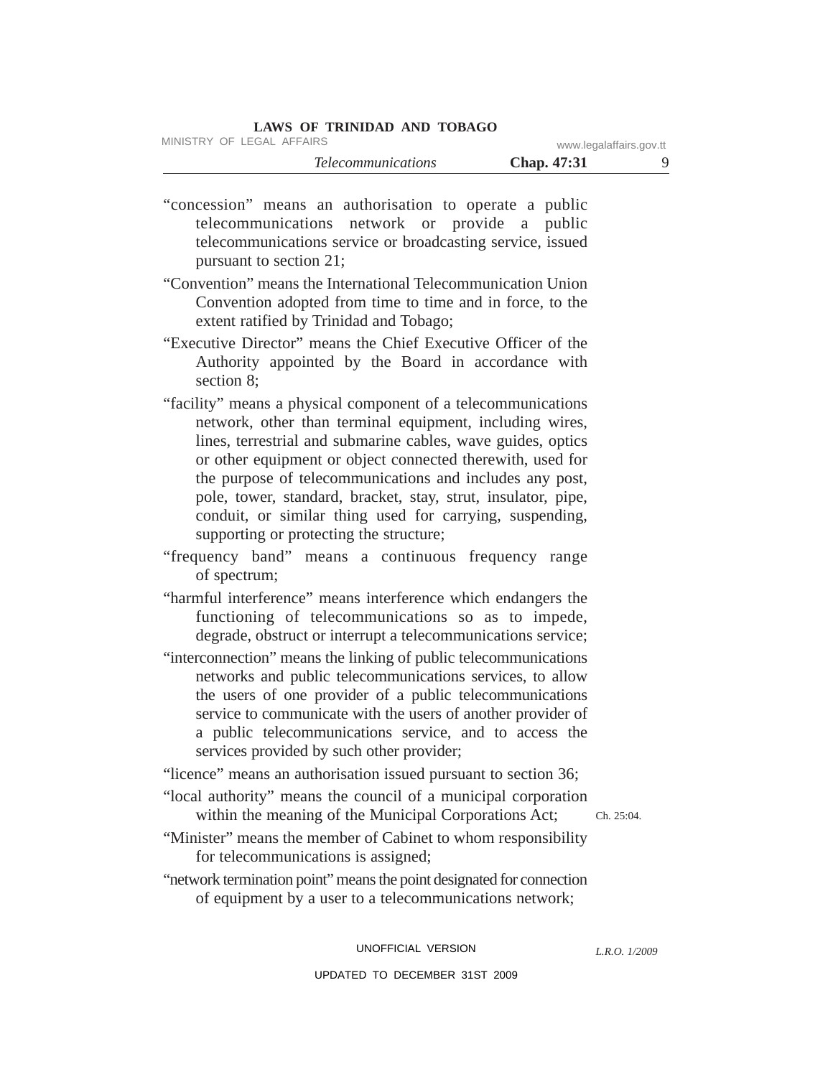MINISTRY OF LEGAL AFFAIRS www.legalaffairs.gov.tt

"concession" means an authorisation to operate a public telecommunications network or provide a public telecommunications service or broadcasting service, issued pursuant to section 21;

"Convention" means the International Telecommunication Union Convention adopted from time to time and in force, to the extent ratified by Trinidad and Tobago;

"Executive Director" means the Chief Executive Officer of the Authority appointed by the Board in accordance with section 8;

"facility" means a physical component of a telecommunications network, other than terminal equipment, including wires, lines, terrestrial and submarine cables, wave guides, optics or other equipment or object connected therewith, used for the purpose of telecommunications and includes any post, pole, tower, standard, bracket, stay, strut, insulator, pipe, conduit, or similar thing used for carrying, suspending, supporting or protecting the structure;

"frequency band" means a continuous frequency range of spectrum;

"harmful interference" means interference which endangers the functioning of telecommunications so as to impede, degrade, obstruct or interrupt a telecommunications service;

"interconnection" means the linking of public telecommunications networks and public telecommunications services, to allow the users of one provider of a public telecommunications service to communicate with the users of another provider of a public telecommunications service, and to access the services provided by such other provider;

"licence" means an authorisation issued pursuant to section 36;

"local authority" means the council of a municipal corporation within the meaning of the Municipal Corporations Act;

Ch. 25:04.

"Minister" means the member of Cabinet to whom responsibility for telecommunications is assigned;

"network termination point" means the point designated for connection of equipment by a user to a telecommunications network;

> UNOFFICIAL VERSION UPDATED TO DECEMBER 31ST 2009

*L.R.O. 1/2009*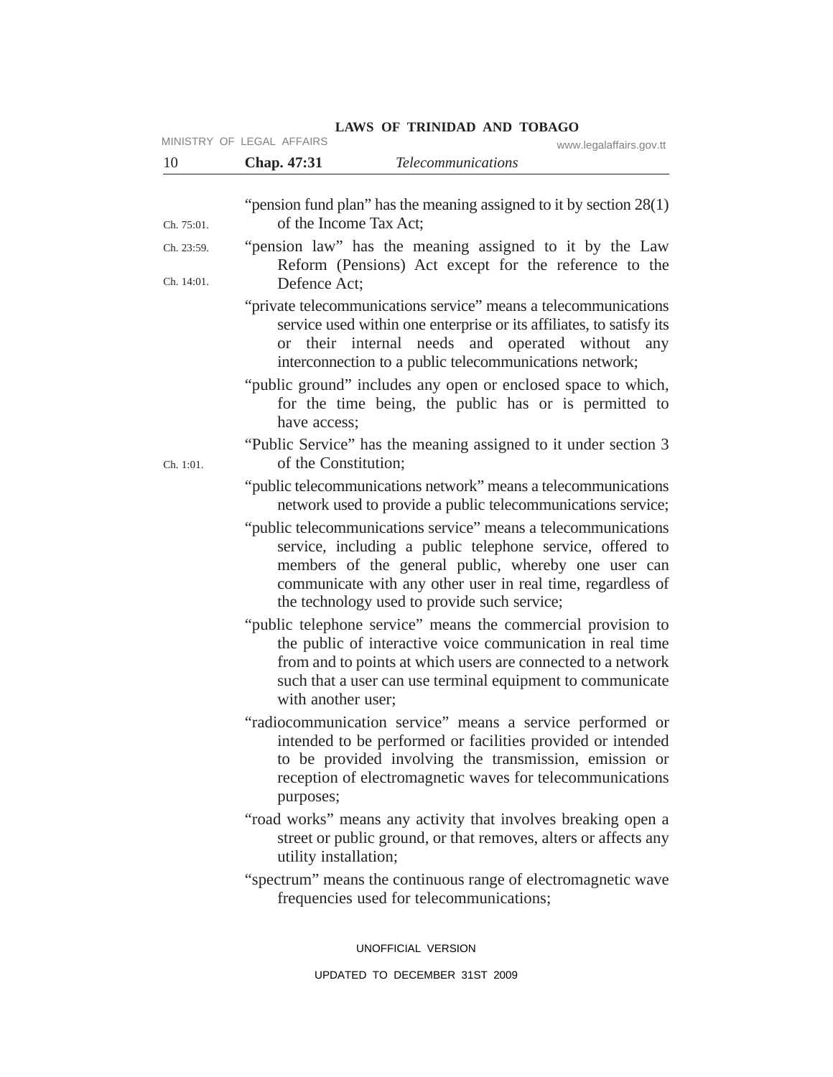|                          | MINISTRY OF LEGAL AFFAIRS<br>www.legalaffairs.gov.tt                                                                                                                                                                                                                                              |
|--------------------------|---------------------------------------------------------------------------------------------------------------------------------------------------------------------------------------------------------------------------------------------------------------------------------------------------|
| 10                       | <b>Telecommunications</b><br>Chap. 47:31                                                                                                                                                                                                                                                          |
|                          | "pension fund plan" has the meaning assigned to it by section $28(1)$                                                                                                                                                                                                                             |
| Ch. 75:01.               | of the Income Tax Act:                                                                                                                                                                                                                                                                            |
| Ch. 23:59.<br>Ch. 14:01. | "pension law" has the meaning assigned to it by the Law<br>Reform (Pensions) Act except for the reference to the                                                                                                                                                                                  |
|                          | Defence Act;<br>"private telecommunications service" means a telecommunications<br>service used within one enterprise or its affiliates, to satisfy its<br>their internal needs and operated without any<br><sub>or</sub>                                                                         |
|                          | interconnection to a public telecommunications network;<br>"public ground" includes any open or enclosed space to which,<br>for the time being, the public has or is permitted to<br>have access;                                                                                                 |
| Ch. 1:01.                | "Public Service" has the meaning assigned to it under section 3<br>of the Constitution;                                                                                                                                                                                                           |
|                          | "public telecommunications network" means a telecommunications<br>network used to provide a public telecommunications service;                                                                                                                                                                    |
|                          | "public telecommunications service" means a telecommunications<br>service, including a public telephone service, offered to<br>members of the general public, whereby one user can<br>communicate with any other user in real time, regardless of<br>the technology used to provide such service; |
|                          | "public telephone service" means the commercial provision to<br>the public of interactive voice communication in real time<br>from and to points at which users are connected to a network<br>such that a user can use terminal equipment to communicate<br>with another user;                    |
|                          | "radiocommunication service" means a service performed or<br>intended to be performed or facilities provided or intended<br>to be provided involving the transmission, emission or<br>reception of electromagnetic waves for telecommunications<br>purposes;                                      |
|                          | "road works" means any activity that involves breaking open a<br>street or public ground, or that removes, alters or affects any<br>utility installation;                                                                                                                                         |
|                          | "spectrum" means the continuous range of electromagnetic wave<br>frequencies used for telecommunications;                                                                                                                                                                                         |
|                          | UNOFFICIAL VERSION                                                                                                                                                                                                                                                                                |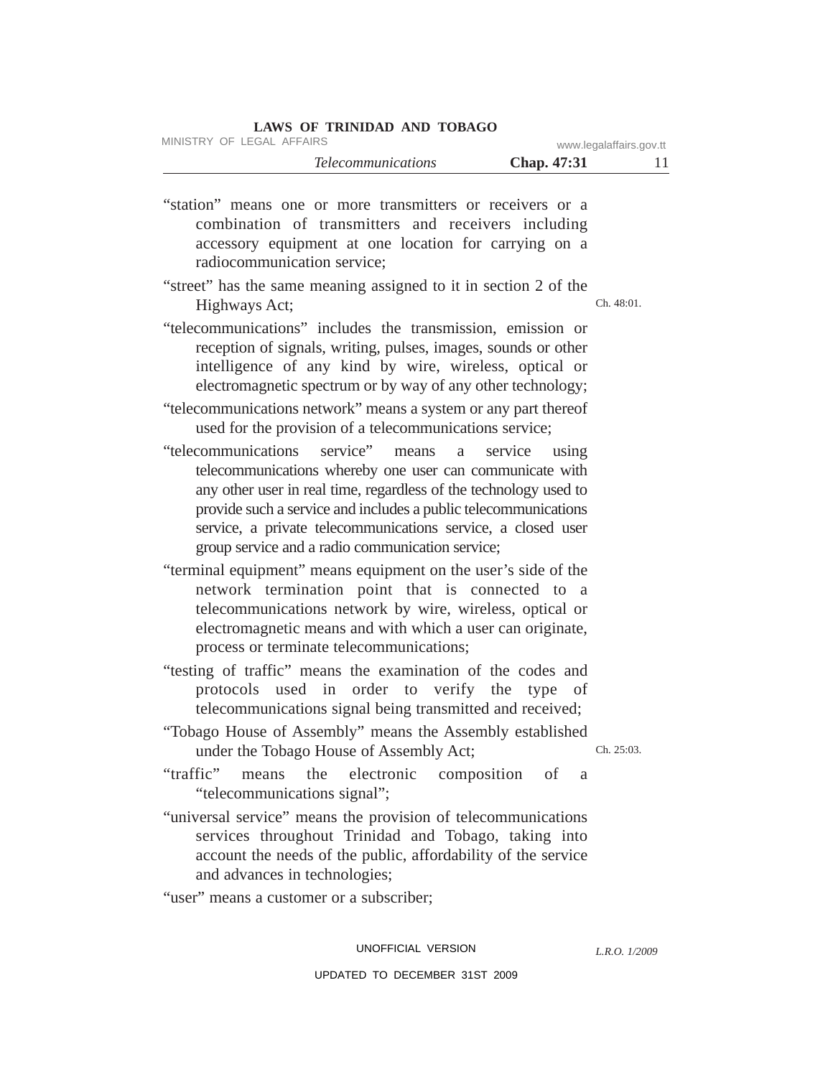|  | LAWS OF TRINIDAD AND TOBAGO |  |
|--|-----------------------------|--|
|  |                             |  |

MINISTRY OF LEGAL AFFAIRS www.legalaffairs.gov.tt

"station" means one or more transmitters or receivers or a combination of transmitters and receivers including accessory equipment at one location for carrying on a radiocommunication service;

- Ch. 48:01. "street" has the same meaning assigned to it in section 2 of the Highways Act;
- "telecommunications" includes the transmission, emission or reception of signals, writing, pulses, images, sounds or other intelligence of any kind by wire, wireless, optical or electromagnetic spectrum or by way of any other technology;
- "telecommunications network" means a system or any part thereof used for the provision of a telecommunications service;
- "telecommunications service" means a service using telecommunications whereby one user can communicate with any other user in real time, regardless of the technology used to provide such a service and includes a public telecommunications service, a private telecommunications service, a closed user group service and a radio communication service;
- "terminal equipment" means equipment on the user's side of the network termination point that is connected to a telecommunications network by wire, wireless, optical or electromagnetic means and with which a user can originate, process or terminate telecommunications;
- "testing of traffic" means the examination of the codes and protocols used in order to verify the type of telecommunications signal being transmitted and received;
- "Tobago House of Assembly" means the Assembly established under the Tobago House of Assembly Act;

Ch. 25:03.

- "traffic" means the electronic composition of a "telecommunications signal";
- "universal service" means the provision of telecommunications services throughout Trinidad and Tobago, taking into account the needs of the public, affordability of the service and advances in technologies;
- "user" means a customer or a subscriber;

### UNOFFICIAL VERSION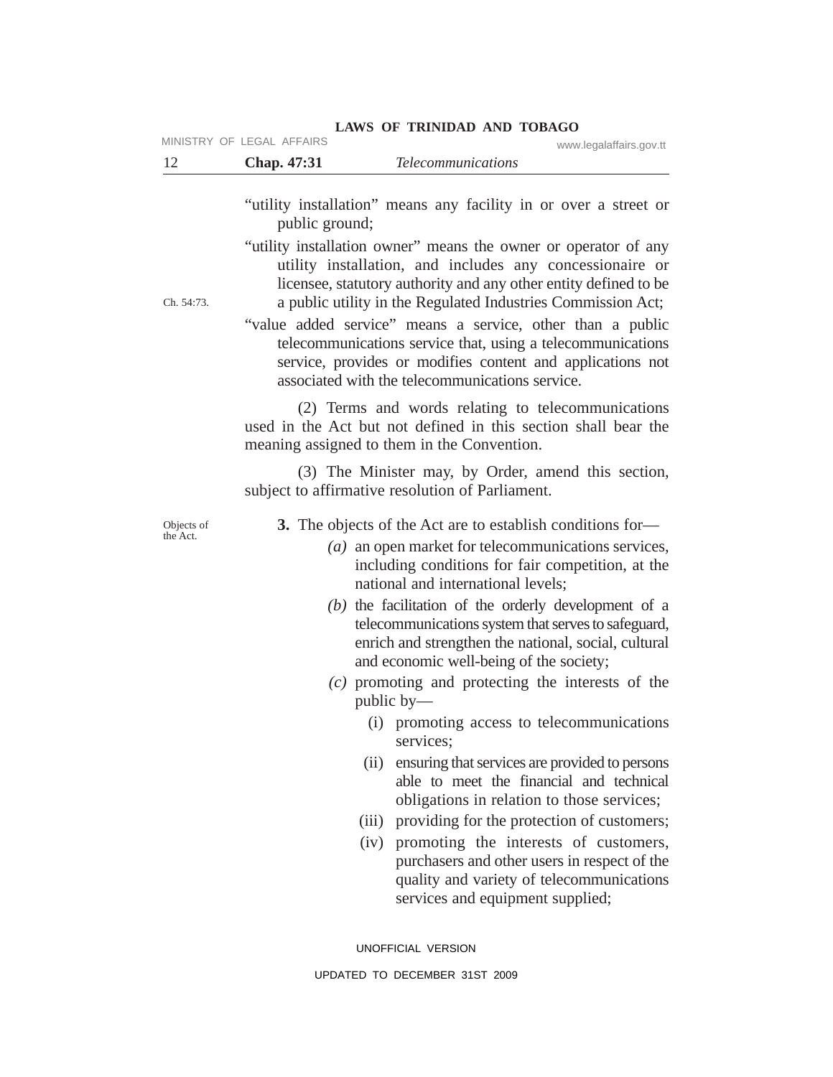| 12                     | MINISTRY OF LEGAL AFFAIRS<br>Chap. 47:31 | www.legalaffairs.gov.tt<br><b>Telecommunications</b>                                                                                                                                                                                                                                                                                                                                                                                      |
|------------------------|------------------------------------------|-------------------------------------------------------------------------------------------------------------------------------------------------------------------------------------------------------------------------------------------------------------------------------------------------------------------------------------------------------------------------------------------------------------------------------------------|
|                        | public ground;                           | "utility installation" means any facility in or over a street or                                                                                                                                                                                                                                                                                                                                                                          |
| Ch. 54:73.             |                                          | "utility installation owner" means the owner or operator of any<br>utility installation, and includes any concessionaire or<br>licensee, statutory authority and any other entity defined to be<br>a public utility in the Regulated Industries Commission Act;                                                                                                                                                                           |
|                        |                                          | "value added service" means a service, other than a public<br>telecommunications service that, using a telecommunications<br>service, provides or modifies content and applications not<br>associated with the telecommunications service.                                                                                                                                                                                                |
|                        |                                          | (2) Terms and words relating to telecommunications<br>used in the Act but not defined in this section shall bear the<br>meaning assigned to them in the Convention.                                                                                                                                                                                                                                                                       |
|                        |                                          | (3) The Minister may, by Order, amend this section,<br>subject to affirmative resolution of Parliament.                                                                                                                                                                                                                                                                                                                                   |
| Objects of<br>the Act. |                                          | <b>3.</b> The objects of the Act are to establish conditions for-<br>$(a)$ an open market for telecommunications services,<br>including conditions for fair competition, at the<br>national and international levels;<br>$(b)$ the facilitation of the orderly development of a<br>telecommunications system that serves to safeguard,<br>enrich and strengthen the national, social, cultural<br>and economic well-being of the society; |
|                        |                                          | $(c)$ promoting and protecting the interests of the<br>public $by$ —                                                                                                                                                                                                                                                                                                                                                                      |
|                        |                                          | (i) promoting access to telecommunications<br>services;                                                                                                                                                                                                                                                                                                                                                                                   |
|                        |                                          | ensuring that services are provided to persons<br>(ii)<br>able to meet the financial and technical<br>obligations in relation to those services;                                                                                                                                                                                                                                                                                          |
|                        |                                          | (iii) providing for the protection of customers;                                                                                                                                                                                                                                                                                                                                                                                          |
|                        |                                          | promoting the interests of customers,<br>(iv)<br>purchasers and other users in respect of the<br>quality and variety of telecommunications<br>services and equipment supplied;                                                                                                                                                                                                                                                            |
|                        |                                          | UNOFFICIAL VERSION                                                                                                                                                                                                                                                                                                                                                                                                                        |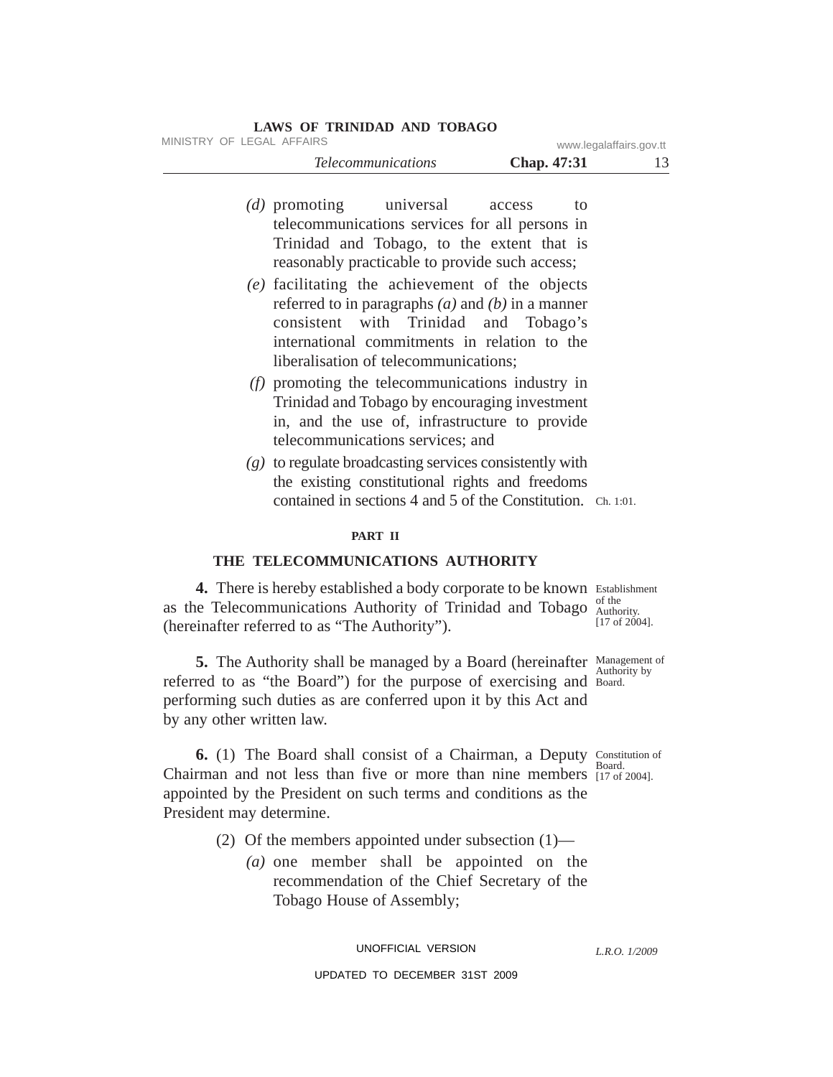| MINISTRY OF LEGAL AFFAIRS |  |  |  | www.legalaffairs.gov.tt |  |
|---------------------------|--|--|--|-------------------------|--|
|---------------------------|--|--|--|-------------------------|--|

| <i><u><b>Telecommunications</b></u></i> | Chap. 47:31 | 13 |
|-----------------------------------------|-------------|----|
|-----------------------------------------|-------------|----|

- *(d)* promoting universal access to telecommunications services for all persons in Trinidad and Tobago, to the extent that is reasonably practicable to provide such access;
- *(e)* facilitating the achievement of the objects referred to in paragraphs *(a)* and *(b)* in a manner consistent with Trinidad and Tobago's international commitments in relation to the liberalisation of telecommunications;
- *(f)* promoting the telecommunications industry in Trinidad and Tobago by encouraging investment in, and the use of, infrastructure to provide telecommunications services; and
- contained in sections 4 and 5 of the Constitution. Ch. 1:01. *(g)* to regulate broadcasting services consistently with the existing constitutional rights and freedoms

#### **PART II**

### **THE TELECOMMUNICATIONS AUTHORITY**

4. There is hereby established a body corporate to be known Establishment of the as the Telecommunications Authority of Trinidad and Tobago  $\frac{\text{of the}}{\text{Authority}}$ (hereinafter referred to as "The Authority").

**5.** The Authority shall be managed by a Board (hereinafter Management of referred to as "the Board") for the purpose of exercising and Board. performing such duties as are conferred upon it by this Act and by any other written law.

6. (1) The Board shall consist of a Chairman, a Deputy Constitution of Board. Chairman and not less than five or more than nine members  $_{[17 \text{ of } 2004]}^{3040}$ . appointed by the President on such terms and conditions as the President may determine.

- (2) Of the members appointed under subsection  $(1)$ 
	- *(a)* one member shall be appointed on the recommendation of the Chief Secretary of the Tobago House of Assembly;

UNOFFICIAL VERSION

UPDATED TO DECEMBER 31ST 2009

[17 of 2004].

Authority by

*L.R.O. 1/2009*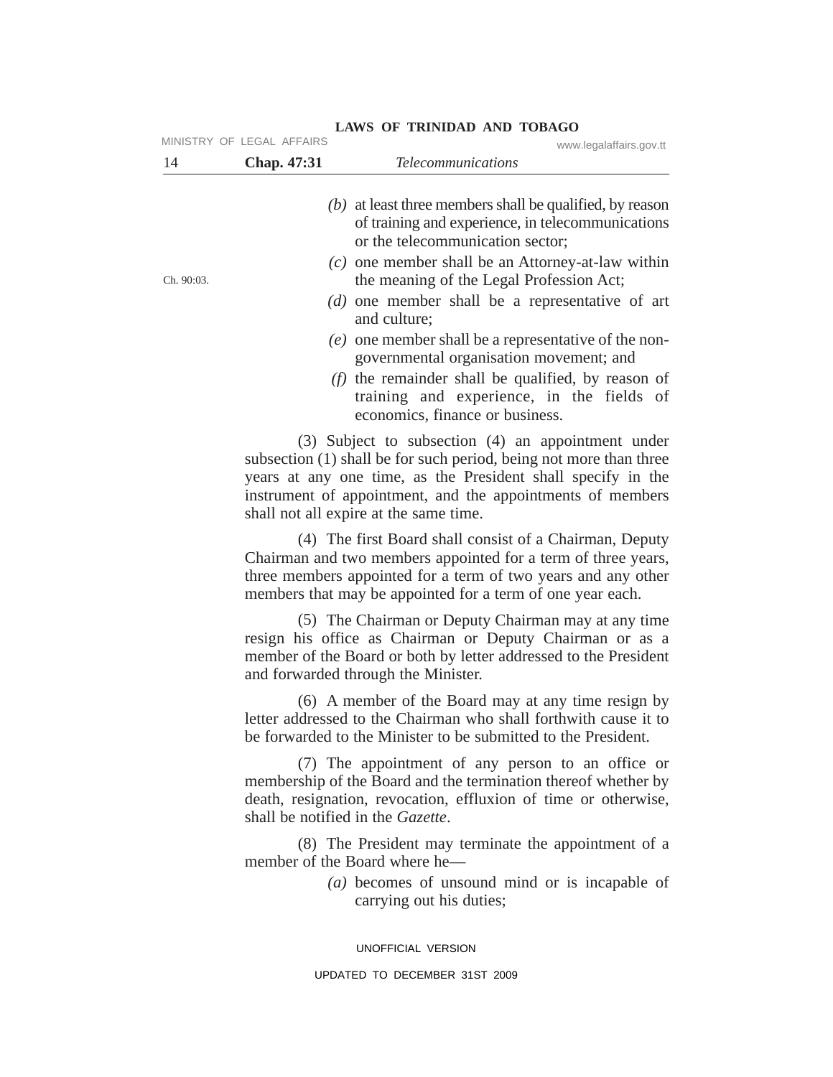| 14         | Chap. 47:31                       | <b>Telecommunications</b>                                                                                                                                                                                                                                                                        |
|------------|-----------------------------------|--------------------------------------------------------------------------------------------------------------------------------------------------------------------------------------------------------------------------------------------------------------------------------------------------|
|            |                                   | $(b)$ at least three members shall be qualified, by reason<br>of training and experience, in telecommunications<br>or the telecommunication sector;                                                                                                                                              |
| Ch. 90:03. |                                   | $(c)$ one member shall be an Attorney-at-law within<br>the meaning of the Legal Profession Act;                                                                                                                                                                                                  |
|            |                                   | $(d)$ one member shall be a representative of art<br>and culture;                                                                                                                                                                                                                                |
|            |                                   | $(e)$ one member shall be a representative of the non-<br>governmental organisation movement; and                                                                                                                                                                                                |
|            |                                   | $(f)$ the remainder shall be qualified, by reason of<br>training and experience, in the fields of<br>economics, finance or business.                                                                                                                                                             |
|            |                                   | (3) Subject to subsection (4) an appointment under<br>subsection (1) shall be for such period, being not more than three<br>years at any one time, as the President shall specify in the<br>instrument of appointment, and the appointments of members<br>shall not all expire at the same time. |
|            |                                   | (4) The first Board shall consist of a Chairman, Deputy<br>Chairman and two members appointed for a term of three years,<br>three members appointed for a term of two years and any other<br>members that may be appointed for a term of one year each.                                          |
|            |                                   | (5) The Chairman or Deputy Chairman may at any time<br>resign his office as Chairman or Deputy Chairman or as a<br>member of the Board or both by letter addressed to the President<br>and forwarded through the Minister.                                                                       |
|            |                                   | (6) A member of the Board may at any time resign by<br>letter addressed to the Chairman who shall forthwith cause it to<br>be forwarded to the Minister to be submitted to the President.                                                                                                        |
|            | shall be notified in the Gazette. | (7) The appointment of any person to an office or<br>membership of the Board and the termination thereof whether by<br>death, resignation, revocation, effluxion of time or otherwise,                                                                                                           |
|            |                                   | (8) The President may terminate the appointment of a<br>member of the Board where he-                                                                                                                                                                                                            |
|            |                                   | $(a)$ becomes of unsound mind or is incapable of<br>carrying out his duties;                                                                                                                                                                                                                     |
|            |                                   | UNOFFICIAL VERSION                                                                                                                                                                                                                                                                               |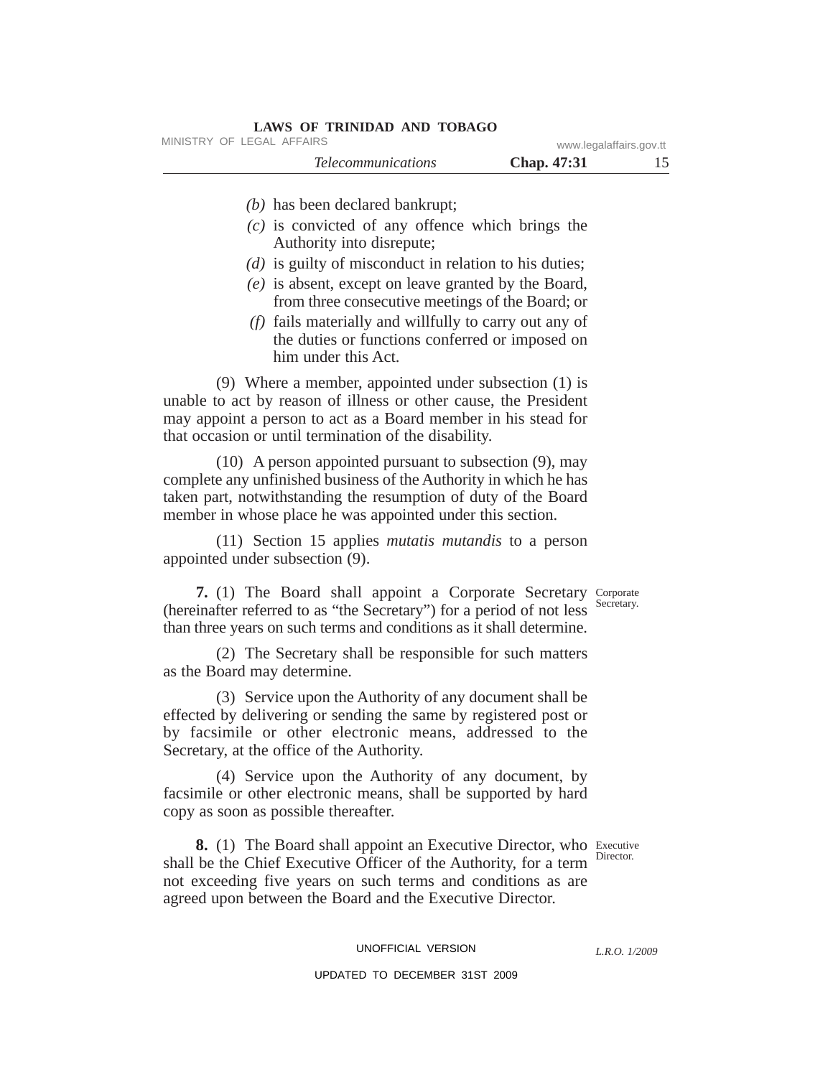| <b>LAWS OF TRINIDAD AND TOBAGO</b> |                         |  |
|------------------------------------|-------------------------|--|
| MINISTRY OF LEGAL AFFAIRS          | www.legalaffairs.gov.tt |  |
| <i>Telecommunications</i>          | <b>Chap.</b> 47:31      |  |
| $(b)$ has been declared bankrupt;  |                         |  |

- *(c)* is convicted of any offence which brings the Authority into disrepute;
- *(d)* is guilty of misconduct in relation to his duties;
- *(e)* is absent, except on leave granted by the Board, from three consecutive meetings of the Board; or
- *(f)* fails materially and willfully to carry out any of the duties or functions conferred or imposed on him under this Act.

(9) Where a member, appointed under subsection (1) is unable to act by reason of illness or other cause, the President may appoint a person to act as a Board member in his stead for that occasion or until termination of the disability.

(10) A person appointed pursuant to subsection (9), may complete any unfinished business of the Authority in which he has taken part, notwithstanding the resumption of duty of the Board member in whose place he was appointed under this section.

(11) Section 15 applies *mutatis mutandis* to a person appointed under subsection (9).

7. (1) The Board shall appoint a Corporate Secretary Corporate (hereinafter referred to as "the Secretary") for a period of not less than three years on such terms and conditions as it shall determine.

(2) The Secretary shall be responsible for such matters as the Board may determine.

(3) Service upon the Authority of any document shall be effected by delivering or sending the same by registered post or by facsimile or other electronic means, addressed to the Secretary, at the office of the Authority.

(4) Service upon the Authority of any document, by facsimile or other electronic means, shall be supported by hard copy as soon as possible thereafter.

**8.** (1) The Board shall appoint an Executive Director, who Executive shall be the Chief Executive Officer of the Authority, for a term Director. not exceeding five years on such terms and conditions as are agreed upon between the Board and the Executive Director.

UNOFFICIAL VERSION

#### UPDATED TO DECEMBER 31ST 2009

Secretary.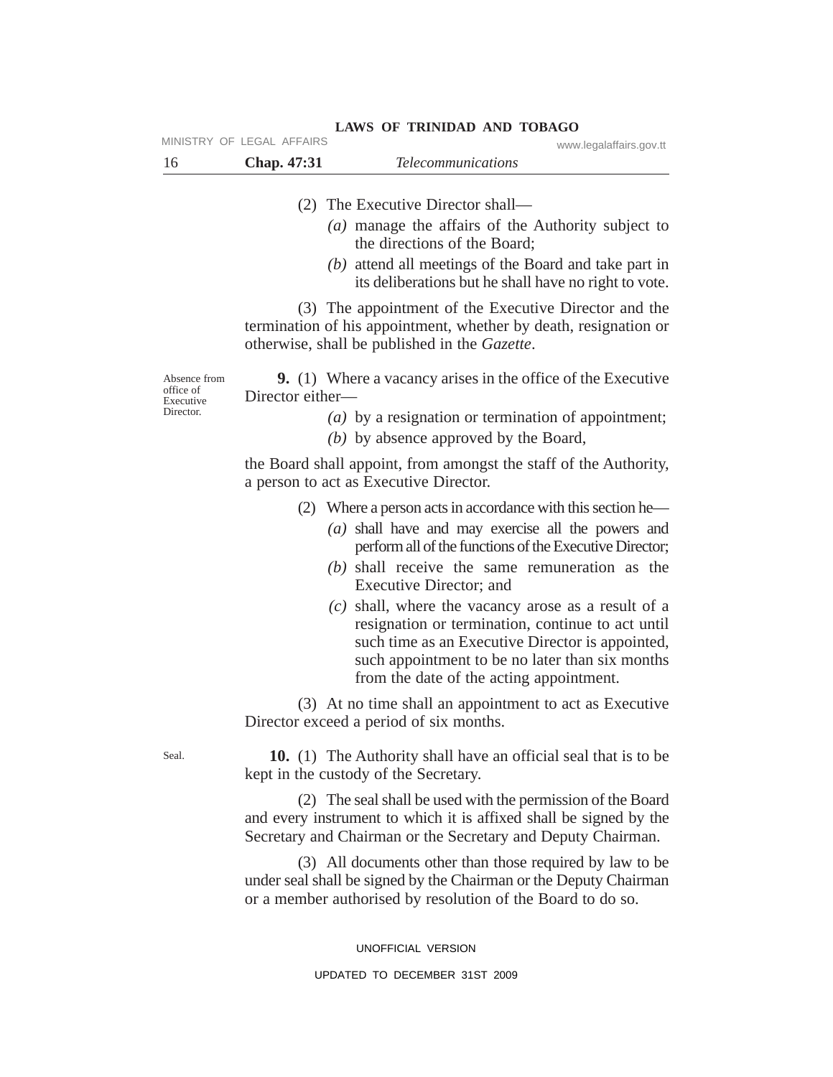| MINISTRY OF LEGAL AFFAIRS |                           | www.legalaffairs.gov.tt |
|---------------------------|---------------------------|-------------------------|
| <b>Chap.</b> 47:31        | <i>Telecommunications</i> |                         |

- (2) The Executive Director shall—
	- *(a)* manage the affairs of the Authority subject to the directions of the Board;
	- *(b)* attend all meetings of the Board and take part in its deliberations but he shall have no right to vote.

(3) The appointment of the Executive Director and the termination of his appointment, whether by death, resignation or otherwise, shall be published in the *Gazette*.

Absence from office of Executive Director.

**9.** (1) Where a vacancy arises in the office of the Executive Director either—

- *(a)* by a resignation or termination of appointment;
- *(b)* by absence approved by the Board,

the Board shall appoint, from amongst the staff of the Authority, a person to act as Executive Director.

- (2) Where a person acts in accordance with this section he—
	- *(a)* shall have and may exercise all the powers and perform all of the functions of the Executive Director;
	- *(b)* shall receive the same remuneration as the Executive Director; and
	- *(c)* shall, where the vacancy arose as a result of a resignation or termination, continue to act until such time as an Executive Director is appointed, such appointment to be no later than six months from the date of the acting appointment.

(3) At no time shall an appointment to act as Executive Director exceed a period of six months.

**10.** (1) The Authority shall have an official seal that is to be kept in the custody of the Secretary.

(2) The seal shall be used with the permission of the Board and every instrument to which it is affixed shall be signed by the Secretary and Chairman or the Secretary and Deputy Chairman.

(3) All documents other than those required by law to be under seal shall be signed by the Chairman or the Deputy Chairman or a member authorised by resolution of the Board to do so.

> UNOFFICIAL VERSION UPDATED TO DECEMBER 31ST 2009

Seal.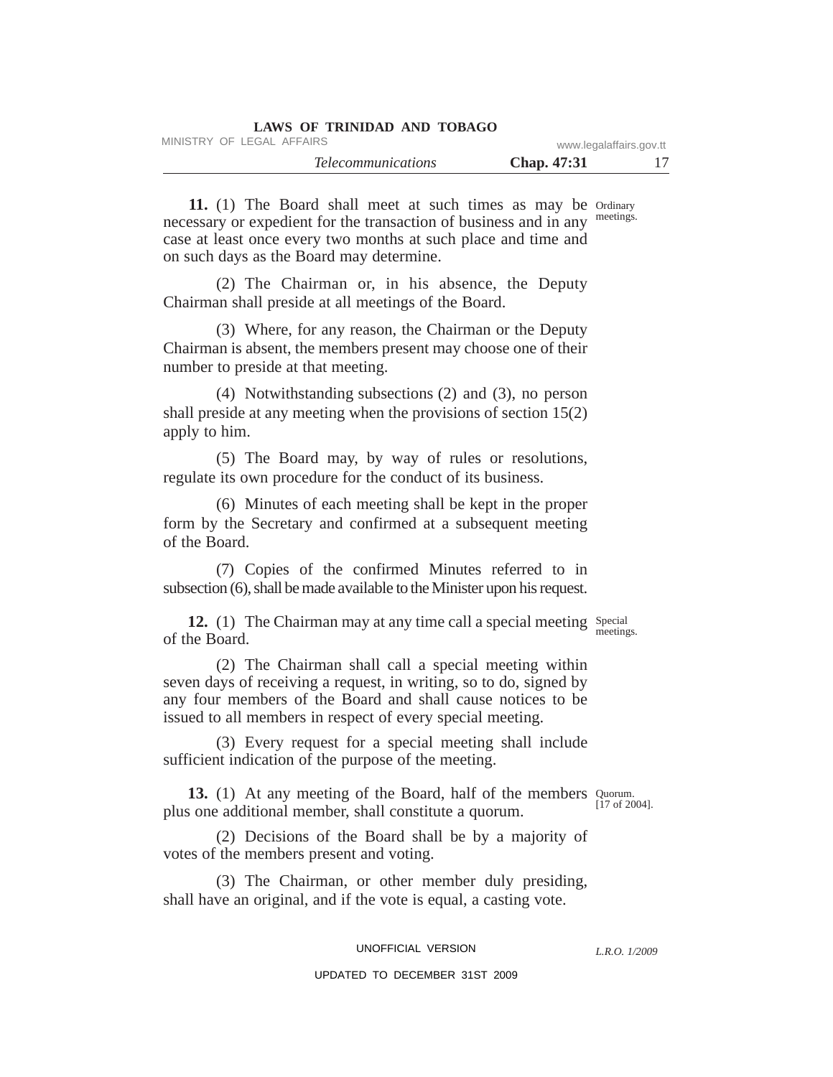| LAWS OF TRINIDAD AND TOBAGO |                         |    |
|-----------------------------|-------------------------|----|
| MINISTRY OF LEGAL AFFAIRS   | www.legalaffairs.gov.tt |    |
| <i>Telecommunications</i>   | <b>Chap.</b> 47:31      | 17 |

11. (1) The Board shall meet at such times as may be Ordinary meetings. necessary or expedient for the transaction of business and in any case at least once every two months at such place and time and on such days as the Board may determine.

(2) The Chairman or, in his absence, the Deputy Chairman shall preside at all meetings of the Board.

(3) Where, for any reason, the Chairman or the Deputy Chairman is absent, the members present may choose one of their number to preside at that meeting.

(4) Notwithstanding subsections (2) and (3), no person shall preside at any meeting when the provisions of section 15(2) apply to him.

(5) The Board may, by way of rules or resolutions, regulate its own procedure for the conduct of its business.

(6) Minutes of each meeting shall be kept in the proper form by the Secretary and confirmed at a subsequent meeting of the Board.

(7) Copies of the confirmed Minutes referred to in subsection (6), shall be made available to the Minister upon his request.

12. (1) The Chairman may at any time call a special meeting Special meetings. of the Board.

(2) The Chairman shall call a special meeting within seven days of receiving a request, in writing, so to do, signed by any four members of the Board and shall cause notices to be issued to all members in respect of every special meeting.

(3) Every request for a special meeting shall include sufficient indication of the purpose of the meeting.

**13.** (1) At any meeting of the Board, half of the members Quorum. [17 of 2004]. plus one additional member, shall constitute a quorum.

(2) Decisions of the Board shall be by a majority of votes of the members present and voting.

(3) The Chairman, or other member duly presiding, shall have an original, and if the vote is equal, a casting vote.

UNOFFICIAL VERSION

*L.R.O. 1/2009*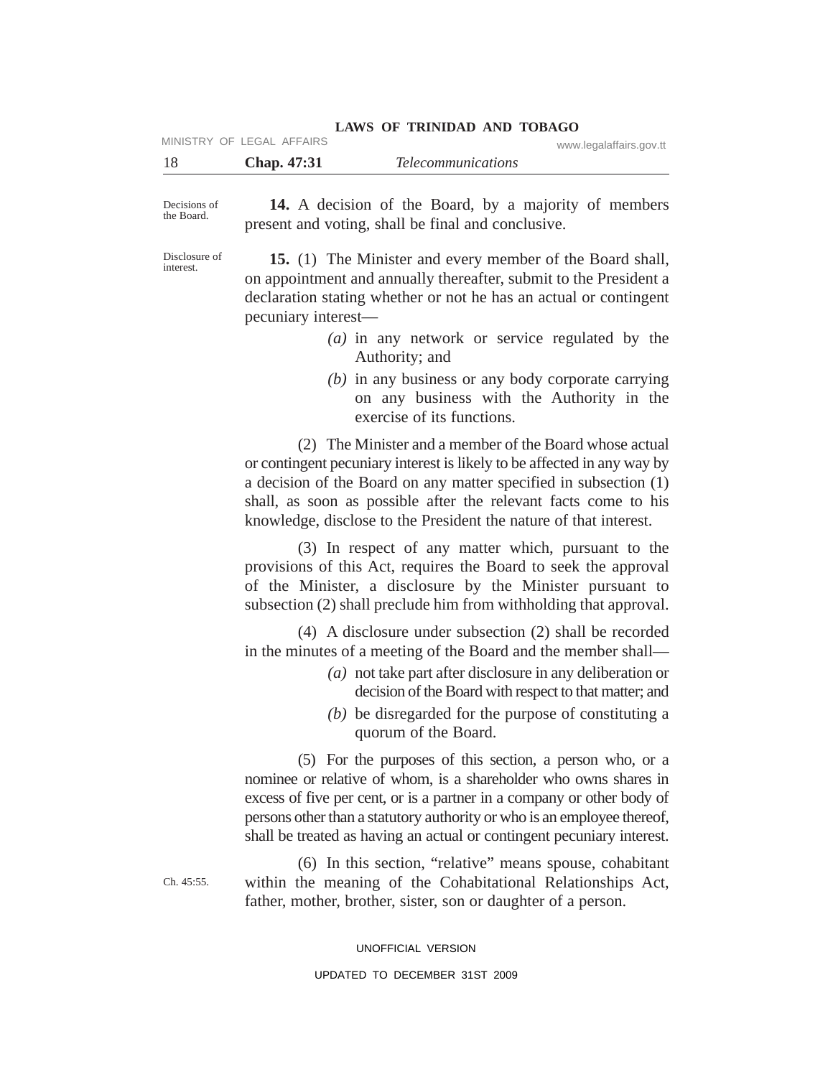|     |                           |                    | LAWS OF INIMIDAD AND TODAGO |                         |
|-----|---------------------------|--------------------|-----------------------------|-------------------------|
|     | MINISTRY OF LEGAL AFFAIRS |                    |                             | www.legalaffairs.gov.tt |
| -18 |                           | <b>Chap.</b> 47:31 | <i>Telecommunications</i>   |                         |

Decisions of the Board.

**14.** A decision of the Board, by a majority of members present and voting, shall be final and conclusive.

**LAWS OF TRINIDAD AND TOBAGO**

Disclosure of interest.

**15.** (1) The Minister and every member of the Board shall, on appointment and annually thereafter, submit to the President a declaration stating whether or not he has an actual or contingent pecuniary interest—

- *(a)* in any network or service regulated by the Authority; and
- *(b)* in any business or any body corporate carrying on any business with the Authority in the exercise of its functions.

(2) The Minister and a member of the Board whose actual or contingent pecuniary interest is likely to be affected in any way by a decision of the Board on any matter specified in subsection (1) shall, as soon as possible after the relevant facts come to his knowledge, disclose to the President the nature of that interest.

(3) In respect of any matter which, pursuant to the provisions of this Act, requires the Board to seek the approval of the Minister, a disclosure by the Minister pursuant to subsection (2) shall preclude him from withholding that approval.

(4) A disclosure under subsection (2) shall be recorded in the minutes of a meeting of the Board and the member shall—

- *(a)* not take part after disclosure in any deliberation or decision of the Board with respect to that matter; and
- *(b)* be disregarded for the purpose of constituting a quorum of the Board.

(5) For the purposes of this section, a person who, or a nominee or relative of whom, is a shareholder who owns shares in excess of five per cent, or is a partner in a company or other body of persons other than a statutory authority or who is an employee thereof, shall be treated as having an actual or contingent pecuniary interest.

(6) In this section, "relative" means spouse, cohabitant within the meaning of the Cohabitational Relationships Act, father, mother, brother, sister, son or daughter of a person.

UNOFFICIAL VERSION

Ch. 45:55.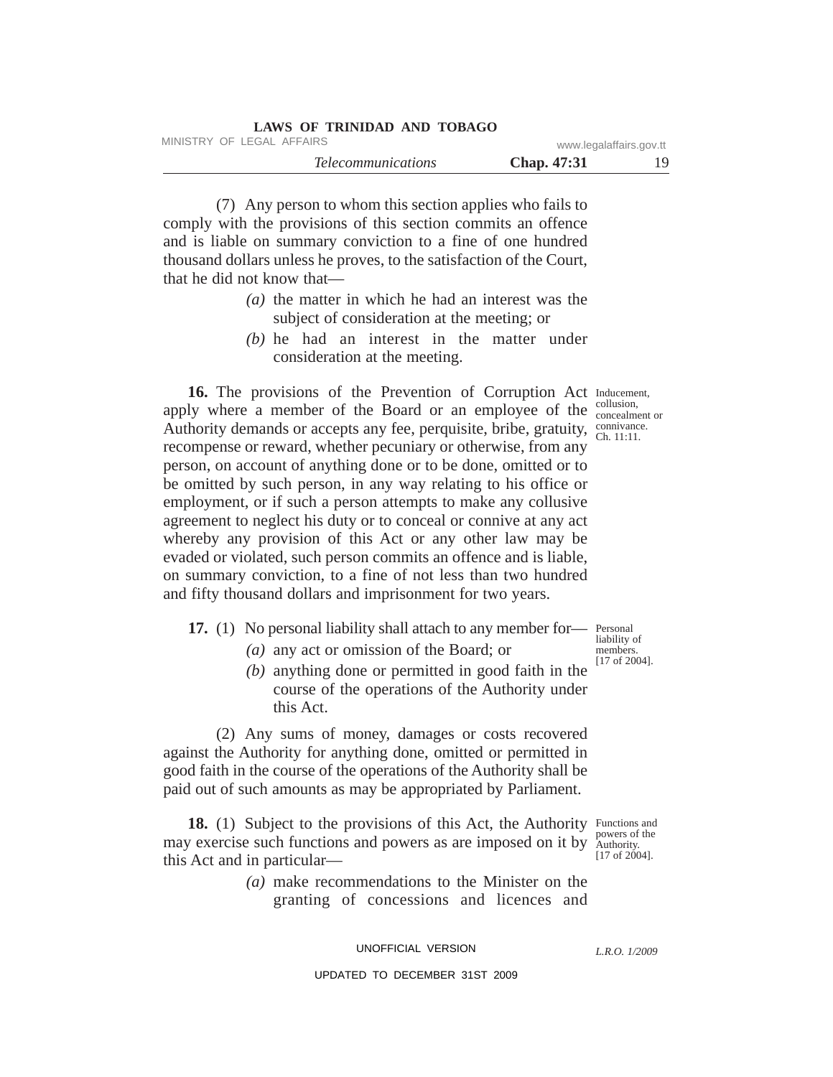| LAWS OF TRINIDAD AND TOBAGO |                         |     |
|-----------------------------|-------------------------|-----|
| MINISTRY OF LEGAL AFFAIRS   | www.legalaffairs.gov.tt |     |
| <i>Telecommunications</i>   | <b>Chap.</b> 47:31      | 19. |

(7) Any person to whom this section applies who fails to comply with the provisions of this section commits an offence and is liable on summary conviction to a fine of one hundred thousand dollars unless he proves, to the satisfaction of the Court, that he did not know that—

- *(a)* the matter in which he had an interest was the subject of consideration at the meeting; or
- *(b)* he had an interest in the matter under consideration at the meeting.

16. The provisions of the Prevention of Corruption Act Inducement, apply where a member of the Board or an employee of the  $_{\rm{concedment~or}}^{\rm{conusion}}$ Authority demands or accepts any fee, perquisite, bribe, gratuity,  $\frac{\text{connivanc}}{\text{Ch. 11:11}}$ recompense or reward, whether pecuniary or otherwise, from any person, on account of anything done or to be done, omitted or to be omitted by such person, in any way relating to his office or employment, or if such a person attempts to make any collusive agreement to neglect his duty or to conceal or connive at any act whereby any provision of this Act or any other law may be evaded or violated, such person commits an offence and is liable, on summary conviction, to a fine of not less than two hundred and fifty thousand dollars and imprisonment for two years.

17. (1) No personal liability shall attach to any member for— Personal

- *(a)* any act or omission of the Board; or
- *(b)* anything done or permitted in good faith in the course of the operations of the Authority under this Act.

(2) Any sums of money, damages or costs recovered against the Authority for anything done, omitted or permitted in good faith in the course of the operations of the Authority shall be paid out of such amounts as may be appropriated by Parliament.

18. (1) Subject to the provisions of this Act, the Authority Functions and powers of the may exercise such functions and powers as are imposed on it by  $\frac{p_{\text{owes}}}{\text{Authority}}$ .  $[17$  of  $2004]$ . this Act and in particular—

> *(a)* make recommendations to the Minister on the granting of concessions and licences and

> > UNOFFICIAL VERSION

*L.R.O. 1/2009*

UPDATED TO DECEMBER 31ST 2009

liability of members. [17 of 2004].

collusion, connivance.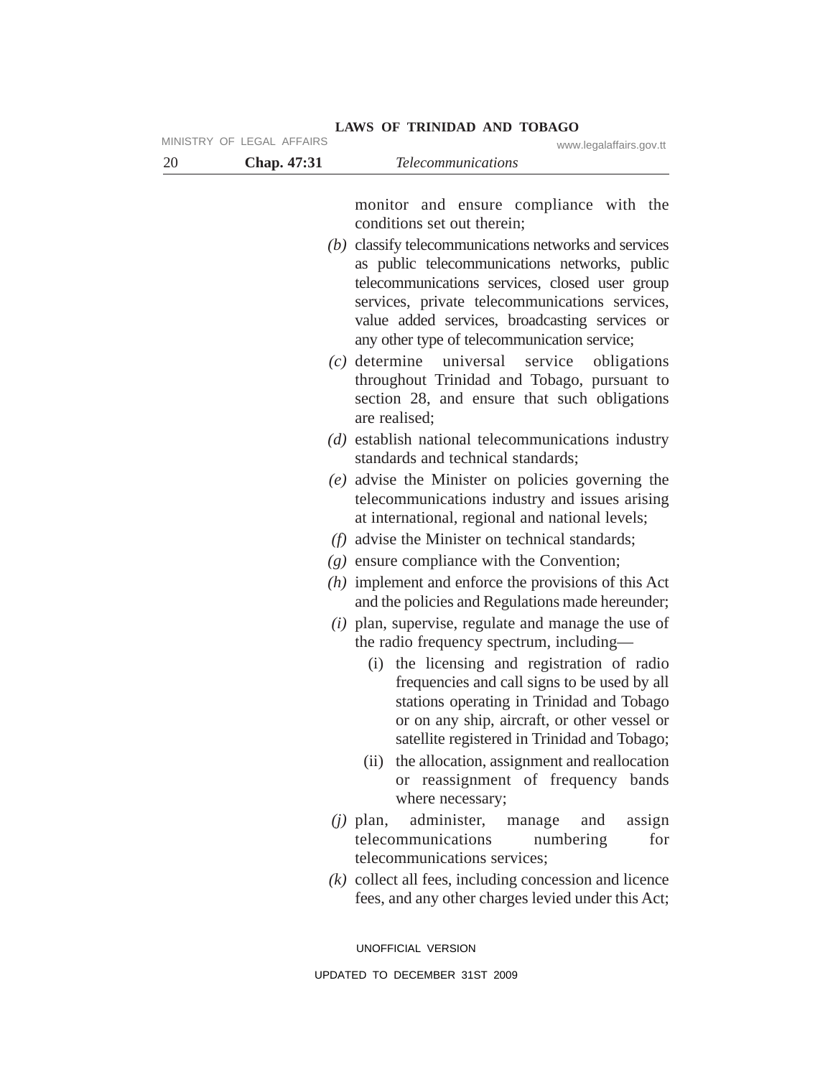| 20 | MINISTRY OF LEGAL AFFAIRS<br>Chap. 47:31 | www.legalaffairs.gov.tt<br><b>Telecommunications</b>                                                                                                                                                                                                                                                                                                   |
|----|------------------------------------------|--------------------------------------------------------------------------------------------------------------------------------------------------------------------------------------------------------------------------------------------------------------------------------------------------------------------------------------------------------|
|    |                                          |                                                                                                                                                                                                                                                                                                                                                        |
|    |                                          | monitor and ensure compliance with the<br>conditions set out therein;                                                                                                                                                                                                                                                                                  |
|    |                                          | $(b)$ classify telecommunications networks and services<br>as public telecommunications networks, public<br>telecommunications services, closed user group<br>services, private telecommunications services,<br>value added services, broadcasting services or<br>any other type of telecommunication service;                                         |
|    |                                          | $(c)$ determine<br>universal service<br>obligations<br>throughout Trinidad and Tobago, pursuant to<br>section 28, and ensure that such obligations<br>are realised;                                                                                                                                                                                    |
|    |                                          | $(d)$ establish national telecommunications industry<br>standards and technical standards;                                                                                                                                                                                                                                                             |
|    |                                          | (e) advise the Minister on policies governing the<br>telecommunications industry and issues arising<br>at international, regional and national levels;                                                                                                                                                                                                 |
|    |                                          | $(f)$ advise the Minister on technical standards;                                                                                                                                                                                                                                                                                                      |
|    |                                          | $(g)$ ensure compliance with the Convention;                                                                                                                                                                                                                                                                                                           |
|    |                                          | $(h)$ implement and enforce the provisions of this Act<br>and the policies and Regulations made hereunder;                                                                                                                                                                                                                                             |
|    |                                          | $(i)$ plan, supervise, regulate and manage the use of<br>the radio frequency spectrum, including—                                                                                                                                                                                                                                                      |
|    |                                          | (i) the licensing and registration of radio<br>frequencies and call signs to be used by all<br>stations operating in Trinidad and Tobago<br>or on any ship, aircraft, or other vessel or<br>satellite registered in Trinidad and Tobago;<br>(ii) the allocation, assignment and reallocation<br>or reassignment of frequency bands<br>where necessary; |
|    |                                          | administer,<br>$(i)$ plan,<br>assign<br>manage<br>and<br>telecommunications<br>numbering<br>for                                                                                                                                                                                                                                                        |
|    |                                          | telecommunications services;<br>$(k)$ collect all fees, including concession and licence<br>fees, and any other charges levied under this Act;                                                                                                                                                                                                         |
|    |                                          | UNOFFICIAL VERSION                                                                                                                                                                                                                                                                                                                                     |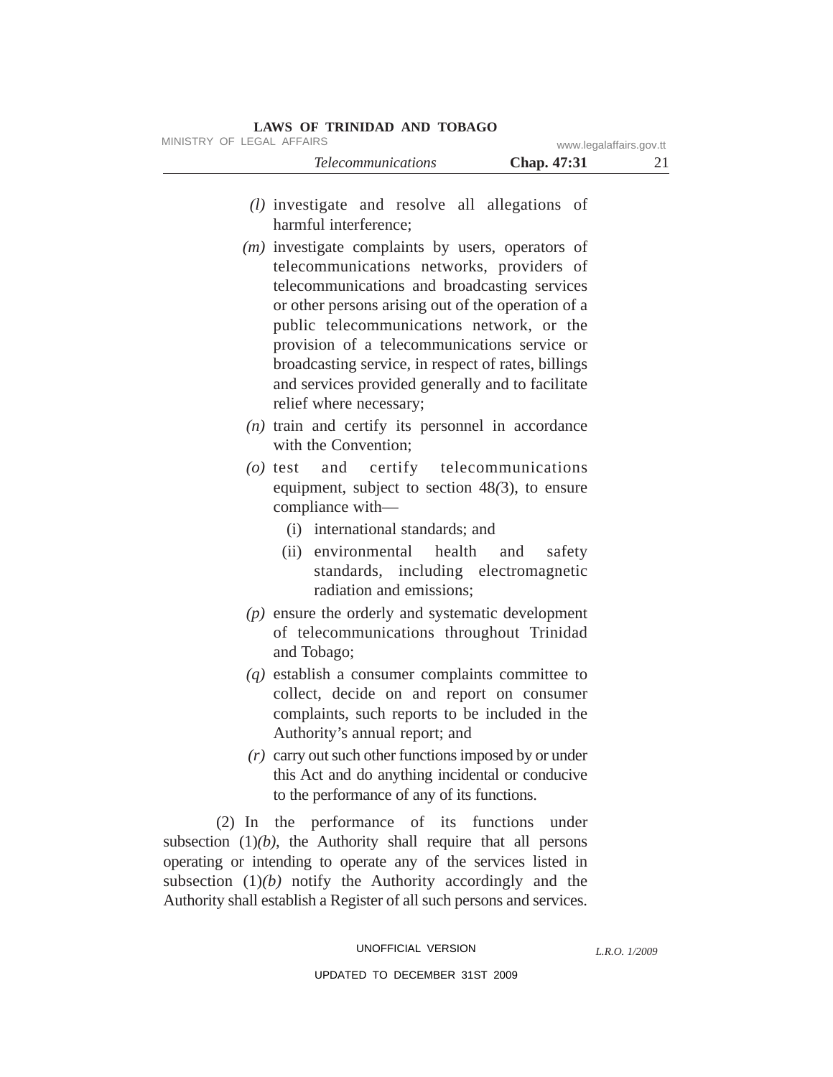|                           | <i>Telecommunications</i> | <b>Chap.</b> 47:31 |                         |
|---------------------------|---------------------------|--------------------|-------------------------|
| MINISTRY OF LEGAL AFFAIRS |                           |                    | www.legalaffairs.gov.tt |

- *(l)* investigate and resolve all allegations of harmful interference;
- *(m)* investigate complaints by users, operators of telecommunications networks, providers of telecommunications and broadcasting services or other persons arising out of the operation of a public telecommunications network, or the provision of a telecommunications service or broadcasting service, in respect of rates, billings and services provided generally and to facilitate relief where necessary;
- *(n)* train and certify its personnel in accordance with the Convention;
- *(o)* test and certify telecommunications equipment, subject to section 48*(*3), to ensure compliance with—
	- (i) international standards; and
	- (ii) environmental health and safety standards, including electromagnetic radiation and emissions;
- *(p)* ensure the orderly and systematic development of telecommunications throughout Trinidad and Tobago;
- *(q)* establish a consumer complaints committee to collect, decide on and report on consumer complaints, such reports to be included in the Authority's annual report; and
- *(r)* carry out such other functions imposed by or under this Act and do anything incidental or conducive to the performance of any of its functions.

(2) In the performance of its functions under subsection  $(1)(b)$ , the Authority shall require that all persons operating or intending to operate any of the services listed in subsection  $(1)(b)$  notify the Authority accordingly and the Authority shall establish a Register of all such persons and services.

## UNOFFICIAL VERSION

*L.R.O. 1/2009*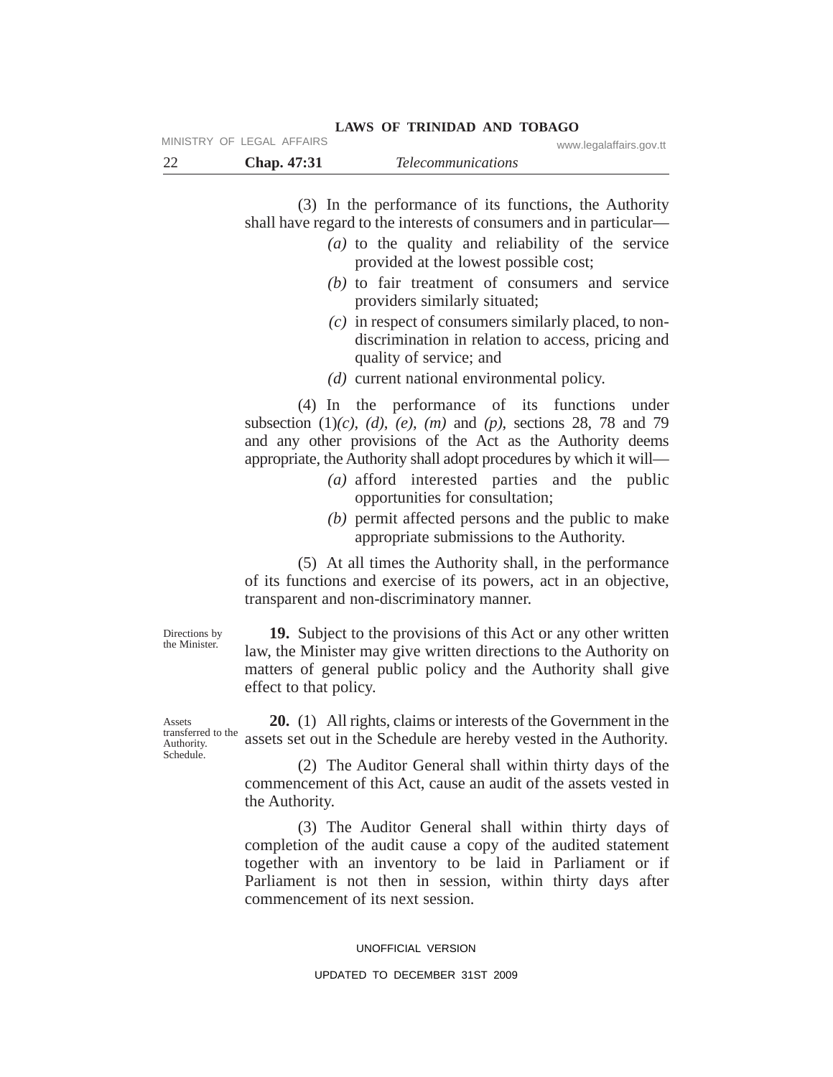(3) In the performance of its functions, the Authority shall have regard to the interests of consumers and in particular—

**LAWS OF TRINIDAD AND TOBAGO**

- *(a)* to the quality and reliability of the service provided at the lowest possible cost;
- *(b)* to fair treatment of consumers and service providers similarly situated;
- *(c)* in respect of consumers similarly placed, to nondiscrimination in relation to access, pricing and quality of service; and
- *(d)* current national environmental policy.

(4) In the performance of its functions under subsection (1)*(c)*, *(d)*, *(e)*, *(m)* and *(p)*, sections 28, 78 and 79 and any other provisions of the Act as the Authority deems appropriate, the Authority shall adopt procedures by which it will—

- *(a)* afford interested parties and the public opportunities for consultation;
- *(b)* permit affected persons and the public to make appropriate submissions to the Authority.

(5) At all times the Authority shall, in the performance of its functions and exercise of its powers, act in an objective, transparent and non-discriminatory manner.

Directions by the Minister.

**19.** Subject to the provisions of this Act or any other written law, the Minister may give written directions to the Authority on matters of general public policy and the Authority shall give effect to that policy.

**20.** (1) All rights, claims or interests of the Government in the assets set out in the Schedule are hereby vested in the Authority.

(2) The Auditor General shall within thirty days of the commencement of this Act, cause an audit of the assets vested in the Authority.

(3) The Auditor General shall within thirty days of completion of the audit cause a copy of the audited statement together with an inventory to be laid in Parliament or if Parliament is not then in session, within thirty days after commencement of its next session.

### UNOFFICIAL VERSION

#### UPDATED TO DECEMBER 31ST 2009

Assets transferred to the Authority. Schedule.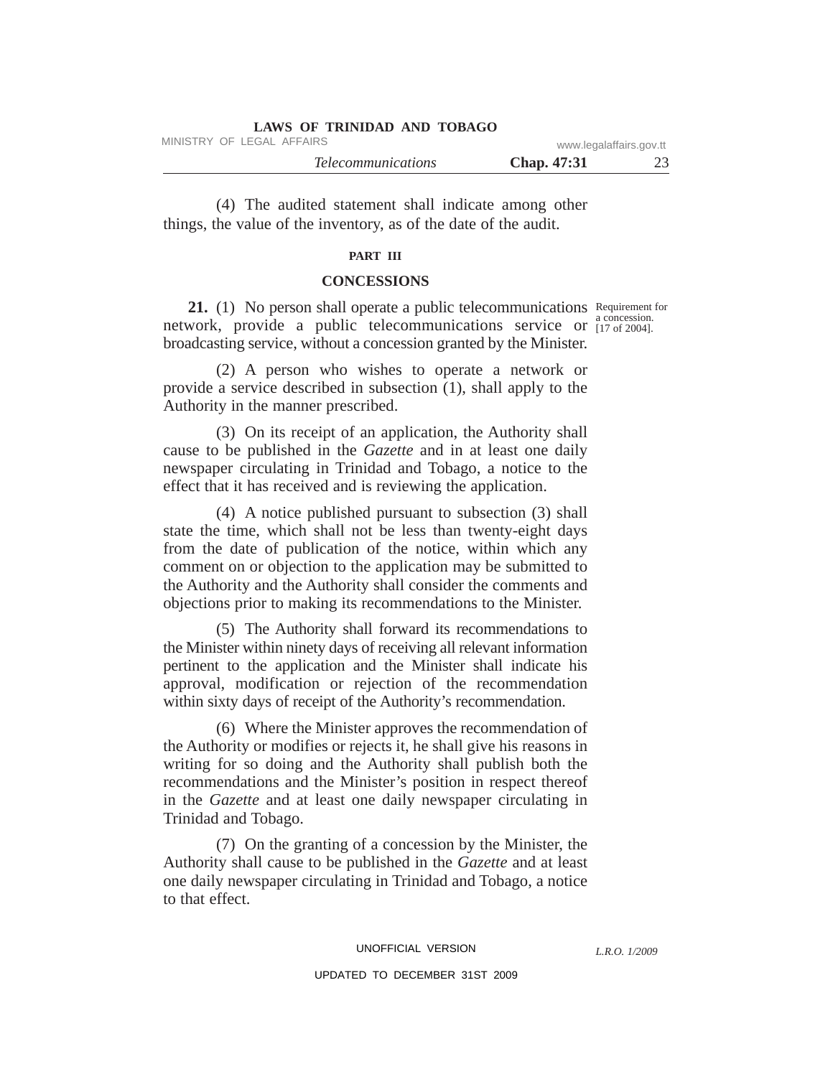| <b>LAWS OF TRINIDAD AND TOBAGO</b> |                         |  |
|------------------------------------|-------------------------|--|
| MINISTRY OF LEGAL AFFAIRS          | www.legalaffairs.gov.tt |  |
| <i>Telecommunications</i>          | <b>Chap.</b> 47:31      |  |

(4) The audited statement shall indicate among other things, the value of the inventory, as of the date of the audit.

## **PART III**

### **CONCESSIONS**

21. (1) No person shall operate a public telecommunications Requirement for network, provide a public telecommunications service or  $_{[17 \text{ of } 2004]}^{a}$ broadcasting service, without a concession granted by the Minister.

(2) A person who wishes to operate a network or provide a service described in subsection (1), shall apply to the Authority in the manner prescribed.

(3) On its receipt of an application, the Authority shall cause to be published in the *Gazette* and in at least one daily newspaper circulating in Trinidad and Tobago, a notice to the effect that it has received and is reviewing the application.

(4) A notice published pursuant to subsection (3) shall state the time, which shall not be less than twenty-eight days from the date of publication of the notice, within which any comment on or objection to the application may be submitted to the Authority and the Authority shall consider the comments and objections prior to making its recommendations to the Minister.

(5) The Authority shall forward its recommendations to the Minister within ninety days of receiving all relevant information pertinent to the application and the Minister shall indicate his approval, modification or rejection of the recommendation within sixty days of receipt of the Authority's recommendation.

(6) Where the Minister approves the recommendation of the Authority or modifies or rejects it, he shall give his reasons in writing for so doing and the Authority shall publish both the recommendations and the Minister's position in respect thereof in the *Gazette* and at least one daily newspaper circulating in Trinidad and Tobago.

(7) On the granting of a concession by the Minister, the Authority shall cause to be published in the *Gazette* and at least one daily newspaper circulating in Trinidad and Tobago, a notice to that effect.

a concession.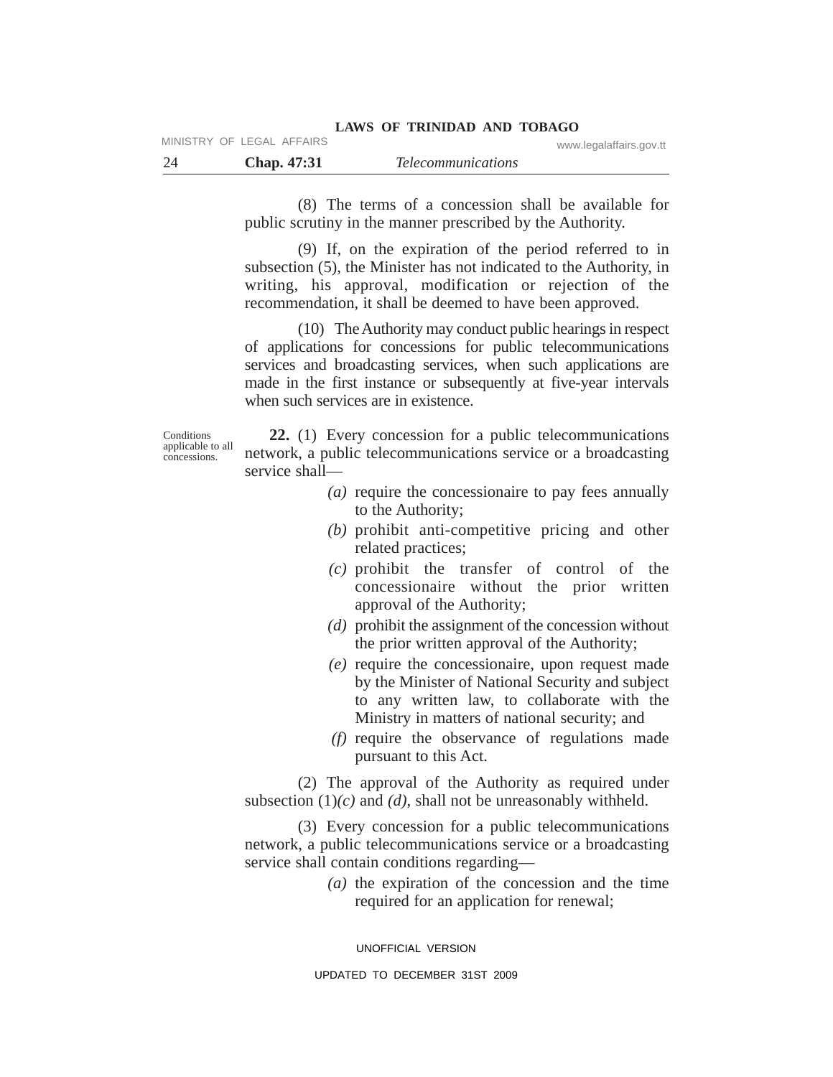|      | MINISTRY OF LEGAL AFFAIRS |                           | www.legalaffairs.gov.tt |
|------|---------------------------|---------------------------|-------------------------|
| - 24 | Chap. 47:31               | <i>Telecommunications</i> |                         |

(8) The terms of a concession shall be available for public scrutiny in the manner prescribed by the Authority.

(9) If, on the expiration of the period referred to in subsection (5), the Minister has not indicated to the Authority, in writing, his approval, modification or rejection of the recommendation, it shall be deemed to have been approved.

(10) The Authority may conduct public hearings in respect of applications for concessions for public telecommunications services and broadcasting services, when such applications are made in the first instance or subsequently at five-year intervals when such services are in existence.

**Conditions** applicable to all concessions.

**22.** (1) Every concession for a public telecommunications network, a public telecommunications service or a broadcasting service shall—

- *(a)* require the concessionaire to pay fees annually to the Authority;
- *(b)* prohibit anti-competitive pricing and other related practices;
- *(c)* prohibit the transfer of control of the concessionaire without the prior written approval of the Authority;
- *(d)* prohibit the assignment of the concession without the prior written approval of the Authority;
- *(e)* require the concessionaire, upon request made by the Minister of National Security and subject to any written law, to collaborate with the Ministry in matters of national security; and
- *(f)* require the observance of regulations made pursuant to this Act.

(2) The approval of the Authority as required under subsection  $(1)(c)$  and  $(d)$ , shall not be unreasonably withheld.

(3) Every concession for a public telecommunications network, a public telecommunications service or a broadcasting service shall contain conditions regarding—

> *(a)* the expiration of the concession and the time required for an application for renewal;

UNOFFICIAL VERSION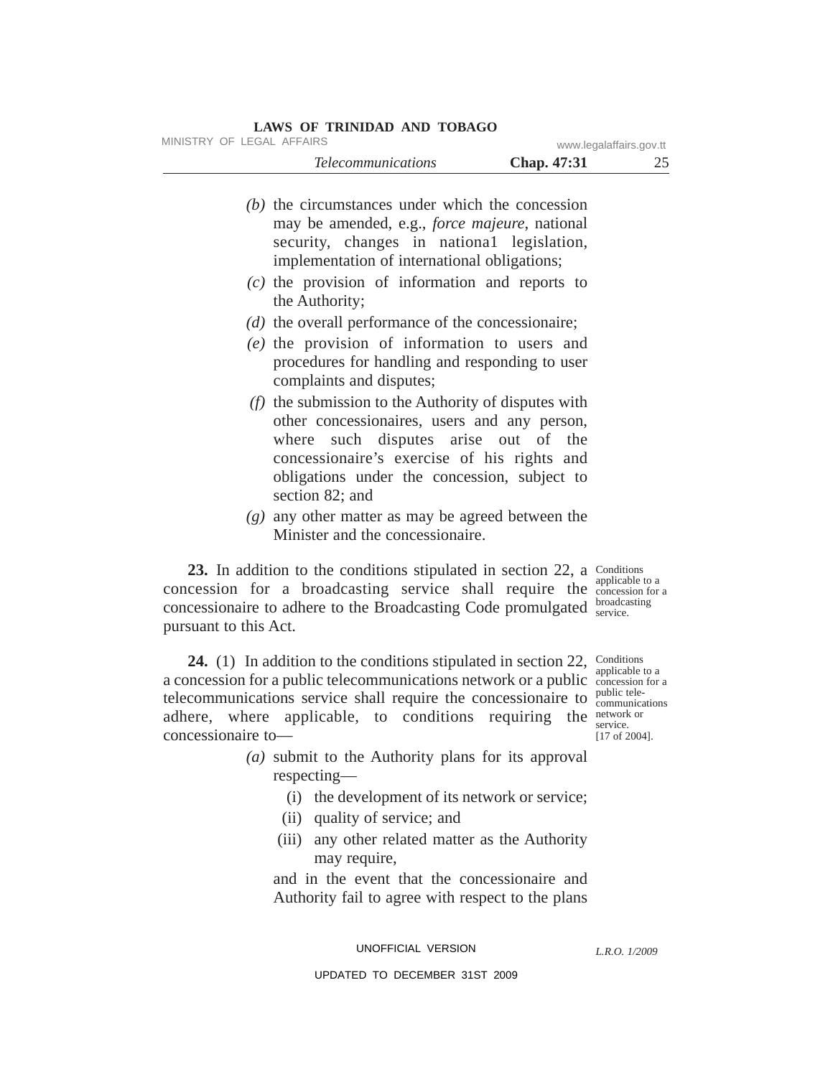| MINISTRY OF LEGAL AFFAIRS                                                                                                                                                                                                                                        |             | www.legalaffairs.gov.tt                     |
|------------------------------------------------------------------------------------------------------------------------------------------------------------------------------------------------------------------------------------------------------------------|-------------|---------------------------------------------|
| <b>Telecommunications</b>                                                                                                                                                                                                                                        | Chap. 47:31 | 25                                          |
| $(b)$ the circumstances under which the concession<br>may be amended, e.g., <i>force majeure</i> , national<br>security, changes in national legislation,<br>implementation of international obligations;                                                        |             |                                             |
| $(c)$ the provision of information and reports to<br>the Authority;                                                                                                                                                                                              |             |                                             |
| $(d)$ the overall performance of the concessionaire;                                                                                                                                                                                                             |             |                                             |
| $(e)$ the provision of information to users and<br>procedures for handling and responding to user<br>complaints and disputes;                                                                                                                                    |             |                                             |
| $(f)$ the submission to the Authority of disputes with<br>other concessionaires, users and any person,<br>where such disputes arise out of the<br>concessionaire's exercise of his rights and<br>obligations under the concession, subject to<br>section 82; and |             |                                             |
| $(g)$ any other matter as may be agreed between the<br>Minister and the concessionaire.                                                                                                                                                                          |             |                                             |
| 23. In addition to the conditions stipulated in section 22, a Conditions<br>concession for a broadcasting service shall require the <i>experience</i> of a<br>concessionaire to adhere to the Broadcasting Code promulgated<br>pursuant to this Act.             |             | applicable to a<br>broadcasting<br>service. |

**24.** (1) In addition to the conditions stipulated in section 22, Conditions a concession for a public telecommunications network or a public concession for a telecommunications service shall require the concessionaire to  $\frac{public \t{teler}}{communications}$ adhere, where applicable, to conditions requiring the network concessionaire to—

applicable to a public telenetwork or [17 of 2004].

- *(a)* submit to the Authority plans for its approval respecting—
	- (i) the development of its network or service;
	- (ii) quality of service; and
	- (iii) any other related matter as the Authority may require,

and in the event that the concessionaire and Authority fail to agree with respect to the plans

UNOFFICIAL VERSION

*L.R.O. 1/2009*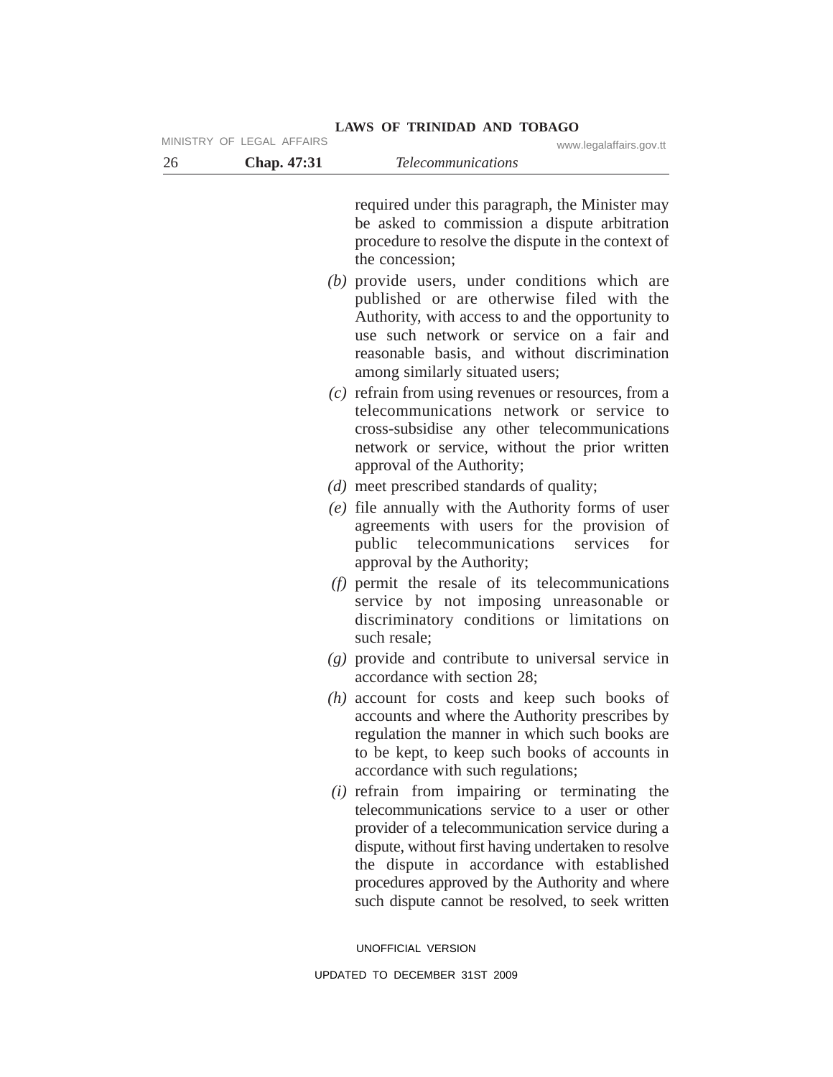| 26 | Chap. 47:31 | <b>Telecommunications</b>                                                                                                                                                                                                                                                                                                                                       |
|----|-------------|-----------------------------------------------------------------------------------------------------------------------------------------------------------------------------------------------------------------------------------------------------------------------------------------------------------------------------------------------------------------|
|    |             | required under this paragraph, the Minister may<br>be asked to commission a dispute arbitration<br>procedure to resolve the dispute in the context of<br>the concession;                                                                                                                                                                                        |
|    |             | $(b)$ provide users, under conditions which are<br>published or are otherwise filed with the<br>Authority, with access to and the opportunity to<br>use such network or service on a fair and<br>reasonable basis, and without discrimination<br>among similarly situated users;                                                                                |
|    |             | $(c)$ refrain from using revenues or resources, from a<br>telecommunications network or service to<br>cross-subsidise any other telecommunications<br>network or service, without the prior written<br>approval of the Authority;                                                                                                                               |
|    |             | $(d)$ meet prescribed standards of quality;<br>$(e)$ file annually with the Authority forms of user<br>agreements with users for the provision of<br>for<br>public<br>telecommunications<br>services<br>approval by the Authority;                                                                                                                              |
|    |             | $(f)$ permit the resale of its telecommunications<br>service by not imposing unreasonable<br><b>or</b><br>discriminatory conditions or limitations<br>on<br>such resale;                                                                                                                                                                                        |
|    |             | $(g)$ provide and contribute to universal service in<br>accordance with section 28;                                                                                                                                                                                                                                                                             |
|    |             | $(h)$ account for costs and keep such books of<br>accounts and where the Authority prescribes by<br>regulation the manner in which such books are<br>to be kept, to keep such books of accounts in<br>accordance with such regulations;                                                                                                                         |
|    |             | $(i)$ refrain from impairing or terminating the<br>telecommunications service to a user or other<br>provider of a telecommunication service during a<br>dispute, without first having undertaken to resolve<br>the dispute in accordance with established<br>procedures approved by the Authority and where<br>such dispute cannot be resolved, to seek written |

MINISTRY OF LEGAL AFFAIRS www.legalaffairs.gov.tt

UNOFFICIAL VERSION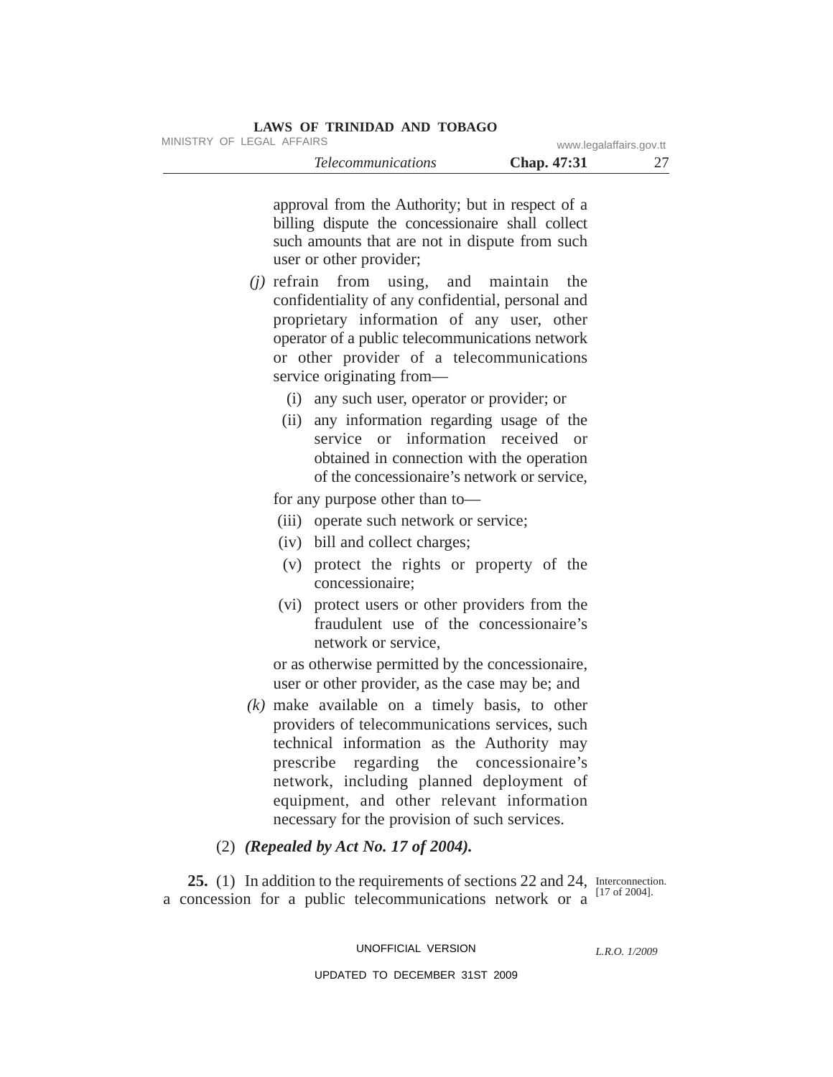MINISTRY OF LEGAL AFFAIRS www.legalaffairs.gov.tt

*Telecommunications* **Chap. 47:31** 27

approval from the Authority; but in respect of a billing dispute the concessionaire shall collect such amounts that are not in dispute from such user or other provider;

- *(j)* refrain from using, and maintain the confidentiality of any confidential, personal and proprietary information of any user, other operator of a public telecommunications network or other provider of a telecommunications service originating from—
	- (i) any such user, operator or provider; or
	- (ii) any information regarding usage of the service or information received or obtained in connection with the operation of the concessionaire's network or service,

for any purpose other than to—

- (iii) operate such network or service;
- (iv) bill and collect charges;
- (v) protect the rights or property of the concessionaire;
- (vi) protect users or other providers from the fraudulent use of the concessionaire's network or service,

or as otherwise permitted by the concessionaire, user or other provider, as the case may be; and

- *(k)* make available on a timely basis, to other providers of telecommunications services, such technical information as the Authority may prescribe regarding the concessionaire's network, including planned deployment of equipment, and other relevant information necessary for the provision of such services.
- (2) *(Repealed by Act No. 17 of 2004).*

25. (1) In addition to the requirements of sections 22 and 24, Interconnection. a concession for a public telecommunications network or a

[17 of 2004].

UNOFFICIAL VERSION

*L.R.O. 1/2009*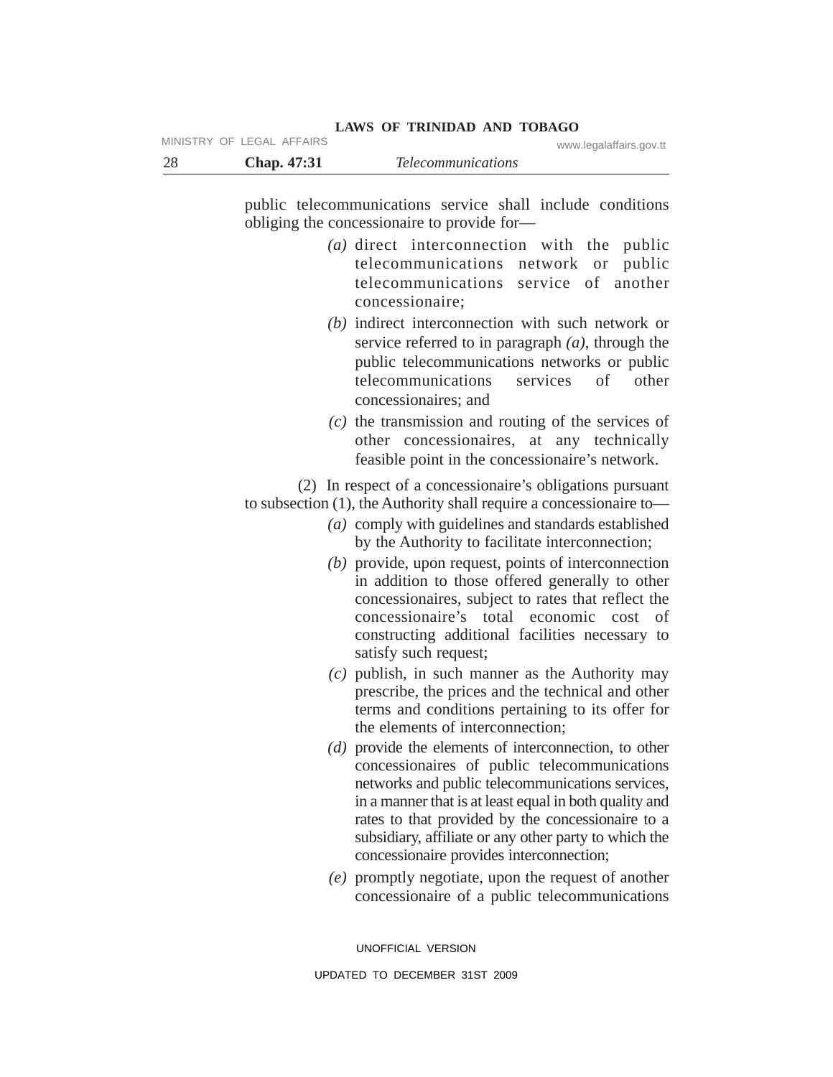|      | MINISTRY OF LEGAL AFFAIRS |                           | www.legalaffairs.gov.tt |
|------|---------------------------|---------------------------|-------------------------|
| - 28 | <b>Chap.</b> 47:31        | <i>Telecommunications</i> |                         |

public telecommunications service shall include conditions obliging the concessionaire to provide for—

**LAWS OF TRINIDAD AND TOBAGO**

- *(a)* direct interconnection with the public telecommunications network or public telecommunications service of another concessionaire;
- *(b)* indirect interconnection with such network or service referred to in paragraph *(a)*, through the public telecommunications networks or public telecommunications services of other concessionaires; and
- *(c)* the transmission and routing of the services of other concessionaires, at any technically feasible point in the concessionaire's network.

(2) In respect of a concessionaire's obligations pursuant to subsection (1), the Authority shall require a concessionaire to—

- *(a)* comply with guidelines and standards established by the Authority to facilitate interconnection;
- *(b)* provide, upon request, points of interconnection in addition to those offered generally to other concessionaires, subject to rates that reflect the concessionaire's total economic cost of constructing additional facilities necessary to satisfy such request;
- *(c)* publish, in such manner as the Authority may prescribe, the prices and the technical and other terms and conditions pertaining to its offer for the elements of interconnection;
- *(d)* provide the elements of interconnection, to other concessionaires of public telecommunications networks and public telecommunications services, in a manner that is at least equal in both quality and rates to that provided by the concessionaire to a subsidiary, affiliate or any other party to which the concessionaire provides interconnection;
- *(e)* promptly negotiate, upon the request of another concessionaire of a public telecommunications

UNOFFICIAL VERSION UPDATED TO DECEMBER 31ST 2009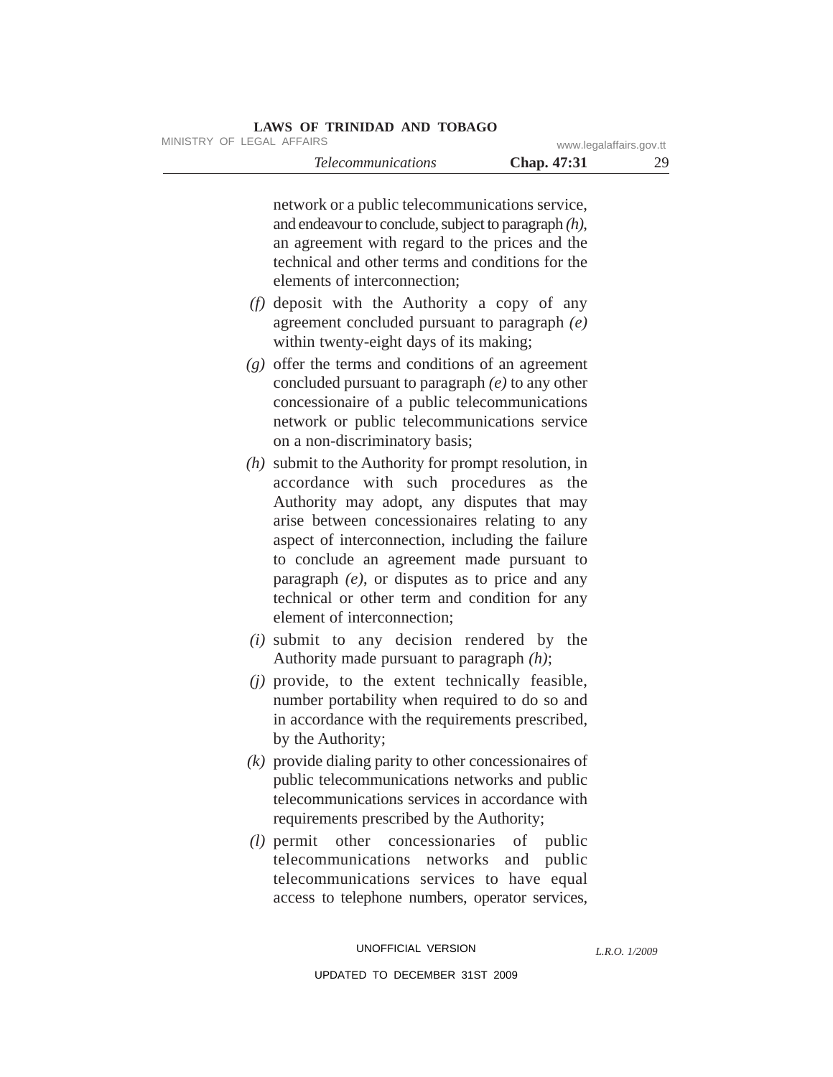MINISTRY OF LEGAL AFFAIRS www.legalaffairs.gov.tt

*Telecommunications* **Chap. 47:31** 29

network or a public telecommunications service, and endeavour to conclude, subject to paragraph *(h)*, an agreement with regard to the prices and the technical and other terms and conditions for the elements of interconnection;

- *(f)* deposit with the Authority a copy of any agreement concluded pursuant to paragraph *(e)* within twenty-eight days of its making;
- *(g)* offer the terms and conditions of an agreement concluded pursuant to paragraph *(e)* to any other concessionaire of a public telecommunications network or public telecommunications service on a non-discriminatory basis;
- *(h)* submit to the Authority for prompt resolution, in accordance with such procedures as the Authority may adopt, any disputes that may arise between concessionaires relating to any aspect of interconnection, including the failure to conclude an agreement made pursuant to paragraph *(e)*, or disputes as to price and any technical or other term and condition for any element of interconnection;
- *(i)* submit to any decision rendered by the Authority made pursuant to paragraph *(h)*;
- *(j)* provide, to the extent technically feasible, number portability when required to do so and in accordance with the requirements prescribed, by the Authority;
- *(k)* provide dialing parity to other concessionaires of public telecommunications networks and public telecommunications services in accordance with requirements prescribed by the Authority;
- *(l)* permit other concessionaries of public telecommunications networks and public telecommunications services to have equal access to telephone numbers, operator services,

*L.R.O. 1/2009*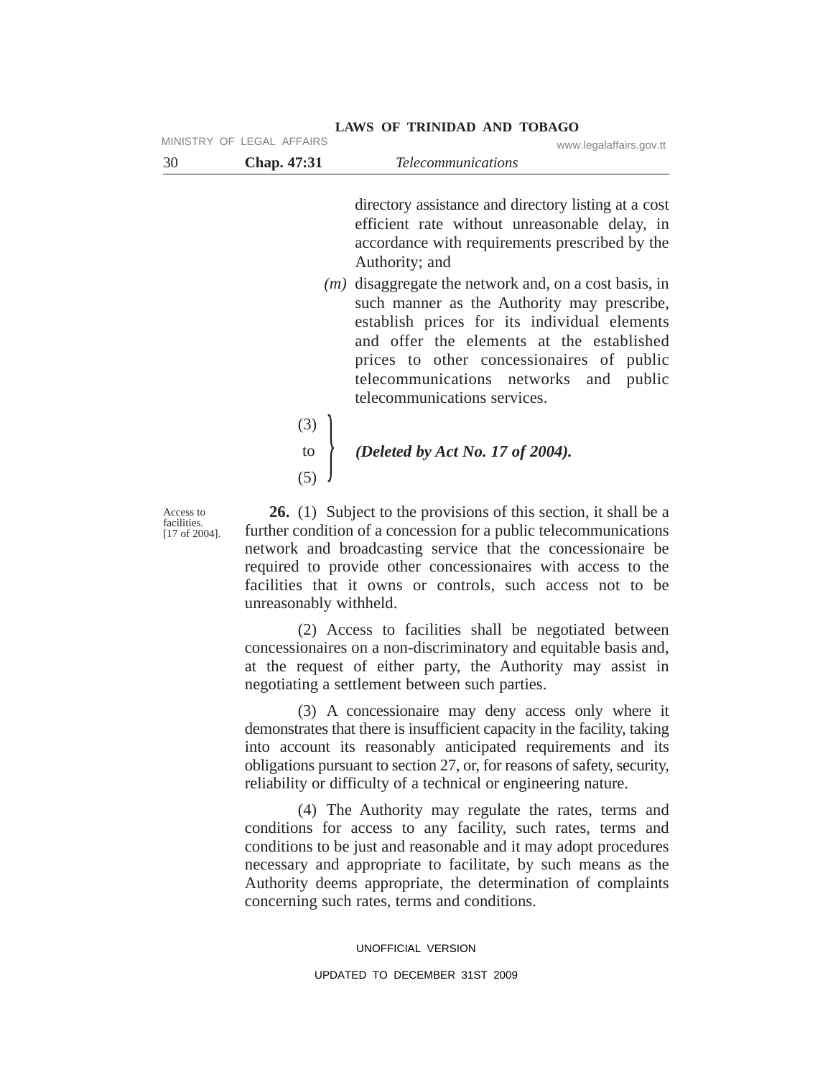| 30 | Chap. 47:31               | <i>Telecommunications</i> |                         |
|----|---------------------------|---------------------------|-------------------------|
|    | MINISTRY OF LEGAL AFFAIRS |                           | www.legalaffairs.gov.tt |

directory assistance and directory listing at a cost efficient rate without unreasonable delay, in accordance with requirements prescribed by the Authority; and

- *(m)* disaggregate the network and, on a cost basis, in such manner as the Authority may prescribe, establish prices for its individual elements and offer the elements at the established prices to other concessionaires of public telecommunications networks and public telecommunications services.
- (3)
- to } *(Deleted by Act No. 17 of 2004).*
- (5)

Access to facilities. [17 of 2004].

**26.** (1) Subject to the provisions of this section, it shall be a further condition of a concession for a public telecommunications network and broadcasting service that the concessionaire be required to provide other concessionaires with access to the facilities that it owns or controls, such access not to be unreasonably withheld.

(2) Access to facilities shall be negotiated between concessionaires on a non-discriminatory and equitable basis and, at the request of either party, the Authority may assist in negotiating a settlement between such parties.

(3) A concessionaire may deny access only where it demonstrates that there is insufficient capacity in the facility, taking into account its reasonably anticipated requirements and its obligations pursuant to section 27, or, for reasons of safety, security, reliability or difficulty of a technical or engineering nature.

(4) The Authority may regulate the rates, terms and conditions for access to any facility, such rates, terms and conditions to be just and reasonable and it may adopt procedures necessary and appropriate to facilitate, by such means as the Authority deems appropriate, the determination of complaints concerning such rates, terms and conditions.

> UNOFFICIAL VERSION UPDATED TO DECEMBER 31ST 2009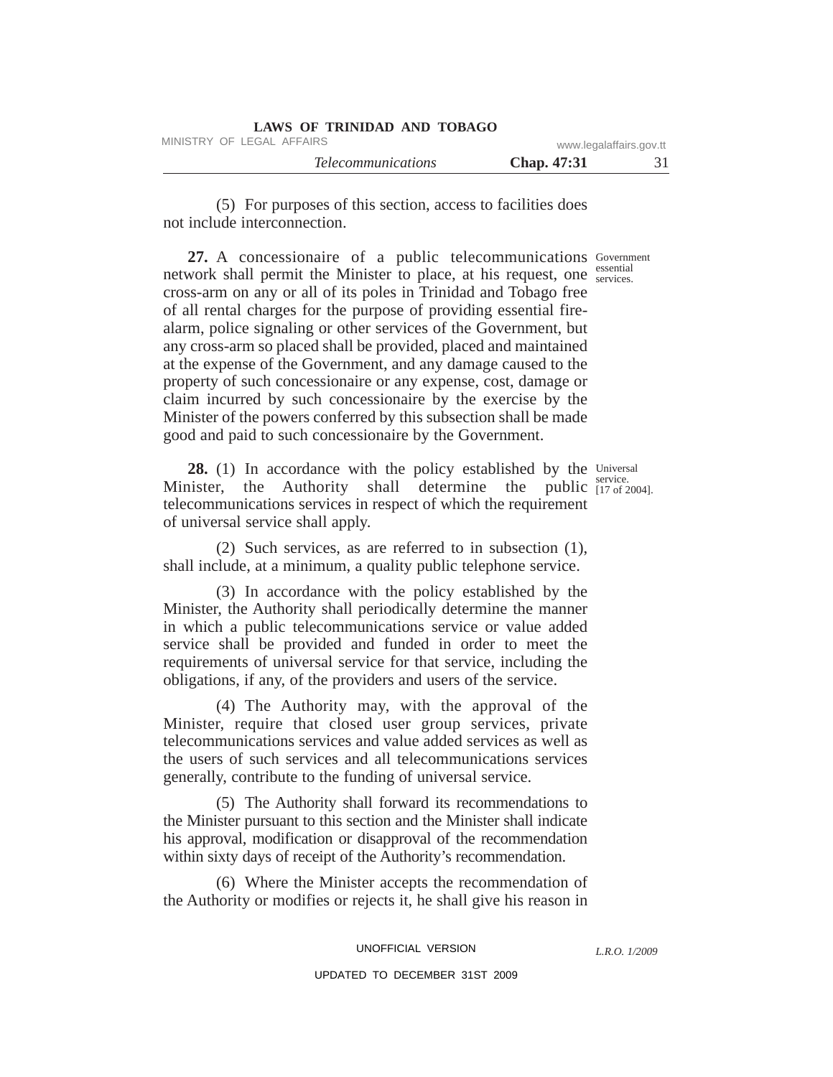| LAWS OF TRINIDAD AND TOBAGO |                         |    |
|-----------------------------|-------------------------|----|
| MINISTRY OF LEGAL AFFAIRS   | www.legalaffairs.gov.tt |    |
| <i>Telecommunications</i>   | <b>Chap.</b> 47:31      | 31 |

(5) For purposes of this section, access to facilities does not include interconnection.

27. A concessionaire of a public telecommunications Government essential network shall permit the Minister to place, at his request, one services. cross-arm on any or all of its poles in Trinidad and Tobago free of all rental charges for the purpose of providing essential firealarm, police signaling or other services of the Government, but any cross-arm so placed shall be provided, placed and maintained at the expense of the Government, and any damage caused to the property of such concessionaire or any expense, cost, damage or claim incurred by such concessionaire by the exercise by the Minister of the powers conferred by this subsection shall be made good and paid to such concessionaire by the Government.

28. (1) In accordance with the policy established by the Universal Minister, the Authority shall determine the public  $_{[17 \text{ of } 2004]}^{[17 \text{ of } 2004]}$ telecommunications services in respect of which the requirement of universal service shall apply.

(2) Such services, as are referred to in subsection (1), shall include, at a minimum, a quality public telephone service.

(3) In accordance with the policy established by the Minister, the Authority shall periodically determine the manner in which a public telecommunications service or value added service shall be provided and funded in order to meet the requirements of universal service for that service, including the obligations, if any, of the providers and users of the service.

(4) The Authority may, with the approval of the Minister, require that closed user group services, private telecommunications services and value added services as well as the users of such services and all telecommunications services generally, contribute to the funding of universal service.

(5) The Authority shall forward its recommendations to the Minister pursuant to this section and the Minister shall indicate his approval, modification or disapproval of the recommendation within sixty days of receipt of the Authority's recommendation.

(6) Where the Minister accepts the recommendation of the Authority or modifies or rejects it, he shall give his reason in

UNOFFICIAL VERSION

*L.R.O. 1/2009*

service.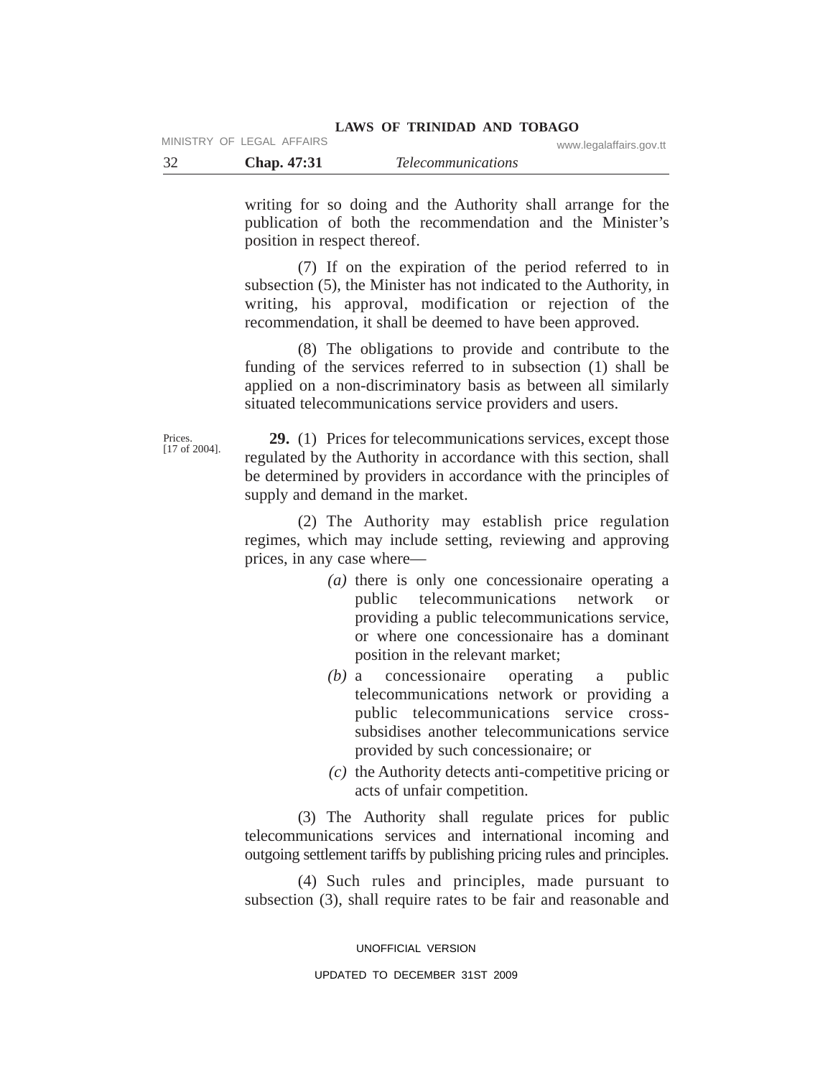#### **LAWS OF TRINIDAD AND TOBAGO** MINISTRY OF LEGAL AFFAIRS WWW.Legalaffairs.gov.tt

|      |             |                           | www.iogaianano.gov.u |
|------|-------------|---------------------------|----------------------|
| - 32 | Chap. 47:31 | <i>Telecommunications</i> |                      |

writing for so doing and the Authority shall arrange for the publication of both the recommendation and the Minister's position in respect thereof.

(7) If on the expiration of the period referred to in subsection (5), the Minister has not indicated to the Authority, in writing, his approval, modification or rejection of the recommendation, it shall be deemed to have been approved.

(8) The obligations to provide and contribute to the funding of the services referred to in subsection (1) shall be applied on a non-discriminatory basis as between all similarly situated telecommunications service providers and users.

Prices. [17 of 2004].

**29.** (1) Prices for telecommunications services, except those regulated by the Authority in accordance with this section, shall be determined by providers in accordance with the principles of supply and demand in the market.

(2) The Authority may establish price regulation regimes, which may include setting, reviewing and approving prices, in any case where—

- *(a)* there is only one concessionaire operating a public telecommunications network or providing a public telecommunications service, or where one concessionaire has a dominant position in the relevant market;
- *(b)* a concessionaire operating a public telecommunications network or providing a public telecommunications service crosssubsidises another telecommunications service provided by such concessionaire; or
- *(c)* the Authority detects anti-competitive pricing or acts of unfair competition.

(3) The Authority shall regulate prices for public telecommunications services and international incoming and outgoing settlement tariffs by publishing pricing rules and principles.

(4) Such rules and principles, made pursuant to subsection (3), shall require rates to be fair and reasonable and

UNOFFICIAL VERSION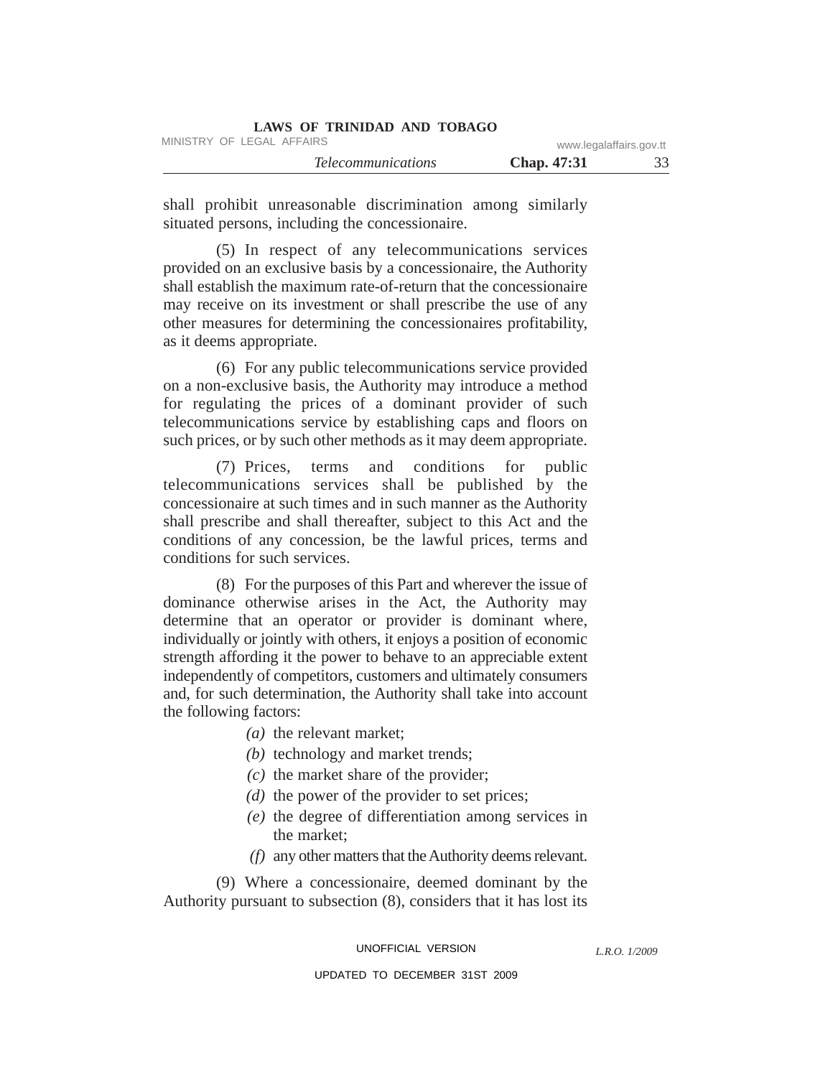| <b>LAWS OF TRINIDAD AND TOBAGO</b> |                         |    |
|------------------------------------|-------------------------|----|
| MINISTRY OF LEGAL AFFAIRS          | www.legalaffairs.gov.tt |    |
| <i>Telecommunications</i>          | <b>Chap.</b> 47:31      | 33 |

shall prohibit unreasonable discrimination among similarly situated persons, including the concessionaire.

(5) In respect of any telecommunications services provided on an exclusive basis by a concessionaire, the Authority shall establish the maximum rate-of-return that the concessionaire may receive on its investment or shall prescribe the use of any other measures for determining the concessionaires profitability, as it deems appropriate.

(6) For any public telecommunications service provided on a non-exclusive basis, the Authority may introduce a method for regulating the prices of a dominant provider of such telecommunications service by establishing caps and floors on such prices, or by such other methods as it may deem appropriate.

(7) Prices, terms and conditions for public telecommunications services shall be published by the concessionaire at such times and in such manner as the Authority shall prescribe and shall thereafter, subject to this Act and the conditions of any concession, be the lawful prices, terms and conditions for such services.

(8) For the purposes of this Part and wherever the issue of dominance otherwise arises in the Act, the Authority may determine that an operator or provider is dominant where, individually or jointly with others, it enjoys a position of economic strength affording it the power to behave to an appreciable extent independently of competitors, customers and ultimately consumers and, for such determination, the Authority shall take into account the following factors:

- *(a)* the relevant market;
- *(b)* technology and market trends;
- *(c)* the market share of the provider;
- *(d)* the power of the provider to set prices;
- *(e)* the degree of differentiation among services in the market;
- *(f)* any other matters that the Authority deems relevant.

(9) Where a concessionaire, deemed dominant by the Authority pursuant to subsection (8), considers that it has lost its

UNOFFICIAL VERSION

*L.R.O. 1/2009*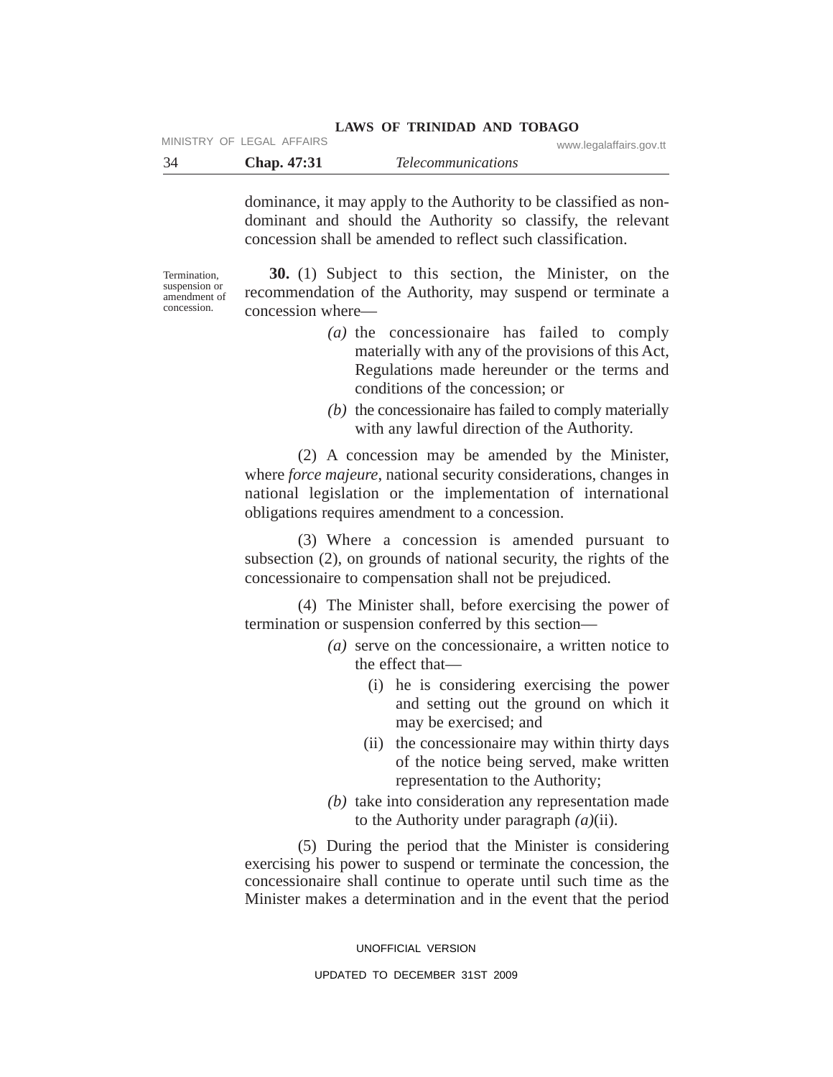#### **LAWS OF TRINIDAD AND TOBAGO** MINISTRY OF LEGAL AFFAIRS WWW.Legalaffairs.gov.tt

|             |                           | www.iogaianano.gov.u |
|-------------|---------------------------|----------------------|
| Chap. 47:31 | <i>Telecommunications</i> |                      |

dominance, it may apply to the Authority to be classified as nondominant and should the Authority so classify, the relevant concession shall be amended to reflect such classification.

Termination, suspension or amendment of concession.

**30.** (1) Subject to this section, the Minister, on the recommendation of the Authority, may suspend or terminate a concession where—

- *(a)* the concessionaire has failed to comply materially with any of the provisions of this Act, Regulations made hereunder or the terms and conditions of the concession; or
- *(b)* the concessionaire has failed to comply materially with any lawful direction of the Authority.

(2) A concession may be amended by the Minister, where *force majeure*, national security considerations, changes in national legislation or the implementation of international obligations requires amendment to a concession.

(3) Where a concession is amended pursuant to subsection (2), on grounds of national security, the rights of the concessionaire to compensation shall not be prejudiced.

(4) The Minister shall, before exercising the power of termination or suspension conferred by this section—

- *(a)* serve on the concessionaire, a written notice to the effect that—
	- (i) he is considering exercising the power and setting out the ground on which it may be exercised; and
	- (ii) the concessionaire may within thirty days of the notice being served, make written representation to the Authority;
- *(b)* take into consideration any representation made to the Authority under paragraph *(a)*(ii).

(5) During the period that the Minister is considering exercising his power to suspend or terminate the concession, the concessionaire shall continue to operate until such time as the Minister makes a determination and in the event that the period

UNOFFICIAL VERSION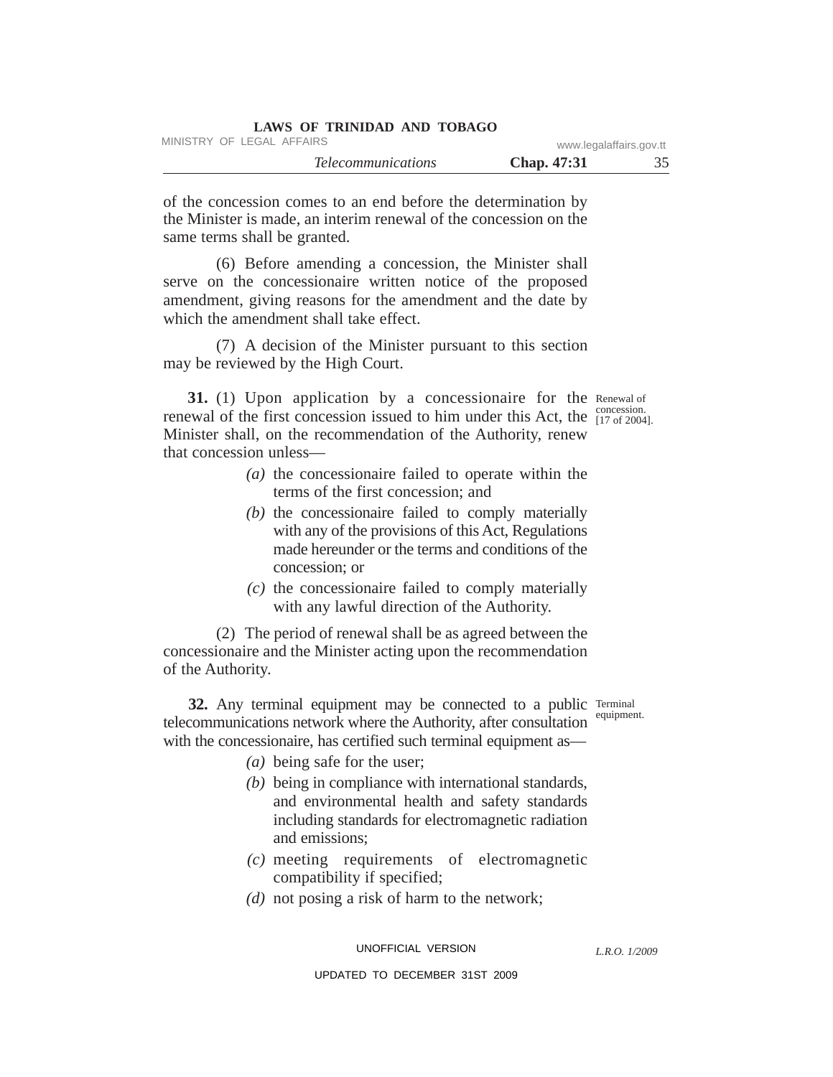| LAWS OF TRINIDAD AND TOBAGO |                         |    |
|-----------------------------|-------------------------|----|
| MINISTRY OF LEGAL AFFAIRS   | www.legalaffairs.gov.tt |    |
| <i>Telecommunications</i>   | <b>Chap.</b> 47:31      | 35 |

of the concession comes to an end before the determination by the Minister is made, an interim renewal of the concession on the same terms shall be granted.

(6) Before amending a concession, the Minister shall serve on the concessionaire written notice of the proposed amendment, giving reasons for the amendment and the date by which the amendment shall take effect.

(7) A decision of the Minister pursuant to this section may be reviewed by the High Court.

31. (1) Upon application by a concessionaire for the Renewal of concession. renewal of the first concession issued to him under this Act, the  $\frac{\text{concession}}{[17 \text{ of } 2004]}$ . Minister shall, on the recommendation of the Authority, renew that concession unless—

- *(a)* the concessionaire failed to operate within the terms of the first concession; and
- *(b)* the concessionaire failed to comply materially with any of the provisions of this Act, Regulations made hereunder or the terms and conditions of the concession; or
- *(c)* the concessionaire failed to comply materially with any lawful direction of the Authority.

(2) The period of renewal shall be as agreed between the concessionaire and the Minister acting upon the recommendation of the Authority.

32. Any terminal equipment may be connected to a public Terminal telecommunications network where the Authority, after consultation with the concessionaire, has certified such terminal equipment as—

equipment.

- *(a)* being safe for the user;
- *(b)* being in compliance with international standards, and environmental health and safety standards including standards for electromagnetic radiation and emissions;
- *(c)* meeting requirements of electromagnetic compatibility if specified;
- *(d)* not posing a risk of harm to the network;

UNOFFICIAL VERSION

*L.R.O. 1/2009*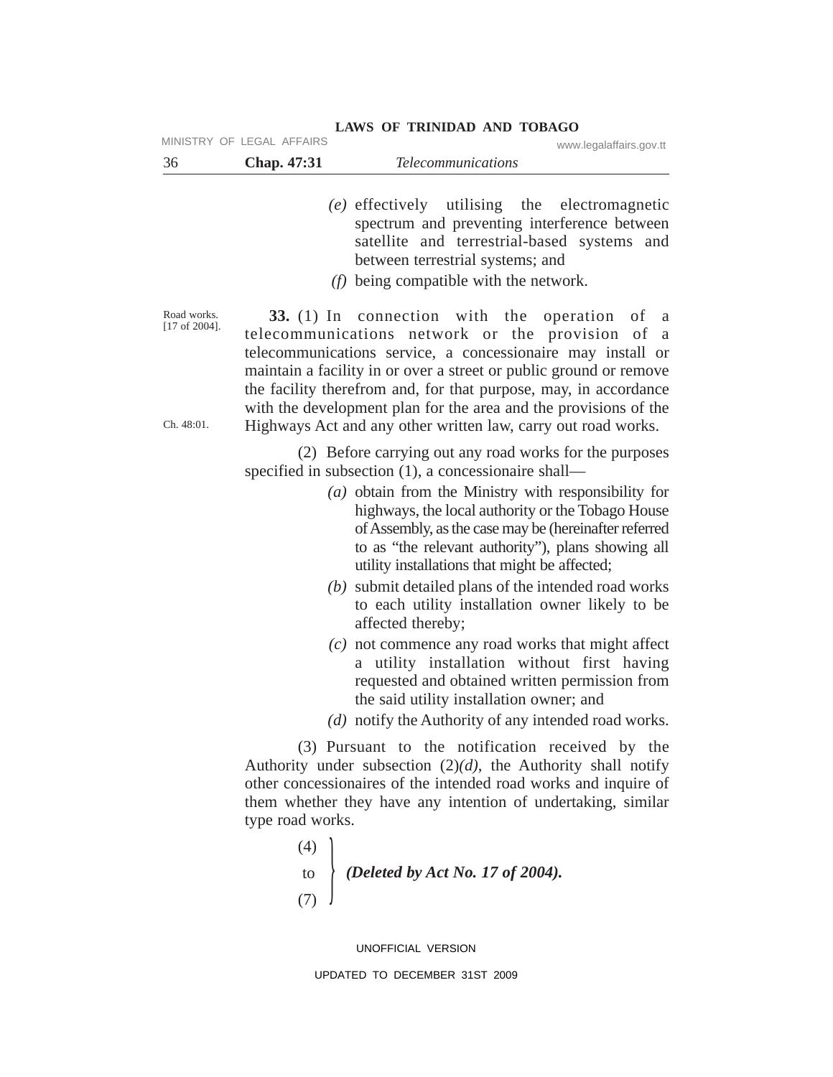- *(e)* effectively utilising the electromagnetic spectrum and preventing interference between satellite and terrestrial-based systems and between terrestrial systems; and
- *(f)* being compatible with the network.

Road works. [17 of 2004].

Ch. 48:01.

**33.** (1) In connection with the operation of a telecommunications network or the provision of a telecommunications service, a concessionaire may install or maintain a facility in or over a street or public ground or remove the facility therefrom and, for that purpose, may, in accordance with the development plan for the area and the provisions of the Highways Act and any other written law, carry out road works.

(2) Before carrying out any road works for the purposes specified in subsection (1), a concessionaire shall—

- *(a)* obtain from the Ministry with responsibility for highways, the local authority or the Tobago House of Assembly, as the case may be (hereinafter referred to as "the relevant authority"), plans showing all utility installations that might be affected;
- *(b)* submit detailed plans of the intended road works to each utility installation owner likely to be affected thereby;
- *(c)* not commence any road works that might affect a utility installation without first having requested and obtained written permission from the said utility installation owner; and
- *(d)* notify the Authority of any intended road works.

(3) Pursuant to the notification received by the Authority under subsection (2)*(d)*, the Authority shall notify other concessionaires of the intended road works and inquire of them whether they have any intention of undertaking, similar type road works.

> (4) to to *(Deleted by Act No. 17 of 2004).*<br>(7)

> > UNOFFICIAL VERSION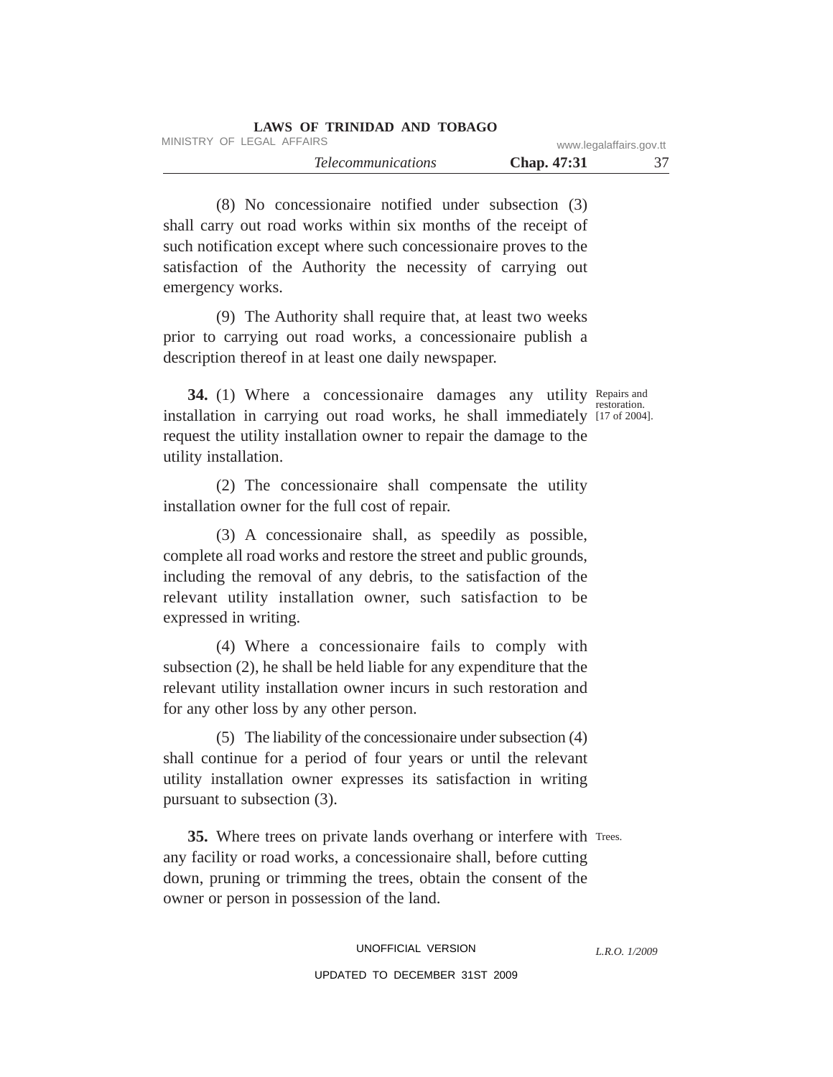| LAWS OF TRINIDAD AND TOBAGO |                         |    |
|-----------------------------|-------------------------|----|
| MINISTRY OF LEGAL AFFAIRS   | www.legalaffairs.gov.tt |    |
| <i>Telecommunications</i>   | <b>Chap.</b> 47:31      | 37 |

(8) No concessionaire notified under subsection (3) shall carry out road works within six months of the receipt of such notification except where such concessionaire proves to the satisfaction of the Authority the necessity of carrying out emergency works.

(9) The Authority shall require that, at least two weeks prior to carrying out road works, a concessionaire publish a description thereof in at least one daily newspaper.

34. (1) Where a concessionaire damages any utility Repairs and restoration. installation in carrying out road works, he shall immediately [17 of 2004]. request the utility installation owner to repair the damage to the utility installation.

(2) The concessionaire shall compensate the utility installation owner for the full cost of repair.

(3) A concessionaire shall, as speedily as possible, complete all road works and restore the street and public grounds, including the removal of any debris, to the satisfaction of the relevant utility installation owner, such satisfaction to be expressed in writing.

(4) Where a concessionaire fails to comply with subsection (2), he shall be held liable for any expenditure that the relevant utility installation owner incurs in such restoration and for any other loss by any other person.

(5) The liability of the concessionaire under subsection (4) shall continue for a period of four years or until the relevant utility installation owner expresses its satisfaction in writing pursuant to subsection (3).

35. Where trees on private lands overhang or interfere with Trees. any facility or road works, a concessionaire shall, before cutting down, pruning or trimming the trees, obtain the consent of the owner or person in possession of the land.

*L.R.O. 1/2009*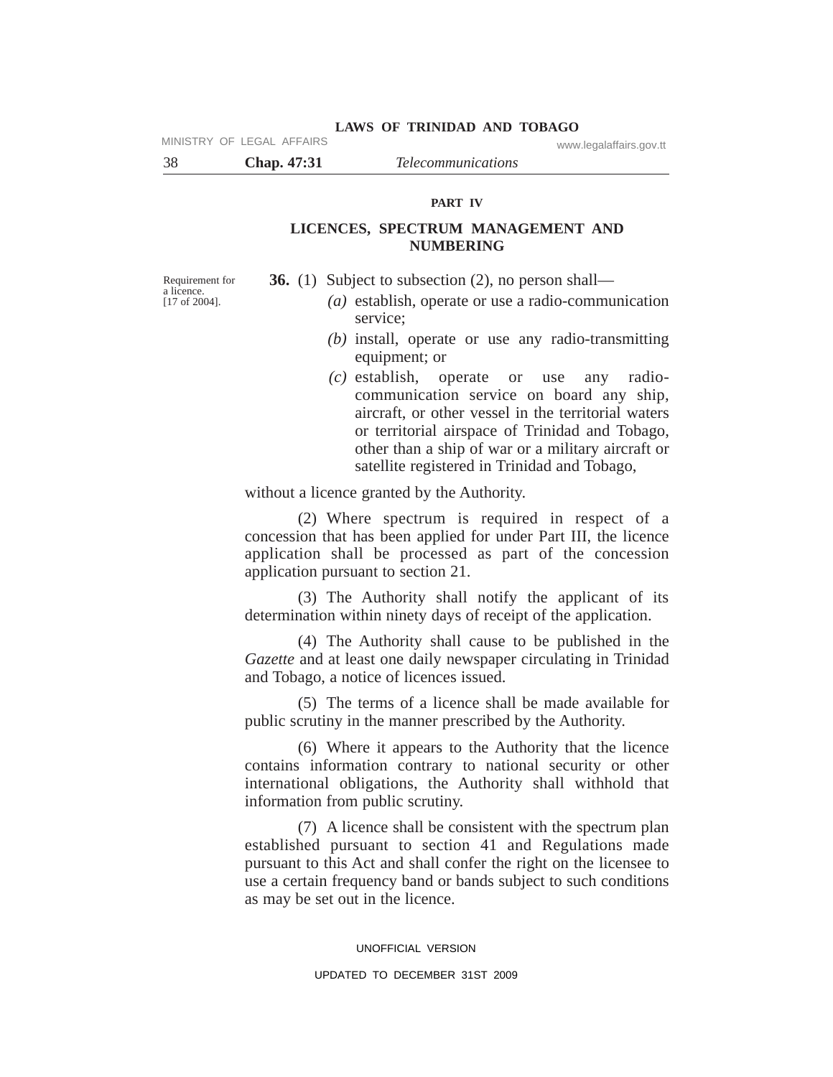MINISTRY OF LEGAL AFFAIRS www.legalaffairs.gov.tt

38 **Chap. 47:31** *Telecommunications*

# **PART IV**

# **LICENCES, SPECTRUM MANAGEMENT AND NUMBERING**

Requirement for a licence. [17 of 2004].

**36.** (1) Subject to subsection (2), no person shall—

- *(a)* establish, operate or use a radio-communication service;
- *(b)* install, operate or use any radio-transmitting equipment; or
- *(c)* establish, operate or use any radiocommunication service on board any ship, aircraft, or other vessel in the territorial waters or territorial airspace of Trinidad and Tobago, other than a ship of war or a military aircraft or satellite registered in Trinidad and Tobago,

without a licence granted by the Authority.

(2) Where spectrum is required in respect of a concession that has been applied for under Part III, the licence application shall be processed as part of the concession application pursuant to section 21.

(3) The Authority shall notify the applicant of its determination within ninety days of receipt of the application.

(4) The Authority shall cause to be published in the *Gazette* and at least one daily newspaper circulating in Trinidad and Tobago, a notice of licences issued.

(5) The terms of a licence shall be made available for public scrutiny in the manner prescribed by the Authority.

(6) Where it appears to the Authority that the licence contains information contrary to national security or other international obligations, the Authority shall withhold that information from public scrutiny.

(7) A licence shall be consistent with the spectrum plan established pursuant to section 41 and Regulations made pursuant to this Act and shall confer the right on the licensee to use a certain frequency band or bands subject to such conditions as may be set out in the licence.

#### UNOFFICIAL VERSION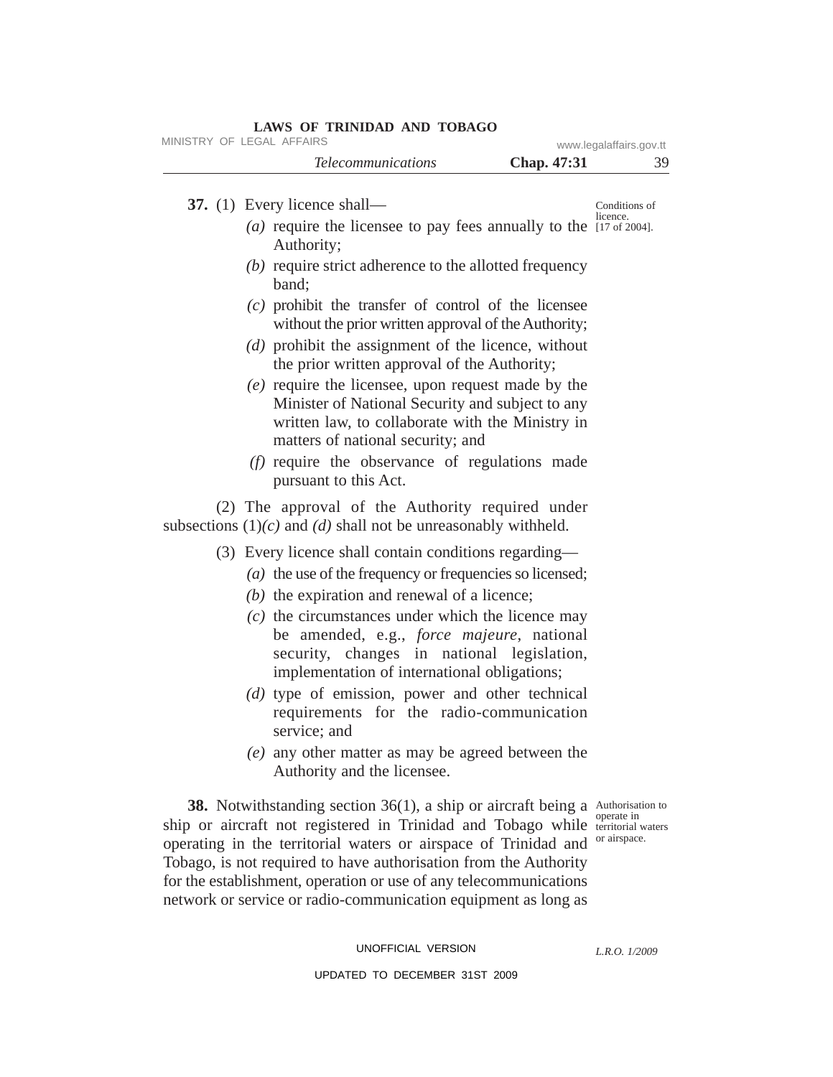| <b>Telecommunications</b><br>Chap. 47:31<br>37. $(1)$ Every licence shall—<br>( <i>a</i> ) require the licensee to pay fees annually to the $\frac{1}{17}$ of 2004].<br>Authority;<br>$(b)$ require strict adherence to the allotted frequency<br>band:<br>$(c)$ prohibit the transfer of control of the licensee<br>without the prior written approval of the Authority;<br>$(d)$ prohibit the assignment of the licence, without<br>the prior written approval of the Authority;<br>$(e)$ require the licensee, upon request made by the<br>Minister of National Security and subject to any<br>written law, to collaborate with the Ministry in<br>matters of national security; and<br>$(f)$ require the observance of regulations made | 39                        |
|---------------------------------------------------------------------------------------------------------------------------------------------------------------------------------------------------------------------------------------------------------------------------------------------------------------------------------------------------------------------------------------------------------------------------------------------------------------------------------------------------------------------------------------------------------------------------------------------------------------------------------------------------------------------------------------------------------------------------------------------|---------------------------|
|                                                                                                                                                                                                                                                                                                                                                                                                                                                                                                                                                                                                                                                                                                                                             |                           |
|                                                                                                                                                                                                                                                                                                                                                                                                                                                                                                                                                                                                                                                                                                                                             | Conditions of<br>licence. |
|                                                                                                                                                                                                                                                                                                                                                                                                                                                                                                                                                                                                                                                                                                                                             |                           |
|                                                                                                                                                                                                                                                                                                                                                                                                                                                                                                                                                                                                                                                                                                                                             |                           |
|                                                                                                                                                                                                                                                                                                                                                                                                                                                                                                                                                                                                                                                                                                                                             |                           |
|                                                                                                                                                                                                                                                                                                                                                                                                                                                                                                                                                                                                                                                                                                                                             |                           |
| pursuant to this Act.                                                                                                                                                                                                                                                                                                                                                                                                                                                                                                                                                                                                                                                                                                                       |                           |
| (2) The approval of the Authority required under<br>subsections $(1)(c)$ and $(d)$ shall not be unreasonably withheld.                                                                                                                                                                                                                                                                                                                                                                                                                                                                                                                                                                                                                      |                           |
| (3) Every licence shall contain conditions regarding—<br>$(a)$ the use of the frequency or frequencies so licensed;<br>$(b)$ the expiration and renewal of a licence;                                                                                                                                                                                                                                                                                                                                                                                                                                                                                                                                                                       |                           |
| $(c)$ the circumstances under which the licence may<br>be amended, e.g., <i>force majeure</i> , national<br>security, changes in national legislation,<br>implementation of international obligations;                                                                                                                                                                                                                                                                                                                                                                                                                                                                                                                                      |                           |
| $(d)$ type of emission, power and other technical<br>requirements for the radio-communication<br>service; and                                                                                                                                                                                                                                                                                                                                                                                                                                                                                                                                                                                                                               |                           |
| (e) any other matter as may be agreed between the<br>Authority and the licensee.                                                                                                                                                                                                                                                                                                                                                                                                                                                                                                                                                                                                                                                            |                           |

38. Notwithstanding section 36(1), a ship or aircraft being a Authorisation to ship or aircraft not registered in Trinidad and Tobago while territorial waters operating in the territorial waters or airspace of Trinidad and <sup>or airspace.</sup> Tobago, is not required to have authorisation from the Authority for the establishment, operation or use of any telecommunications network or service or radio-communication equipment as long as

operate in

UNOFFICIAL VERSION

*L.R.O. 1/2009*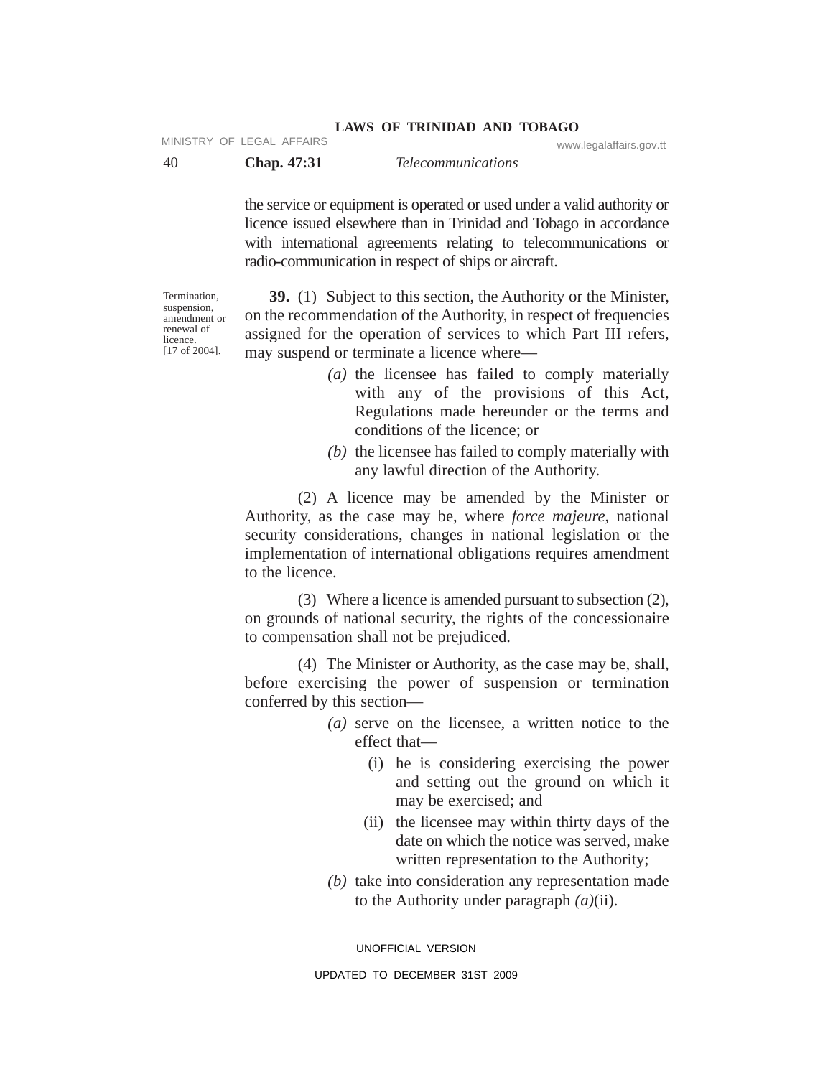### **LAWS OF TRINIDAD AND TOBAGO** MINISTRY OF LEGAL AFFAIRS www.legalaffairs.gov.tt

| -40 | Chap. 47:31 | <i>Telecommunications</i> |  |
|-----|-------------|---------------------------|--|

the service or equipment is operated or used under a valid authority or licence issued elsewhere than in Trinidad and Tobago in accordance with international agreements relating to telecommunications or radio-communication in respect of ships or aircraft.

**Termination** suspension, amendment or renewal of licence. [17 of 2004].

**39.** (1) Subject to this section, the Authority or the Minister, on the recommendation of the Authority, in respect of frequencies assigned for the operation of services to which Part III refers, may suspend or terminate a licence where—

- *(a)* the licensee has failed to comply materially with any of the provisions of this Act, Regulations made hereunder or the terms and conditions of the licence; or
- *(b)* the licensee has failed to comply materially with any lawful direction of the Authority.

(2) A licence may be amended by the Minister or Authority, as the case may be, where *force majeure*, national security considerations, changes in national legislation or the implementation of international obligations requires amendment to the licence.

(3) Where a licence is amended pursuant to subsection (2), on grounds of national security, the rights of the concessionaire to compensation shall not be prejudiced.

(4) The Minister or Authority, as the case may be, shall, before exercising the power of suspension or termination conferred by this section—

- *(a)* serve on the licensee, a written notice to the effect that—
	- (i) he is considering exercising the power and setting out the ground on which it may be exercised; and
	- (ii) the licensee may within thirty days of the date on which the notice was served, make written representation to the Authority;
- *(b)* take into consideration any representation made to the Authority under paragraph *(a)*(ii).

UNOFFICIAL VERSION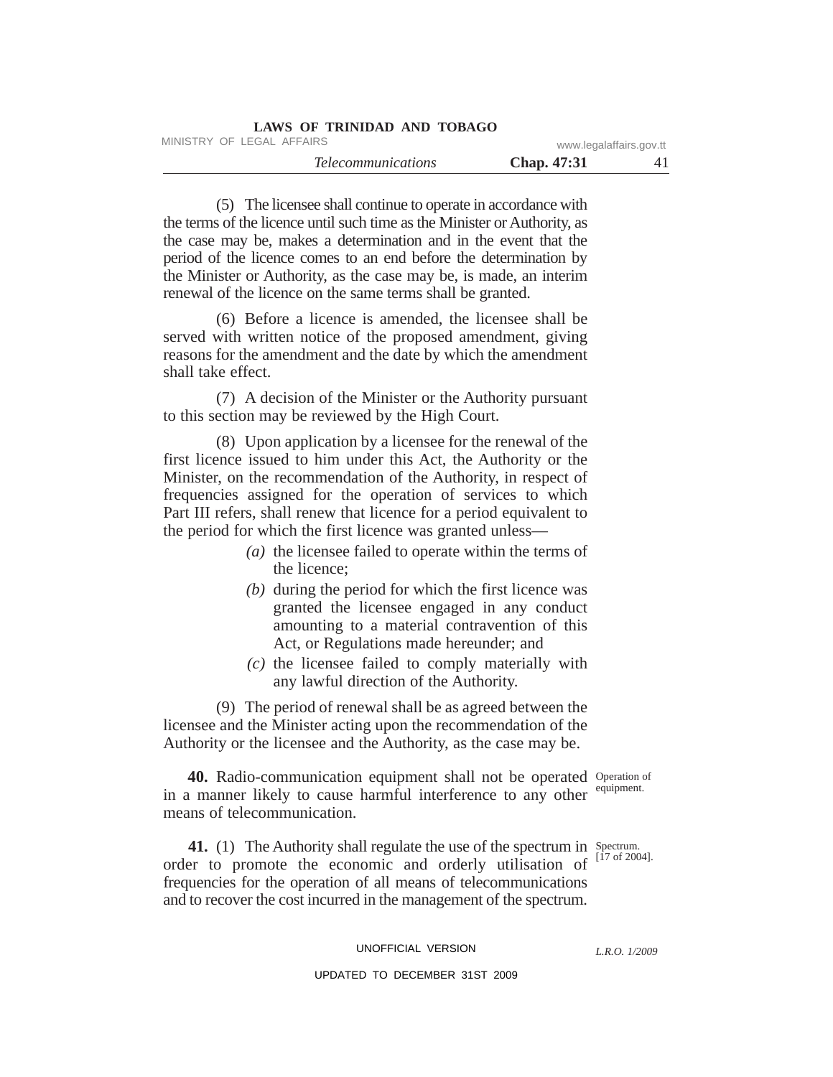| <b>LAWS OF TRINIDAD AND TOBAGO</b> |                    |                         |
|------------------------------------|--------------------|-------------------------|
| MINISTRY OF LEGAL AFFAIRS          |                    | www.legalaffairs.gov.tt |
| <i>Telecommunications</i>          | <b>Chap.</b> 47:31 | 41                      |

(5) The licensee shall continue to operate in accordance with the terms of the licence until such time as the Minister or Authority, as the case may be, makes a determination and in the event that the period of the licence comes to an end before the determination by the Minister or Authority, as the case may be, is made, an interim renewal of the licence on the same terms shall be granted.

(6) Before a licence is amended, the licensee shall be served with written notice of the proposed amendment, giving reasons for the amendment and the date by which the amendment shall take effect.

(7) A decision of the Minister or the Authority pursuant to this section may be reviewed by the High Court.

(8) Upon application by a licensee for the renewal of the first licence issued to him under this Act, the Authority or the Minister, on the recommendation of the Authority, in respect of frequencies assigned for the operation of services to which Part III refers, shall renew that licence for a period equivalent to the period for which the first licence was granted unless—

- *(a)* the licensee failed to operate within the terms of the licence;
- *(b)* during the period for which the first licence was granted the licensee engaged in any conduct amounting to a material contravention of this Act, or Regulations made hereunder; and
- *(c)* the licensee failed to comply materially with any lawful direction of the Authority.

(9) The period of renewal shall be as agreed between the licensee and the Minister acting upon the recommendation of the Authority or the licensee and the Authority, as the case may be.

40. Radio-communication equipment shall not be operated Operation of in a manner likely to cause harmful interference to any other equipment. means of telecommunication.

**41.** (1) The Authority shall regulate the use of the spectrum in Spectrum. order to promote the economic and orderly utilisation of  $^{[17 \text{ of } 2004]}.$ frequencies for the operation of all means of telecommunications and to recover the cost incurred in the management of the spectrum.

### UNOFFICIAL VERSION

### UPDATED TO DECEMBER 31ST 2009

*L.R.O. 1/2009*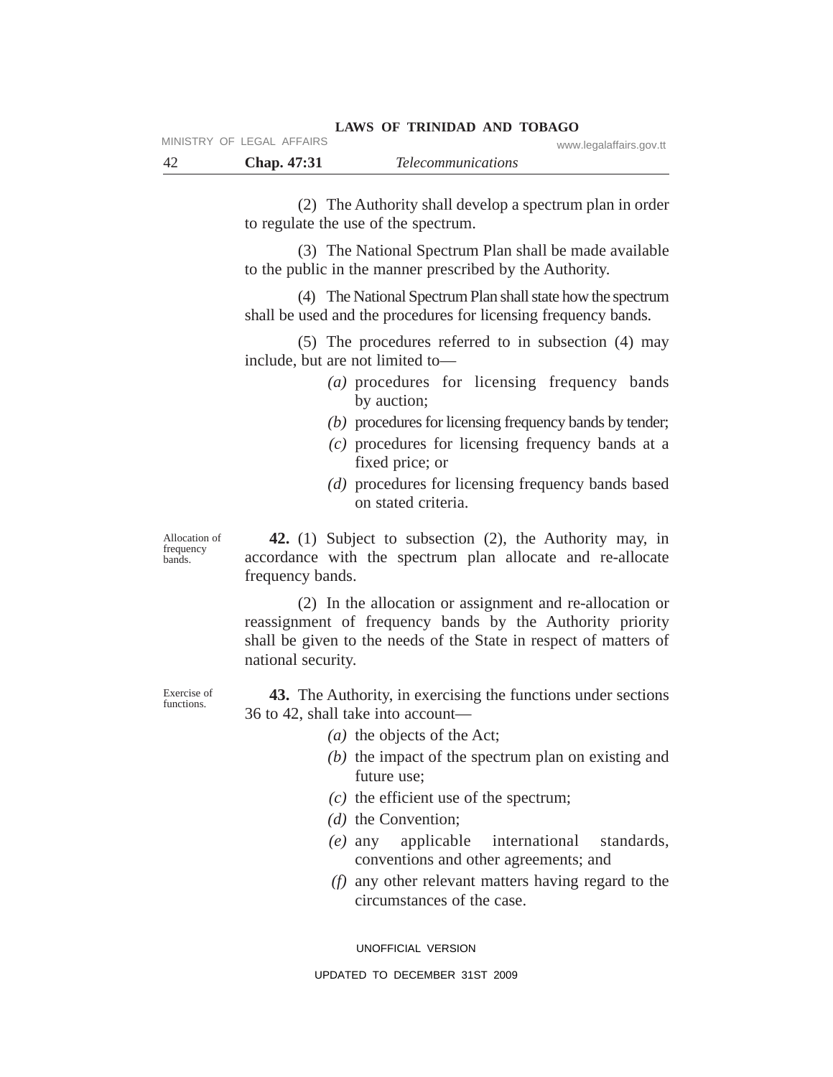(2) The Authority shall develop a spectrum plan in order to regulate the use of the spectrum.

**LAWS OF TRINIDAD AND TOBAGO**

(3) The National Spectrum Plan shall be made available to the public in the manner prescribed by the Authority.

(4) The National Spectrum Plan shall state how the spectrum shall be used and the procedures for licensing frequency bands.

(5) The procedures referred to in subsection (4) may include, but are not limited to—

- *(a)* procedures for licensing frequency bands by auction;
- *(b)* procedures for licensing frequency bands by tender;
- *(c)* procedures for licensing frequency bands at a fixed price; or
- *(d)* procedures for licensing frequency bands based on stated criteria.

Allocation of frequency bands.

**42.** (1) Subject to subsection (2), the Authority may, in accordance with the spectrum plan allocate and re-allocate frequency bands.

(2) In the allocation or assignment and re-allocation or reassignment of frequency bands by the Authority priority shall be given to the needs of the State in respect of matters of national security.

**43.** The Authority, in exercising the functions under sections 36 to 42, shall take into account—

- *(a)* the objects of the Act;
- *(b)* the impact of the spectrum plan on existing and future use;
- *(c)* the efficient use of the spectrum;
- *(d)* the Convention;
- *(e)* any applicable international standards, conventions and other agreements; and
- *(f)* any other relevant matters having regard to the circumstances of the case.

UNOFFICIAL VERSION

Exercise of functions.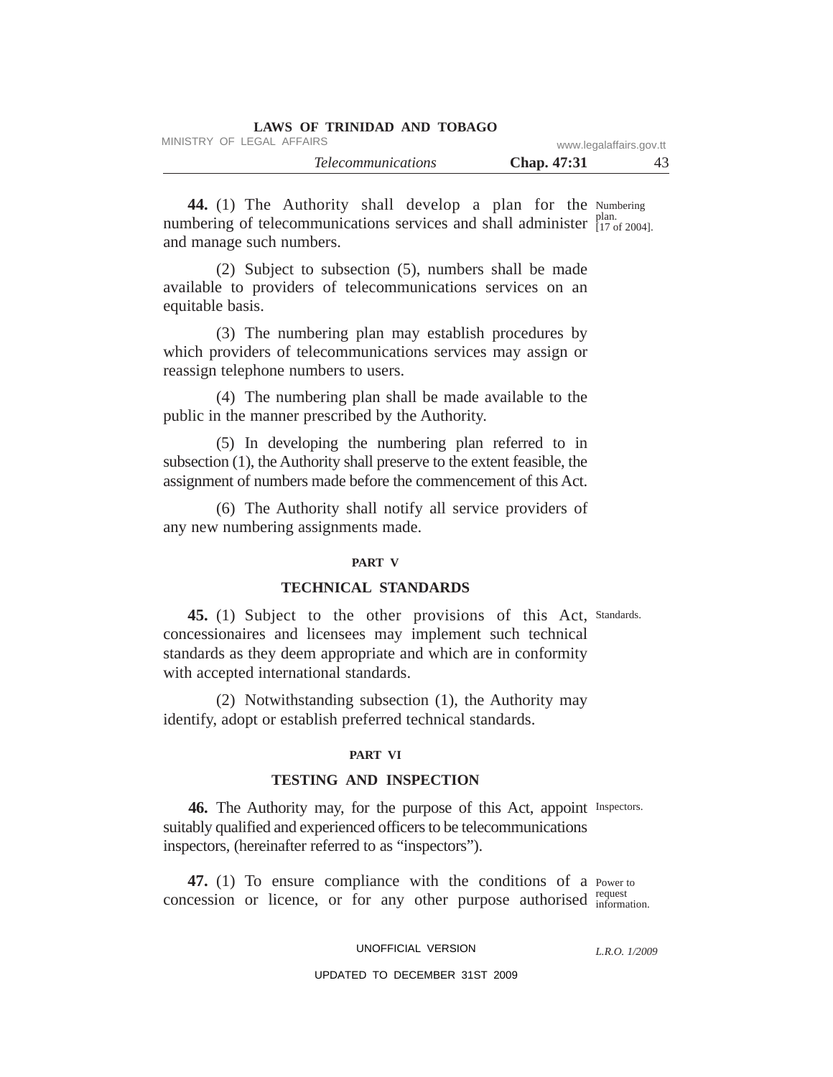| LAWS OF TRINIDAD AND TOBAGO |                         |    |
|-----------------------------|-------------------------|----|
| MINISTRY OF LEGAL AFFAIRS   | www.legalaffairs.gov.tt |    |
| <i>Telecommunications</i>   | <b>Chap.</b> 47:31      | 43 |

44. (1) The Authority shall develop a plan for the Numbering plan. numbering of telecommunications services and shall administer  $\frac{\text{plan}}{\{17 \text{ of } 2004\}}$ . and manage such numbers.

(2) Subject to subsection (5), numbers shall be made available to providers of telecommunications services on an equitable basis.

(3) The numbering plan may establish procedures by which providers of telecommunications services may assign or reassign telephone numbers to users.

(4) The numbering plan shall be made available to the public in the manner prescribed by the Authority.

(5) In developing the numbering plan referred to in subsection (1), the Authority shall preserve to the extent feasible, the assignment of numbers made before the commencement of this Act.

(6) The Authority shall notify all service providers of any new numbering assignments made.

#### **PART V**

# **TECHNICAL STANDARDS**

45. (1) Subject to the other provisions of this Act, Standards. concessionaires and licensees may implement such technical standards as they deem appropriate and which are in conformity with accepted international standards.

(2) Notwithstanding subsection (1), the Authority may identify, adopt or establish preferred technical standards.

### **PART VI**

# **TESTING AND INSPECTION**

46. The Authority may, for the purpose of this Act, appoint Inspectors. suitably qualified and experienced officers to be telecommunications inspectors, (hereinafter referred to as "inspectors").

47. (1) To ensure compliance with the conditions of a Power to request concession or licence, or for any other purpose authorised  $_{information}^{request}$ 

### UNOFFICIAL VERSION

*L.R.O. 1/2009*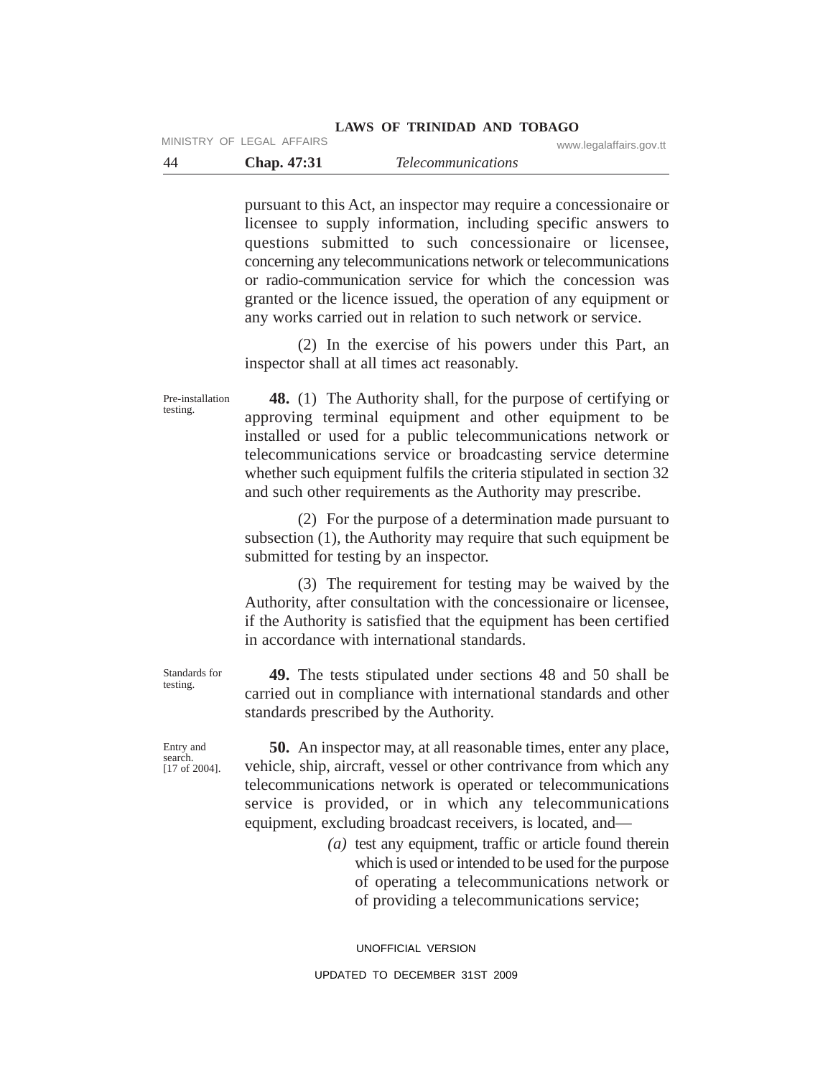#### **LAWS OF TRINIDAD AND TOBAGO** MINISTRY OF LEGAL AFFAIRS www.legalaffairs.gov.tt

| - 44 |                    | <i>Telecommunications</i> |  |
|------|--------------------|---------------------------|--|
|      | <b>Chap.</b> 47:31 |                           |  |

pursuant to this Act, an inspector may require a concessionaire or licensee to supply information, including specific answers to questions submitted to such concessionaire or licensee, concerning any telecommunications network or telecommunications or radio-communication service for which the concession was granted or the licence issued, the operation of any equipment or any works carried out in relation to such network or service.

(2) In the exercise of his powers under this Part, an inspector shall at all times act reasonably.

**48.** (1) The Authority shall, for the purpose of certifying or approving terminal equipment and other equipment to be installed or used for a public telecommunications network or telecommunications service or broadcasting service determine whether such equipment fulfils the criteria stipulated in section 32 and such other requirements as the Authority may prescribe.

(2) For the purpose of a determination made pursuant to subsection (1), the Authority may require that such equipment be submitted for testing by an inspector.

(3) The requirement for testing may be waived by the Authority, after consultation with the concessionaire or licensee, if the Authority is satisfied that the equipment has been certified in accordance with international standards.

**49.** The tests stipulated under sections 48 and 50 shall be carried out in compliance with international standards and other standards prescribed by the Authority.

Entry and search. [17 of 2004].

Standards for testing.

Pre-installation testing.

> **50.** An inspector may, at all reasonable times, enter any place, vehicle, ship, aircraft, vessel or other contrivance from which any telecommunications network is operated or telecommunications service is provided, or in which any telecommunications equipment, excluding broadcast receivers, is located, and—

> > *(a)* test any equipment, traffic or article found therein which is used or intended to be used for the purpose of operating a telecommunications network or of providing a telecommunications service;

UNOFFICIAL VERSION UPDATED TO DECEMBER 31ST 2009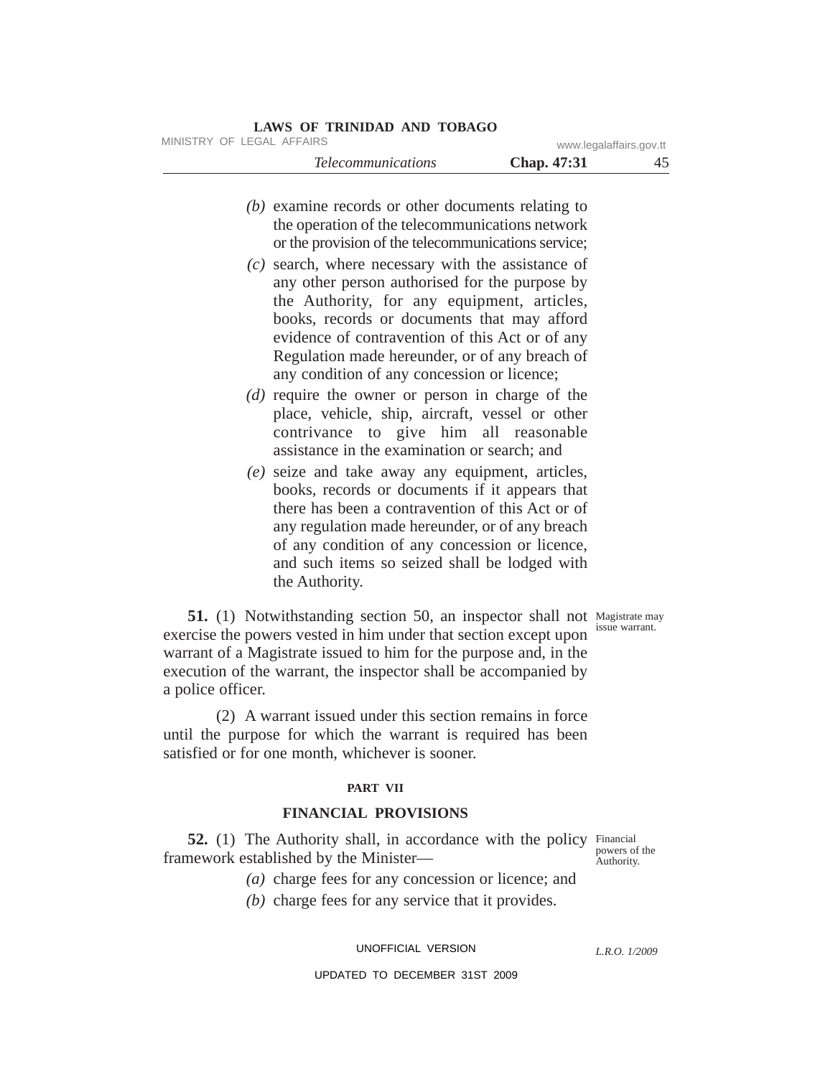# *(b)* examine records or other documents relating to the operation of the telecommunications network or the provision of the telecommunications service; *(c)* search, where necessary with the assistance of any other person authorised for the purpose by the Authority, for any equipment, articles, books, records or documents that may afford evidence of contravention of this Act or of any Regulation made hereunder, or of any breach of any condition of any concession or licence; *(d)* require the owner or person in charge of the place, vehicle, ship, aircraft, vessel or other contrivance to give him all reasonable assistance in the examination or search; and *(e)* seize and take away any equipment, articles, books, records or documents if it appears that *Telecommunications* **Chap. 47:31** 45 MINISTRY OF LEGAL AFFAIRS www.legalaffairs.gov.tt

there has been a contravention of this Act or of any regulation made hereunder, or of any breach of any condition of any concession or licence, and such items so seized shall be lodged with the Authority.

issue warrant.

51. (1) Notwithstanding section 50, an inspector shall not Magistrate may exercise the powers vested in him under that section except upon warrant of a Magistrate issued to him for the purpose and, in the execution of the warrant, the inspector shall be accompanied by a police officer.

(2) A warrant issued under this section remains in force until the purpose for which the warrant is required has been satisfied or for one month, whichever is sooner.

# **PART VII**

### **FINANCIAL PROVISIONS**

52. (1) The Authority shall, in accordance with the policy Financial framework established by the Minister—

powers of the Authority.

- *(a)* charge fees for any concession or licence; and
- *(b)* charge fees for any service that it provides.

UNOFFICIAL VERSION

*L.R.O. 1/2009*

UPDATED TO DECEMBER 31ST 2009

# **LAWS OF TRINIDAD AND TOBAGO**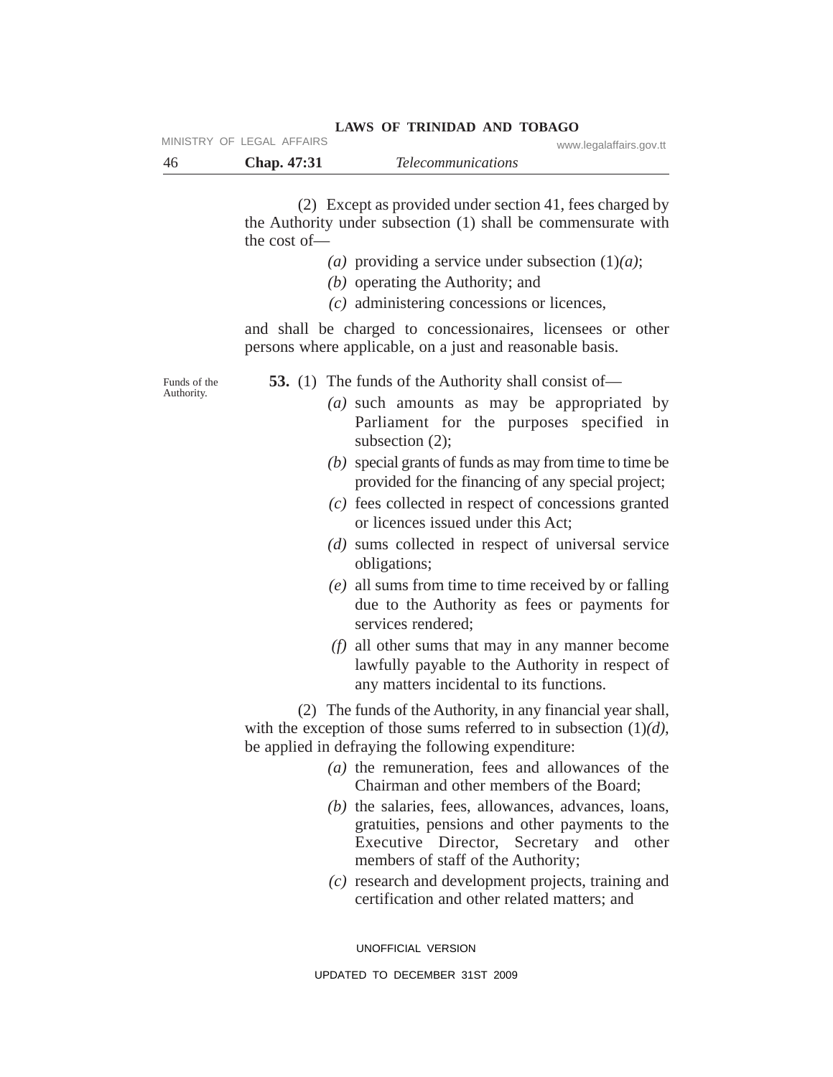|     | MINISTRY OF LEGAL AFFAIRS | LAWS OF INIMIDAD AND TODAGO | www.legalaffairs.gov.tt |
|-----|---------------------------|-----------------------------|-------------------------|
| -46 | Chap. 47:31               | <i>Telecommunications</i>   |                         |

(2) Except as provided under section 41, fees charged by the Authority under subsection (1) shall be commensurate with the cost of—

**LAWS OF TRINIDAD AND TOBAGO**

- *(a)* providing a service under subsection (1)*(a)*;
- *(b)* operating the Authority; and
- *(c)* administering concessions or licences,

and shall be charged to concessionaires, licensees or other persons where applicable, on a just and reasonable basis.

Funds of the Authority.

- **53.** (1) The funds of the Authority shall consist of—
	- *(a)* such amounts as may be appropriated by Parliament for the purposes specified in subsection (2);
	- *(b)* special grants of funds as may from time to time be provided for the financing of any special project;
	- *(c)* fees collected in respect of concessions granted or licences issued under this Act;
	- *(d)* sums collected in respect of universal service obligations;
	- *(e)* all sums from time to time received by or falling due to the Authority as fees or payments for services rendered;
	- *(f)* all other sums that may in any manner become lawfully payable to the Authority in respect of any matters incidental to its functions.

(2) The funds of the Authority, in any financial year shall, with the exception of those sums referred to in subsection (1)*(d)*, be applied in defraying the following expenditure:

- *(a)* the remuneration, fees and allowances of the Chairman and other members of the Board;
- *(b)* the salaries, fees, allowances, advances, loans, gratuities, pensions and other payments to the Executive Director, Secretary and other members of staff of the Authority;
- *(c)* research and development projects, training and certification and other related matters; and

UNOFFICIAL VERSION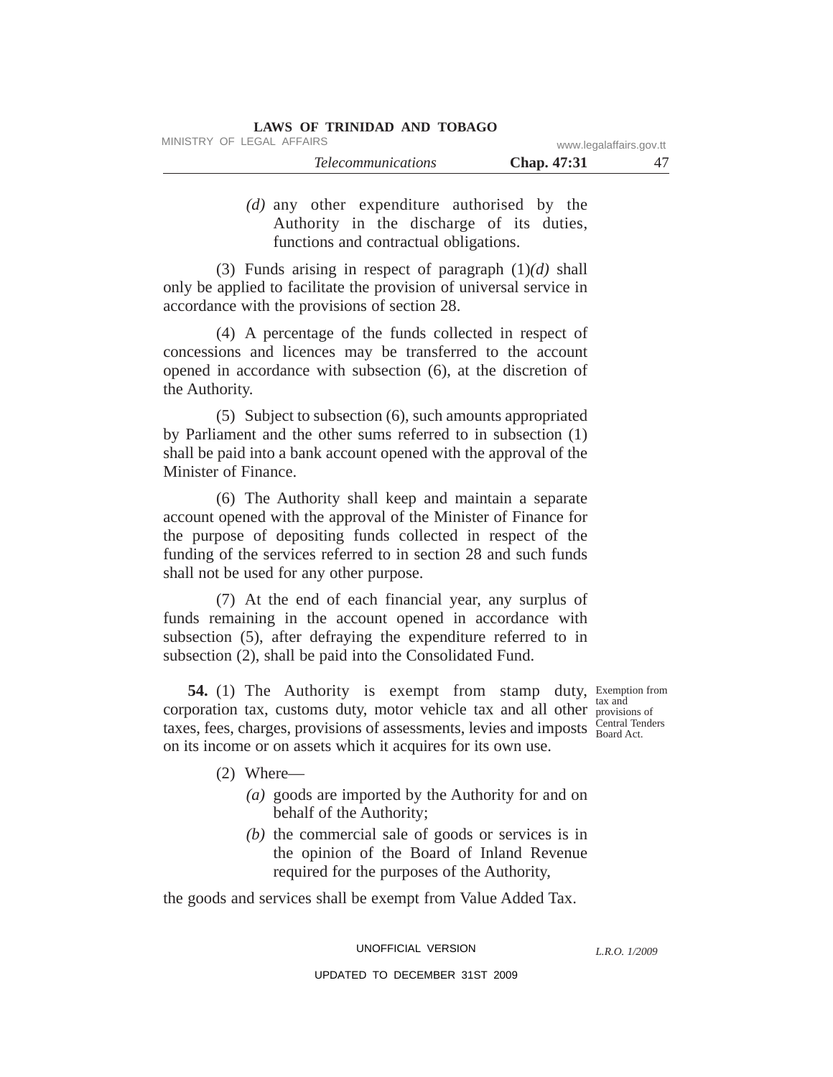| LAWS OF TRINIDAD AND TOBAGO |                         |
|-----------------------------|-------------------------|
| MINISTRY OF LEGAL AFFAIRS   | www.legalaffairs.gov.tt |

| <i>Telecommunications</i> | Chap. 47:31 |  |
|---------------------------|-------------|--|
|                           |             |  |

*(d)* any other expenditure authorised by the Authority in the discharge of its duties, functions and contractual obligations.

(3) Funds arising in respect of paragraph (1)*(d)* shall only be applied to facilitate the provision of universal service in accordance with the provisions of section 28.

(4) A percentage of the funds collected in respect of concessions and licences may be transferred to the account opened in accordance with subsection (6), at the discretion of the Authority.

(5) Subject to subsection (6), such amounts appropriated by Parliament and the other sums referred to in subsection (1) shall be paid into a bank account opened with the approval of the Minister of Finance.

(6) The Authority shall keep and maintain a separate account opened with the approval of the Minister of Finance for the purpose of depositing funds collected in respect of the funding of the services referred to in section 28 and such funds shall not be used for any other purpose.

(7) At the end of each financial year, any surplus of funds remaining in the account opened in accordance with subsection (5), after defraying the expenditure referred to in subsection (2), shall be paid into the Consolidated Fund.

54. (1) The Authority is exempt from stamp duty, Exemption from taxes, fees, charges, provisions of assessments, levies and imposts  $\frac{\text{Central Tel}}{\text{Board Act}}$ corporation tax, customs duty, motor vehicle tax and all other on its income or on assets which it acquires for its own use.

tax and provisions of Central Tenders

- (2) Where—
	- *(a)* goods are imported by the Authority for and on behalf of the Authority;
	- *(b)* the commercial sale of goods or services is in the opinion of the Board of Inland Revenue required for the purposes of the Authority,

the goods and services shall be exempt from Value Added Tax.

UNOFFICIAL VERSION

*L.R.O. 1/2009*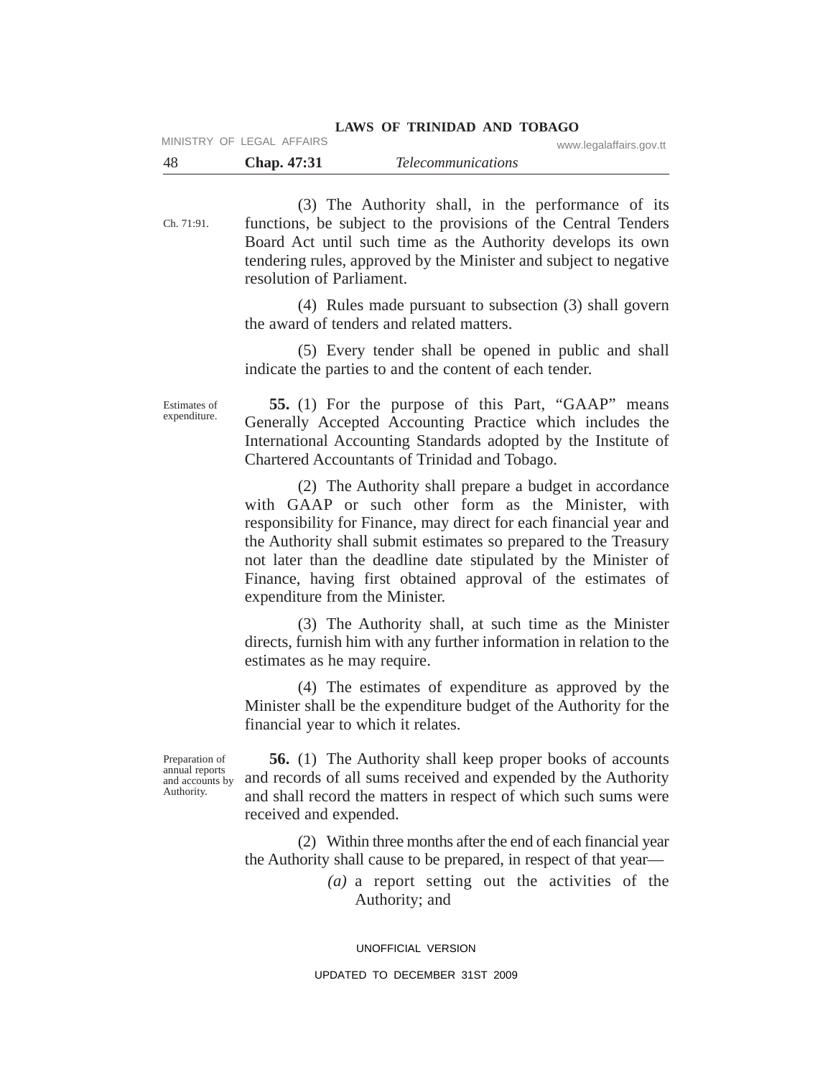| MINISTRY OF LEGAL AFFAIRS | LAWS OF INIMIDAD AND TODAGO | www.legalaffairs.gov.tt |
|---------------------------|-----------------------------|-------------------------|
| 48<br><b>Chap.</b> 47:31  | <i>Telecommunications</i>   |                         |

Ch. 71:91. (3) The Authority shall, in the performance of its functions, be subject to the provisions of the Central Tenders Board Act until such time as the Authority develops its own tendering rules, approved by the Minister and subject to negative resolution of Parliament.

> (4) Rules made pursuant to subsection (3) shall govern the award of tenders and related matters.

**LAWS OF TRINIDAD AND TOBAGO**

(5) Every tender shall be opened in public and shall indicate the parties to and the content of each tender.

Estimates of expenditure.

**55.** (1) For the purpose of this Part, "GAAP" means Generally Accepted Accounting Practice which includes the International Accounting Standards adopted by the Institute of Chartered Accountants of Trinidad and Tobago.

(2) The Authority shall prepare a budget in accordance with GAAP or such other form as the Minister, with responsibility for Finance, may direct for each financial year and the Authority shall submit estimates so prepared to the Treasury not later than the deadline date stipulated by the Minister of Finance, having first obtained approval of the estimates of expenditure from the Minister.

(3) The Authority shall, at such time as the Minister directs, furnish him with any further information in relation to the estimates as he may require.

(4) The estimates of expenditure as approved by the Minister shall be the expenditure budget of the Authority for the financial year to which it relates.

Preparation of annual reports and accounts by Authority.

**56.** (1) The Authority shall keep proper books of accounts and records of all sums received and expended by the Authority and shall record the matters in respect of which such sums were received and expended.

(2) Within three months after the end of each financial year the Authority shall cause to be prepared, in respect of that year—

> *(a)* a report setting out the activities of the Authority; and

UNOFFICIAL VERSION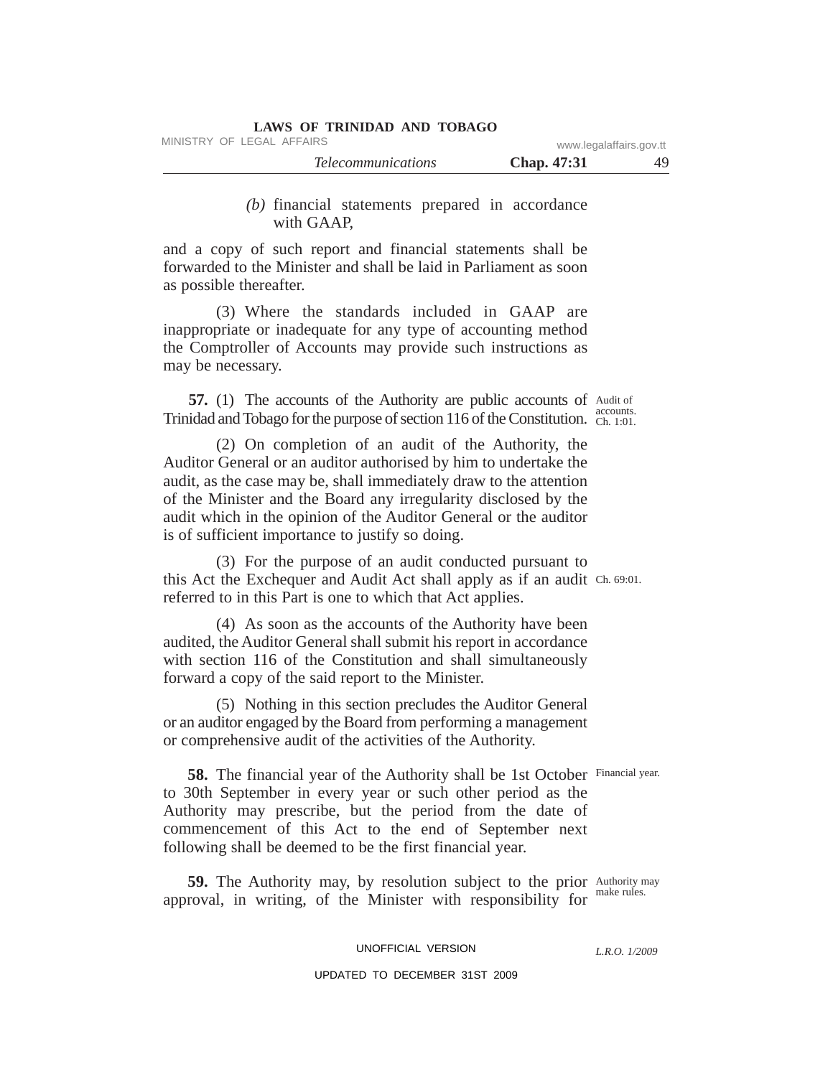MINISTRY OF LEGAL AFFAIRS www.legalaffairs.gov.tt

| <i>Ielecommunications</i> | Chap. 47:31 |  |
|---------------------------|-------------|--|
|                           |             |  |

# *(b)* financial statements prepared in accordance with GAAP,

and a copy of such report and financial statements shall be forwarded to the Minister and shall be laid in Parliament as soon as possible thereafter.

(3) Where the standards included in GAAP are inappropriate or inadequate for any type of accounting method the Comptroller of Accounts may provide such instructions as may be necessary.

57. (1) The accounts of the Authority are public accounts of Audit of accounts. Trinidad and Tobago for the purpose of section 116 of the Constitution. Ch. 1:01.

(2) On completion of an audit of the Authority, the Auditor General or an auditor authorised by him to undertake the audit, as the case may be, shall immediately draw to the attention of the Minister and the Board any irregularity disclosed by the audit which in the opinion of the Auditor General or the auditor is of sufficient importance to justify so doing.

this Act the Exchequer and Audit Act shall apply as if an audit Ch. 69:01. (3) For the purpose of an audit conducted pursuant to referred to in this Part is one to which that Act applies.

(4) As soon as the accounts of the Authority have been audited, the Auditor General shall submit his report in accordance with section 116 of the Constitution and shall simultaneously forward a copy of the said report to the Minister.

(5) Nothing in this section precludes the Auditor General or an auditor engaged by the Board from performing a management or comprehensive audit of the activities of the Authority.

58. The financial year of the Authority shall be 1st October Financial year. to 30th September in every year or such other period as the Authority may prescribe, but the period from the date of commencement of this Act to the end of September next following shall be deemed to be the first financial year.

59. The Authority may, by resolution subject to the prior Authority may make rules. approval, in writing, of the Minister with responsibility for

### UNOFFICIAL VERSION

*L.R.O. 1/2009*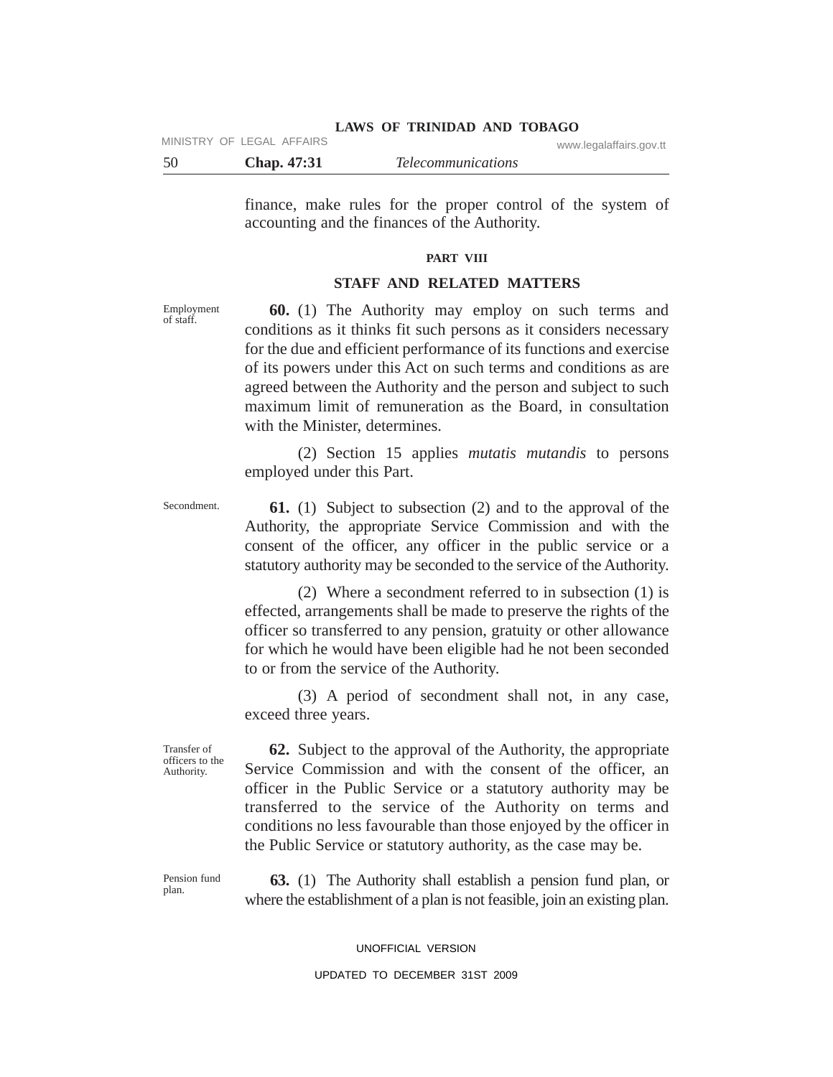# 50 **Chap. 47:31** *Telecommunications* **LAWS OF TRINIDAD AND TOBAGO** MINISTRY OF LEGAL AFFAIRS www.legalaffairs.gov.tt

finance, make rules for the proper control of the system of accounting and the finances of the Authority.

#### **PART VIII**

### **STAFF AND RELATED MATTERS**

Employment of staff.

Secondment.

**60.** (1) The Authority may employ on such terms and conditions as it thinks fit such persons as it considers necessary for the due and efficient performance of its functions and exercise of its powers under this Act on such terms and conditions as are agreed between the Authority and the person and subject to such maximum limit of remuneration as the Board, in consultation with the Minister, determines.

(2) Section 15 applies *mutatis mutandis* to persons employed under this Part.

**61.** (1) Subject to subsection (2) and to the approval of the Authority, the appropriate Service Commission and with the consent of the officer, any officer in the public service or a statutory authority may be seconded to the service of the Authority.

(2) Where a secondment referred to in subsection (1) is effected, arrangements shall be made to preserve the rights of the officer so transferred to any pension, gratuity or other allowance for which he would have been eligible had he not been seconded to or from the service of the Authority.

(3) A period of secondment shall not, in any case, exceed three years.

Transfer of officers to the Authority.

**62.** Subject to the approval of the Authority, the appropriate Service Commission and with the consent of the officer, an officer in the Public Service or a statutory authority may be transferred to the service of the Authority on terms and conditions no less favourable than those enjoyed by the officer in the Public Service or statutory authority, as the case may be.

Pension fund plan.

**63.** (1) The Authority shall establish a pension fund plan, or where the establishment of a plan is not feasible, join an existing plan.

### UNOFFICIAL VERSION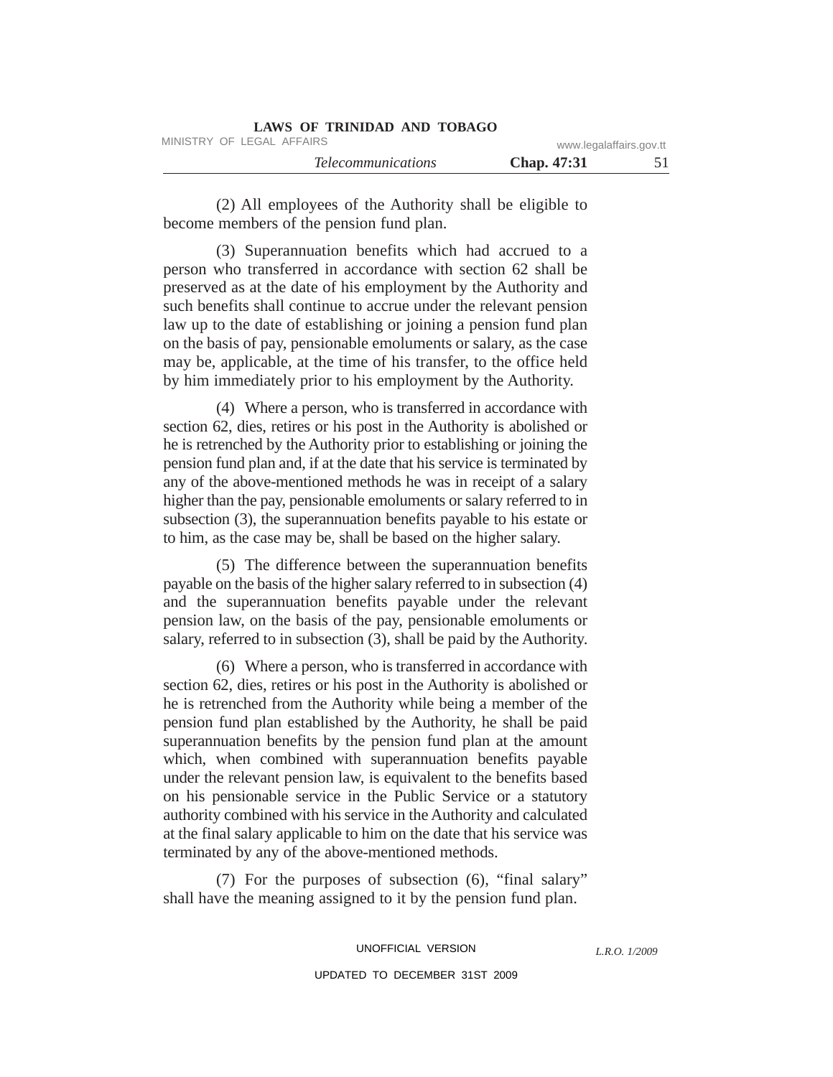| LAWS OF TRINIDAD AND TOBAGO |                         |  |
|-----------------------------|-------------------------|--|
| MINISTRY OF LEGAL AFFAIRS   | www.legalaffairs.gov.tt |  |
| <i>Telecommunications</i>   | <b>Chap.</b> 47:31      |  |

(2) All employees of the Authority shall be eligible to become members of the pension fund plan.

(3) Superannuation benefits which had accrued to a person who transferred in accordance with section 62 shall be preserved as at the date of his employment by the Authority and such benefits shall continue to accrue under the relevant pension law up to the date of establishing or joining a pension fund plan on the basis of pay, pensionable emoluments or salary, as the case may be, applicable, at the time of his transfer, to the office held by him immediately prior to his employment by the Authority.

(4) Where a person, who is transferred in accordance with section 62, dies, retires or his post in the Authority is abolished or he is retrenched by the Authority prior to establishing or joining the pension fund plan and, if at the date that his service is terminated by any of the above-mentioned methods he was in receipt of a salary higher than the pay, pensionable emoluments or salary referred to in subsection (3), the superannuation benefits payable to his estate or to him, as the case may be, shall be based on the higher salary.

(5) The difference between the superannuation benefits payable on the basis of the higher salary referred to in subsection (4) and the superannuation benefits payable under the relevant pension law, on the basis of the pay, pensionable emoluments or salary, referred to in subsection (3), shall be paid by the Authority.

(6) Where a person, who is transferred in accordance with section 62, dies, retires or his post in the Authority is abolished or he is retrenched from the Authority while being a member of the pension fund plan established by the Authority, he shall be paid superannuation benefits by the pension fund plan at the amount which, when combined with superannuation benefits payable under the relevant pension law, is equivalent to the benefits based on his pensionable service in the Public Service or a statutory authority combined with his service in the Authority and calculated at the final salary applicable to him on the date that his service was terminated by any of the above-mentioned methods.

(7) For the purposes of subsection (6), "final salary" shall have the meaning assigned to it by the pension fund plan.

> UNOFFICIAL VERSION UPDATED TO DECEMBER 31ST 2009

*L.R.O. 1/2009*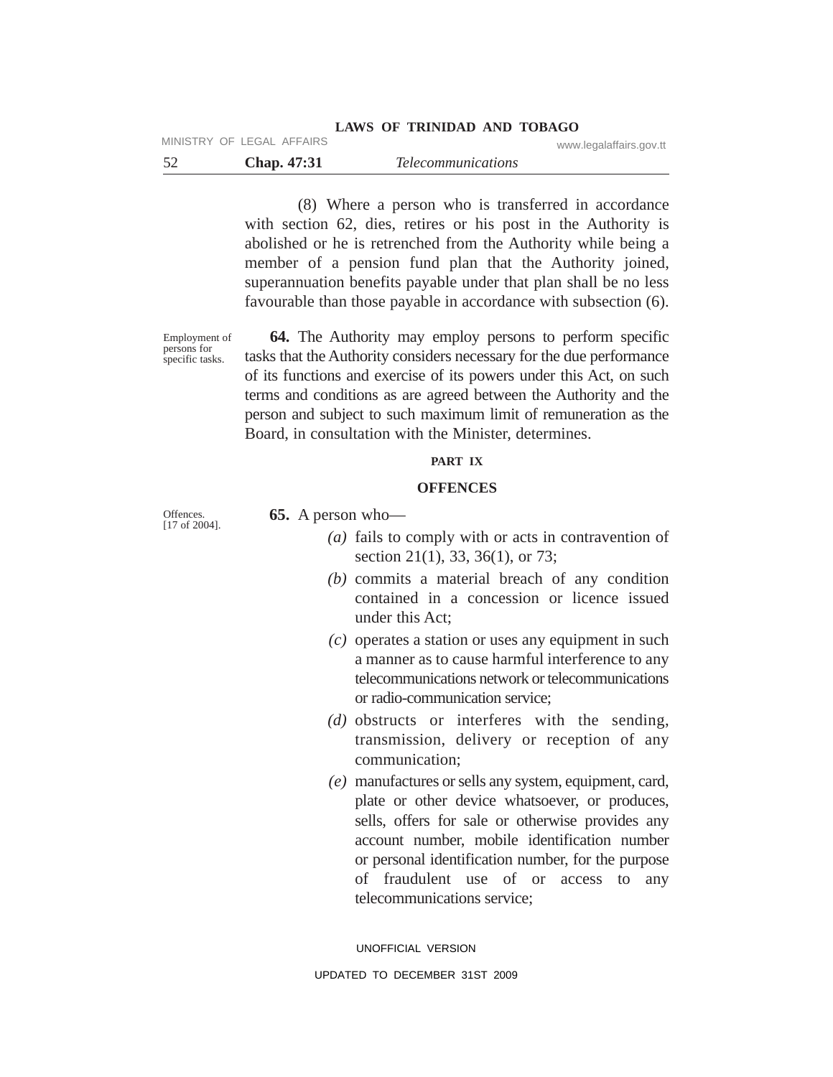#### **LAWS OF TRINIDAD AND TOBAGO** MINISTRY OF LEGAL AFFAIRS WAS also as a strategy of the contract of the contract of the contract of the contract of the contract of the contract of the contract of the contract of the contract of the contract of the contra

|             |                           | www.icyalallallo.yuv.u |
|-------------|---------------------------|------------------------|
| Chap. 47:31 | <i>Telecommunications</i> |                        |

(8) Where a person who is transferred in accordance with section 62, dies, retires or his post in the Authority is abolished or he is retrenched from the Authority while being a member of a pension fund plan that the Authority joined, superannuation benefits payable under that plan shall be no less favourable than those payable in accordance with subsection (6).

Employment of persons for specific tasks.

**64.** The Authority may employ persons to perform specific tasks that the Authority considers necessary for the due performance of its functions and exercise of its powers under this Act, on such terms and conditions as are agreed between the Authority and the person and subject to such maximum limit of remuneration as the Board, in consultation with the Minister, determines.

### **PART IX**

### **OFFENCES**

Offences. [17 of 2004]. **65.** A person who—

- *(a)* fails to comply with or acts in contravention of section 21(1), 33, 36(1), or 73;
- *(b)* commits a material breach of any condition contained in a concession or licence issued under this Act;
- *(c)* operates a station or uses any equipment in such a manner as to cause harmful interference to any telecommunications network or telecommunications or radio-communication service;
- *(d)* obstructs or interferes with the sending, transmission, delivery or reception of any communication;
- *(e)* manufactures or sells any system, equipment, card, plate or other device whatsoever, or produces, sells, offers for sale or otherwise provides any account number, mobile identification number or personal identification number, for the purpose of fraudulent use of or access to any telecommunications service;

UNOFFICIAL VERSION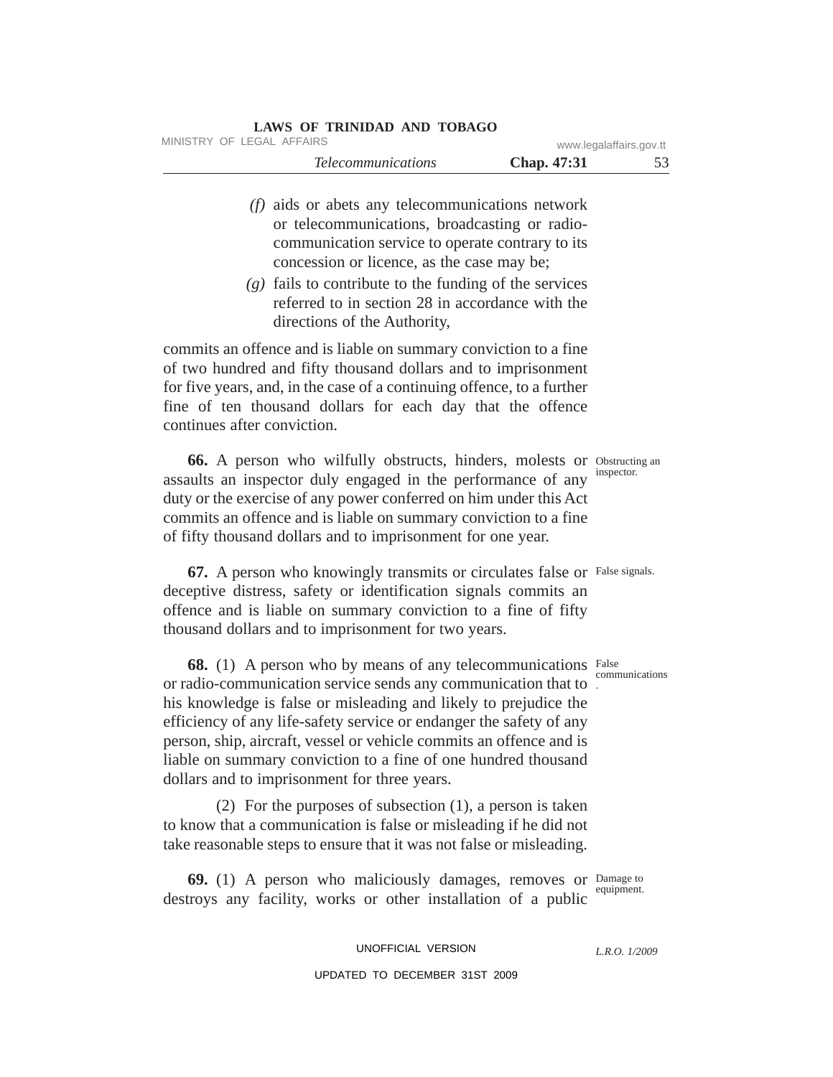| <b>LAWS OF TRINIDAD AND TOBAGO</b> |                         |    |
|------------------------------------|-------------------------|----|
| MINISTRY OF LEGAL AFFAIRS          | www.legalaffairs.gov.tt |    |
| <i>Telecommunications</i>          | <b>Chap.</b> 47:31      | 53 |
|                                    |                         |    |

- *(f)* aids or abets any telecommunications network or telecommunications, broadcasting or radiocommunication service to operate contrary to its concession or licence, as the case may be;
- *(g)* fails to contribute to the funding of the services referred to in section 28 in accordance with the directions of the Authority,

commits an offence and is liable on summary conviction to a fine of two hundred and fifty thousand dollars and to imprisonment for five years, and, in the case of a continuing offence, to a further fine of ten thousand dollars for each day that the offence continues after conviction.

66. A person who wilfully obstructs, hinders, molests or Obstructing an assaults an inspector duly engaged in the performance of any duty or the exercise of any power conferred on him under this Act commits an offence and is liable on summary conviction to a fine of fifty thousand dollars and to imprisonment for one year.

67. A person who knowingly transmits or circulates false or False signals. deceptive distress, safety or identification signals commits an offence and is liable on summary conviction to a fine of fifty thousand dollars and to imprisonment for two years.

**68.** (1) A person who by means of any telecommunications False . or radio-communication service sends any communication that to his knowledge is false or misleading and likely to prejudice the efficiency of any life-safety service or endanger the safety of any person, ship, aircraft, vessel or vehicle commits an offence and is liable on summary conviction to a fine of one hundred thousand dollars and to imprisonment for three years.

(2) For the purposes of subsection (1), a person is taken to know that a communication is false or misleading if he did not take reasonable steps to ensure that it was not false or misleading.

Damage to **69.** (1) A person who maliciously damages, removes or  $\frac{D \text{ amage to}}{\text{ equipment}}$ . destroys any facility, works or other installation of a public

> UNOFFICIAL VERSION UPDATED TO DECEMBER 31ST 2009

inspector.

communications

*L.R.O. 1/2009*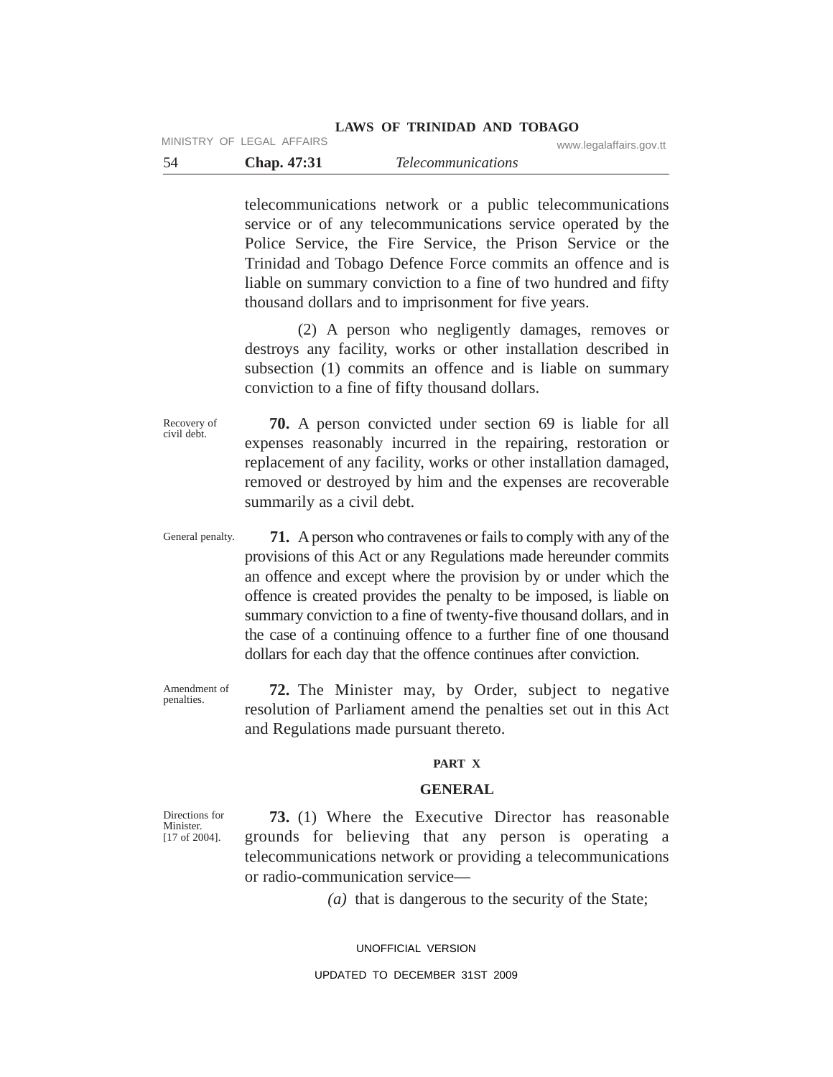#### **LAWS OF TRINIDAD AND TOBAGO** MINISTRY OF LEGAL AFFAIRS **WWW.LEGAL ASSAULTS** www.legalaffairs.gov.tt

| Chap. 47:31 | <i>Telecommunications</i> |  |
|-------------|---------------------------|--|

telecommunications network or a public telecommunications service or of any telecommunications service operated by the Police Service, the Fire Service, the Prison Service or the Trinidad and Tobago Defence Force commits an offence and is liable on summary conviction to a fine of two hundred and fifty thousand dollars and to imprisonment for five years.

(2) A person who negligently damages, removes or destroys any facility, works or other installation described in subsection (1) commits an offence and is liable on summary conviction to a fine of fifty thousand dollars.

Recovery of civil debt. **70.** A person convicted under section 69 is liable for all expenses reasonably incurred in the repairing, restoration or replacement of any facility, works or other installation damaged, removed or destroyed by him and the expenses are recoverable summarily as a civil debt.

General penalty. **71.** A person who contravenes or fails to comply with any of the provisions of this Act or any Regulations made hereunder commits an offence and except where the provision by or under which the offence is created provides the penalty to be imposed, is liable on summary conviction to a fine of twenty-five thousand dollars, and in the case of a continuing offence to a further fine of one thousand dollars for each day that the offence continues after conviction.

Amendment of **72.** The Minister may, by Order, subject to negative resolution of Parliament amend the penalties set out in this Act and Regulations made pursuant thereto.

#### **PART X**

### **GENERAL**

**73.** (1) Where the Executive Director has reasonable grounds for believing that any person is operating a telecommunications network or providing a telecommunications or radio-communication service—

*(a)* that is dangerous to the security of the State;

UNOFFICIAL VERSION

UPDATED TO DECEMBER 31ST 2009

Directions for Minister. [17 of 2004].

penalties.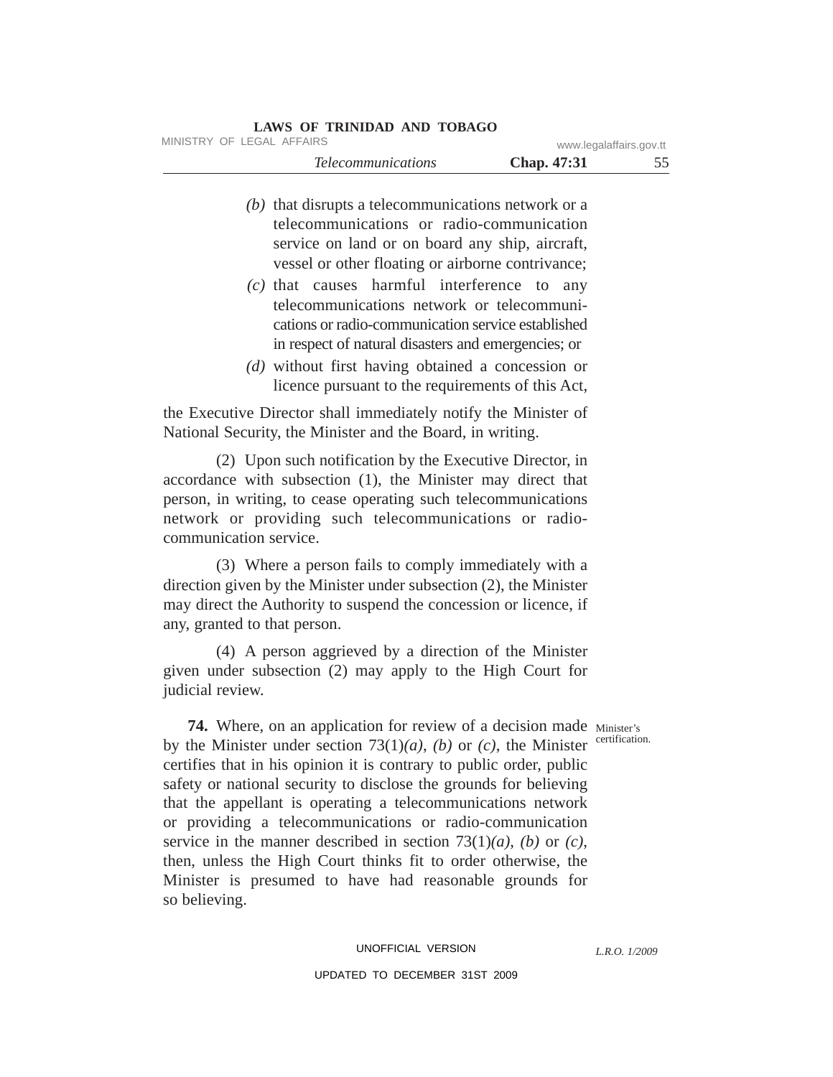# *Telecommunications* **Chap. 47:31** 55 **LAWS OF TRINIDAD AND TOBAGO** MINISTRY OF LEGAL AFFAIRS www.legalaffairs.gov.tt

- *(b)* that disrupts a telecommunications network or a telecommunications or radio-communication service on land or on board any ship, aircraft, vessel or other floating or airborne contrivance;
- *(c)* that causes harmful interference to any telecommunications network or telecommunications or radio-communication service established in respect of natural disasters and emergencies; or
- *(d)* without first having obtained a concession or licence pursuant to the requirements of this Act,

the Executive Director shall immediately notify the Minister of National Security, the Minister and the Board, in writing.

(2) Upon such notification by the Executive Director, in accordance with subsection (1), the Minister may direct that person, in writing, to cease operating such telecommunications network or providing such telecommunications or radiocommunication service.

(3) Where a person fails to comply immediately with a direction given by the Minister under subsection (2), the Minister may direct the Authority to suspend the concession or licence, if any, granted to that person.

(4) A person aggrieved by a direction of the Minister given under subsection (2) may apply to the High Court for judicial review.

certification.

*L.R.O. 1/2009*

**74.** Where, on an application for review of a decision made Minister's by the Minister under section 73(1)*(a)*, *(b)* or *(c)*, the Minister certifies that in his opinion it is contrary to public order, public safety or national security to disclose the grounds for believing that the appellant is operating a telecommunications network or providing a telecommunications or radio-communication service in the manner described in section 73(1)*(a)*, *(b)* or *(c)*, then, unless the High Court thinks fit to order otherwise, the Minister is presumed to have had reasonable grounds for so believing.

# UNOFFICIAL VERSION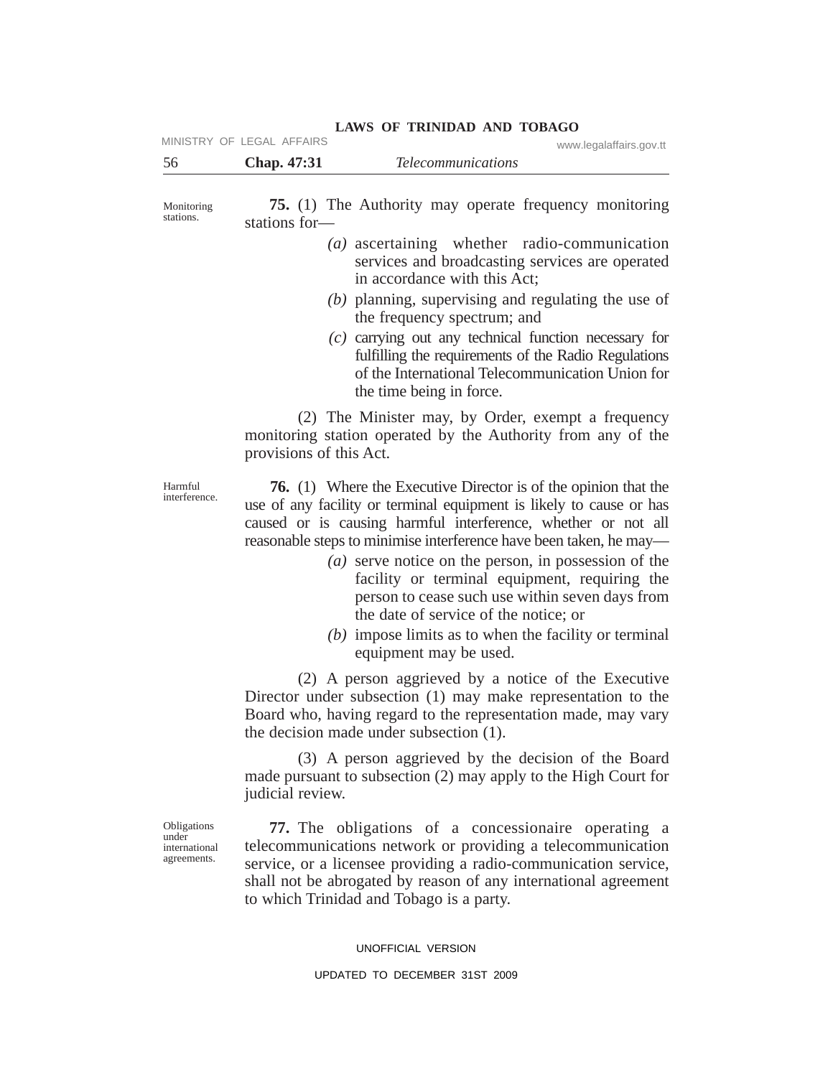|                                                      | MINISTRY OF LEGAL AFFAIRS<br>www.legalaffairs.gov.tt                                                                                                                                                                                                                                                                                                                                                                                                                                                                                                                                    |
|------------------------------------------------------|-----------------------------------------------------------------------------------------------------------------------------------------------------------------------------------------------------------------------------------------------------------------------------------------------------------------------------------------------------------------------------------------------------------------------------------------------------------------------------------------------------------------------------------------------------------------------------------------|
| 56                                                   | Chap. 47:31<br><b>Telecommunications</b>                                                                                                                                                                                                                                                                                                                                                                                                                                                                                                                                                |
| Monitoring<br>stations.                              | <b>75.</b> (1) The Authority may operate frequency monitoring<br>stations for-                                                                                                                                                                                                                                                                                                                                                                                                                                                                                                          |
|                                                      | $(a)$ ascertaining whether radio-communication<br>services and broadcasting services are operated<br>in accordance with this Act:                                                                                                                                                                                                                                                                                                                                                                                                                                                       |
|                                                      | $(b)$ planning, supervising and regulating the use of<br>the frequency spectrum; and                                                                                                                                                                                                                                                                                                                                                                                                                                                                                                    |
|                                                      | $(c)$ carrying out any technical function necessary for<br>fulfilling the requirements of the Radio Regulations<br>of the International Telecommunication Union for<br>the time being in force.                                                                                                                                                                                                                                                                                                                                                                                         |
|                                                      | (2) The Minister may, by Order, exempt a frequency<br>monitoring station operated by the Authority from any of the<br>provisions of this Act.                                                                                                                                                                                                                                                                                                                                                                                                                                           |
| Harmful<br>interference.                             | <b>76.</b> (1) Where the Executive Director is of the opinion that the<br>use of any facility or terminal equipment is likely to cause or has<br>caused or is causing harmful interference, whether or not all<br>reasonable steps to minimise interference have been taken, he may-<br>( <i>a</i> ) serve notice on the person, in possession of the<br>facility or terminal equipment, requiring the<br>person to cease such use within seven days from<br>the date of service of the notice; or<br>$(b)$ impose limits as to when the facility or terminal<br>equipment may be used. |
|                                                      | (2) A person aggrieved by a notice of the Executive<br>Director under subsection (1) may make representation to the<br>Board who, having regard to the representation made, may vary<br>the decision made under subsection (1).                                                                                                                                                                                                                                                                                                                                                         |
|                                                      | (3) A person aggrieved by the decision of the Board<br>made pursuant to subsection (2) may apply to the High Court for<br>judicial review.                                                                                                                                                                                                                                                                                                                                                                                                                                              |
| Obligations<br>under<br>international<br>agreements. | 77. The obligations of a concessionaire operating a<br>telecommunications network or providing a telecommunication<br>service, or a licensee providing a radio-communication service,<br>shall not be abrogated by reason of any international agreement<br>to which Trinidad and Tobago is a party.                                                                                                                                                                                                                                                                                    |
|                                                      | UNOFFICIAL VERSION                                                                                                                                                                                                                                                                                                                                                                                                                                                                                                                                                                      |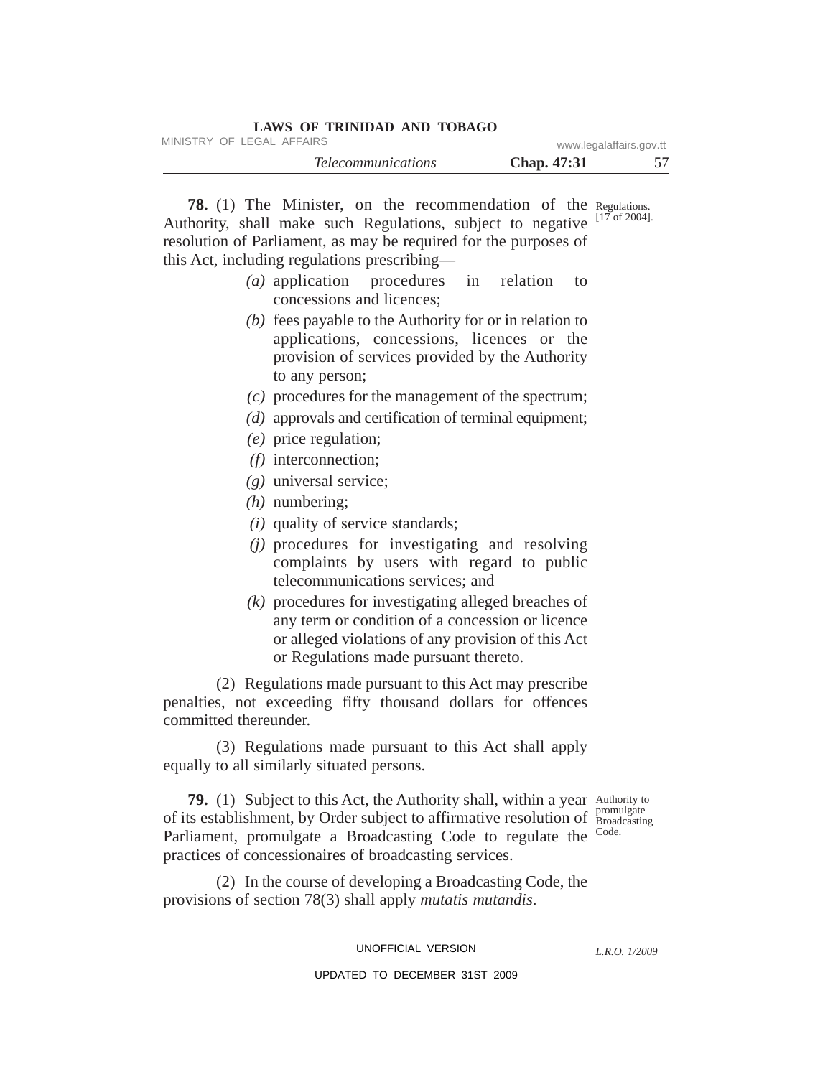| LAWS OF TRINIDAD AND TOBAGO |                         |    |
|-----------------------------|-------------------------|----|
| MINISTRY OF LEGAL AFFAIRS   | www.legalaffairs.gov.tt |    |
| <i>Telecommunications</i>   | <b>Chap.</b> 47:31      | 57 |

**78.** (1) The Minister, on the recommendation of the Regulations. [17 of 2004]. Authority, shall make such Regulations, subject to negative resolution of Parliament, as may be required for the purposes of this Act, including regulations prescribing—

- *(a)* application procedures in relation to concessions and licences;
- *(b)* fees payable to the Authority for or in relation to applications, concessions, licences or the provision of services provided by the Authority to any person;
- *(c)* procedures for the management of the spectrum;
- *(d)* approvals and certification of terminal equipment;
- *(e)* price regulation;
- *(f)* interconnection;
- *(g)* universal service;
- *(h)* numbering;
- *(i)* quality of service standards;
- *(j)* procedures for investigating and resolving complaints by users with regard to public telecommunications services; and
- *(k)* procedures for investigating alleged breaches of any term or condition of a concession or licence or alleged violations of any provision of this Act or Regulations made pursuant thereto.

(2) Regulations made pursuant to this Act may prescribe penalties, not exceeding fifty thousand dollars for offences committed thereunder.

(3) Regulations made pursuant to this Act shall apply equally to all similarly situated persons.

79. (1) Subject to this Act, the Authority shall, within a year Authority to promulgate of its establishment, by Order subject to affirmative resolution of **Broadcasting** Parliament, promulgate a Broadcasting Code to regulate the Code. practices of concessionaires of broadcasting services.

(2) In the course of developing a Broadcasting Code, the provisions of section 78(3) shall apply *mutatis mutandis*.

UNOFFICIAL VERSION

*L.R.O. 1/2009*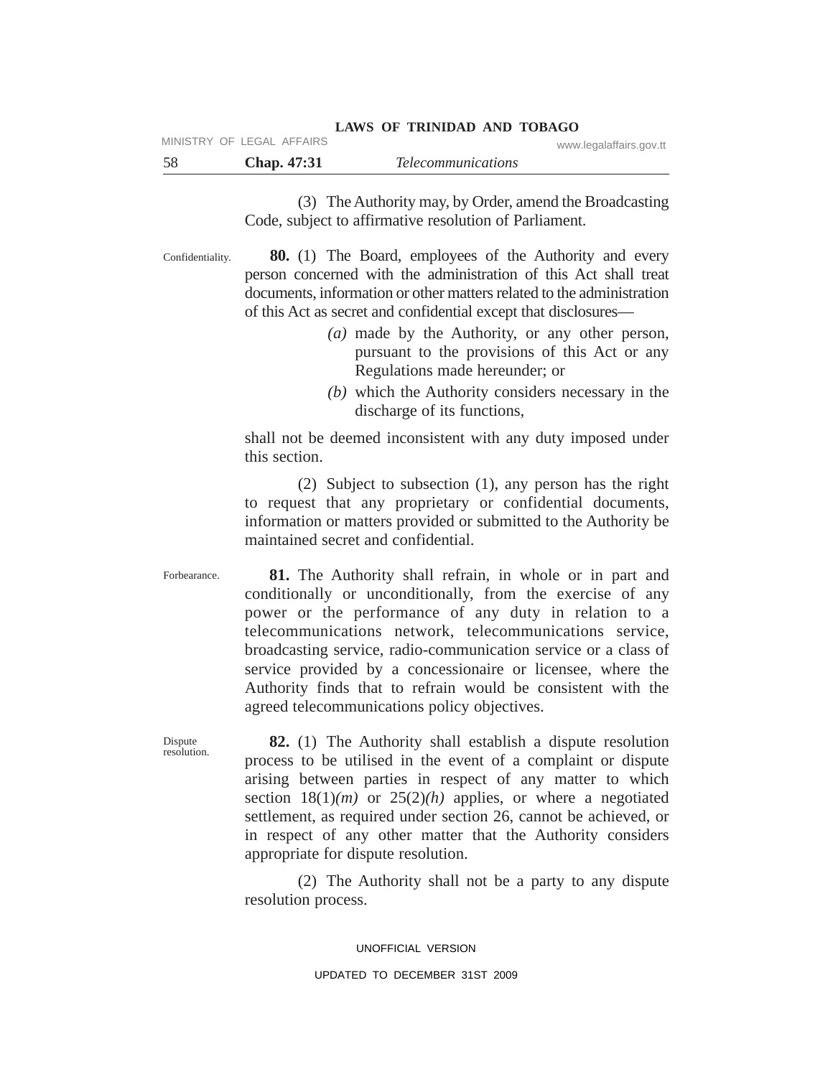|     |                           |  | LAWS OF TRINIDAD AND TOBAGO |                         |
|-----|---------------------------|--|-----------------------------|-------------------------|
|     | MINISTRY OF LEGAL AFFAIRS |  |                             | www.legalaffairs.gov.tt |
| -58 | <b>Chap.</b> 47:31        |  | <i>Telecommunications</i>   |                         |

(3) The Authority may, by Order, amend the Broadcasting Code, subject to affirmative resolution of Parliament.

Confidentiality.

**80.** (1) The Board, employees of the Authority and every person concerned with the administration of this Act shall treat documents, information or other matters related to the administration of this Act as secret and confidential except that disclosures—

- *(a)* made by the Authority, or any other person, pursuant to the provisions of this Act or any Regulations made hereunder; or
- *(b)* which the Authority considers necessary in the discharge of its functions,

shall not be deemed inconsistent with any duty imposed under this section.

(2) Subject to subsection (1), any person has the right to request that any proprietary or confidential documents, information or matters provided or submitted to the Authority be maintained secret and confidential.

Forbearance.

**81.** The Authority shall refrain, in whole or in part and conditionally or unconditionally, from the exercise of any power or the performance of any duty in relation to a telecommunications network, telecommunications service, broadcasting service, radio-communication service or a class of service provided by a concessionaire or licensee, where the Authority finds that to refrain would be consistent with the agreed telecommunications policy objectives.

Dispute resolution.

**82.** (1) The Authority shall establish a dispute resolution process to be utilised in the event of a complaint or dispute arising between parties in respect of any matter to which section  $18(1)(m)$  or  $25(2)(h)$  applies, or where a negotiated settlement, as required under section 26, cannot be achieved, or in respect of any other matter that the Authority considers appropriate for dispute resolution.

(2) The Authority shall not be a party to any dispute resolution process.

> UNOFFICIAL VERSION UPDATED TO DECEMBER 31ST 2009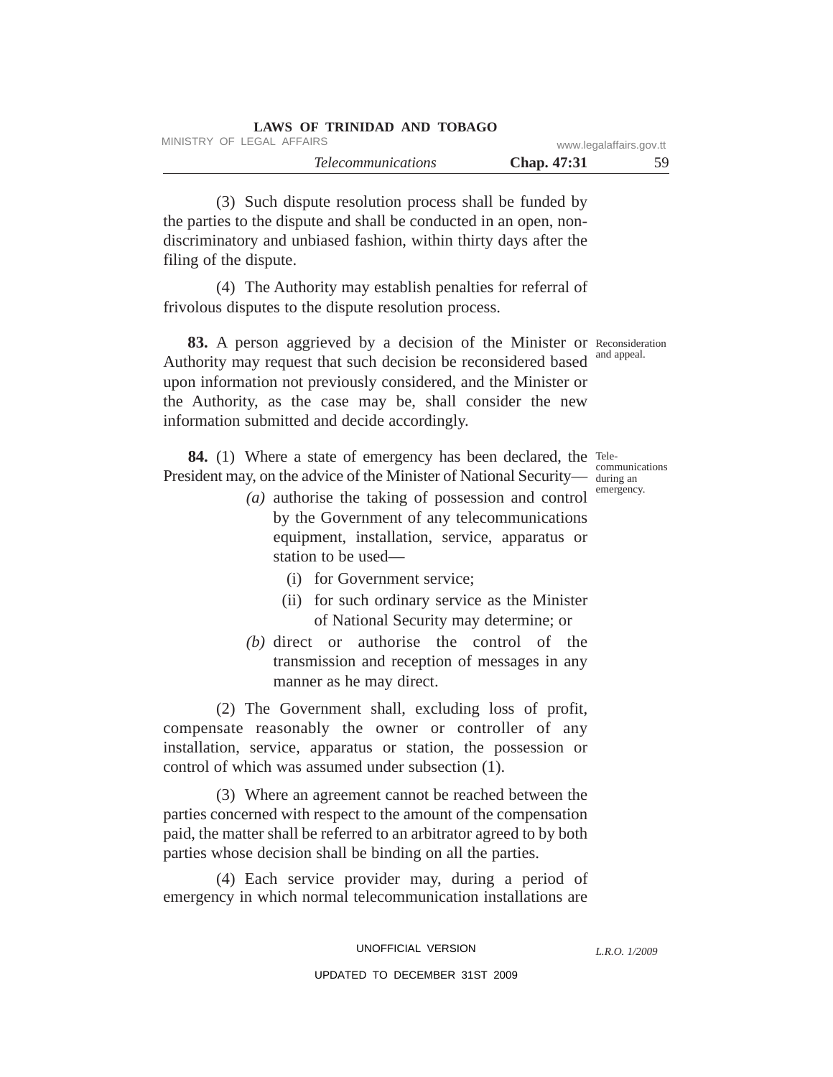| LAWS OF TRINIDAD AND TOBAGO |                         |    |
|-----------------------------|-------------------------|----|
| MINISTRY OF LEGAL AFFAIRS   | www.legalaffairs.gov.tt |    |
| <i>Telecommunications</i>   | <b>Chap.</b> 47:31      | 59 |

(3) Such dispute resolution process shall be funded by the parties to the dispute and shall be conducted in an open, nondiscriminatory and unbiased fashion, within thirty days after the filing of the dispute.

(4) The Authority may establish penalties for referral of frivolous disputes to the dispute resolution process.

83. A person aggrieved by a decision of the Minister or Reconsideration Authority may request that such decision be reconsidered based and appeal. upon information not previously considered, and the Minister or the Authority, as the case may be, shall consider the new information submitted and decide accordingly.

84. (1) Where a state of emergency has been declared, the Tele-President may, on the advice of the Minister of National Security— during an

- *(a)* authorise the taking of possession and control by the Government of any telecommunications equipment, installation, service, apparatus or station to be used—
	- (i) for Government service;
	- (ii) for such ordinary service as the Minister of National Security may determine; or
- *(b)* direct or authorise the control of the transmission and reception of messages in any manner as he may direct.

(2) The Government shall, excluding loss of profit, compensate reasonably the owner or controller of any installation, service, apparatus or station, the possession or control of which was assumed under subsection (1).

(3) Where an agreement cannot be reached between the parties concerned with respect to the amount of the compensation paid, the matter shall be referred to an arbitrator agreed to by both parties whose decision shall be binding on all the parties.

(4) Each service provider may, during a period of emergency in which normal telecommunication installations are

communications emergency.

*L.R.O. 1/2009*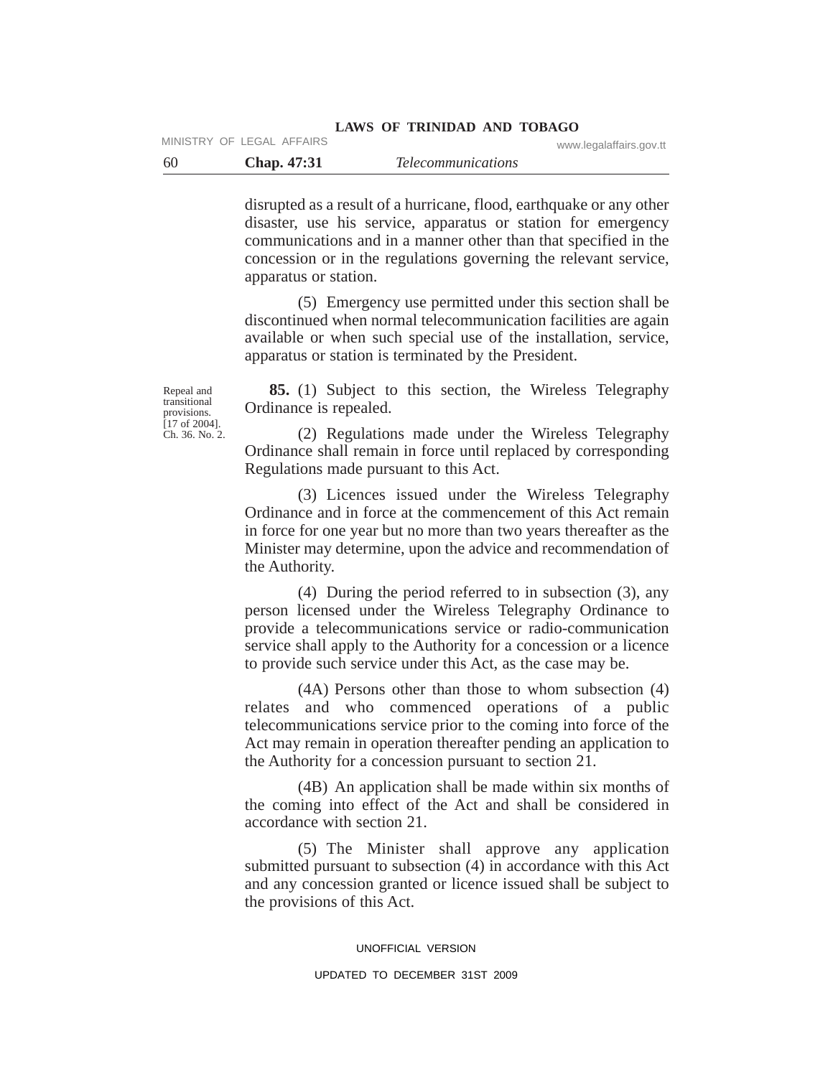### **LAWS OF TRINIDAD AND TOBAGO** MINISTRY OF LEGAL AFFAIRS www.legalaffairs.gov.tt

60 **Chap. 47:31** *Telecommunications*

disrupted as a result of a hurricane, flood, earthquake or any other disaster, use his service, apparatus or station for emergency communications and in a manner other than that specified in the concession or in the regulations governing the relevant service, apparatus or station.

(5) Emergency use permitted under this section shall be discontinued when normal telecommunication facilities are again available or when such special use of the installation, service, apparatus or station is terminated by the President.

Repeal and transitional provisions. [17 of 2004]. Ch. 36. No. 2.

**85.** (1) Subject to this section, the Wireless Telegraphy Ordinance is repealed.

(2) Regulations made under the Wireless Telegraphy Ordinance shall remain in force until replaced by corresponding Regulations made pursuant to this Act.

(3) Licences issued under the Wireless Telegraphy Ordinance and in force at the commencement of this Act remain in force for one year but no more than two years thereafter as the Minister may determine, upon the advice and recommendation of the Authority.

(4) During the period referred to in subsection (3), any person licensed under the Wireless Telegraphy Ordinance to provide a telecommunications service or radio-communication service shall apply to the Authority for a concession or a licence to provide such service under this Act, as the case may be.

(4A) Persons other than those to whom subsection (4) relates and who commenced operations of a public telecommunications service prior to the coming into force of the Act may remain in operation thereafter pending an application to the Authority for a concession pursuant to section 21.

(4B) An application shall be made within six months of the coming into effect of the Act and shall be considered in accordance with section 21.

(5) The Minister shall approve any application submitted pursuant to subsection (4) in accordance with this Act and any concession granted or licence issued shall be subject to the provisions of this Act.

UNOFFICIAL VERSION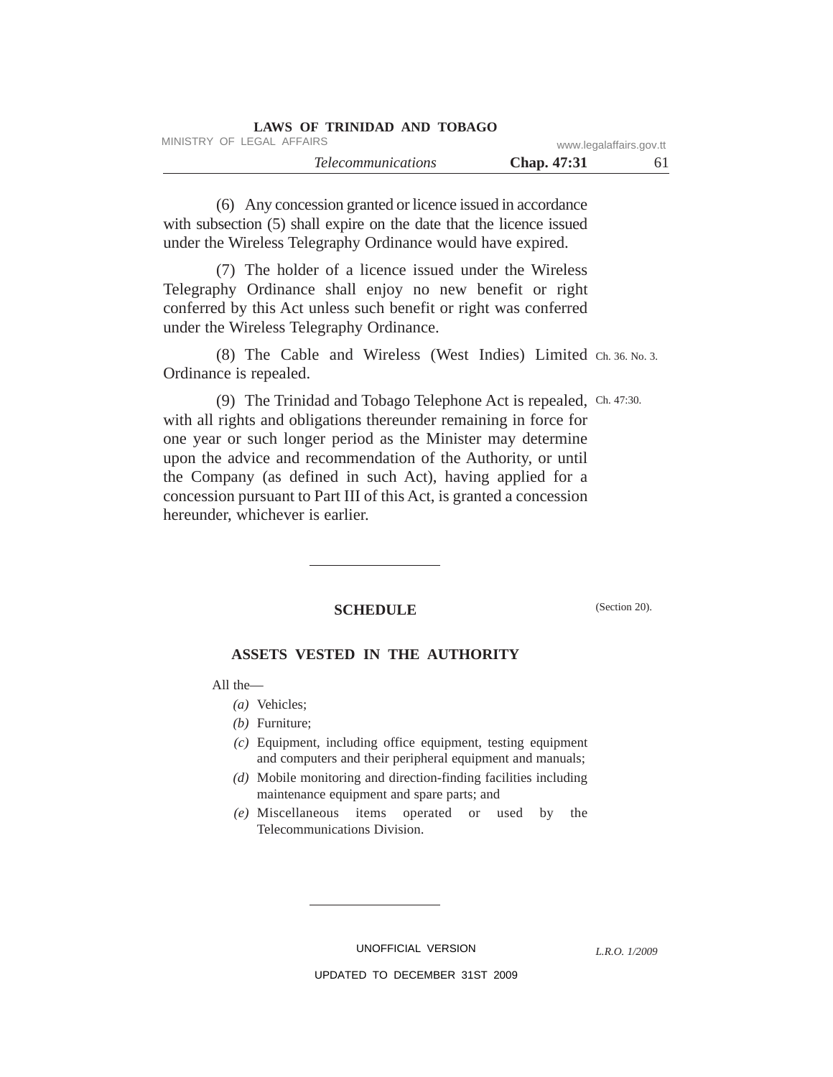| LAWS OF TRINIDAD AND TOBAGO |                         |    |
|-----------------------------|-------------------------|----|
| MINISTRY OF LEGAL AFFAIRS   | www.legalaffairs.gov.tt |    |
| <i>Telecommunications</i>   | <b>Chap.</b> 47:31      | 61 |

(6) Any concession granted or licence issued in accordance with subsection (5) shall expire on the date that the licence issued under the Wireless Telegraphy Ordinance would have expired.

(7) The holder of a licence issued under the Wireless Telegraphy Ordinance shall enjoy no new benefit or right conferred by this Act unless such benefit or right was conferred under the Wireless Telegraphy Ordinance.

(8) The Cable and Wireless (West Indies) Limited Ch. 36. No. 3. Ordinance is repealed.

(9) The Trinidad and Tobago Telephone Act is repealed, Ch. 47:30. with all rights and obligations thereunder remaining in force for one year or such longer period as the Minister may determine upon the advice and recommendation of the Authority, or until the Company (as defined in such Act), having applied for a concession pursuant to Part III of this Act, is granted a concession hereunder, whichever is earlier.

# SCHEDULE (Section 20).

# **ASSETS VESTED IN THE AUTHORITY**

All the—

- *(a)* Vehicles;
- *(b)* Furniture;
- *(c)* Equipment, including office equipment, testing equipment and computers and their peripheral equipment and manuals;
- *(d)* Mobile monitoring and direction-finding facilities including maintenance equipment and spare parts; and
- *(e)* Miscellaneous items operated or used by the Telecommunications Division.

UNOFFICIAL VERSION

*L.R.O. 1/2009*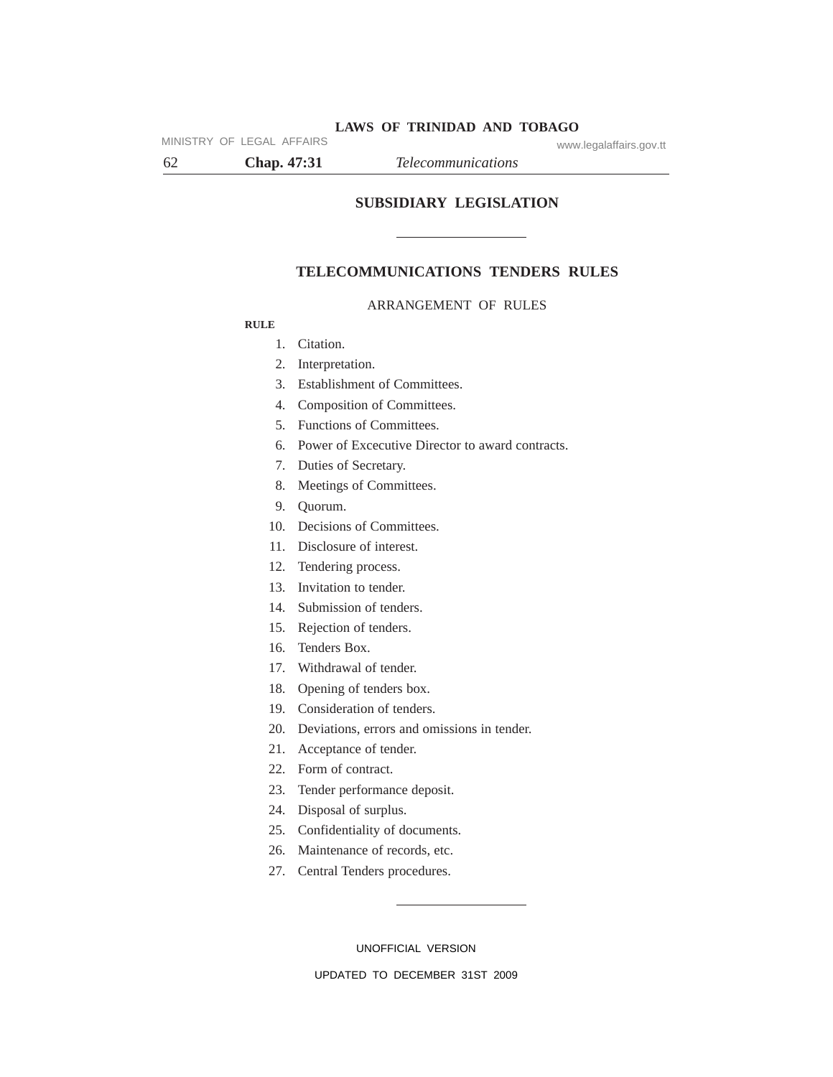62 **Chap. 47:31** *Telecommunications*

MINISTRY OF LEGAL AFFAIRS www.legalaffairs.gov.tt

**SUBSIDIARY LEGISLATION**

## **TELECOMMUNICATIONS TENDERS RULES**

### ARRANGEMENT OF RULES

### **RULE**

- 1. Citation.
- 2. Interpretation.
- 3. Establishment of Committees.
- 4. Composition of Committees.
- 5. Functions of Committees.
- 6. Power of Excecutive Director to award contracts.
- 7. Duties of Secretary.
- 8. Meetings of Committees.
- 9. Quorum.
- 10. Decisions of Committees.
- 11. Disclosure of interest.
- 12. Tendering process.
- 13. Invitation to tender.
- 14. Submission of tenders.
- 15. Rejection of tenders.
- 16. Tenders Box.
- 17. Withdrawal of tender.
- 18. Opening of tenders box.
- 19. Consideration of tenders.
- 20. Deviations, errors and omissions in tender.
- 21. Acceptance of tender.
- 22. Form of contract.
- 23. Tender performance deposit.
- 24. Disposal of surplus.
- 25. Confidentiality of documents.
- 26. Maintenance of records, etc.
- 27. Central Tenders procedures.

UNOFFICIAL VERSION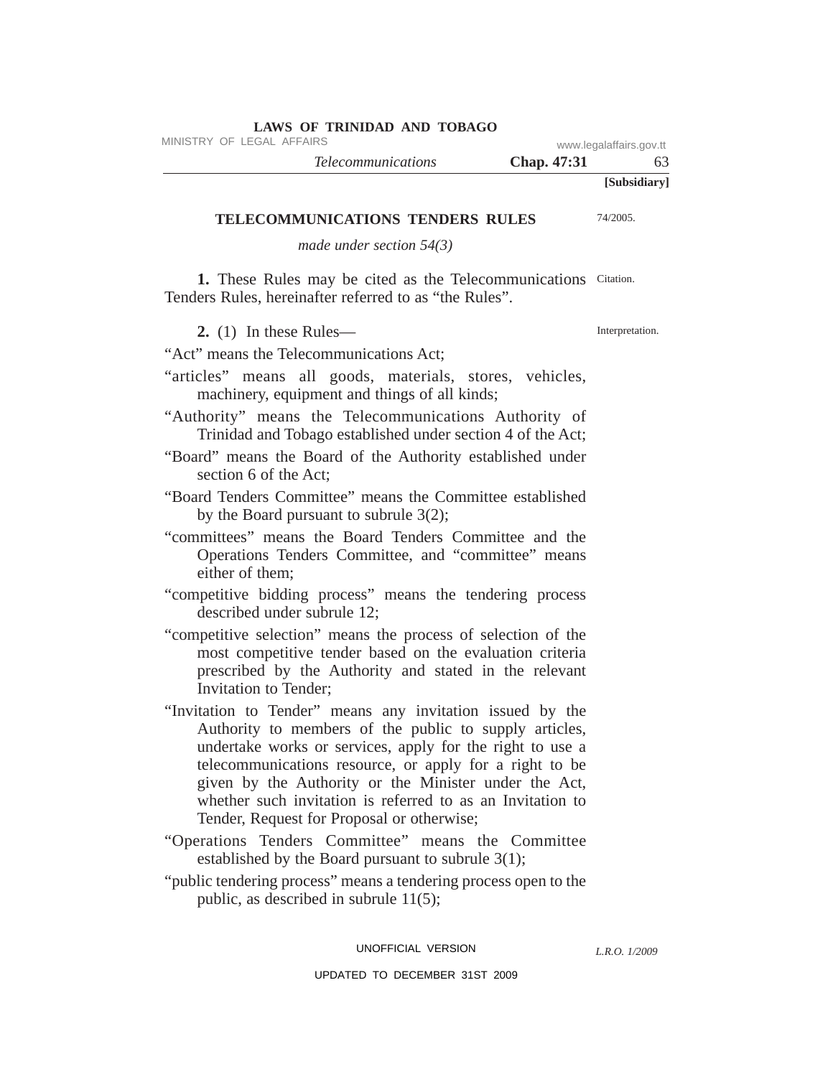| www.iogalanano.gov.u | <b>Chap.</b> 47:31 | <i>Telecommunications</i> |  |
|----------------------|--------------------|---------------------------|--|
| [Subsidiary]         |                    |                           |  |

#### **LAWS OF TRINIDAD AND TOBAGO** MINISTRY OF LEGAL AFFAIRS WWW.Legalaffairs.gov.tt

**TELECOMMUNICATIONS TENDERS RULES**

*made under section 54(3)*

1. These Rules may be cited as the Telecommunications Citation. Tenders Rules, hereinafter referred to as "the Rules".

**2.** (1) In these Rules—

Interpretation.

74/2005.

"Act" means the Telecommunications Act;

"articles" means all goods, materials, stores, vehicles, machinery, equipment and things of all kinds;

"Authority" means the Telecommunications Authority of Trinidad and Tobago established under section 4 of the Act;

- "Board" means the Board of the Authority established under section 6 of the Act;
- "Board Tenders Committee" means the Committee established by the Board pursuant to subrule 3(2);
- "committees" means the Board Tenders Committee and the Operations Tenders Committee, and "committee" means either of them;
- "competitive bidding process" means the tendering process described under subrule 12;
- "competitive selection" means the process of selection of the most competitive tender based on the evaluation criteria prescribed by the Authority and stated in the relevant Invitation to Tender;
- "Invitation to Tender" means any invitation issued by the Authority to members of the public to supply articles, undertake works or services, apply for the right to use a telecommunications resource, or apply for a right to be given by the Authority or the Minister under the Act, whether such invitation is referred to as an Invitation to Tender, Request for Proposal or otherwise;
- "Operations Tenders Committee" means the Committee established by the Board pursuant to subrule 3(1);
- "public tendering process" means a tendering process open to the public, as described in subrule 11(5);

UNOFFICIAL VERSION

*L.R.O. 1/2009*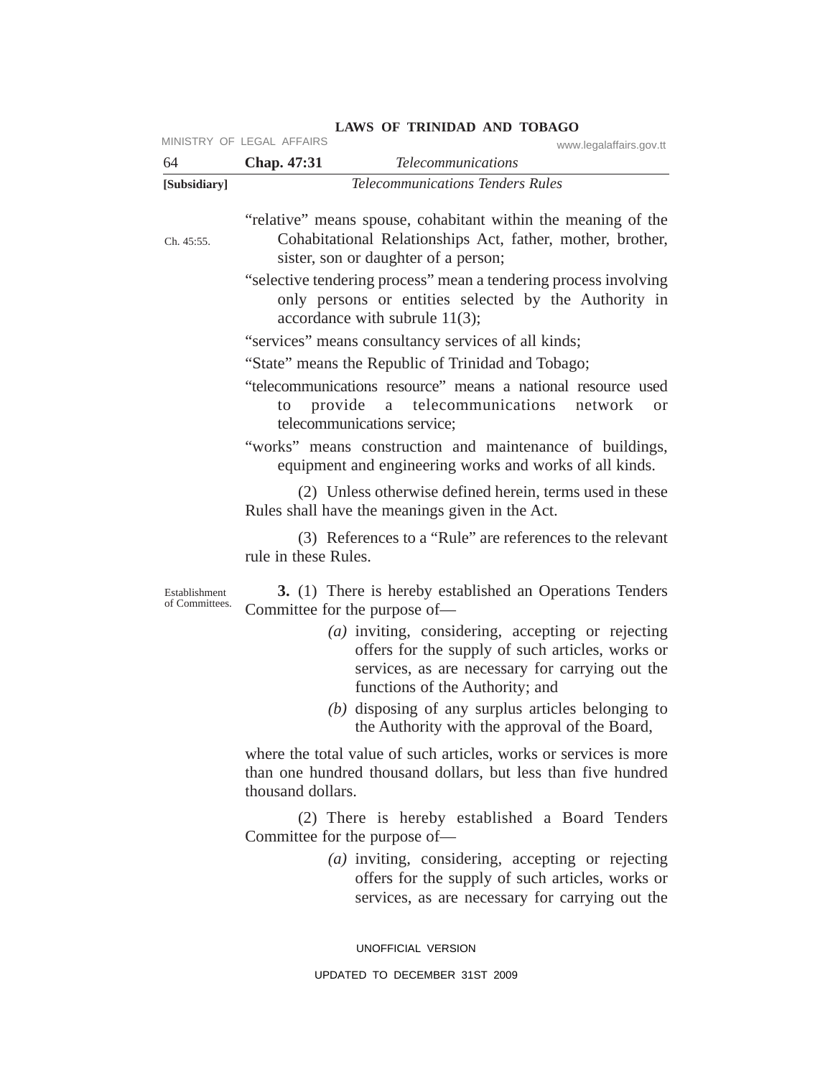|                                 | MINISTRY OF LEGAL AFFAIRS<br>www.legalaffairs.gov.tt                                                                                                                                          |
|---------------------------------|-----------------------------------------------------------------------------------------------------------------------------------------------------------------------------------------------|
| 64                              | Chap. 47:31<br><b>Telecommunications</b>                                                                                                                                                      |
| [Subsidiary]                    | <b>Telecommunications Tenders Rules</b>                                                                                                                                                       |
| Ch. 45:55.                      | "relative" means spouse, cohabitant within the meaning of the<br>Cohabitational Relationships Act, father, mother, brother,<br>sister, son or daughter of a person;                           |
|                                 | "selective tendering process" mean a tendering process involving<br>only persons or entities selected by the Authority in<br>accordance with subrule $11(3)$ ;                                |
|                                 | "services" means consultancy services of all kinds;                                                                                                                                           |
|                                 | "State" means the Republic of Trinidad and Tobago;                                                                                                                                            |
|                                 | "telecommunications resource" means a national resource used<br>provide a telecommunications network<br>to<br><sub>or</sub><br>telecommunications service;                                    |
|                                 | "works" means construction and maintenance of buildings,<br>equipment and engineering works and works of all kinds.                                                                           |
|                                 | (2) Unless otherwise defined herein, terms used in these<br>Rules shall have the meanings given in the Act.                                                                                   |
|                                 | (3) References to a "Rule" are references to the relevant<br>rule in these Rules.                                                                                                             |
| Establishment<br>of Committees. | <b>3.</b> (1) There is hereby established an Operations Tenders<br>Committee for the purpose of—                                                                                              |
|                                 | $(a)$ inviting, considering, accepting or rejecting<br>offers for the supply of such articles, works or<br>services, as are necessary for carrying out the<br>functions of the Authority; and |
|                                 | $(b)$ disposing of any surplus articles belonging to<br>the Authority with the approval of the Board,                                                                                         |
|                                 | where the total value of such articles, works or services is more<br>than one hundred thousand dollars, but less than five hundred<br>thousand dollars.                                       |
|                                 | (2) There is hereby established a Board Tenders<br>Committee for the purpose of—                                                                                                              |
|                                 | $(a)$ inviting, considering, accepting or rejecting<br>offers for the supply of such articles, works or                                                                                       |

UNOFFICIAL VERSION

services, as are necessary for carrying out the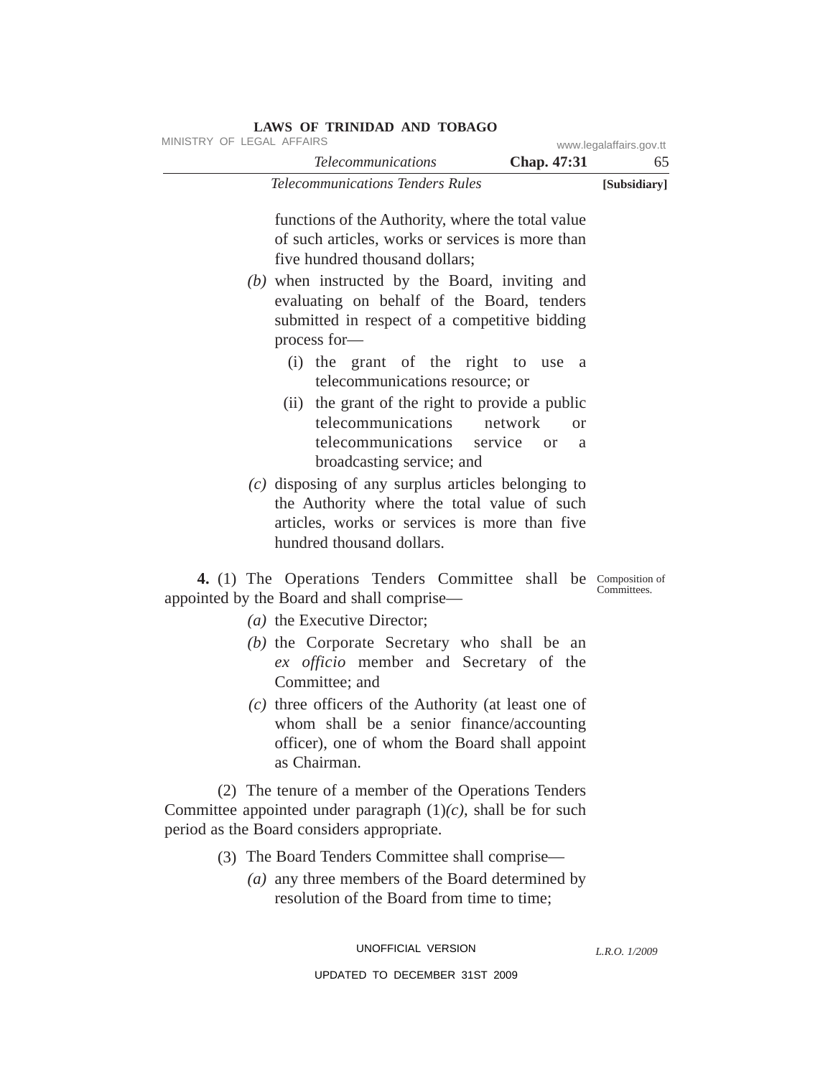| LAWS OF TRINIDAD AND TOBAGO<br>MINISTRY OF LEGAL AFFAIRS                                                                                                                                                                                                                                                                  |                               |
|---------------------------------------------------------------------------------------------------------------------------------------------------------------------------------------------------------------------------------------------------------------------------------------------------------------------------|-------------------------------|
| <b>Telecommunications</b><br>Chap. 47:31                                                                                                                                                                                                                                                                                  | www.legalaffairs.gov.tt<br>65 |
| <b>Telecommunications Tenders Rules</b>                                                                                                                                                                                                                                                                                   | [Subsidiary]                  |
| functions of the Authority, where the total value<br>of such articles, works or services is more than<br>five hundred thousand dollars;<br>$(b)$ when instructed by the Board, inviting and<br>evaluating on behalf of the Board, tenders<br>submitted in respect of a competitive bidding                                |                               |
| process for-<br>(i) the grant of the right to use<br>a a<br>telecommunications resource; or<br>(ii) the grant of the right to provide a public<br>telecommunications<br>network<br>$\alpha$<br>telecommunications service<br>or<br>a<br>broadcasting service; and<br>$(c)$ disposing of any surplus articles belonging to |                               |
| the Authority where the total value of such<br>articles, works or services is more than five<br>hundred thousand dollars.                                                                                                                                                                                                 |                               |
| 4. (1) The Operations Tenders Committee shall be Composition of<br>appointed by the Board and shall comprise—                                                                                                                                                                                                             | Committees.                   |
| (a) the Executive Director;                                                                                                                                                                                                                                                                                               |                               |
| (b) the Corporate Secretary who shall be an<br>ex officio member and Secretary of the<br>Committee; and<br>$(c)$ three officers of the Authority (at least one of<br>whom shall be a senior finance/accounting<br>officer), one of whom the Board shall appoint<br>as Chairman.                                           |                               |
| (2) The tenure of a member of the Operations Tenders<br>Committee appointed under paragraph $(1)(c)$ , shall be for such<br>period as the Board considers appropriate.                                                                                                                                                    |                               |
| (3) The Board Tenders Committee shall comprise—<br>(a) any three members of the Board determined by                                                                                                                                                                                                                       |                               |

*(a)* any three members of the Board determined by resolution of the Board from time to time;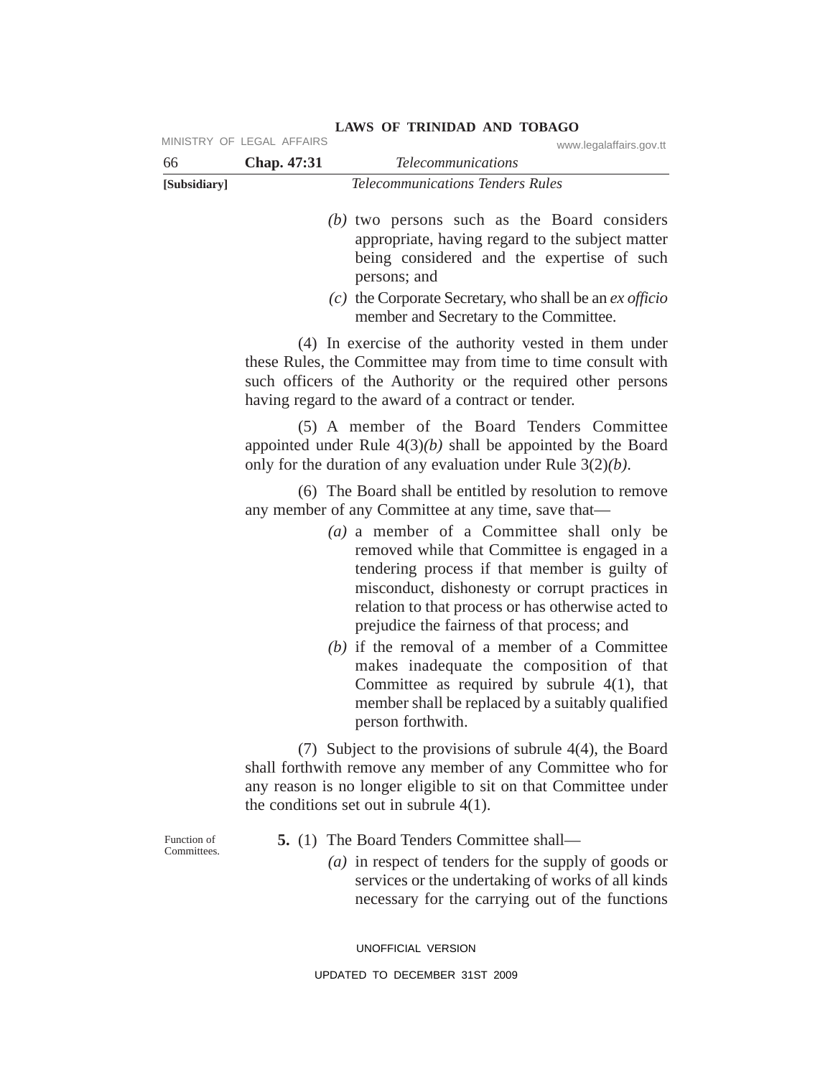| 66                         | Chap. 47:31 | <b>Telecommunications</b>                                                                                                                                                                                                                                                                                                                                                                                                                                                                                                                                                                                                                                                                                                                                                                                                                       |
|----------------------------|-------------|-------------------------------------------------------------------------------------------------------------------------------------------------------------------------------------------------------------------------------------------------------------------------------------------------------------------------------------------------------------------------------------------------------------------------------------------------------------------------------------------------------------------------------------------------------------------------------------------------------------------------------------------------------------------------------------------------------------------------------------------------------------------------------------------------------------------------------------------------|
| [Subsidiary]               |             | <b>Telecommunications Tenders Rules</b>                                                                                                                                                                                                                                                                                                                                                                                                                                                                                                                                                                                                                                                                                                                                                                                                         |
|                            |             | $(b)$ two persons such as the Board considers<br>appropriate, having regard to the subject matter<br>being considered and the expertise of such<br>persons; and<br>$(c)$ the Corporate Secretary, who shall be an <i>ex officio</i><br>member and Secretary to the Committee.                                                                                                                                                                                                                                                                                                                                                                                                                                                                                                                                                                   |
|                            |             | (4) In exercise of the authority vested in them under<br>these Rules, the Committee may from time to time consult with<br>such officers of the Authority or the required other persons<br>having regard to the award of a contract or tender.                                                                                                                                                                                                                                                                                                                                                                                                                                                                                                                                                                                                   |
|                            |             | (5) A member of the Board Tenders Committee<br>appointed under Rule $4(3)(b)$ shall be appointed by the Board<br>only for the duration of any evaluation under Rule $3(2)(b)$ .                                                                                                                                                                                                                                                                                                                                                                                                                                                                                                                                                                                                                                                                 |
|                            |             | (6) The Board shall be entitled by resolution to remove<br>any member of any Committee at any time, save that-<br>$(a)$ a member of a Committee shall only be<br>removed while that Committee is engaged in a<br>tendering process if that member is guilty of<br>misconduct, dishonesty or corrupt practices in<br>relation to that process or has otherwise acted to<br>prejudice the fairness of that process; and<br>$(b)$ if the removal of a member of a Committee<br>makes inadequate the composition of that<br>Committee as required by subrule $4(1)$ , that<br>member shall be replaced by a suitably qualified<br>person forthwith.<br>(7) Subject to the provisions of subrule $4(4)$ , the Board<br>shall forthwith remove any member of any Committee who for<br>any reason is no longer eligible to sit on that Committee under |
| Function of<br>Committees. |             | the conditions set out in subrule $4(1)$ .<br><b>5.</b> (1) The Board Tenders Committee shall—<br>( <i>a</i> ) in respect of tenders for the supply of goods or<br>services or the undertaking of works of all kinds<br>necessary for the carrying out of the functions                                                                                                                                                                                                                                                                                                                                                                                                                                                                                                                                                                         |

### **LAWS OF TRINIDAD AND TOBAGO** MINISTRY OF LEGAL AFFAIRS www.legalaffairs.gov.tt

UPDATED TO DECEMBER 31ST 2009

UNOFFICIAL VERSION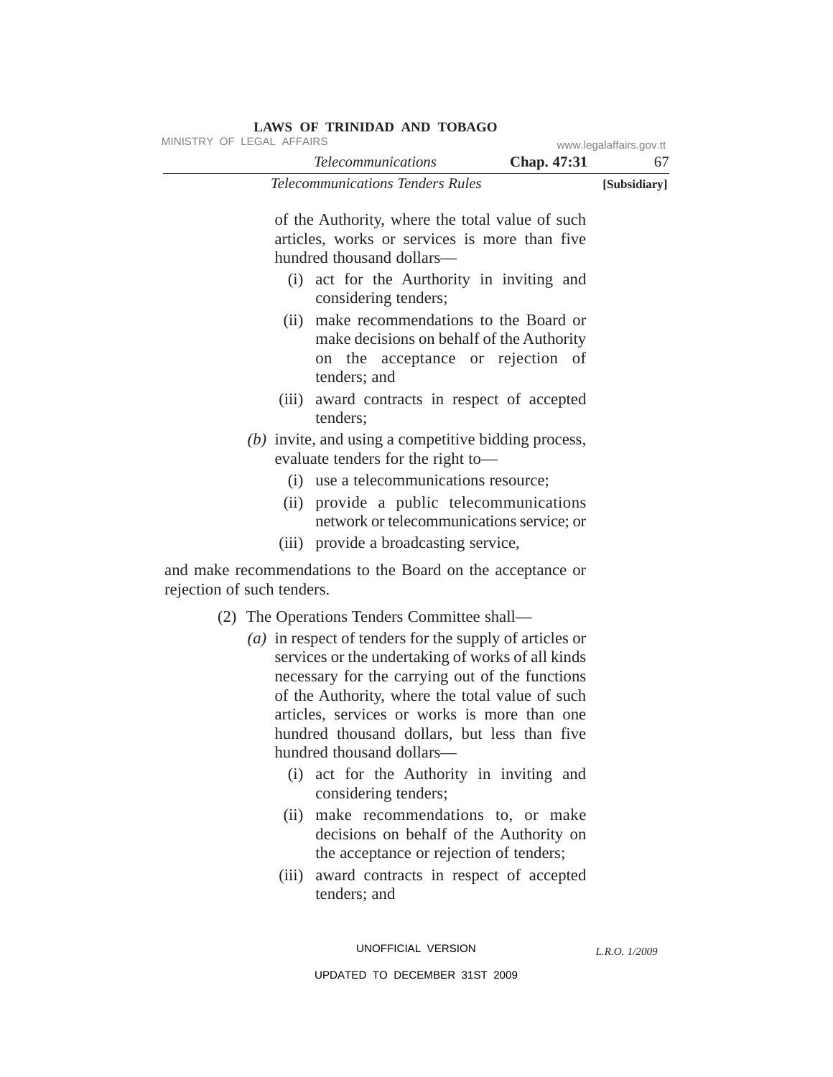| MINISTRY OF LEGAL AFFAIRS  |                                                                                                                                                                                                                                                                                                                                                                            | www.legalaffairs.gov.tt |              |
|----------------------------|----------------------------------------------------------------------------------------------------------------------------------------------------------------------------------------------------------------------------------------------------------------------------------------------------------------------------------------------------------------------------|-------------------------|--------------|
|                            | <b>Telecommunications</b>                                                                                                                                                                                                                                                                                                                                                  | Chap. 47:31             | 67           |
|                            | <b>Telecommunications Tenders Rules</b>                                                                                                                                                                                                                                                                                                                                    |                         | [Subsidiary] |
|                            | of the Authority, where the total value of such<br>articles, works or services is more than five<br>hundred thousand dollars-                                                                                                                                                                                                                                              |                         |              |
|                            | (i) act for the Aurthority in inviting and<br>considering tenders;                                                                                                                                                                                                                                                                                                         |                         |              |
|                            | (ii) make recommendations to the Board or<br>make decisions on behalf of the Authority<br>on the acceptance or rejection of<br>tenders; and                                                                                                                                                                                                                                |                         |              |
| (iii)                      | award contracts in respect of accepted<br>tenders;                                                                                                                                                                                                                                                                                                                         |                         |              |
|                            | (b) invite, and using a competitive bidding process,<br>evaluate tenders for the right to-                                                                                                                                                                                                                                                                                 |                         |              |
| (i)                        | use a telecommunications resource;                                                                                                                                                                                                                                                                                                                                         |                         |              |
| (ii)                       | provide a public telecommunications<br>network or telecommunications service; or                                                                                                                                                                                                                                                                                           |                         |              |
|                            | (iii) provide a broadcasting service,                                                                                                                                                                                                                                                                                                                                      |                         |              |
| rejection of such tenders. | and make recommendations to the Board on the acceptance or                                                                                                                                                                                                                                                                                                                 |                         |              |
|                            | (2) The Operations Tenders Committee shall—<br>( <i>a</i> ) in respect of tenders for the supply of articles or<br>services or the undertaking of works of all kinds<br>necessary for the carrying out of the functions<br>of the Authority, where the total value of such<br>articles, services or works is more than one<br>hundred thousand dollars, but less than five |                         |              |

# (i) act for the Authority in inviting and considering tenders;

hundred thousand dollars—

- (ii) make recommendations to, or make decisions on behalf of the Authority on the acceptance or rejection of tenders;
- (iii) award contracts in respect of accepted tenders; and

UNOFFICIAL VERSION

*L.R.O. 1/2009*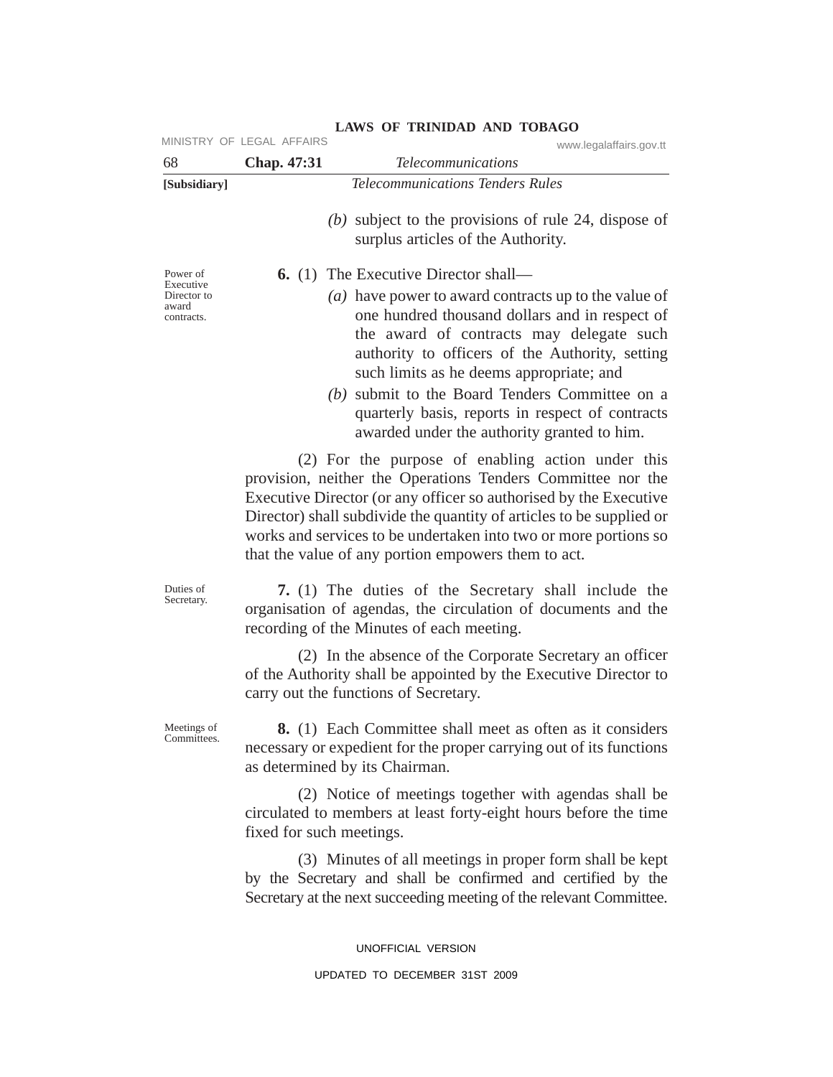|                                    | MINISTRY OF LEGAL AFFAIRS | www.legalaffairs.gov.tt                                                                                                                                                                                                                                                                                                                                                                  |
|------------------------------------|---------------------------|------------------------------------------------------------------------------------------------------------------------------------------------------------------------------------------------------------------------------------------------------------------------------------------------------------------------------------------------------------------------------------------|
| 68                                 | Chap. 47:31               | <b>Telecommunications</b>                                                                                                                                                                                                                                                                                                                                                                |
| [Subsidiary]                       |                           | <b>Telecommunications Tenders Rules</b>                                                                                                                                                                                                                                                                                                                                                  |
|                                    |                           | (b) subject to the provisions of rule 24, dispose of<br>surplus articles of the Authority.                                                                                                                                                                                                                                                                                               |
| Power of<br>Executive              |                           | <b>6.</b> (1) The Executive Director shall—                                                                                                                                                                                                                                                                                                                                              |
| Director to<br>award<br>contracts. |                           | (a) have power to award contracts up to the value of<br>one hundred thousand dollars and in respect of<br>the award of contracts may delegate such<br>authority to officers of the Authority, setting<br>such limits as he deems appropriate; and                                                                                                                                        |
|                                    |                           | (b) submit to the Board Tenders Committee on a<br>quarterly basis, reports in respect of contracts<br>awarded under the authority granted to him.                                                                                                                                                                                                                                        |
|                                    |                           | (2) For the purpose of enabling action under this<br>provision, neither the Operations Tenders Committee nor the<br>Executive Director (or any officer so authorised by the Executive<br>Director) shall subdivide the quantity of articles to be supplied or<br>works and services to be undertaken into two or more portions so<br>that the value of any portion empowers them to act. |
| Duties of<br>Secretary.            |                           | 7. (1) The duties of the Secretary shall include the<br>organisation of agendas, the circulation of documents and the<br>recording of the Minutes of each meeting.                                                                                                                                                                                                                       |
|                                    |                           | (2) In the absence of the Corporate Secretary an officer<br>of the Authority shall be appointed by the Executive Director to<br>carry out the functions of Secretary.                                                                                                                                                                                                                    |
| Meetings of<br>Committees.         |                           | <b>8.</b> (1) Each Committee shall meet as often as it considers<br>necessary or expedient for the proper carrying out of its functions<br>as determined by its Chairman.                                                                                                                                                                                                                |
|                                    | fixed for such meetings.  | (2) Notice of meetings together with agendas shall be<br>circulated to members at least forty-eight hours before the time                                                                                                                                                                                                                                                                |
|                                    |                           | (3) Minutes of all meetings in proper form shall be kept<br>by the Secretary and shall be confirmed and certified by the<br>Secretary at the next succeeding meeting of the relevant Committee.                                                                                                                                                                                          |

UNOFFICIAL VERSION UPDATED TO DECEMBER 31ST 2009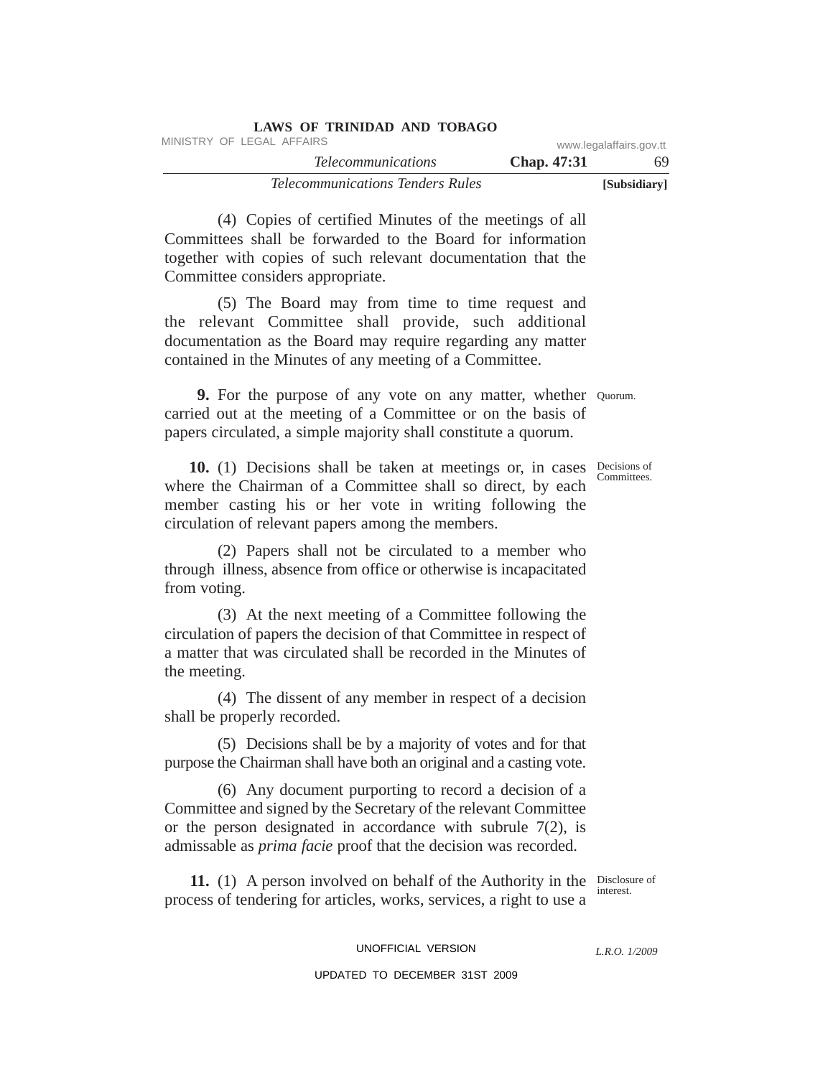| LAWS OF TRINIDAD AND TOBAGO             |             |                         |
|-----------------------------------------|-------------|-------------------------|
| MINISTRY OF LEGAL AFFAIRS               |             | www.legalaffairs.gov.tt |
| <i>Telecommunications</i>               | Chap. 47:31 | 69.                     |
| <i>Telecommunications Tenders Rules</i> |             | [Subsidiary]            |

(4) Copies of certified Minutes of the meetings of all Committees shall be forwarded to the Board for information together with copies of such relevant documentation that the Committee considers appropriate.

(5) The Board may from time to time request and the relevant Committee shall provide, such additional documentation as the Board may require regarding any matter contained in the Minutes of any meeting of a Committee.

**9.** For the purpose of any vote on any matter, whether Quorum. carried out at the meeting of a Committee or on the basis of papers circulated, a simple majority shall constitute a quorum.

10. (1) Decisions shall be taken at meetings or, in cases Decisions of where the Chairman of a Committee shall so direct, by each member casting his or her vote in writing following the circulation of relevant papers among the members.

(2) Papers shall not be circulated to a member who through illness, absence from office or otherwise is incapacitated from voting.

(3) At the next meeting of a Committee following the circulation of papers the decision of that Committee in respect of a matter that was circulated shall be recorded in the Minutes of the meeting.

(4) The dissent of any member in respect of a decision shall be properly recorded.

(5) Decisions shall be by a majority of votes and for that purpose the Chairman shall have both an original and a casting vote.

(6) Any document purporting to record a decision of a Committee and signed by the Secretary of the relevant Committee or the person designated in accordance with subrule 7(2), is admissable as *prima facie* proof that the decision was recorded.

**11.** (1) A person involved on behalf of the Authority in the Disclosure of process of tendering for articles, works, services, a right to use a

interest.

UNOFFICIAL VERSION UPDATED TO DECEMBER 31ST 2009

*L.R.O. 1/2009*

Committees.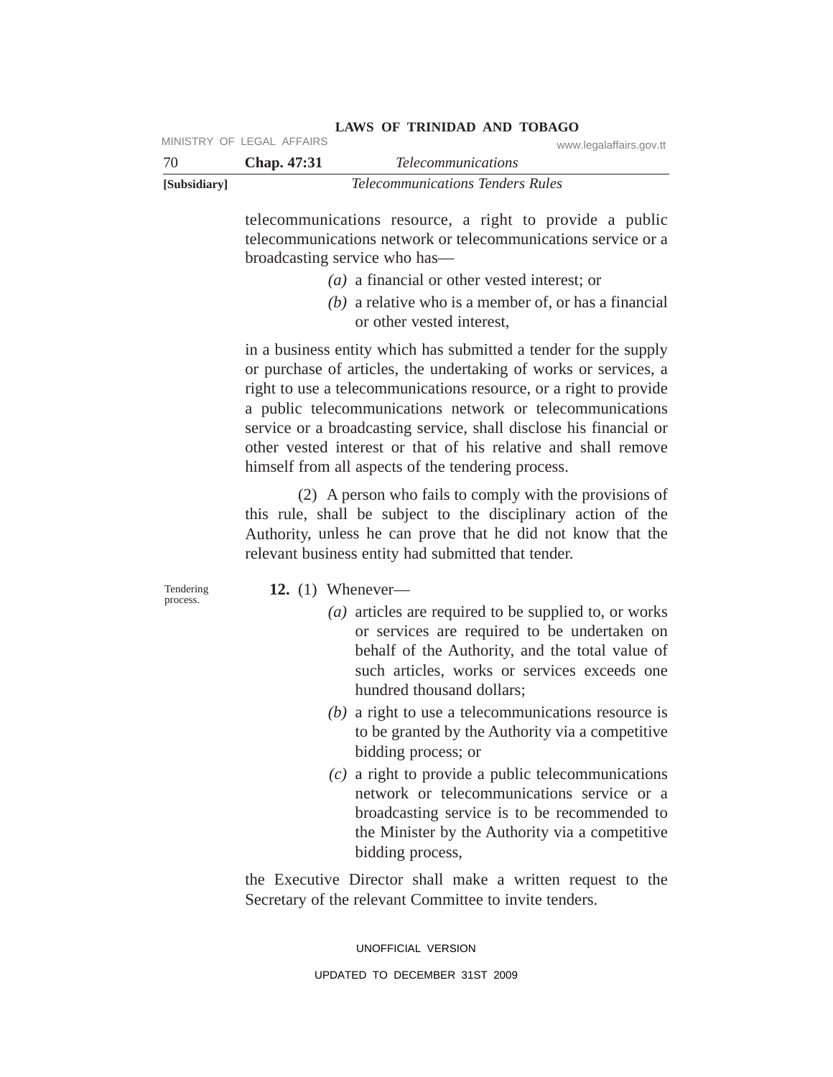| [Subsidiary] |             | <i>Telecommunications Tenders Rules</i> |
|--------------|-------------|-----------------------------------------|
| -70          | Chap. 47:31 | <i>Telecommunications</i>               |
|              |             | www.iegalalialis.gov.tt                 |

**LAWS OF TRINIDAD AND TOBAGO** MINISTRY OF LEGAL AFFAIRS

> telecommunications resource, a right to provide a public telecommunications network or telecommunications service or a broadcasting service who has—

- *(a)* a financial or other vested interest; or
- *(b)* a relative who is a member of, or has a financial or other vested interest,

in a business entity which has submitted a tender for the supply or purchase of articles, the undertaking of works or services, a right to use a telecommunications resource, or a right to provide a public telecommunications network or telecommunications service or a broadcasting service, shall disclose his financial or other vested interest or that of his relative and shall remove himself from all aspects of the tendering process.

(2) A person who fails to comply with the provisions of this rule, shall be subject to the disciplinary action of the Authority, unless he can prove that he did not know that the relevant business entity had submitted that tender.

Tendering process.

## **12.** (1) Whenever—

- *(a)* articles are required to be supplied to, or works or services are required to be undertaken on behalf of the Authority, and the total value of such articles, works or services exceeds one hundred thousand dollars;
- *(b)* a right to use a telecommunications resource is to be granted by the Authority via a competitive bidding process; or
- *(c)* a right to provide a public telecommunications network or telecommunications service or a broadcasting service is to be recommended to the Minister by the Authority via a competitive bidding process,

the Executive Director shall make a written request to the Secretary of the relevant Committee to invite tenders.

> UNOFFICIAL VERSION UPDATED TO DECEMBER 31ST 2009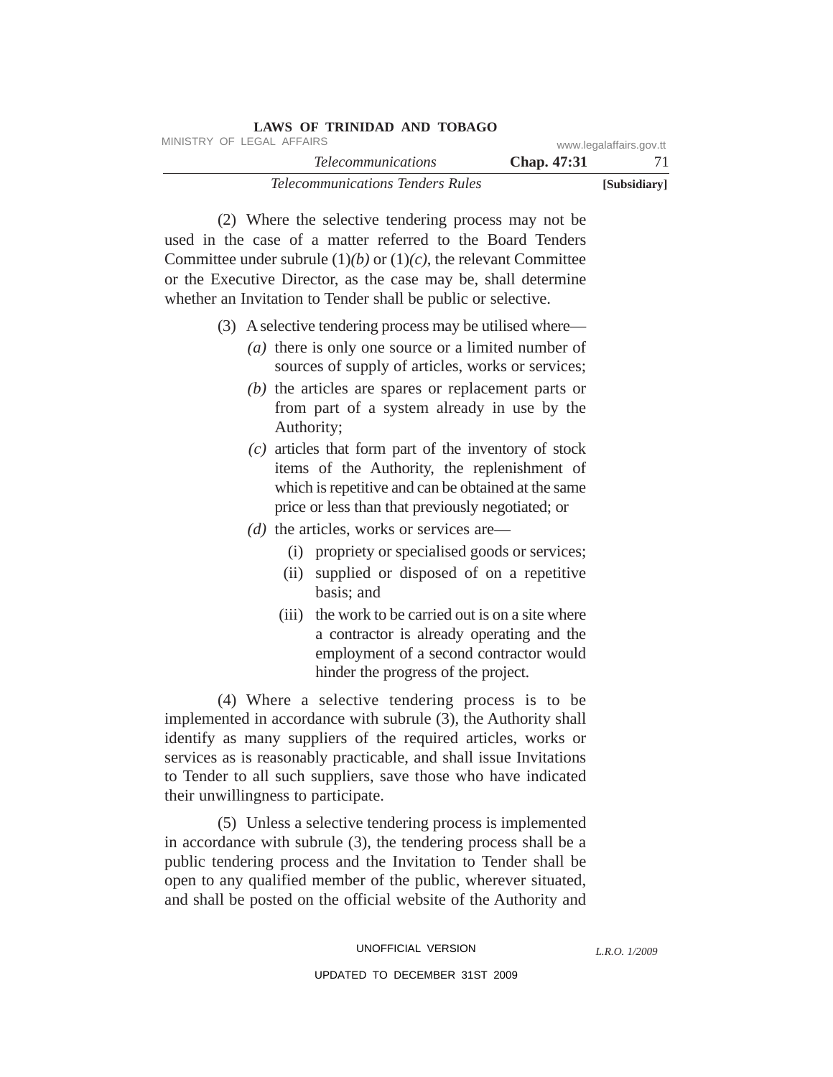|                         | LAND OF INIMPAD AND TODAUO              |  |
|-------------------------|-----------------------------------------|--|
| www.legalaffairs.gov.tt | MINISTRY OF LEGAL AFFAIRS               |  |
| <b>Chap.</b> 47:31      | <i>Telecommunications</i>               |  |
| [Subsidiary]            | <i>Telecommunications Tenders Rules</i> |  |

(2) Where the selective tendering process may not be used in the case of a matter referred to the Board Tenders Committee under subrule (1)*(b)* or (1)*(c)*, the relevant Committee or the Executive Director, as the case may be, shall determine whether an Invitation to Tender shall be public or selective.

**LAWS OF TRINIDAD AND TOBAGO**

- (3) Aselective tendering process may be utilised where—
	- *(a)* there is only one source or a limited number of sources of supply of articles, works or services;
	- *(b)* the articles are spares or replacement parts or from part of a system already in use by the Authority;
	- *(c)* articles that form part of the inventory of stock items of the Authority, the replenishment of which is repetitive and can be obtained at the same price or less than that previously negotiated; or
	- *(d)* the articles, works or services are—
		- (i) propriety or specialised goods or services;
		- (ii) supplied or disposed of on a repetitive basis; and
		- (iii) the work to be carried out is on a site where a contractor is already operating and the employment of a second contractor would hinder the progress of the project.

(4) Where a selective tendering process is to be implemented in accordance with subrule (3), the Authority shall identify as many suppliers of the required articles, works or services as is reasonably practicable, and shall issue Invitations to Tender to all such suppliers, save those who have indicated their unwillingness to participate.

(5) Unless a selective tendering process is implemented in accordance with subrule (3), the tendering process shall be a public tendering process and the Invitation to Tender shall be open to any qualified member of the public, wherever situated, and shall be posted on the official website of the Authority and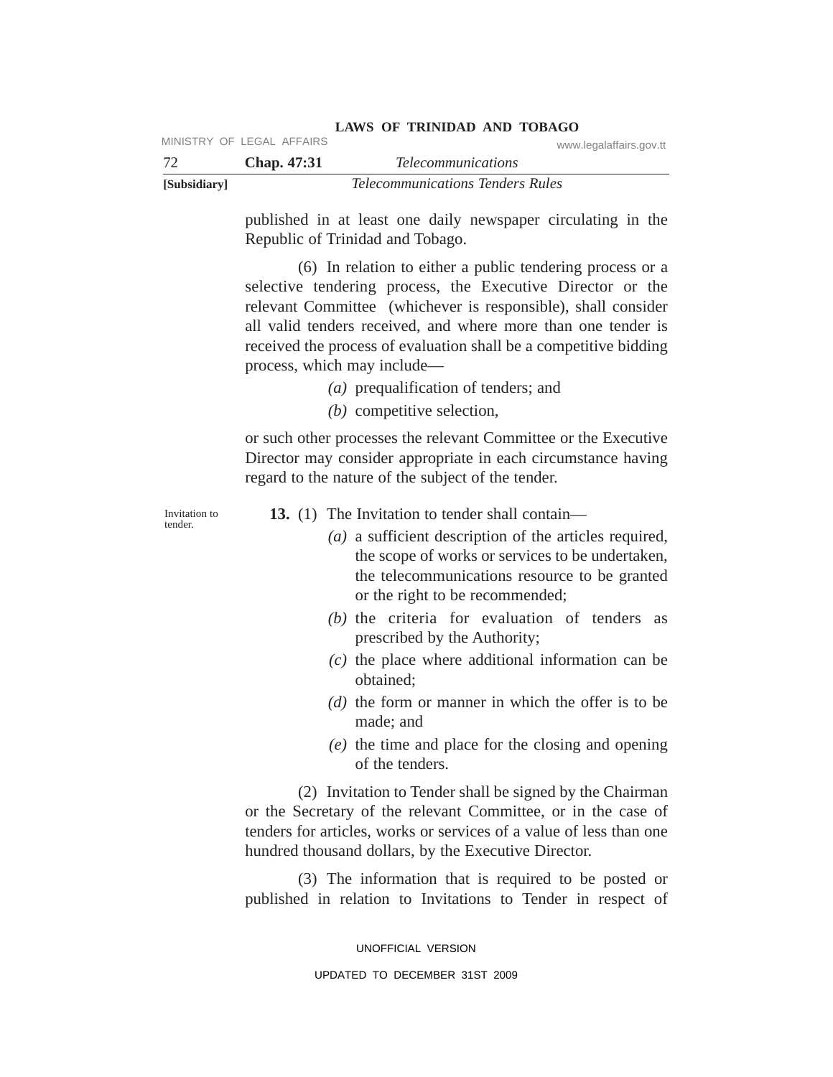| [Subsidiary] |                           | <i>Telecommunications Tenders Rules</i> |
|--------------|---------------------------|-----------------------------------------|
| -72          | <b>Chap.</b> 47:31        | <i>Telecommunications</i>               |
|              | MINISTRY OF LEGAL AFFAIRS | www.legalaffairs.gov.tt                 |

published in at least one daily newspaper circulating in the Republic of Trinidad and Tobago.

(6) In relation to either a public tendering process or a selective tendering process, the Executive Director or the relevant Committee (whichever is responsible), shall consider all valid tenders received, and where more than one tender is received the process of evaluation shall be a competitive bidding process, which may include—

- *(a)* prequalification of tenders; and
- *(b)* competitive selection,

or such other processes the relevant Committee or the Executive Director may consider appropriate in each circumstance having regard to the nature of the subject of the tender.

Invitation to tender.

- **13.** (1) The Invitation to tender shall contain—
	- *(a)* a sufficient description of the articles required, the scope of works or services to be undertaken, the telecommunications resource to be granted or the right to be recommended;
	- *(b)* the criteria for evaluation of tenders as prescribed by the Authority;
	- *(c)* the place where additional information can be obtained;
	- *(d)* the form or manner in which the offer is to be made; and
	- *(e)* the time and place for the closing and opening of the tenders.

(2) Invitation to Tender shall be signed by the Chairman or the Secretary of the relevant Committee, or in the case of tenders for articles, works or services of a value of less than one hundred thousand dollars, by the Executive Director.

(3) The information that is required to be posted or published in relation to Invitations to Tender in respect of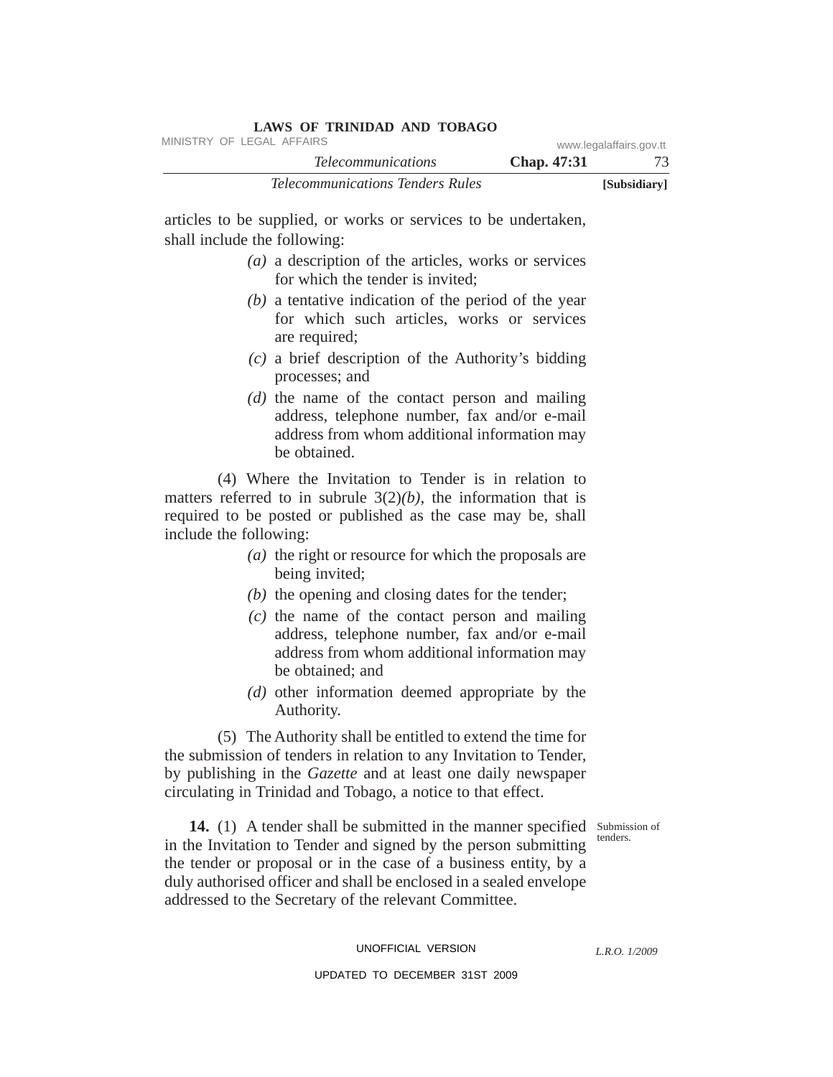| LAWS OF INIMIDAD AND TODAGO             |                    |                         |
|-----------------------------------------|--------------------|-------------------------|
| MINISTRY OF LEGAL AFFAIRS               |                    | www.legalaffairs.gov.tt |
| <i>Telecommunications</i>               | <b>Chap.</b> 47:31 |                         |
| <i>Telecommunications Tenders Rules</i> |                    | [Subsidiary]            |

articles to be supplied, or works or services to be undertaken, shall include the following:

**LAWS OF TRINIDAD AND TOBAGO**

- *(a)* a description of the articles, works or services for which the tender is invited;
- *(b)* a tentative indication of the period of the year for which such articles, works or services are required;
- *(c)* a brief description of the Authority's bidding processes; and
- *(d)* the name of the contact person and mailing address, telephone number, fax and/or e-mail address from whom additional information may be obtained.

(4) Where the Invitation to Tender is in relation to matters referred to in subrule  $3(2)(b)$ , the information that is required to be posted or published as the case may be, shall include the following:

- *(a)* the right or resource for which the proposals are being invited;
- *(b)* the opening and closing dates for the tender;
- *(c)* the name of the contact person and mailing address, telephone number, fax and/or e-mail address from whom additional information may be obtained; and
- *(d)* other information deemed appropriate by the Authority.

(5) The Authority shall be entitled to extend the time for the submission of tenders in relation to any Invitation to Tender, by publishing in the *Gazette* and at least one daily newspaper circulating in Trinidad and Tobago, a notice to that effect.

tenders.

14. (1) A tender shall be submitted in the manner specified Submission of in the Invitation to Tender and signed by the person submitting the tender or proposal or in the case of a business entity, by a duly authorised officer and shall be enclosed in a sealed envelope addressed to the Secretary of the relevant Committee.

#### UNOFFICIAL VERSION

*L.R.O. 1/2009*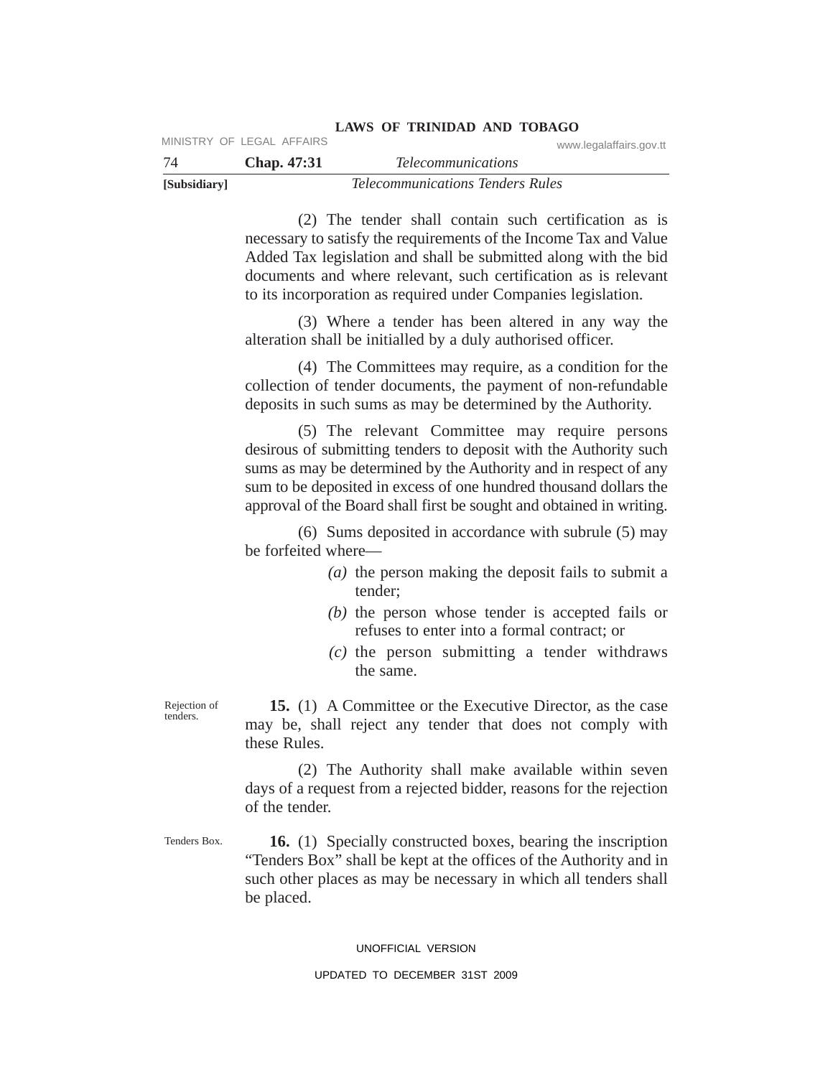| -74          | Chap. 47:31 | <i>Telecommunications</i>               |
|--------------|-------------|-----------------------------------------|
| [Subsidiary] |             | <i>Telecommunications Tenders Rules</i> |

(2) The tender shall contain such certification as is necessary to satisfy the requirements of the Income Tax and Value Added Tax legislation and shall be submitted along with the bid documents and where relevant, such certification as is relevant to its incorporation as required under Companies legislation.

**LAWS OF TRINIDAD AND TOBAGO**

(3) Where a tender has been altered in any way the alteration shall be initialled by a duly authorised officer.

(4) The Committees may require, as a condition for the collection of tender documents, the payment of non-refundable deposits in such sums as may be determined by the Authority.

(5) The relevant Committee may require persons desirous of submitting tenders to deposit with the Authority such sums as may be determined by the Authority and in respect of any sum to be deposited in excess of one hundred thousand dollars the approval of the Board shall first be sought and obtained in writing.

(6) Sums deposited in accordance with subrule (5) may be forfeited where—

- *(a)* the person making the deposit fails to submit a tender;
- *(b)* the person whose tender is accepted fails or refuses to enter into a formal contract; or
- *(c)* the person submitting a tender withdraws the same.

Rejection of tenders.

**15.** (1) A Committee or the Executive Director, as the case may be, shall reject any tender that does not comply with these Rules.

(2) The Authority shall make available within seven days of a request from a rejected bidder, reasons for the rejection of the tender.

Tenders Box.

**16.** (1) Specially constructed boxes, bearing the inscription "Tenders Box" shall be kept at the offices of the Authority and in such other places as may be necessary in which all tenders shall be placed.

#### UNOFFICIAL VERSION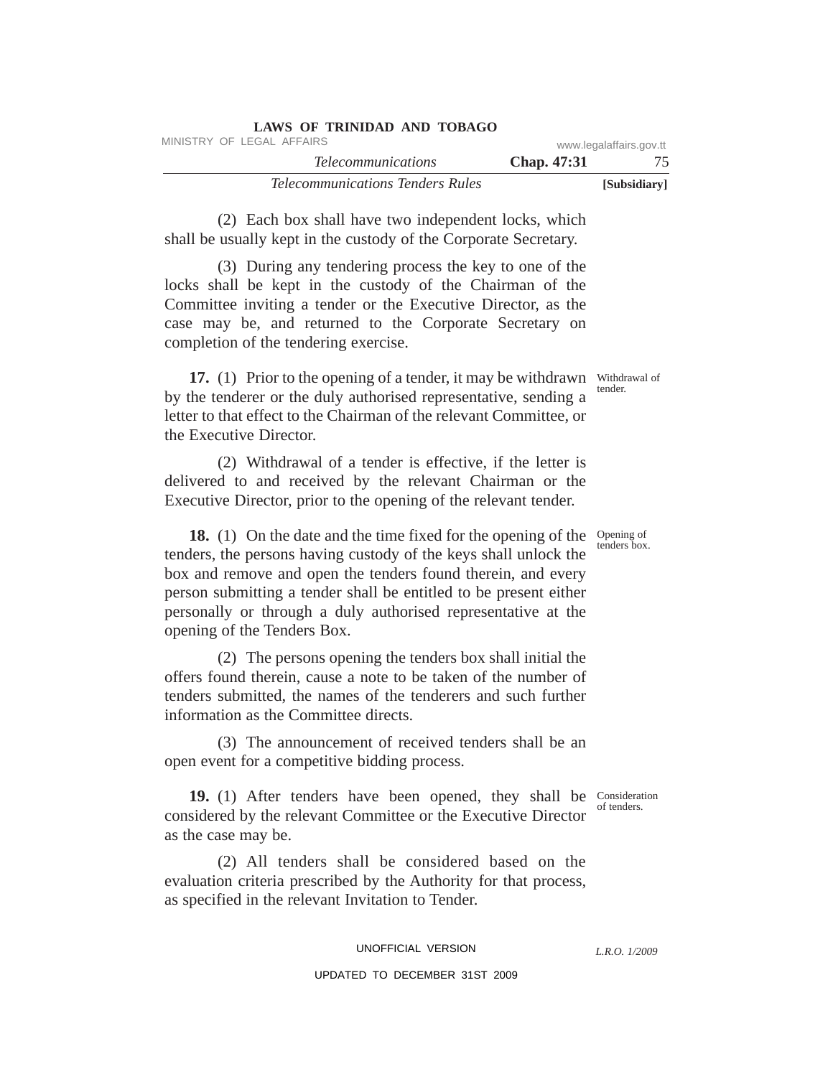| LAWS OF INIMIDAD AND TODAGO             |                    |                         |
|-----------------------------------------|--------------------|-------------------------|
| MINISTRY OF LEGAL AFFAIRS               |                    | www.legalaffairs.gov.tt |
| <i>Telecommunications</i>               | <b>Chap.</b> 47:31 |                         |
| <i>Telecommunications Tenders Rules</i> |                    | [Subsidiary]            |

(2) Each box shall have two independent locks, which shall be usually kept in the custody of the Corporate Secretary.

**LAWS OF TRINIDAD AND TOBAGO**

(3) During any tendering process the key to one of the locks shall be kept in the custody of the Chairman of the Committee inviting a tender or the Executive Director, as the case may be, and returned to the Corporate Secretary on completion of the tendering exercise.

17. (1) Prior to the opening of a tender, it may be withdrawn Withdrawal of by the tenderer or the duly authorised representative, sending a letter to that effect to the Chairman of the relevant Committee, or the Executive Director.

(2) Withdrawal of a tender is effective, if the letter is delivered to and received by the relevant Chairman or the Executive Director, prior to the opening of the relevant tender.

18. (1) On the date and the time fixed for the opening of the Opening of tenders, the persons having custody of the keys shall unlock the box and remove and open the tenders found therein, and every person submitting a tender shall be entitled to be present either personally or through a duly authorised representative at the opening of the Tenders Box.

(2) The persons opening the tenders box shall initial the offers found therein, cause a note to be taken of the number of tenders submitted, the names of the tenderers and such further information as the Committee directs.

(3) The announcement of received tenders shall be an open event for a competitive bidding process.

19. (1) After tenders have been opened, they shall be Consideration considered by the relevant Committee or the Executive Director as the case may be. of tenders.

(2) All tenders shall be considered based on the evaluation criteria prescribed by the Authority for that process, as specified in the relevant Invitation to Tender.

#### UNOFFICIAL VERSION

## UPDATED TO DECEMBER 31ST 2009

*L.R.O. 1/2009*

tenders box.

tender.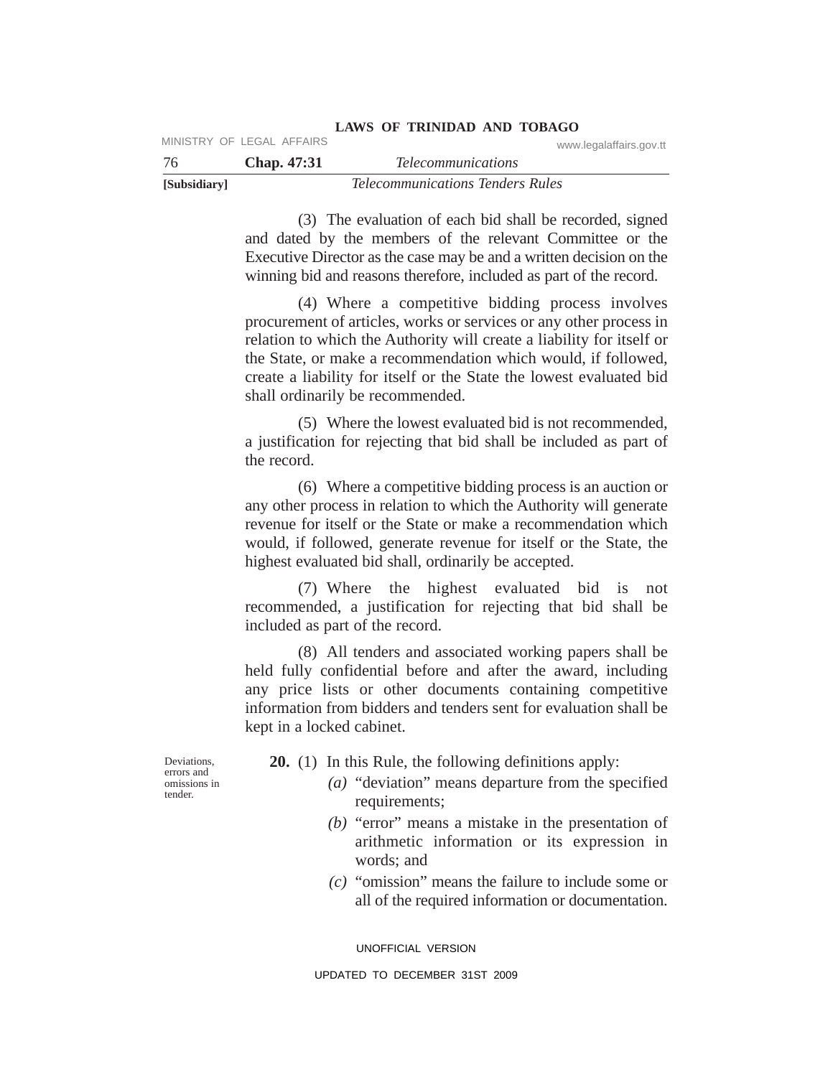| [Subsidiary] |                           | <i>Telecommunications Tenders Rules</i> |
|--------------|---------------------------|-----------------------------------------|
| -76          | Chap. 47:31               | <i>Telecommunications</i>               |
|              | MINISTRY OF LEGAL AFFAIRS | www.legalaffairs.gov.tt                 |

(3) The evaluation of each bid shall be recorded, signed and dated by the members of the relevant Committee or the Executive Director as the case may be and a written decision on the winning bid and reasons therefore, included as part of the record.

(4) Where a competitive bidding process involves procurement of articles, works or services or any other process in relation to which the Authority will create a liability for itself or the State, or make a recommendation which would, if followed, create a liability for itself or the State the lowest evaluated bid shall ordinarily be recommended.

(5) Where the lowest evaluated bid is not recommended, a justification for rejecting that bid shall be included as part of the record.

(6) Where a competitive bidding process is an auction or any other process in relation to which the Authority will generate revenue for itself or the State or make a recommendation which would, if followed, generate revenue for itself or the State, the highest evaluated bid shall, ordinarily be accepted.

(7) Where the highest evaluated bid is not recommended, a justification for rejecting that bid shall be included as part of the record.

(8) All tenders and associated working papers shall be held fully confidential before and after the award, including any price lists or other documents containing competitive information from bidders and tenders sent for evaluation shall be kept in a locked cabinet.

Deviations, errors and omissions in tender.

**20.** (1) In this Rule, the following definitions apply:

- *(a)* "deviation" means departure from the specified requirements;
	- *(b)* "error" means a mistake in the presentation of arithmetic information or its expression in words; and
	- *(c)* "omission" means the failure to include some or all of the required information or documentation.

UNOFFICIAL VERSION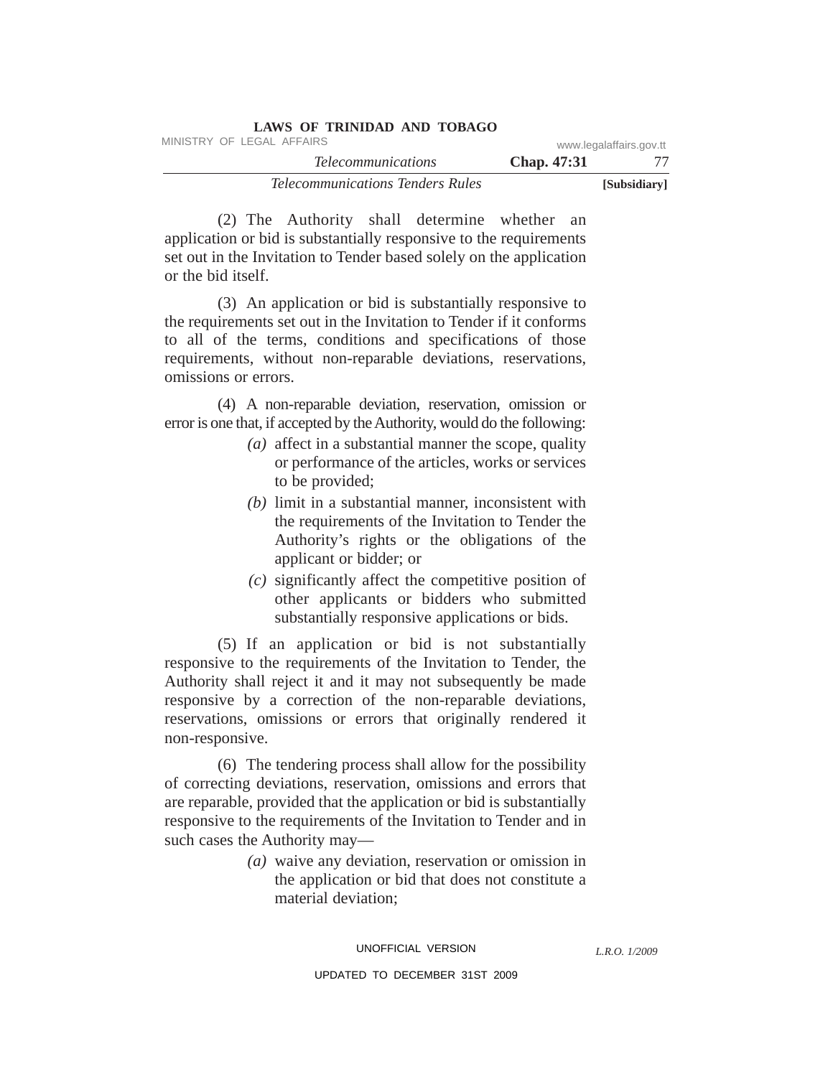| <b>LAWS OF TRINIDAD AND TOBAGO</b>      |             |                         |
|-----------------------------------------|-------------|-------------------------|
| MINISTRY OF LEGAL AFFAIRS               |             | www.legalaffairs.gov.tt |
| <i>Telecommunications</i>               | Chap. 47:31 |                         |
| <i>Telecommunications Tenders Rules</i> |             | [Subsidiary]            |

(2) The Authority shall determine whether an application or bid is substantially responsive to the requirements set out in the Invitation to Tender based solely on the application or the bid itself.

(3) An application or bid is substantially responsive to the requirements set out in the Invitation to Tender if it conforms to all of the terms, conditions and specifications of those requirements, without non-reparable deviations, reservations, omissions or errors.

(4) A non-reparable deviation, reservation, omission or error is one that, if accepted by the Authority, would do the following:

- *(a)* affect in a substantial manner the scope, quality or performance of the articles, works or services to be provided;
- *(b)* limit in a substantial manner, inconsistent with the requirements of the Invitation to Tender the Authority's rights or the obligations of the applicant or bidder; or
- *(c)* significantly affect the competitive position of other applicants or bidders who submitted substantially responsive applications or bids.

(5) If an application or bid is not substantially responsive to the requirements of the Invitation to Tender, the Authority shall reject it and it may not subsequently be made responsive by a correction of the non-reparable deviations, reservations, omissions or errors that originally rendered it non-responsive.

(6) The tendering process shall allow for the possibility of correcting deviations, reservation, omissions and errors that are reparable, provided that the application or bid is substantially responsive to the requirements of the Invitation to Tender and in such cases the Authority may—

> *(a)* waive any deviation, reservation or omission in the application or bid that does not constitute a material deviation;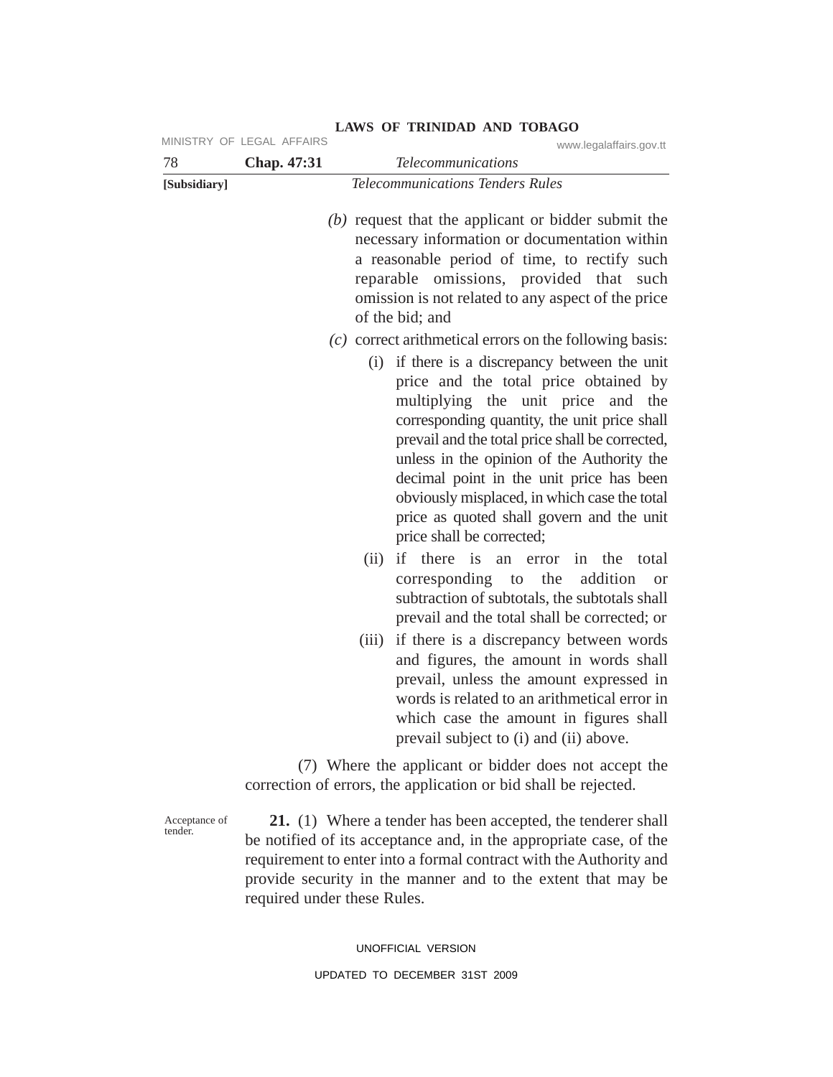|              | MINISTRY OF LEGAL AFFAIRS | www.legalaffairs.gov.tt                                                                                                                                                                                                                                                                                                                                                                                                                                    |
|--------------|---------------------------|------------------------------------------------------------------------------------------------------------------------------------------------------------------------------------------------------------------------------------------------------------------------------------------------------------------------------------------------------------------------------------------------------------------------------------------------------------|
| 78           | Chap. 47:31               | <b>Telecommunications</b>                                                                                                                                                                                                                                                                                                                                                                                                                                  |
| [Subsidiary] |                           | <b>Telecommunications Tenders Rules</b>                                                                                                                                                                                                                                                                                                                                                                                                                    |
|              |                           | $(b)$ request that the applicant or bidder submit the<br>necessary information or documentation within<br>a reasonable period of time, to rectify such<br>reparable omissions, provided that<br>such<br>omission is not related to any aspect of the price<br>of the bid; and                                                                                                                                                                              |
|              |                           | $(c)$ correct arithmetical errors on the following basis:                                                                                                                                                                                                                                                                                                                                                                                                  |
|              |                           | if there is a discrepancy between the unit<br>(i)<br>price and the total price obtained by<br>multiplying the unit price and<br>the<br>corresponding quantity, the unit price shall<br>prevail and the total price shall be corrected,<br>unless in the opinion of the Authority the<br>decimal point in the unit price has been<br>obviously misplaced, in which case the total<br>price as quoted shall govern and the unit<br>price shall be corrected; |
|              |                           | there is<br>(ii)<br>if<br>the<br>an<br>error<br>in<br>total<br>the<br>addition<br>corresponding to<br><b>or</b><br>subtraction of subtotals, the subtotals shall<br>prevail and the total shall be corrected; or                                                                                                                                                                                                                                           |
|              |                           | if there is a discrepancy between words<br>(iii)<br>and figures, the amount in words shall<br>prevail, unless the amount expressed in<br>words is related to an arithmetical error in<br>which case the amount in figures shall<br>prevail subject to (i) and (ii) above.                                                                                                                                                                                  |
|              |                           | (7) Where the applicant or bidder does not accept the<br>correction of errors, the application or bid shall be rejected.                                                                                                                                                                                                                                                                                                                                   |
|              |                           | $A1$ (1) WI (1 1 1 1 ) (1 1 ) (1 1 ) 1 1 1 1 )                                                                                                                                                                                                                                                                                                                                                                                                             |

Acceptance of tender.

**21.** (1) Where a tender has been accepted, the tenderer shall be notified of its acceptance and, in the appropriate case, of the requirement to enter into a formal contract with the Authority and provide security in the manner and to the extent that may be required under these Rules.

#### UNOFFICIAL VERSION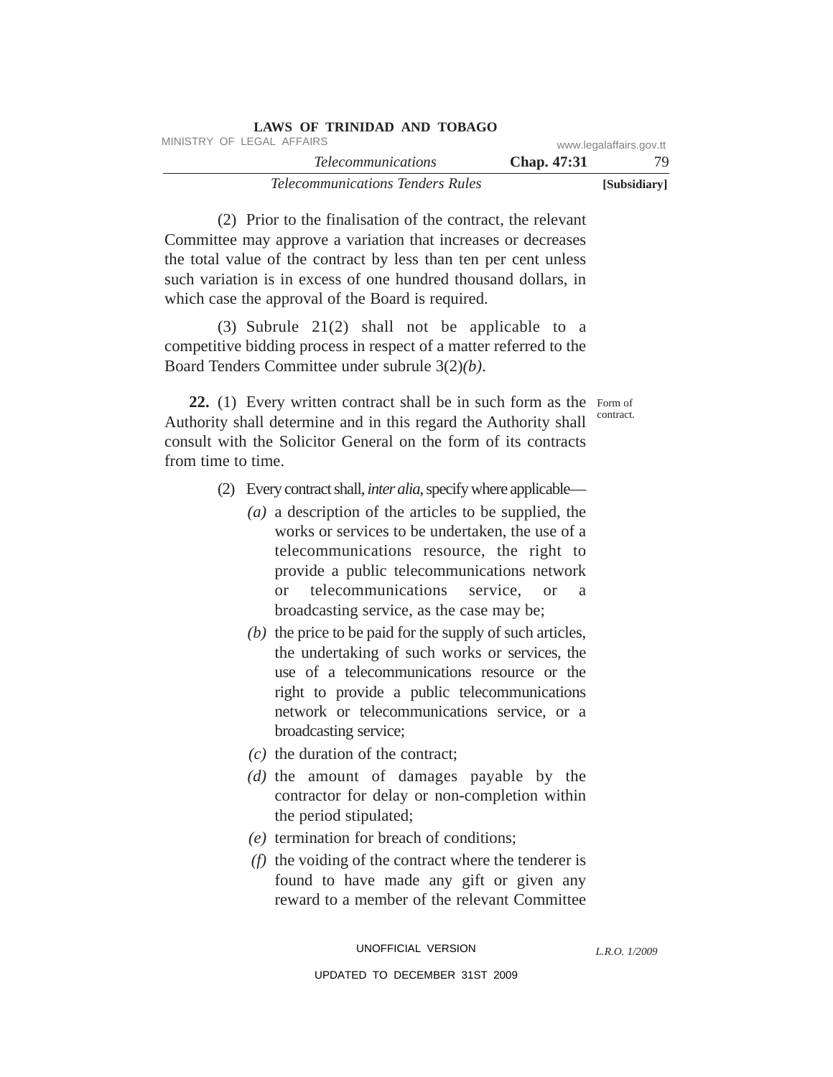| LAWS OF TRINIDAD AND TOBAGO             |             |                         |
|-----------------------------------------|-------------|-------------------------|
| MINISTRY OF LEGAL AFFAIRS               |             | www.legalaffairs.gov.tt |
| <i>Telecommunications</i>               | Chap. 47:31 | 79.                     |
| <i>Telecommunications Tenders Rules</i> |             | [Subsidiary]            |

(2) Prior to the finalisation of the contract, the relevant Committee may approve a variation that increases or decreases the total value of the contract by less than ten per cent unless such variation is in excess of one hundred thousand dollars, in which case the approval of the Board is required.

(3) Subrule 21(2) shall not be applicable to a competitive bidding process in respect of a matter referred to the Board Tenders Committee under subrule 3(2)*(b)*.

22. (1) Every written contract shall be in such form as the Form of Authority shall determine and in this regard the Authority shall consult with the Solicitor General on the form of its contracts from time to time. contract.

- (2) Every contract shall, *inter alia*, specify where applicable—
	- *(a)* a description of the articles to be supplied, the works or services to be undertaken, the use of a telecommunications resource, the right to provide a public telecommunications network or telecommunications service, or a broadcasting service, as the case may be;
	- *(b)* the price to be paid for the supply of such articles, the undertaking of such works or services, the use of a telecommunications resource or the right to provide a public telecommunications network or telecommunications service, or a broadcasting service;
	- *(c)* the duration of the contract;
	- *(d)* the amount of damages payable by the contractor for delay or non-completion within the period stipulated;
	- *(e)* termination for breach of conditions;
	- *(f)* the voiding of the contract where the tenderer is found to have made any gift or given any reward to a member of the relevant Committee

*L.R.O. 1/2009*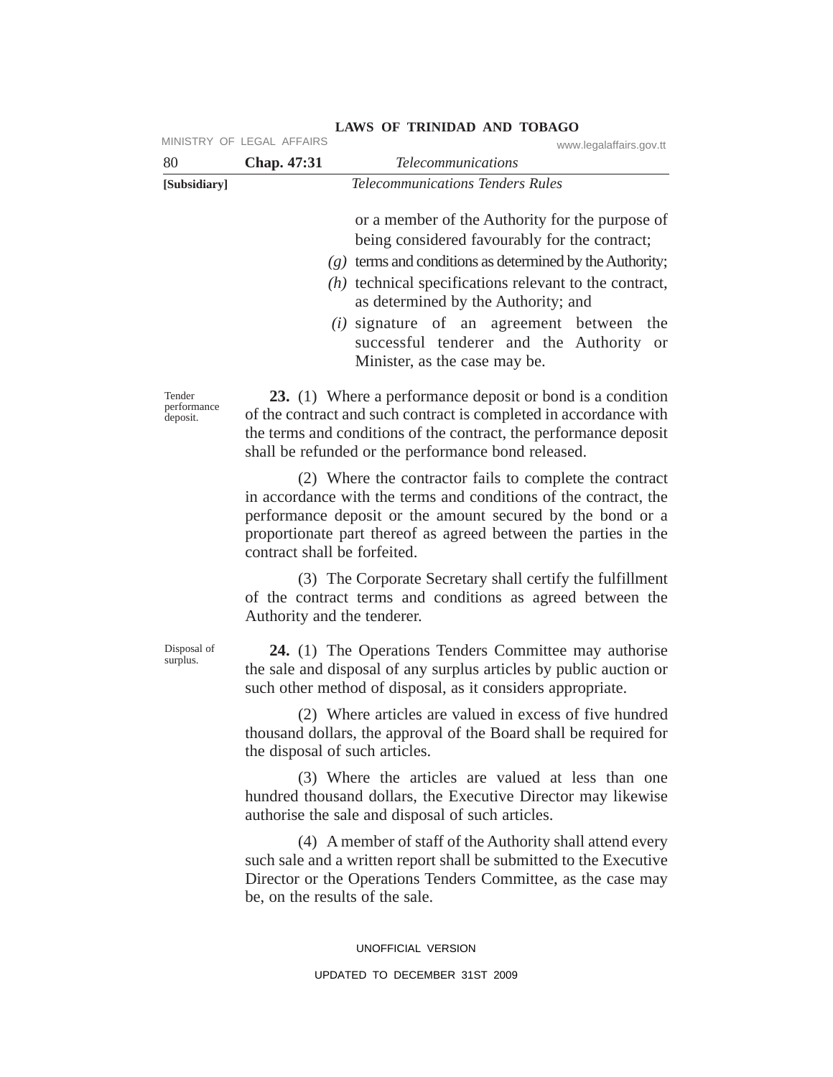| 80                                | MINISTRY OF LEGAL AFFAIRS<br>Chap. 47:31 | www.legalaffairs.gov.tt<br><b>Telecommunications</b>                                                                                                                                                                                                                                                                                                                                                    |
|-----------------------------------|------------------------------------------|---------------------------------------------------------------------------------------------------------------------------------------------------------------------------------------------------------------------------------------------------------------------------------------------------------------------------------------------------------------------------------------------------------|
| [Subsidiary]                      |                                          | <b>Telecommunications Tenders Rules</b>                                                                                                                                                                                                                                                                                                                                                                 |
|                                   |                                          | or a member of the Authority for the purpose of<br>being considered favourably for the contract;<br>$(g)$ terms and conditions as determined by the Authority;<br>$(h)$ technical specifications relevant to the contract,<br>as determined by the Authority; and<br>( <i>i</i> ) signature of an agreement between<br>the<br>successful tenderer and the Authority or<br>Minister, as the case may be. |
| Tender<br>performance<br>deposit. |                                          | 23. (1) Where a performance deposit or bond is a condition<br>of the contract and such contract is completed in accordance with<br>the terms and conditions of the contract, the performance deposit<br>shall be refunded or the performance bond released.                                                                                                                                             |
|                                   | contract shall be forfeited.             | (2) Where the contractor fails to complete the contract<br>in accordance with the terms and conditions of the contract, the<br>performance deposit or the amount secured by the bond or a<br>proportionate part thereof as agreed between the parties in the                                                                                                                                            |
|                                   | Authority and the tenderer.              | (3) The Corporate Secretary shall certify the fulfillment<br>of the contract terms and conditions as agreed between the                                                                                                                                                                                                                                                                                 |
| Disposal of<br>surplus.           |                                          | 24. (1) The Operations Tenders Committee may authorise<br>the sale and disposal of any surplus articles by public auction or<br>such other method of disposal, as it considers appropriate.                                                                                                                                                                                                             |
|                                   | the disposal of such articles.           | (2) Where articles are valued in excess of five hundred<br>thousand dollars, the approval of the Board shall be required for                                                                                                                                                                                                                                                                            |
|                                   |                                          | (3) Where the articles are valued at less than one<br>hundred thousand dollars, the Executive Director may likewise<br>authorise the sale and disposal of such articles.                                                                                                                                                                                                                                |
|                                   | be, on the results of the sale.          | (4) A member of staff of the Authority shall attend every<br>such sale and a written report shall be submitted to the Executive<br>Director or the Operations Tenders Committee, as the case may                                                                                                                                                                                                        |
|                                   |                                          | UNOFFICIAL VERSION                                                                                                                                                                                                                                                                                                                                                                                      |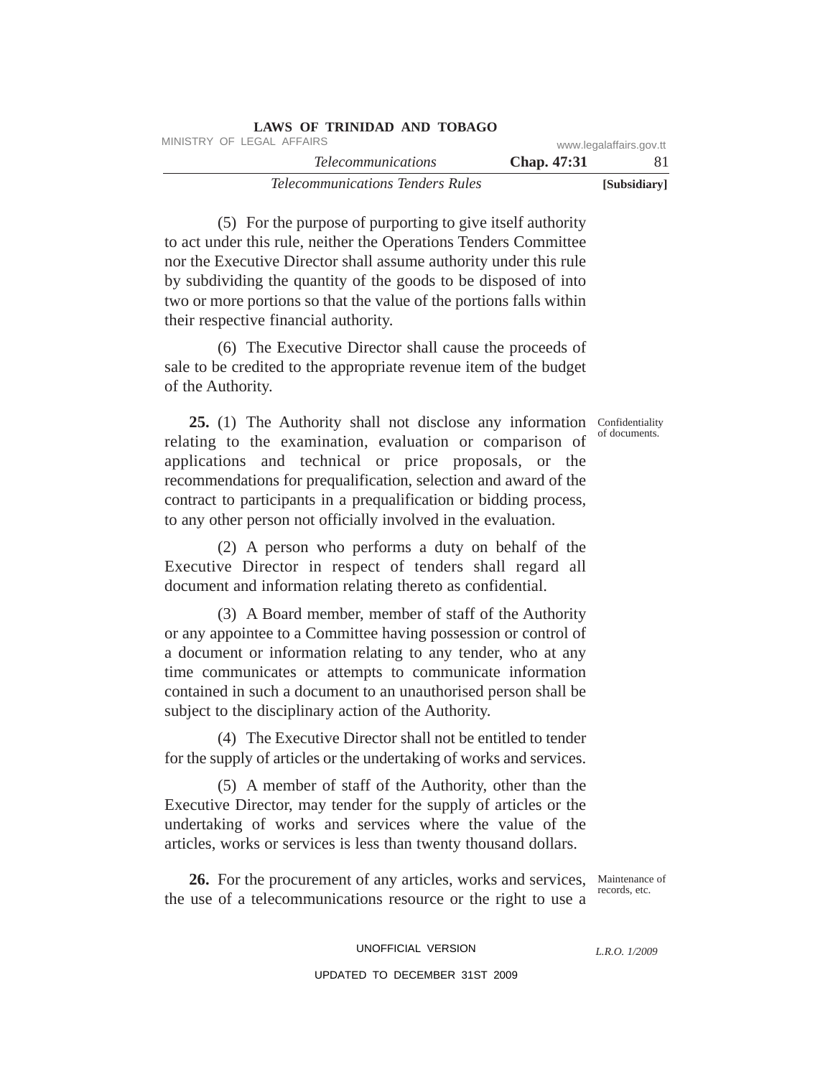| LAWS OF TRINIDAD AND TOBAGO             |                    |                         |
|-----------------------------------------|--------------------|-------------------------|
| MINISTRY OF LEGAL AFFAIRS               |                    | www.legalaffairs.gov.tt |
| <i>Telecommunications</i>               | <b>Chap.</b> 47:31 | -81                     |
| <i>Telecommunications Tenders Rules</i> |                    | [Subsidiary]            |

(5) For the purpose of purporting to give itself authority to act under this rule, neither the Operations Tenders Committee nor the Executive Director shall assume authority under this rule by subdividing the quantity of the goods to be disposed of into two or more portions so that the value of the portions falls within their respective financial authority.

(6) The Executive Director shall cause the proceeds of sale to be credited to the appropriate revenue item of the budget of the Authority.

of documents.

25. (1) The Authority shall not disclose any information Confidentiality relating to the examination, evaluation or comparison of applications and technical or price proposals, or the recommendations for prequalification, selection and award of the contract to participants in a prequalification or bidding process, to any other person not officially involved in the evaluation.

(2) A person who performs a duty on behalf of the Executive Director in respect of tenders shall regard all document and information relating thereto as confidential.

(3) A Board member, member of staff of the Authority or any appointee to a Committee having possession or control of a document or information relating to any tender, who at any time communicates or attempts to communicate information contained in such a document to an unauthorised person shall be subject to the disciplinary action of the Authority.

(4) The Executive Director shall not be entitled to tender for the supply of articles or the undertaking of works and services.

(5) A member of staff of the Authority, other than the Executive Director, may tender for the supply of articles or the undertaking of works and services where the value of the articles, works or services is less than twenty thousand dollars.

26. For the procurement of any articles, works and services, Maintenance of the use of a telecommunications resource or the right to use a

records, etc.

UNOFFICIAL VERSION UPDATED TO DECEMBER 31ST 2009

*L.R.O. 1/2009*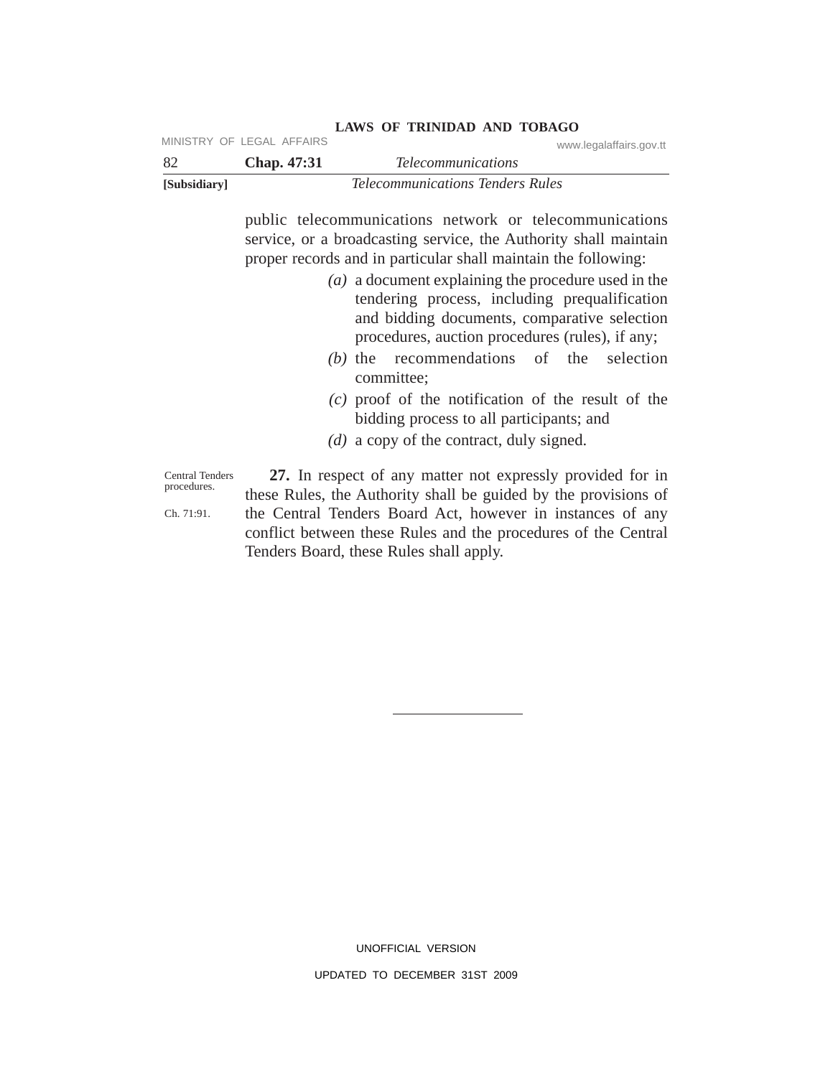| -82          | <b>Chap.</b> 47:31 | www.icyalallallo.yuv.u<br><i>Telecommunications</i> |
|--------------|--------------------|-----------------------------------------------------|
| [Subsidiary] |                    | <i>Telecommunications Tenders Rules</i>             |

**LAWS OF TRINIDAD AND TOBAGO** MINISTRY OF LEGAL AFFAIRS WAS also as a subsequently www.legalaffairs.gov.tt

> public telecommunications network or telecommunications service, or a broadcasting service, the Authority shall maintain proper records and in particular shall maintain the following:

- *(a)* a document explaining the procedure used in the tendering process, including prequalification and bidding documents, comparative selection procedures, auction procedures (rules), if any;
- *(b)* the recommendations of the selection committee;
- *(c)* proof of the notification of the result of the bidding process to all participants; and
- *(d)* a copy of the contract, duly signed.

Central Tenders procedures.

Ch. 71:91.

**27.** In respect of any matter not expressly provided for in these Rules, the Authority shall be guided by the provisions of the Central Tenders Board Act, however in instances of any conflict between these Rules and the procedures of the Central Tenders Board, these Rules shall apply.

> UNOFFICIAL VERSION UPDATED TO DECEMBER 31ST 2009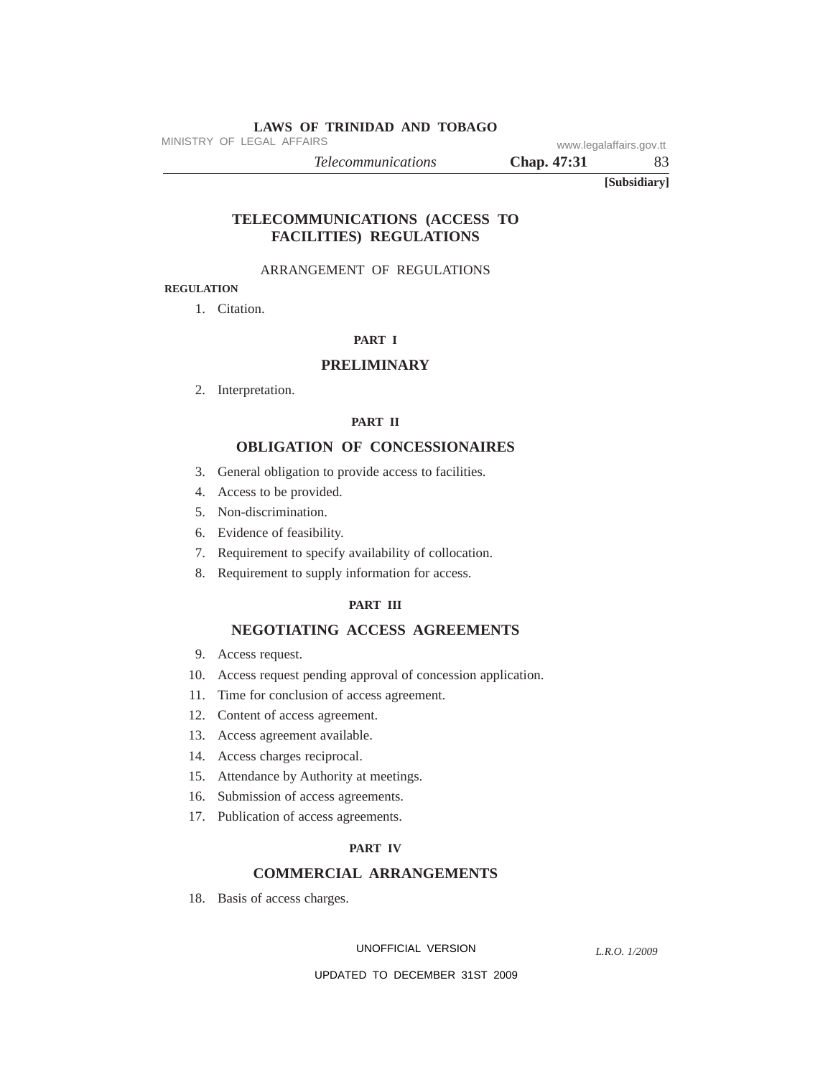MINISTRY OF LEGAL AFFAIRS www.legalaffairs.gov.tt

*Telecommunications* **Chap. 47:31** 83

**[Subsidiary]**

# **TELECOMMUNICATIONS (ACCESS TO FACILITIES) REGULATIONS**

## ARRANGEMENT OF REGULATIONS

# **REGULATION**

1. Citation.

## **PART I**

## **PRELIMINARY**

2. Interpretation.

#### **PART II**

#### **OBLIGATION OF CONCESSIONAIRES**

- 3. General obligation to provide access to facilities.
- 4. Access to be provided.
- 5. Non-discrimination.
- 6. Evidence of feasibility.
- 7. Requirement to specify availability of collocation.
- 8. Requirement to supply information for access.

## **PART III**

## **NEGOTIATING ACCESS AGREEMENTS**

- 9. Access request.
- 10. Access request pending approval of concession application.
- 11. Time for conclusion of access agreement.
- 12. Content of access agreement.
- 13. Access agreement available.
- 14. Access charges reciprocal.
- 15. Attendance by Authority at meetings.
- 16. Submission of access agreements.
- 17. Publication of access agreements.

#### **PART IV**

## **COMMERCIAL ARRANGEMENTS**

18. Basis of access charges.

UNOFFICIAL VERSION

*L.R.O. 1/2009*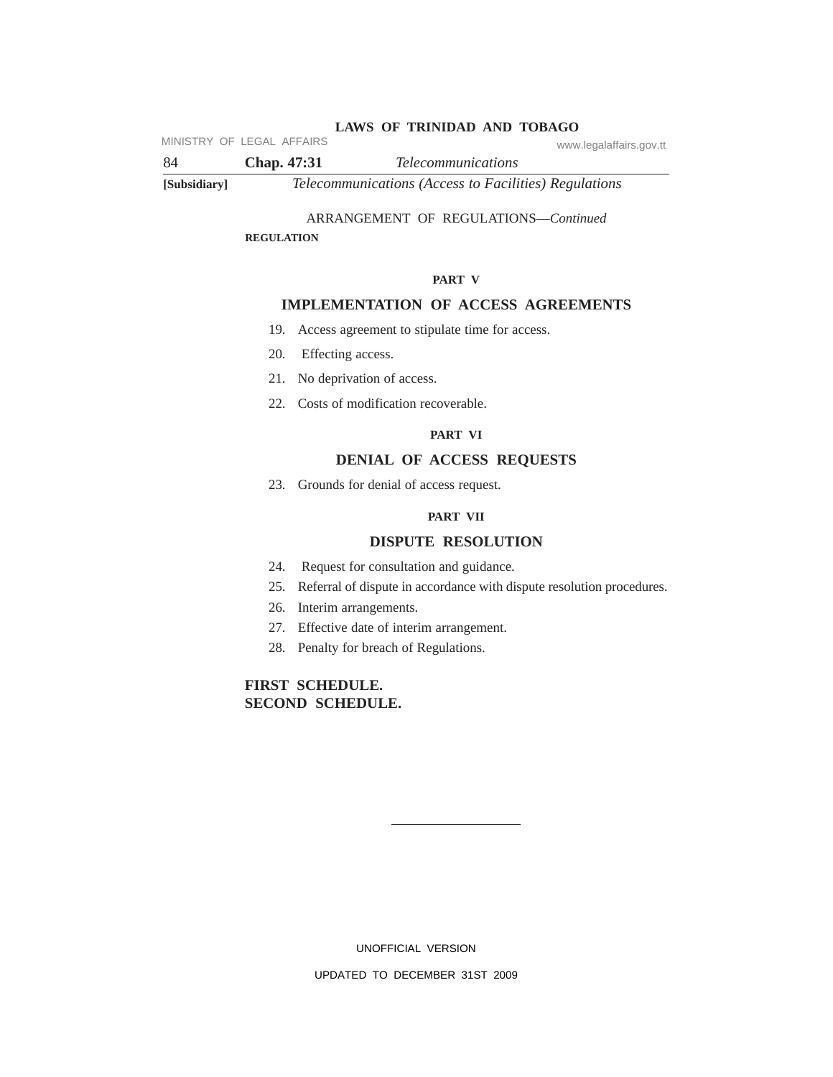MINISTRY OF LEGAL AFFAIRS www.legalaffairs.gov.tt

84 **Chap. 47:31** *Telecommunications* **[Subsidiary]** *Telecommunications (Access to Facilities) Regulations*

## ARRANGEMENT OF REGULATIONS—*Continued*

**REGULATION**

#### **PART V**

#### **IMPLEMENTATION OF ACCESS AGREEMENTS**

- 19. Access agreement to stipulate time for access.
- 20. Effecting access.
- 21. No deprivation of access.
- 22. Costs of modification recoverable.

## **PART VI**

#### **DENIAL OF ACCESS REQUESTS**

23. Grounds for denial of access request.

## **PART VII**

## **DISPUTE RESOLUTION**

- 24. Request for consultation and guidance.
- 25. Referral of dispute in accordance with dispute resolution procedures.
- 26. Interim arrangements.
- 27. Effective date of interim arrangement.
- 28. Penalty for breach of Regulations.

# **FIRST SCHEDULE. SECOND SCHEDULE.**

UNOFFICIAL VERSION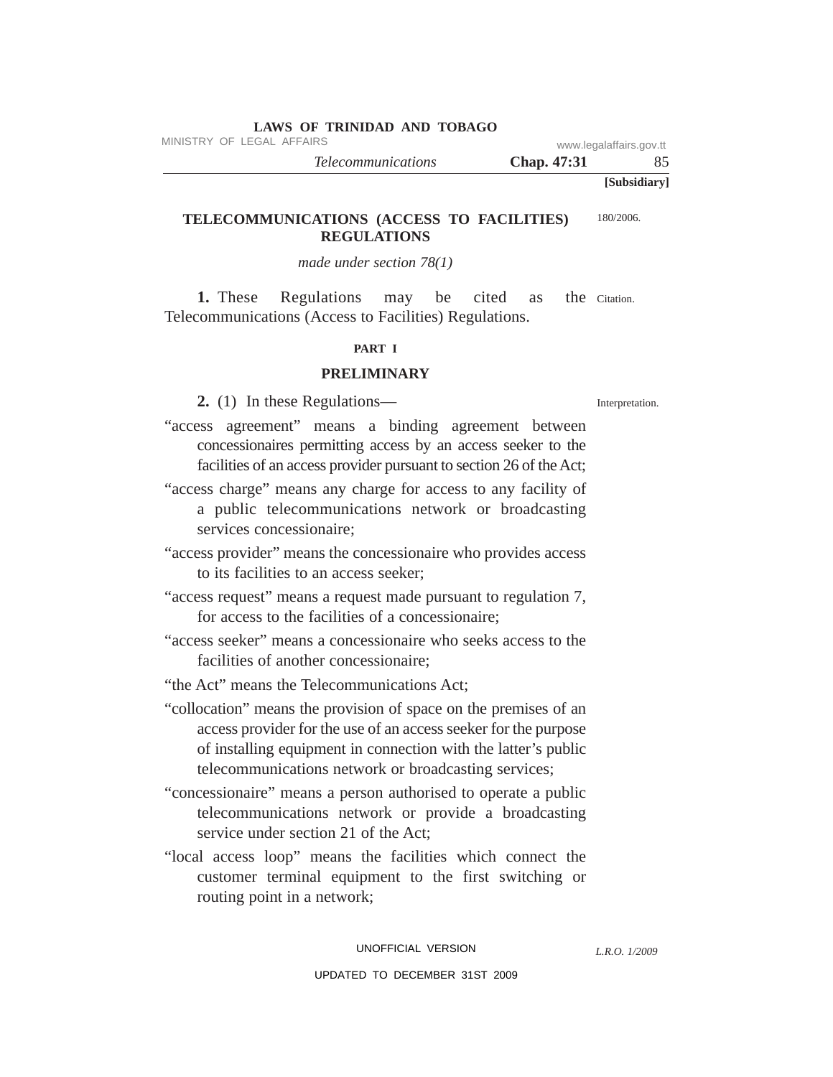MINISTRY OF LEGAL AFFAIRS www.legalaffairs.gov.tt

*Telecommunications* **Chap. 47:31** 85

**[Subsidiary]**

#### **TELECOMMUNICATIONS (ACCESS TO FACILITIES) REGULATIONS** 180/2006.

## *made under section 78(1)*

**1.** These Regulations may be cited as Telecommunications (Access to Facilities) Regulations. the Citation.

#### **PART I**

# **PRELIMINARY**

**2.** (1) In these Regulations—

Interpretation.

- "access agreement" means a binding agreement between concessionaires permitting access by an access seeker to the facilities of an access provider pursuant to section 26 of the Act;
- "access charge" means any charge for access to any facility of a public telecommunications network or broadcasting services concessionaire;
- "access provider" means the concessionaire who provides access to its facilities to an access seeker;
- "access request" means a request made pursuant to regulation 7, for access to the facilities of a concessionaire;
- "access seeker" means a concessionaire who seeks access to the facilities of another concessionaire;

"the Act" means the Telecommunications Act;

- "collocation" means the provision of space on the premises of an access provider for the use of an access seeker for the purpose of installing equipment in connection with the latter's public telecommunications network or broadcasting services;
- "concessionaire" means a person authorised to operate a public telecommunications network or provide a broadcasting service under section 21 of the Act;
- "local access loop" means the facilities which connect the customer terminal equipment to the first switching or routing point in a network;

*L.R.O. 1/2009*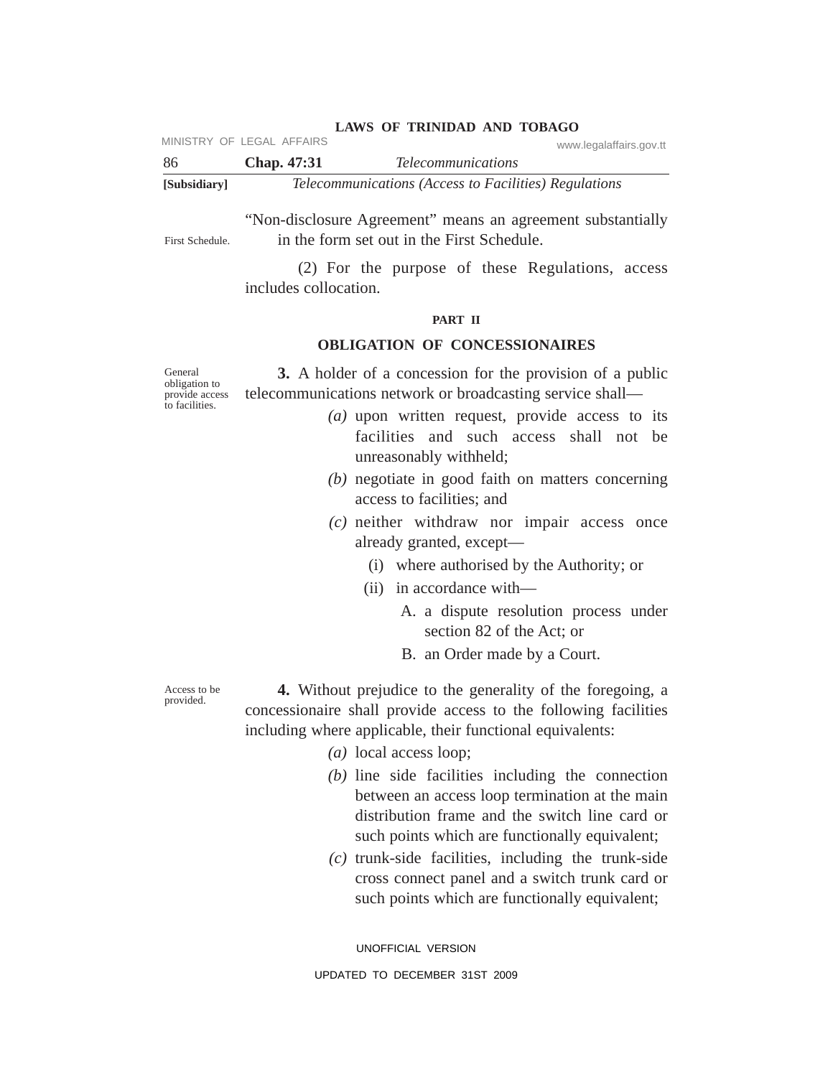MINISTRY OF LEGAL AFFAIRS www.legalaffairs.gov.tt

| -86          | Chap. 47:31 | <i>Telecommunications</i>                             |
|--------------|-------------|-------------------------------------------------------|
| [Subsidiary] |             | Telecommunications (Access to Facilities) Regulations |

"Non-disclosure Agreement" means an agreement substantially in the form set out in the First Schedule. First Schedule.

> (2) For the purpose of these Regulations, access includes collocation.

## **PART II**

# **OBLIGATION OF CONCESSIONAIRES**

General obligation to provide access to facilities.

**3.** A holder of a concession for the provision of a public telecommunications network or broadcasting service shall—

- *(a)* upon written request, provide access to its facilities and such access shall not be unreasonably withheld;
- *(b)* negotiate in good faith on matters concerning access to facilities; and
- *(c)* neither withdraw nor impair access once already granted, except—
	- (i) where authorised by the Authority; or
	- (ii) in accordance with—
		- A. a dispute resolution process under section 82 of the Act; or
		- B. an Order made by a Court.

Access to be provided.

**4.** Without prejudice to the generality of the foregoing, a concessionaire shall provide access to the following facilities including where applicable, their functional equivalents:

- *(a)* local access loop;
- *(b)* line side facilities including the connection between an access loop termination at the main distribution frame and the switch line card or such points which are functionally equivalent;
- *(c)* trunk-side facilities, including the trunk-side cross connect panel and a switch trunk card or such points which are functionally equivalent;

UNOFFICIAL VERSION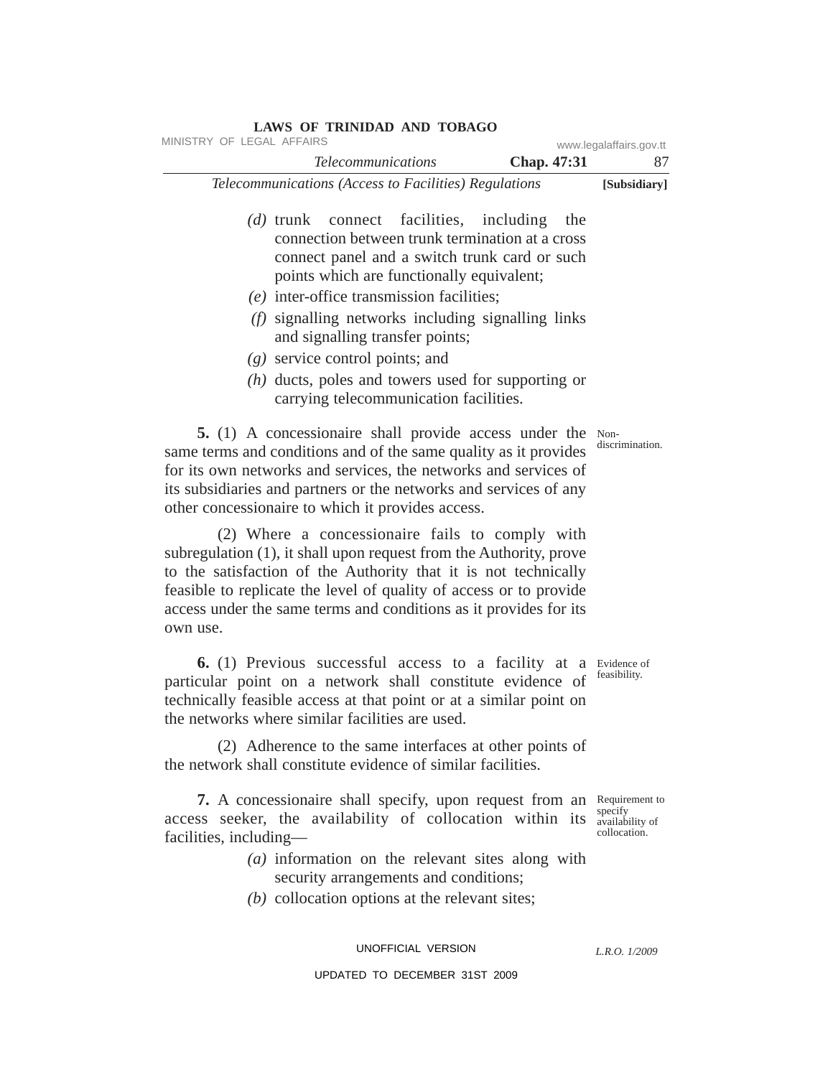| <b>LAWS OF TRINIDAD AND TOBAGO</b><br>MINISTRY OF LEGAL AFFAIRS                                                                                                                                                                                                                                                                                                                                                                                                             |             | www.legalaffairs.gov.tt                                      |
|-----------------------------------------------------------------------------------------------------------------------------------------------------------------------------------------------------------------------------------------------------------------------------------------------------------------------------------------------------------------------------------------------------------------------------------------------------------------------------|-------------|--------------------------------------------------------------|
| <b>Telecommunications</b>                                                                                                                                                                                                                                                                                                                                                                                                                                                   | Chap. 47:31 | 87                                                           |
| Telecommunications (Access to Facilities) Regulations                                                                                                                                                                                                                                                                                                                                                                                                                       |             | [Subsidiary]                                                 |
| (d) trunk connect facilities, including the<br>connection between trunk termination at a cross<br>connect panel and a switch trunk card or such<br>points which are functionally equivalent;<br>$(e)$ inter-office transmission facilities;<br>(f) signalling networks including signalling links<br>and signalling transfer points;<br>$(g)$ service control points; and<br>$(h)$ ducts, poles and towers used for supporting or<br>carrying telecommunication facilities. |             |                                                              |
| 5. (1) A concessionaire shall provide access under the Non-<br>same terms and conditions and of the same quality as it provides<br>for its own networks and services, the networks and services of<br>its subsidiaries and partners or the networks and services of any<br>other concessionaire to which it provides access.                                                                                                                                                |             | discrimination.                                              |
| (2) Where a concessionaire fails to comply with<br>subregulation (1), it shall upon request from the Authority, prove<br>to the satisfaction of the Authority that it is not technically<br>feasible to replicate the level of quality of access or to provide<br>access under the same terms and conditions as it provides for its<br>own use.                                                                                                                             |             |                                                              |
| 6. (1) Previous successful access to a facility at a Evidence of<br>particular point on a network shall constitute evidence of<br>technically feasible access at that point or at a similar point on<br>the networks where similar facilities are used.                                                                                                                                                                                                                     |             | feasibility.                                                 |
| (2) Adherence to the same interfaces at other points of<br>the network shall constitute evidence of similar facilities.                                                                                                                                                                                                                                                                                                                                                     |             |                                                              |
| 7. A concessionaire shall specify, upon request from an<br>access seeker, the availability of collocation within its<br>facilities, including—<br>$(a)$ information on the relevant sites along with<br>security arrangements and conditions;<br>$(b)$ collocation options at the relevant sites;                                                                                                                                                                           |             | Requirement to<br>specify<br>availability of<br>collocation. |

UNOFFICIAL VERSION

*L.R.O. 1/2009*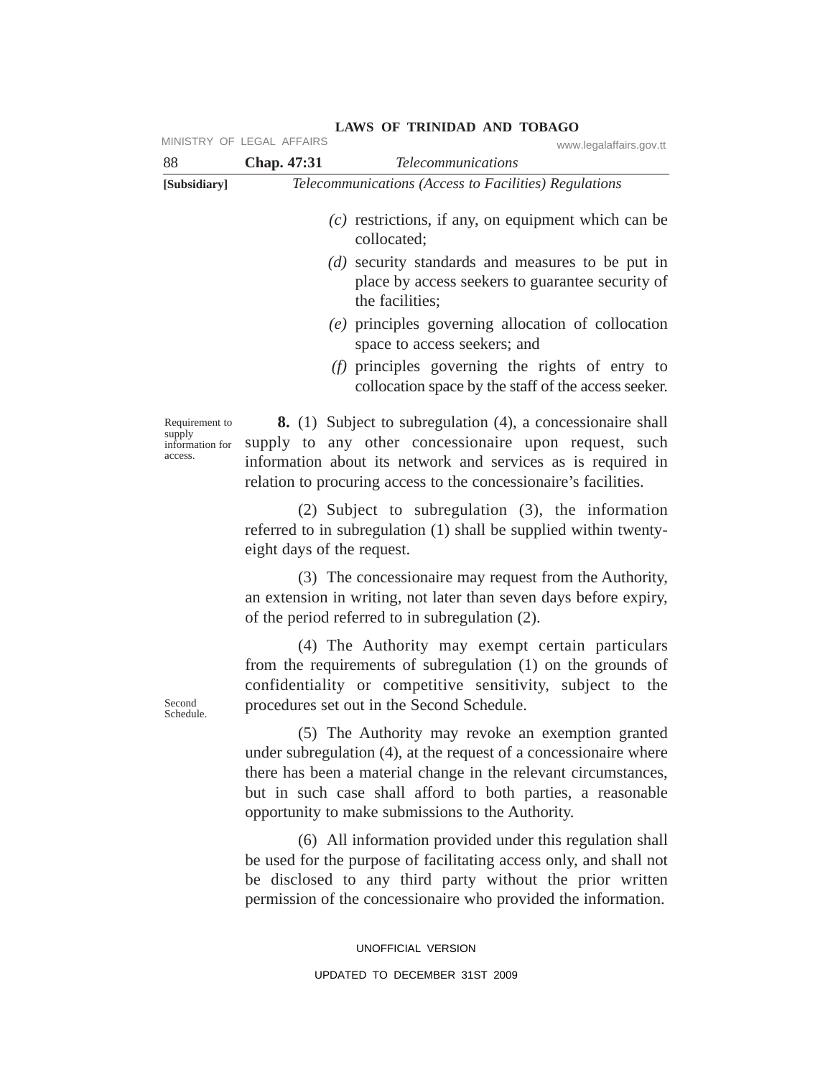|                                                        | MINISTRY OF LEGAL AFFAIRS  | www.legalaffairs.gov.tt                                                                                                                                                                                                                                                                                       |
|--------------------------------------------------------|----------------------------|---------------------------------------------------------------------------------------------------------------------------------------------------------------------------------------------------------------------------------------------------------------------------------------------------------------|
| 88<br>[Subsidiary]                                     | Chap. 47:31                | <b>Telecommunications</b><br>Telecommunications (Access to Facilities) Regulations                                                                                                                                                                                                                            |
|                                                        |                            | $(c)$ restrictions, if any, on equipment which can be<br>collocated;<br>(d) security standards and measures to be put in<br>place by access seekers to guarantee security of<br>the facilities;                                                                                                               |
|                                                        |                            | (e) principles governing allocation of collocation<br>space to access seekers; and                                                                                                                                                                                                                            |
|                                                        |                            | $(f)$ principles governing the rights of entry to<br>collocation space by the staff of the access seeker.                                                                                                                                                                                                     |
| Requirement to<br>supply<br>information for<br>access. |                            | <b>8.</b> (1) Subject to subregulation (4), a concessionaire shall<br>supply to any other concessionaire upon request, such<br>information about its network and services as is required in<br>relation to procuring access to the concessionaire's facilities.                                               |
|                                                        | eight days of the request. | (2) Subject to subregulation (3), the information<br>referred to in subregulation (1) shall be supplied within twenty-                                                                                                                                                                                        |
|                                                        |                            | (3) The concessionaire may request from the Authority,<br>an extension in writing, not later than seven days before expiry,<br>of the period referred to in subregulation (2).                                                                                                                                |
| Second<br>Schedule.                                    |                            | (4) The Authority may exempt certain particulars<br>from the requirements of subregulation (1) on the grounds of<br>confidentiality or competitive sensitivity, subject to the<br>procedures set out in the Second Schedule.                                                                                  |
|                                                        |                            | (5) The Authority may revoke an exemption granted<br>under subregulation (4), at the request of a concessionaire where<br>there has been a material change in the relevant circumstances,<br>but in such case shall afford to both parties, a reasonable<br>opportunity to make submissions to the Authority. |
|                                                        |                            | (6) All information provided under this regulation shall<br>be used for the purpose of facilitating access only, and shall not<br>be disclosed to any third party without the prior written<br>permission of the concessionaire who provided the information.                                                 |
|                                                        |                            | UNOFFICIAL VERSION                                                                                                                                                                                                                                                                                            |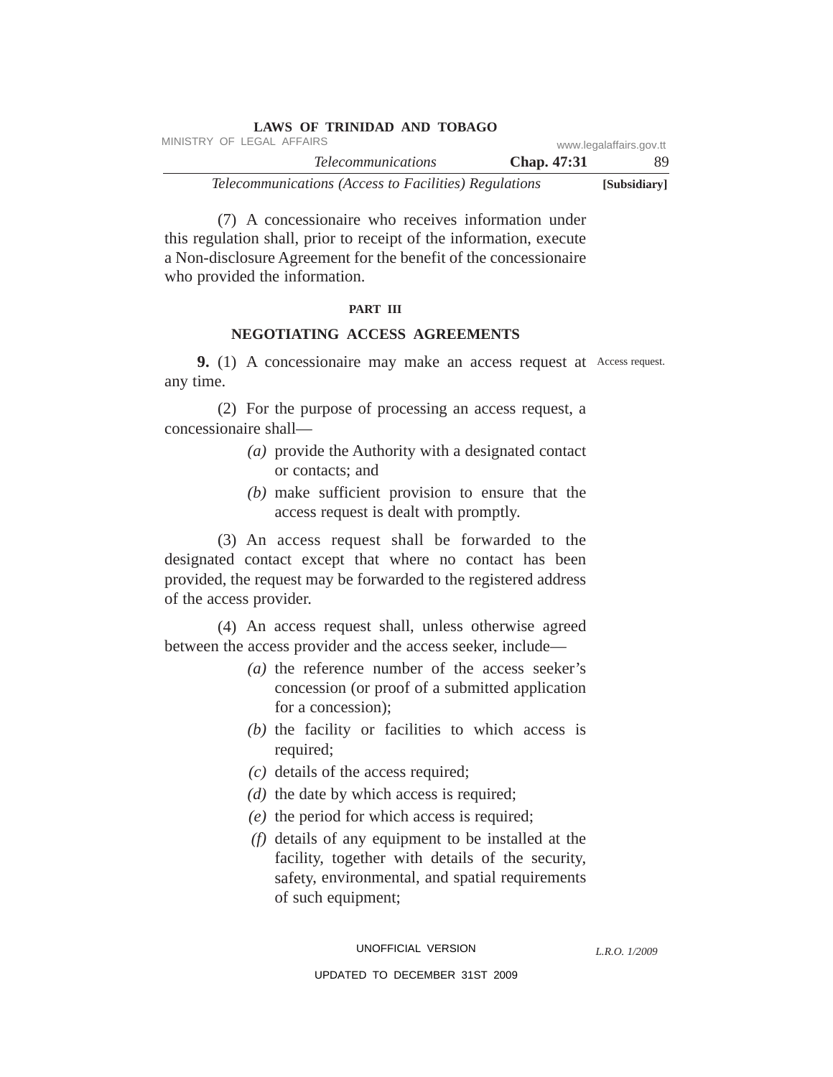|                                                       | <b>LAWS OF TRINIDAD AND TOBAGO</b> |                    |                         |
|-------------------------------------------------------|------------------------------------|--------------------|-------------------------|
| MINISTRY OF LEGAL AFFAIRS                             |                                    |                    | www.legalaffairs.gov.tt |
|                                                       | <i>Telecommunications</i>          | <b>Chap.</b> 47:31 | 89.                     |
| Telecommunications (Access to Facilities) Regulations |                                    |                    | [Subsidiary]            |

(7) A concessionaire who receives information under this regulation shall, prior to receipt of the information, execute a Non-disclosure Agreement for the benefit of the concessionaire who provided the information.

#### **PART III**

## **NEGOTIATING ACCESS AGREEMENTS**

**9.** (1) A concessionaire may make an access request at Access request. any time.

(2) For the purpose of processing an access request, a concessionaire shall—

- *(a)* provide the Authority with a designated contact or contacts; and
- *(b)* make sufficient provision to ensure that the access request is dealt with promptly.

(3) An access request shall be forwarded to the designated contact except that where no contact has been provided, the request may be forwarded to the registered address of the access provider.

(4) An access request shall, unless otherwise agreed between the access provider and the access seeker, include—

- *(a)* the reference number of the access seeker's concession (or proof of a submitted application for a concession);
- *(b)* the facility or facilities to which access is required;
- *(c)* details of the access required;
- *(d)* the date by which access is required;
- *(e)* the period for which access is required;
- *(f)* details of any equipment to be installed at the facility, together with details of the security, safety, environmental, and spatial requirements of such equipment;

*L.R.O. 1/2009*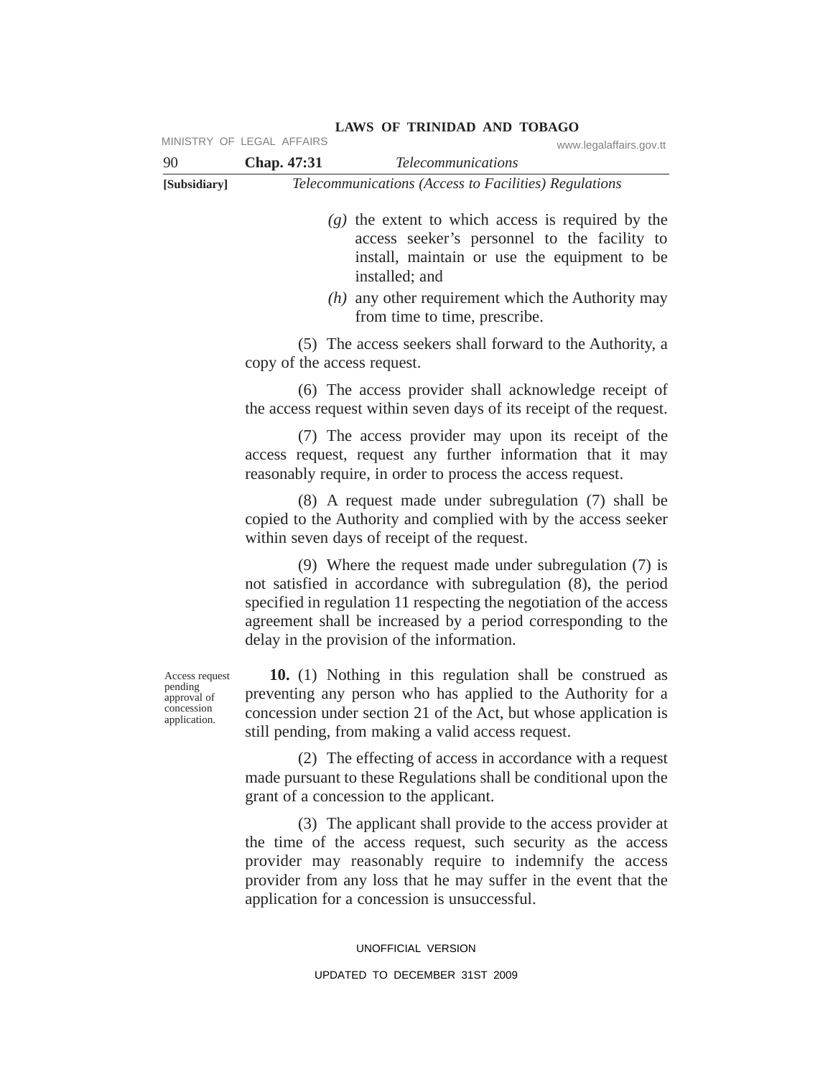|                                                                        | MINISTRY OF LEGAL AFFAIRS   | www.legalaffairs.gov.tt                                                                                                                                                                                                                                                                                         |
|------------------------------------------------------------------------|-----------------------------|-----------------------------------------------------------------------------------------------------------------------------------------------------------------------------------------------------------------------------------------------------------------------------------------------------------------|
| 90                                                                     | Chap. 47:31                 | <b>Telecommunications</b>                                                                                                                                                                                                                                                                                       |
| [Subsidiary]                                                           |                             | Telecommunications (Access to Facilities) Regulations                                                                                                                                                                                                                                                           |
|                                                                        |                             | $(g)$ the extent to which access is required by the<br>access seeker's personnel to the facility to<br>install, maintain or use the equipment to be<br>installed; and                                                                                                                                           |
|                                                                        |                             | $(h)$ any other requirement which the Authority may<br>from time to time, prescribe.                                                                                                                                                                                                                            |
|                                                                        | copy of the access request. | (5) The access seekers shall forward to the Authority, a                                                                                                                                                                                                                                                        |
|                                                                        |                             | (6) The access provider shall acknowledge receipt of<br>the access request within seven days of its receipt of the request.                                                                                                                                                                                     |
|                                                                        |                             | (7) The access provider may upon its receipt of the<br>access request, request any further information that it may<br>reasonably require, in order to process the access request.                                                                                                                               |
|                                                                        |                             | (8) A request made under subregulation (7) shall be<br>copied to the Authority and complied with by the access seeker<br>within seven days of receipt of the request.                                                                                                                                           |
|                                                                        |                             | (9) Where the request made under subregulation $(7)$ is<br>not satisfied in accordance with subregulation (8), the period<br>specified in regulation 11 respecting the negotiation of the access<br>agreement shall be increased by a period corresponding to the<br>delay in the provision of the information. |
| Access request<br>pending<br>approval of<br>concession<br>application. |                             | 10. (1) Nothing in this regulation shall be construed as<br>preventing any person who has applied to the Authority for a<br>concession under section 21 of the Act, but whose application is<br>still pending, from making a valid access request.                                                              |
|                                                                        |                             | (2) The effecting of access in accordance with a request<br>made pursuant to these Regulations shall be conditional upon the<br>grant of a concession to the applicant.                                                                                                                                         |
|                                                                        |                             | (3) The applicant shall provide to the access provider at<br>the time of the access request, such security as the access<br>provider may reasonably require to indemnify the access<br>provider from any loss that he may suffer in the event that the<br>application for a concession is unsuccessful.         |

UNOFFICIAL VERSION UPDATED TO DECEMBER 31ST 2009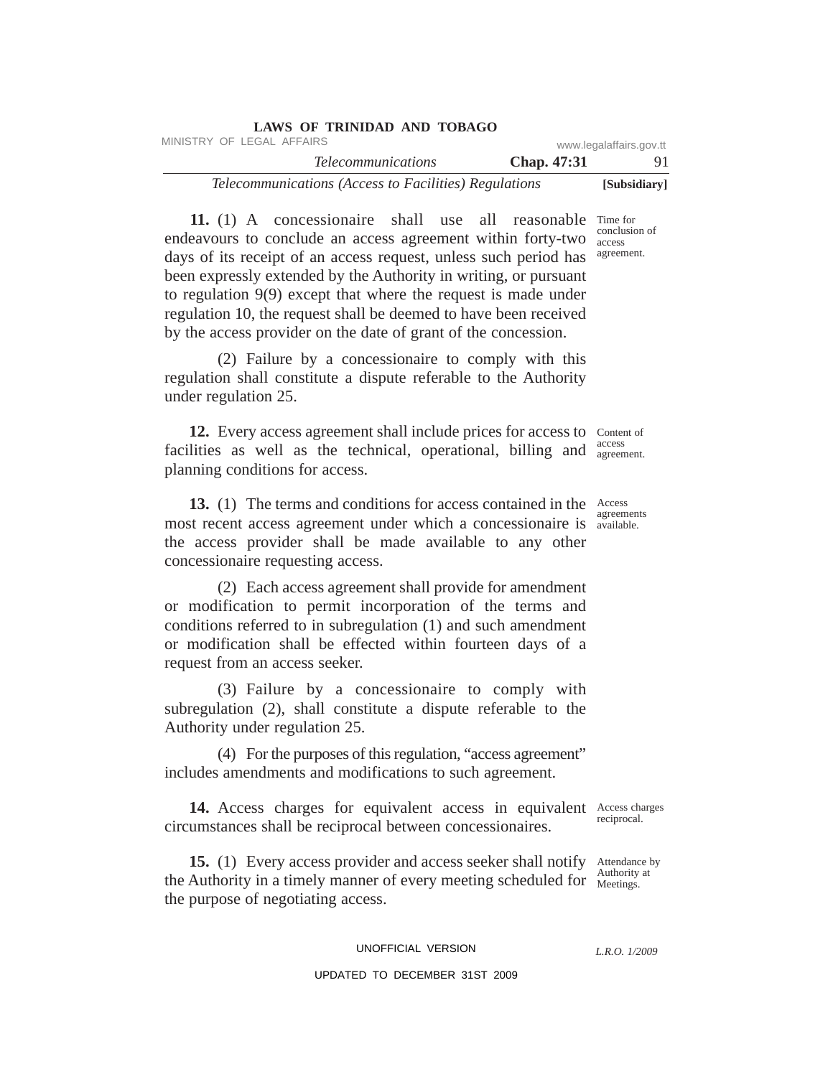|                                                       | <b>LAWS OF TRINIDAD AND TOBAGO</b> |             |                         |
|-------------------------------------------------------|------------------------------------|-------------|-------------------------|
| MINISTRY OF LEGAL AFFAIRS                             |                                    |             | www.legalaffairs.gov.tt |
|                                                       | <i>Telecommunications</i>          | Chap. 47:31 | 91.                     |
| Telecommunications (Access to Facilities) Regulations |                                    |             | [Subsidiary]            |

11. (1) A concessionaire shall use all reasonable Time for endeavours to conclude an access agreement within forty-two days of its receipt of an access request, unless such period has been expressly extended by the Authority in writing, or pursuant to regulation 9(9) except that where the request is made under regulation 10, the request shall be deemed to have been received by the access provider on the date of grant of the concession. conclusion of access agreement.

(2) Failure by a concessionaire to comply with this regulation shall constitute a dispute referable to the Authority under regulation 25.

12. Every access agreement shall include prices for access to Content of facilities as well as the technical, operational, billing and access planning conditions for access. agreement.

**13.** (1) The terms and conditions for access contained in the Access most recent access agreement under which a concessionaire is available. the access provider shall be made available to any other concessionaire requesting access.

(2) Each access agreement shall provide for amendment or modification to permit incorporation of the terms and conditions referred to in subregulation (1) and such amendment or modification shall be effected within fourteen days of a request from an access seeker.

(3) Failure by a concessionaire to comply with subregulation (2), shall constitute a dispute referable to the Authority under regulation 25.

(4) For the purposes of this regulation, "access agreement" includes amendments and modifications to such agreement.

14. Access charges for equivalent access in equivalent Access charges circumstances shall be reciprocal between concessionaires.

15. (1) Every access provider and access seeker shall notify Attendance by the Authority in a timely manner of every meeting scheduled for  $\frac{\text{Aundomy}}{\text{Meetings}}$ . the purpose of negotiating access.

reciprocal.

Authority at

*L.R.O. 1/2009*

agreements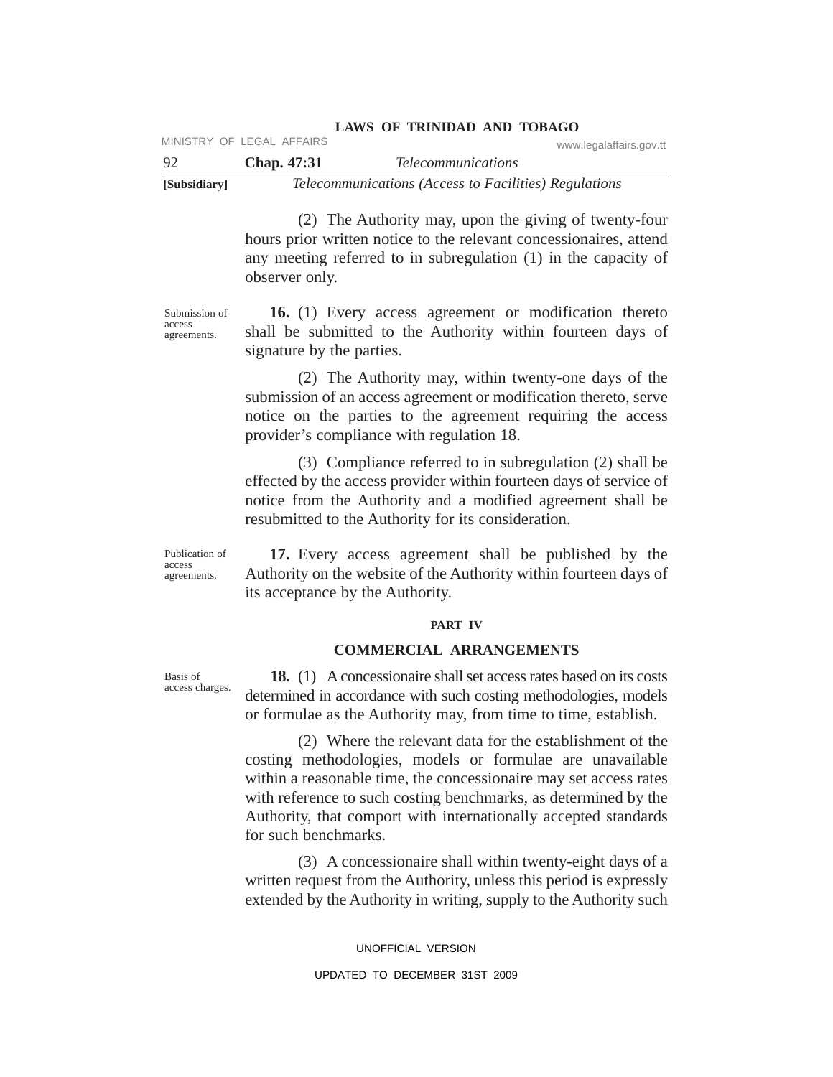| -92          | Chap. 47:31 | <i>Telecommunications</i>                             |  |
|--------------|-------------|-------------------------------------------------------|--|
| [Subsidiary] |             | Telecommunications (Access to Facilities) Regulations |  |

(2) The Authority may, upon the giving of twenty-four hours prior written notice to the relevant concessionaires, attend any meeting referred to in subregulation (1) in the capacity of observer only.

**16.** (1) Every access agreement or modification thereto shall be submitted to the Authority within fourteen days of signature by the parties.

(2) The Authority may, within twenty-one days of the submission of an access agreement or modification thereto, serve notice on the parties to the agreement requiring the access provider's compliance with regulation 18.

(3) Compliance referred to in subregulation (2) shall be effected by the access provider within fourteen days of service of notice from the Authority and a modified agreement shall be resubmitted to the Authority for its consideration.

**17.** Every access agreement shall be published by the Authority on the website of the Authority within fourteen days of its acceptance by the Authority.

#### **PART IV**

## **COMMERCIAL ARRANGEMENTS**

**18.** (1) Aconcessionaire shall set access rates based on its costs determined in accordance with such costing methodologies, models or formulae as the Authority may, from time to time, establish.

(2) Where the relevant data for the establishment of the costing methodologies, models or formulae are unavailable within a reasonable time, the concessionaire may set access rates with reference to such costing benchmarks, as determined by the Authority, that comport with internationally accepted standards for such benchmarks.

(3) A concessionaire shall within twenty-eight days of a written request from the Authority, unless this period is expressly extended by the Authority in writing, supply to the Authority such

> UNOFFICIAL VERSION UPDATED TO DECEMBER 31ST 2009

Publication of access

agreements.

Submission of access agreements.

Basis of access charges.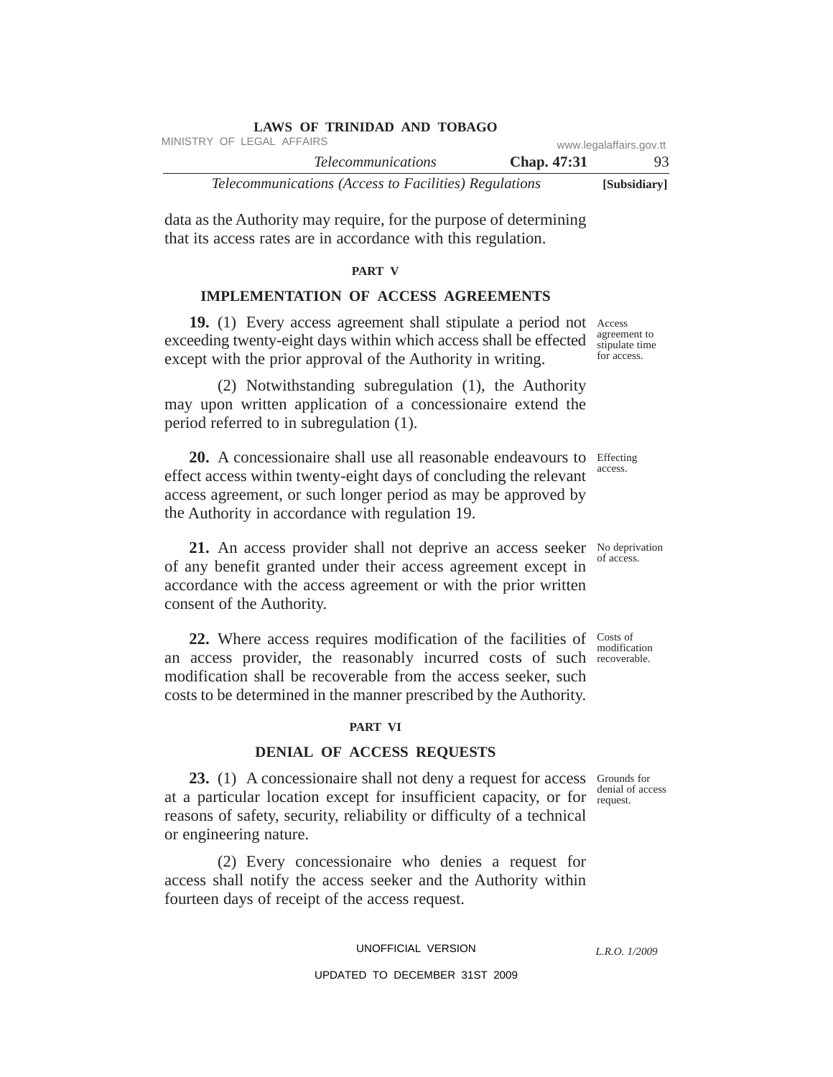| <b>LAWS OF TRINIDAD AND TOBAGO</b>                    |  |                    |                         |
|-------------------------------------------------------|--|--------------------|-------------------------|
| MINISTRY OF LEGAL AFFAIRS                             |  |                    | www.legalaffairs.gov.tt |
| <i>Telecommunications</i>                             |  | <b>Chap.</b> 47:31 | 93.                     |
| Telecommunications (Access to Facilities) Regulations |  |                    | [Subsidiary]            |

data as the Authority may require, for the purpose of determining that its access rates are in accordance with this regulation.

## **PART V**

# **IMPLEMENTATION OF ACCESS AGREEMENTS**

19. (1) Every access agreement shall stipulate a period not Access exceeding twenty-eight days within which access shall be effected except with the prior approval of the Authority in writing.

(2) Notwithstanding subregulation (1), the Authority may upon written application of a concessionaire extend the period referred to in subregulation (1).

20. A concessionaire shall use all reasonable endeavours to Effecting effect access within twenty-eight days of concluding the relevant access agreement, or such longer period as may be approved by the Authority in accordance with regulation 19.

**21.** An access provider shall not deprive an access seeker No deprivation of any benefit granted under their access agreement except in accordance with the access agreement or with the prior written consent of the Authority.

**22.** Where access requires modification of the facilities of Costs of an access provider, the reasonably incurred costs of such recoverable. modification shall be recoverable from the access seeker, such costs to be determined in the manner prescribed by the Authority.

## **PART VI**

## **DENIAL OF ACCESS REQUESTS**

23. (1) A concessionaire shall not deny a request for access Grounds for at a particular location except for insufficient capacity, or for request. reasons of safety, security, reliability or difficulty of a technical or engineering nature.

(2) Every concessionaire who denies a request for access shall notify the access seeker and the Authority within fourteen days of receipt of the access request.

## UNOFFICIAL VERSION

## UPDATED TO DECEMBER 31ST 2009

agreement to stipulate time for access.

access.

of access.

modification

denial of access

*L.R.O. 1/2009*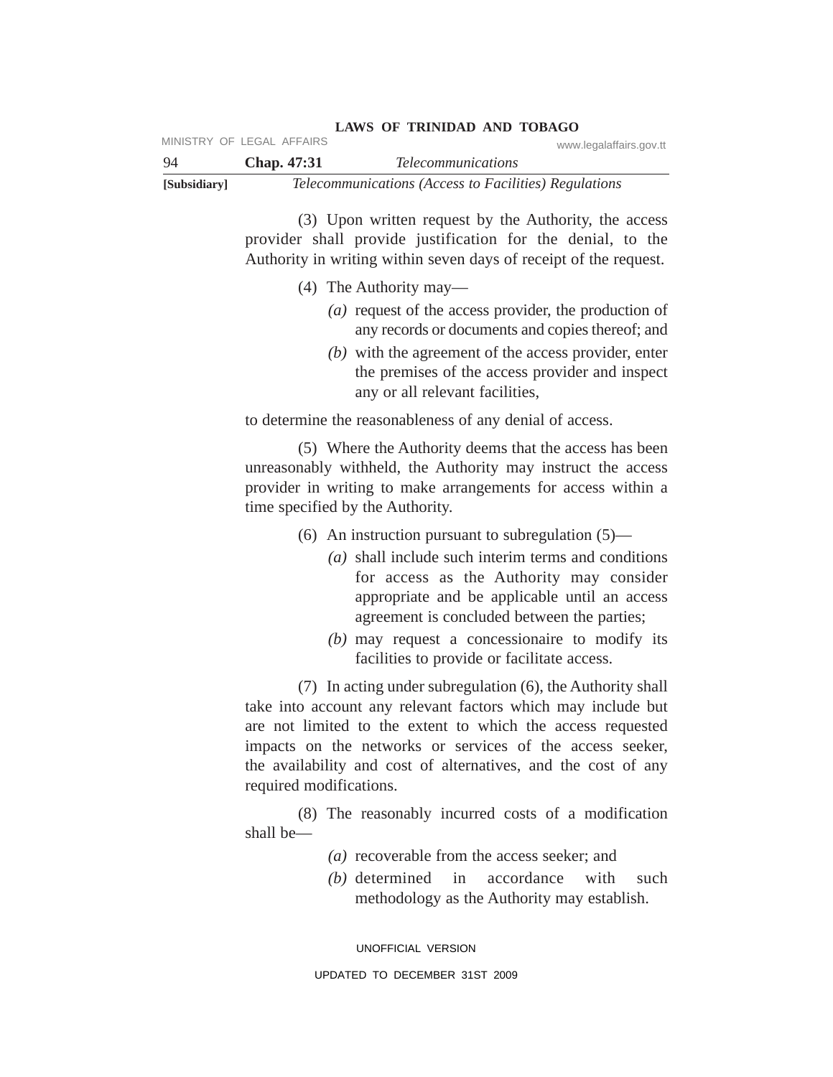| [Subsidiary] |                           | Telecommunications (Access to Facilities) Regulations |
|--------------|---------------------------|-------------------------------------------------------|
| -94          | <b>Chap.</b> 47:31        | <i>Telecommunications</i>                             |
|              | MINISTRY OF LEGAL AFFAIRS | www.legalaffairs.gov.tt                               |

(3) Upon written request by the Authority, the access provider shall provide justification for the denial, to the Authority in writing within seven days of receipt of the request.

(4) The Authority may—

- *(a)* request of the access provider, the production of any records or documents and copies thereof; and
- *(b)* with the agreement of the access provider, enter the premises of the access provider and inspect any or all relevant facilities,

to determine the reasonableness of any denial of access.

(5) Where the Authority deems that the access has been unreasonably withheld, the Authority may instruct the access provider in writing to make arrangements for access within a time specified by the Authority.

(6) An instruction pursuant to subregulation (5)—

- *(a)* shall include such interim terms and conditions for access as the Authority may consider appropriate and be applicable until an access agreement is concluded between the parties;
- *(b)* may request a concessionaire to modify its facilities to provide or facilitate access.

(7) In acting under subregulation (6), the Authority shall take into account any relevant factors which may include but are not limited to the extent to which the access requested impacts on the networks or services of the access seeker, the availability and cost of alternatives, and the cost of any required modifications.

(8) The reasonably incurred costs of a modification shall be—

- *(a)* recoverable from the access seeker; and
- *(b)* determined in accordance with such methodology as the Authority may establish.

UNOFFICIAL VERSION

UPDATED TO DECEMBER 31ST 2009

# **LAWS OF TRINIDAD AND TOBAGO**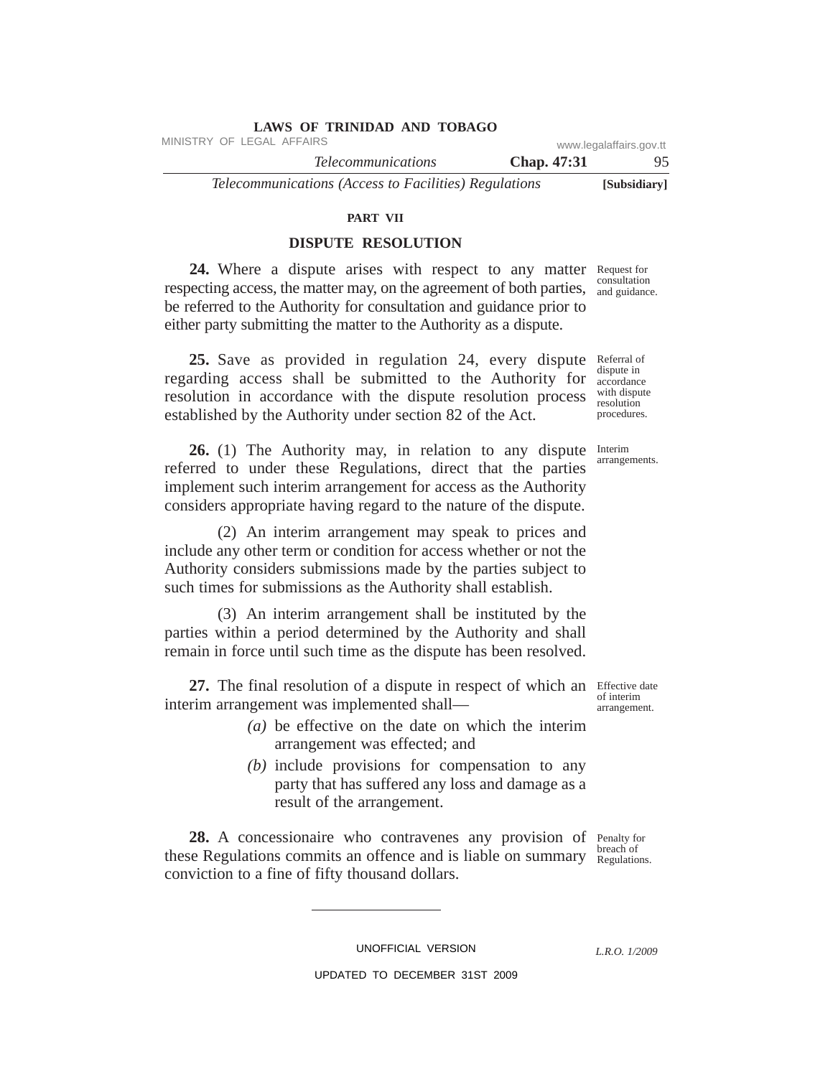| LAWS OF TRINIDAD AND TOBAGO                           |                    |                         |
|-------------------------------------------------------|--------------------|-------------------------|
| MINISTRY OF LEGAL AFFAIRS                             |                    | www.legalaffairs.gov.tt |
| <i>Telecommunications</i>                             | <b>Chap.</b> 47:31 | 95.                     |
| Telecommunications (Access to Facilities) Regulations |                    | [Subsidiary]            |

#### **PART VII**

# **DISPUTE RESOLUTION**

24. Where a dispute arises with respect to any matter Request for respecting access, the matter may, on the agreement of both parties, and guidance be referred to the Authority for consultation and guidance prior to either party submitting the matter to the Authority as a dispute. and guidance.

25. Save as provided in regulation 24, every dispute Referral of regarding access shall be submitted to the Authority for dispute in resolution in accordance with the dispute resolution process established by the Authority under section 82 of the Act. with dispute procedures.

26. (1) The Authority may, in relation to any dispute Interim referred to under these Regulations, direct that the parties implement such interim arrangement for access as the Authority considers appropriate having regard to the nature of the dispute.

(2) An interim arrangement may speak to prices and include any other term or condition for access whether or not the Authority considers submissions made by the parties subject to such times for submissions as the Authority shall establish.

(3) An interim arrangement shall be instituted by the parties within a period determined by the Authority and shall remain in force until such time as the dispute has been resolved.

27. The final resolution of a dispute in respect of which an Effective date interim arrangement was implemented shall—

- *(a)* be effective on the date on which the interim arrangement was effected; and
- *(b)* include provisions for compensation to any party that has suffered any loss and damage as a result of the arrangement.

28. A concessionaire who contravenes any provision of Penalty for these Regulations commits an offence and is liable on summary breach of conviction to a fine of fifty thousand dollars. Regulations.

UNOFFICIAL VERSION

*L.R.O. 1/2009*

arrangements.

accordance

resolution

of interim arrangement.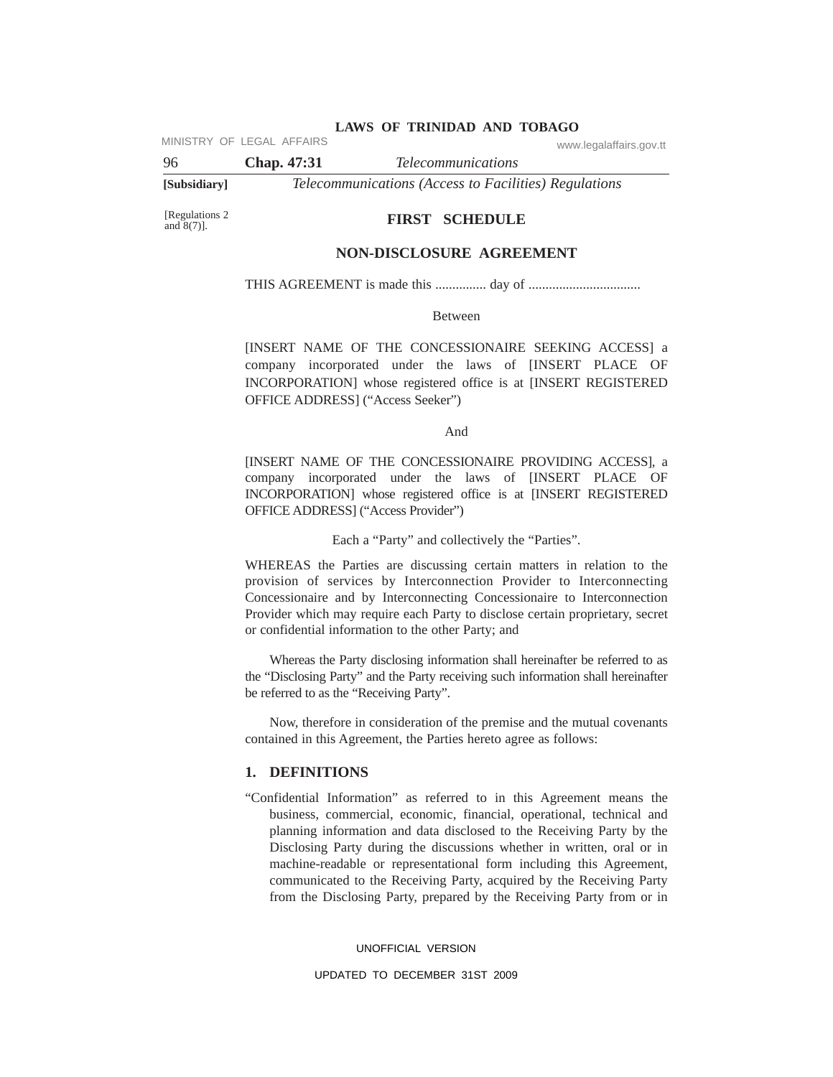MINISTRY OF LEGAL AFFAIRS www.legalaffairs.gov.tt

96 **Chap. 47:31** *Telecommunications* **[Subsidiary]** *Telecommunications (Access to Facilities) Regulations*

[Regulations 2 and  $8(7)$ ].

#### **FIRST SCHEDULE**

## **NON-DISCLOSURE AGREEMENT**

THIS AGREEMENT is made this ............... day of .................................

Between

[INSERT NAME OF THE CONCESSIONAIRE SEEKING ACCESS] a company incorporated under the laws of [INSERT PLACE OF INCORPORATION] whose registered office is at [INSERT REGISTERED OFFICE ADDRESS] ("Access Seeker")

And

[INSERT NAME OF THE CONCESSIONAIRE PROVIDING ACCESS], a company incorporated under the laws of [INSERT PLACE OF INCORPORATION] whose registered office is at [INSERT REGISTERED OFFICE ADDRESS] ("Access Provider")

Each a "Party" and collectively the "Parties".

WHEREAS the Parties are discussing certain matters in relation to the provision of services by Interconnection Provider to Interconnecting Concessionaire and by Interconnecting Concessionaire to Interconnection Provider which may require each Party to disclose certain proprietary, secret or confidential information to the other Party; and

Whereas the Party disclosing information shall hereinafter be referred to as the "Disclosing Party" and the Party receiving such information shall hereinafter be referred to as the "Receiving Party".

Now, therefore in consideration of the premise and the mutual covenants contained in this Agreement, the Parties hereto agree as follows:

#### **1. DEFINITIONS**

"Confidential Information" as referred to in this Agreement means the business, commercial, economic, financial, operational, technical and planning information and data disclosed to the Receiving Party by the Disclosing Party during the discussions whether in written, oral or in machine-readable or representational form including this Agreement, communicated to the Receiving Party, acquired by the Receiving Party from the Disclosing Party, prepared by the Receiving Party from or in

UNOFFICIAL VERSION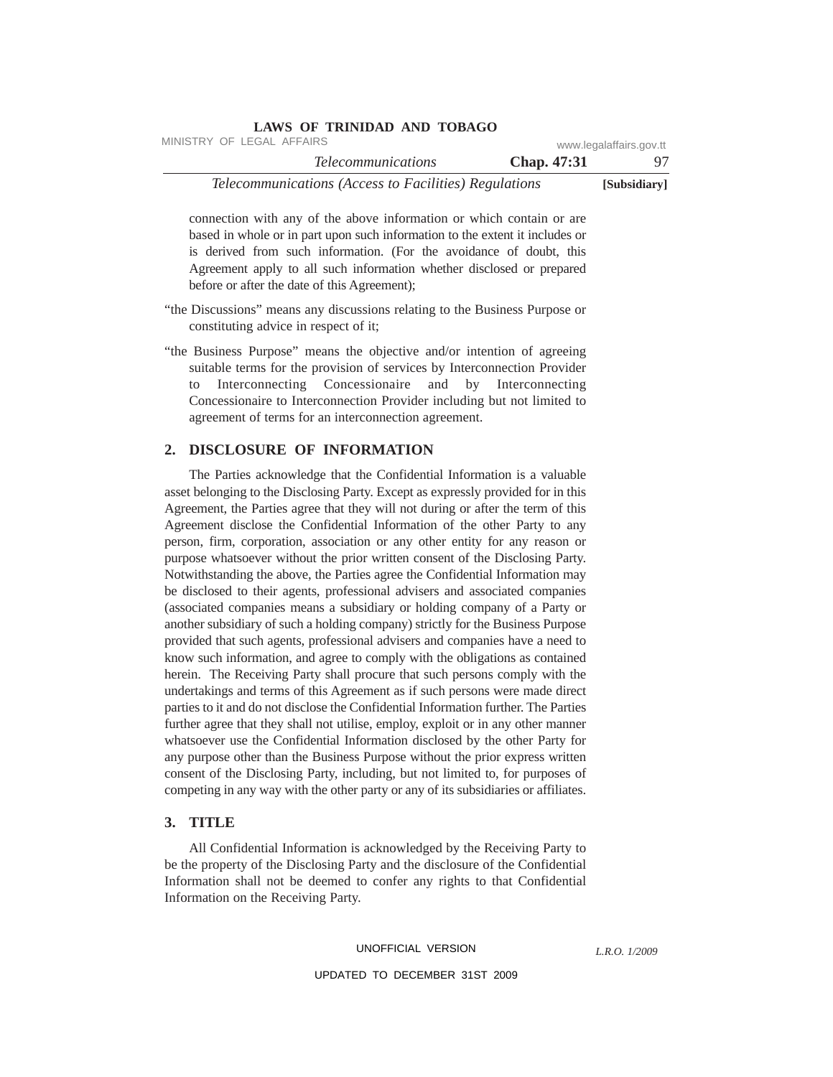| www.legalaffairs.gov.tt |                    | MINISTRY OF LEGAL AFFAIRS                             |  |
|-------------------------|--------------------|-------------------------------------------------------|--|
| 97.                     | <b>Chap.</b> 47:31 | <i>Telecommunications</i>                             |  |
| [Subsidiary]            |                    | Telecommunications (Access to Facilities) Regulations |  |

connection with any of the above information or which contain or are based in whole or in part upon such information to the extent it includes or is derived from such information. (For the avoidance of doubt, this Agreement apply to all such information whether disclosed or prepared before or after the date of this Agreement);

"the Discussions" means any discussions relating to the Business Purpose or constituting advice in respect of it;

**LAWS OF TRINIDAD AND TOBAGO**

"the Business Purpose" means the objective and/or intention of agreeing suitable terms for the provision of services by Interconnection Provider to Interconnecting Concessionaire and by Interconnecting Concessionaire to Interconnection Provider including but not limited to agreement of terms for an interconnection agreement.

# **2. DISCLOSURE OF INFORMATION**

The Parties acknowledge that the Confidential Information is a valuable asset belonging to the Disclosing Party. Except as expressly provided for in this Agreement, the Parties agree that they will not during or after the term of this Agreement disclose the Confidential Information of the other Party to any person, firm, corporation, association or any other entity for any reason or purpose whatsoever without the prior written consent of the Disclosing Party. Notwithstanding the above, the Parties agree the Confidential Information may be disclosed to their agents, professional advisers and associated companies (associated companies means a subsidiary or holding company of a Party or another subsidiary of such a holding company) strictly for the Business Purpose provided that such agents, professional advisers and companies have a need to know such information, and agree to comply with the obligations as contained herein. The Receiving Party shall procure that such persons comply with the undertakings and terms of this Agreement as if such persons were made direct parties to it and do not disclose the Confidential Information further. The Parties further agree that they shall not utilise, employ, exploit or in any other manner whatsoever use the Confidential Information disclosed by the other Party for any purpose other than the Business Purpose without the prior express written consent of the Disclosing Party, including, but not limited to, for purposes of competing in any way with the other party or any of its subsidiaries or affiliates.

## **3. TITLE**

All Confidential Information is acknowledged by the Receiving Party to be the property of the Disclosing Party and the disclosure of the Confidential Information shall not be deemed to confer any rights to that Confidential Information on the Receiving Party.

#### UNOFFICIAL VERSION

*L.R.O. 1/2009*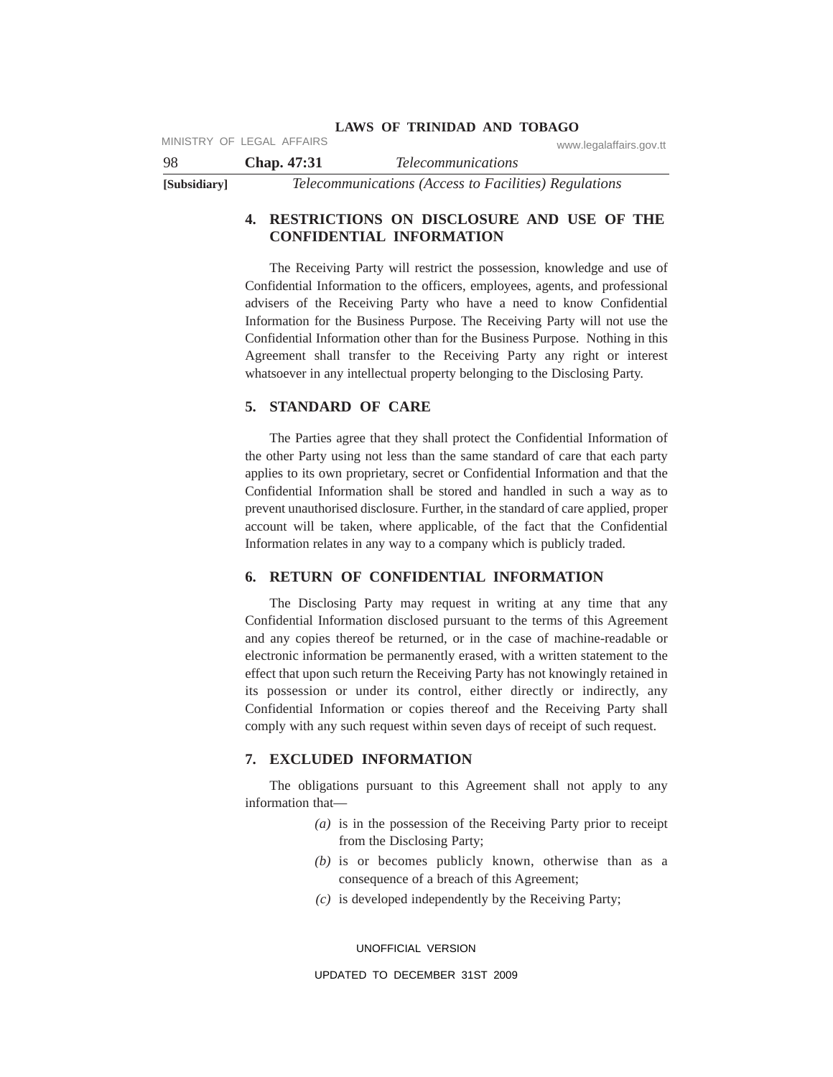|              | MINISTRY OF LEGAL AFFAIRS |                                                       | www.legalaffairs.gov.tt |
|--------------|---------------------------|-------------------------------------------------------|-------------------------|
| -98          | Chap. 47:31               | <i>Telecommunications</i>                             |                         |
| [Subsidiary] |                           | Telecommunications (Access to Facilities) Regulations |                         |

# **4. RESTRICTIONS ON DISCLOSURE AND USE OF THE CONFIDENTIAL INFORMATION**

The Receiving Party will restrict the possession, knowledge and use of Confidential Information to the officers, employees, agents, and professional advisers of the Receiving Party who have a need to know Confidential Information for the Business Purpose. The Receiving Party will not use the Confidential Information other than for the Business Purpose. Nothing in this Agreement shall transfer to the Receiving Party any right or interest whatsoever in any intellectual property belonging to the Disclosing Party.

## **5. STANDARD OF CARE**

The Parties agree that they shall protect the Confidential Information of the other Party using not less than the same standard of care that each party applies to its own proprietary, secret or Confidential Information and that the Confidential Information shall be stored and handled in such a way as to prevent unauthorised disclosure. Further, in the standard of care applied, proper account will be taken, where applicable, of the fact that the Confidential Information relates in any way to a company which is publicly traded.

#### **6. RETURN OF CONFIDENTIAL INFORMATION**

The Disclosing Party may request in writing at any time that any Confidential Information disclosed pursuant to the terms of this Agreement and any copies thereof be returned, or in the case of machine-readable or electronic information be permanently erased, with a written statement to the effect that upon such return the Receiving Party has not knowingly retained in its possession or under its control, either directly or indirectly, any Confidential Information or copies thereof and the Receiving Party shall comply with any such request within seven days of receipt of such request.

## **7. EXCLUDED INFORMATION**

The obligations pursuant to this Agreement shall not apply to any information that—

- *(a)* is in the possession of the Receiving Party prior to receipt from the Disclosing Party;
- *(b)* is or becomes publicly known, otherwise than as a consequence of a breach of this Agreement;
- *(c)* is developed independently by the Receiving Party;

UNOFFICIAL VERSION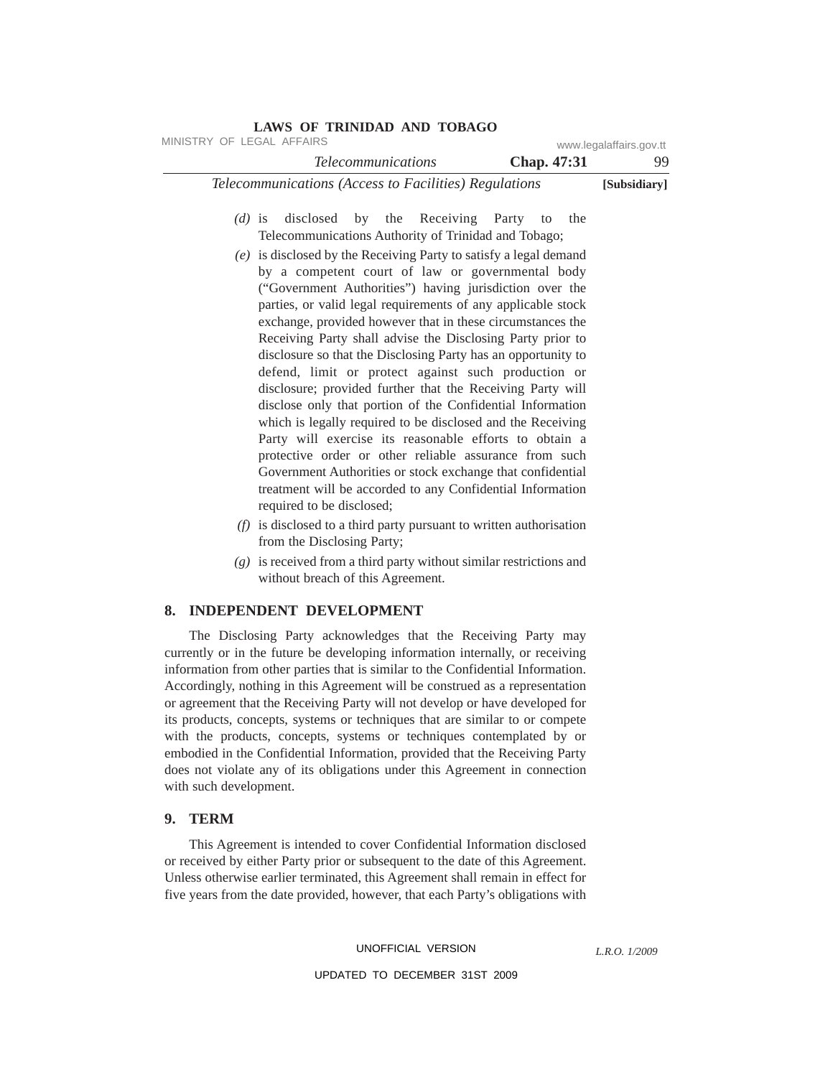| MINISTRY OF LEGAL AFFAIRS | LAWS OF TRINIDAD AND TOBAGO                                                                                                                                                                                                                                                                                                                                                                                                                                                                                                                                                                                                                                                                                                                                                                                                                                                                                                                                                    |             | www.legalaffairs.gov.tt |
|---------------------------|--------------------------------------------------------------------------------------------------------------------------------------------------------------------------------------------------------------------------------------------------------------------------------------------------------------------------------------------------------------------------------------------------------------------------------------------------------------------------------------------------------------------------------------------------------------------------------------------------------------------------------------------------------------------------------------------------------------------------------------------------------------------------------------------------------------------------------------------------------------------------------------------------------------------------------------------------------------------------------|-------------|-------------------------|
|                           | <b>Telecommunications</b>                                                                                                                                                                                                                                                                                                                                                                                                                                                                                                                                                                                                                                                                                                                                                                                                                                                                                                                                                      | Chap. 47:31 | 99                      |
|                           | Telecommunications (Access to Facilities) Regulations                                                                                                                                                                                                                                                                                                                                                                                                                                                                                                                                                                                                                                                                                                                                                                                                                                                                                                                          |             | [Subsidiary]            |
| $(d)$ is                  | disclosed by the Receiving Party to<br>Telecommunications Authority of Trinidad and Tobago;                                                                                                                                                                                                                                                                                                                                                                                                                                                                                                                                                                                                                                                                                                                                                                                                                                                                                    | the         |                         |
|                           | $(e)$ is disclosed by the Receiving Party to satisfy a legal demand<br>by a competent court of law or governmental body<br>("Government Authorities") having jurisdiction over the<br>parties, or valid legal requirements of any applicable stock<br>exchange, provided however that in these circumstances the<br>Receiving Party shall advise the Disclosing Party prior to<br>disclosure so that the Disclosing Party has an opportunity to<br>defend, limit or protect against such production or<br>disclosure; provided further that the Receiving Party will<br>disclose only that portion of the Confidential Information<br>which is legally required to be disclosed and the Receiving<br>Party will exercise its reasonable efforts to obtain a<br>protective order or other reliable assurance from such<br>Government Authorities or stock exchange that confidential<br>treatment will be accorded to any Confidential Information<br>required to be disclosed; |             |                         |

- *(f)* is disclosed to a third party pursuant to written authorisation from the Disclosing Party;
- *(g)* is received from a third party without similar restrictions and without breach of this Agreement.

## **8. INDEPENDENT DEVELOPMENT**

The Disclosing Party acknowledges that the Receiving Party may currently or in the future be developing information internally, or receiving information from other parties that is similar to the Confidential Information. Accordingly, nothing in this Agreement will be construed as a representation or agreement that the Receiving Party will not develop or have developed for its products, concepts, systems or techniques that are similar to or compete with the products, concepts, systems or techniques contemplated by or embodied in the Confidential Information, provided that the Receiving Party does not violate any of its obligations under this Agreement in connection with such development.

#### **9. TERM**

This Agreement is intended to cover Confidential Information disclosed or received by either Party prior or subsequent to the date of this Agreement. Unless otherwise earlier terminated, this Agreement shall remain in effect for five years from the date provided, however, that each Party's obligations with

UNOFFICIAL VERSION

*L.R.O. 1/2009*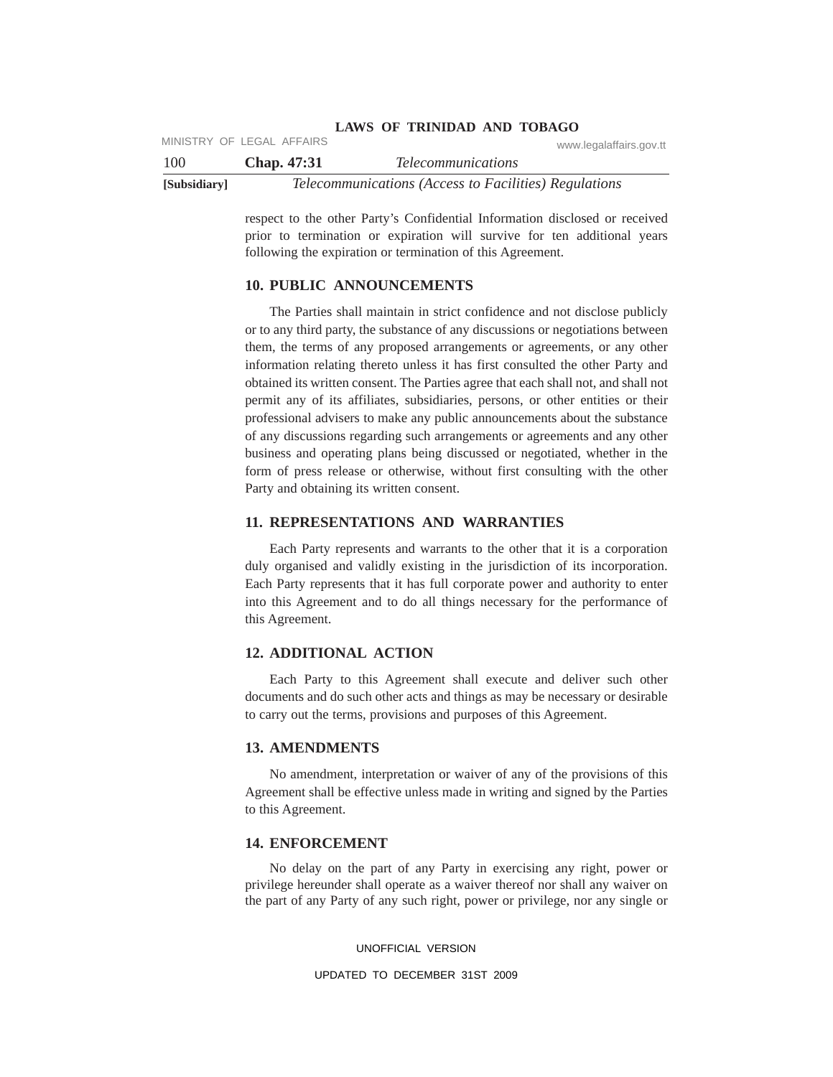|              | MINISTRY OF LEGAL AFFAIRS | www.legalaffairs.gov.tt                               |
|--------------|---------------------------|-------------------------------------------------------|
| 100          | <b>Chap.</b> 47:31        | <i>Telecommunications</i>                             |
| [Subsidiary] |                           | Telecommunications (Access to Facilities) Regulations |

respect to the other Party's Confidential Information disclosed or received prior to termination or expiration will survive for ten additional years following the expiration or termination of this Agreement.

#### **10. PUBLIC ANNOUNCEMENTS**

The Parties shall maintain in strict confidence and not disclose publicly or to any third party, the substance of any discussions or negotiations between them, the terms of any proposed arrangements or agreements, or any other information relating thereto unless it has first consulted the other Party and obtained its written consent. The Parties agree that each shall not, and shall not permit any of its affiliates, subsidiaries, persons, or other entities or their professional advisers to make any public announcements about the substance of any discussions regarding such arrangements or agreements and any other business and operating plans being discussed or negotiated, whether in the form of press release or otherwise, without first consulting with the other Party and obtaining its written consent.

## **11. REPRESENTATIONS AND WARRANTIES**

Each Party represents and warrants to the other that it is a corporation duly organised and validly existing in the jurisdiction of its incorporation. Each Party represents that it has full corporate power and authority to enter into this Agreement and to do all things necessary for the performance of this Agreement.

#### **12. ADDITIONAL ACTION**

Each Party to this Agreement shall execute and deliver such other documents and do such other acts and things as may be necessary or desirable to carry out the terms, provisions and purposes of this Agreement.

#### **13. AMENDMENTS**

No amendment, interpretation or waiver of any of the provisions of this Agreement shall be effective unless made in writing and signed by the Parties to this Agreement.

#### **14. ENFORCEMENT**

No delay on the part of any Party in exercising any right, power or privilege hereunder shall operate as a waiver thereof nor shall any waiver on the part of any Party of any such right, power or privilege, nor any single or

UNOFFICIAL VERSION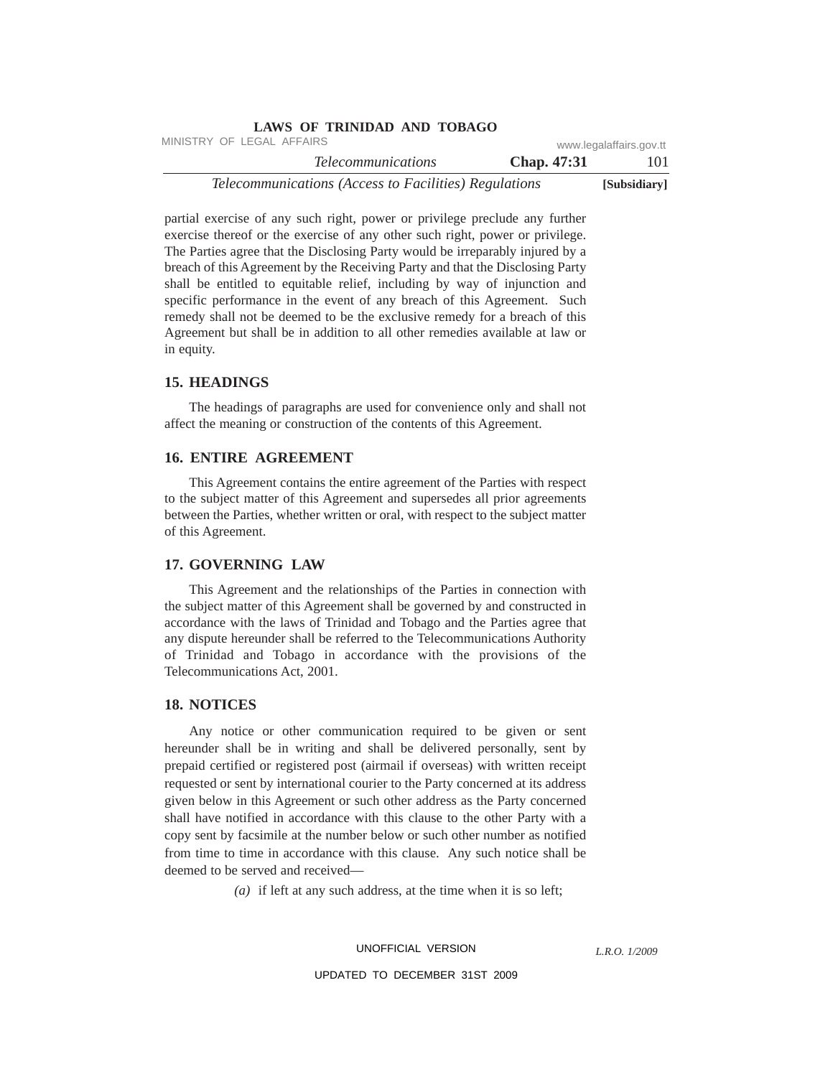|                         | LAND OF ININDAD AND TODAUV                            |
|-------------------------|-------------------------------------------------------|
| www.legalaffairs.gov.tt | MINISTRY OF LEGAL AFFAIRS                             |
| Chap. 47:31<br>101      | <i>Telecommunications</i>                             |
| [Subsidiary]            | Telecommunications (Access to Facilities) Regulations |

partial exercise of any such right, power or privilege preclude any further exercise thereof or the exercise of any other such right, power or privilege. The Parties agree that the Disclosing Party would be irreparably injured by a breach of this Agreement by the Receiving Party and that the Disclosing Party shall be entitled to equitable relief, including by way of injunction and specific performance in the event of any breach of this Agreement. Such remedy shall not be deemed to be the exclusive remedy for a breach of this Agreement but shall be in addition to all other remedies available at law or in equity.

**LAWS OF TRINIDAD AND TOBAGO**

#### **15. HEADINGS**

The headings of paragraphs are used for convenience only and shall not affect the meaning or construction of the contents of this Agreement.

#### **16. ENTIRE AGREEMENT**

This Agreement contains the entire agreement of the Parties with respect to the subject matter of this Agreement and supersedes all prior agreements between the Parties, whether written or oral, with respect to the subject matter of this Agreement.

# **17. GOVERNING LAW**

This Agreement and the relationships of the Parties in connection with the subject matter of this Agreement shall be governed by and constructed in accordance with the laws of Trinidad and Tobago and the Parties agree that any dispute hereunder shall be referred to the Telecommunications Authority of Trinidad and Tobago in accordance with the provisions of the Telecommunications Act, 2001.

#### **18. NOTICES**

Any notice or other communication required to be given or sent hereunder shall be in writing and shall be delivered personally, sent by prepaid certified or registered post (airmail if overseas) with written receipt requested or sent by international courier to the Party concerned at its address given below in this Agreement or such other address as the Party concerned shall have notified in accordance with this clause to the other Party with a copy sent by facsimile at the number below or such other number as notified from time to time in accordance with this clause. Any such notice shall be deemed to be served and received—

*(a)* if left at any such address, at the time when it is so left;

UNOFFICIAL VERSION

*L.R.O. 1/2009*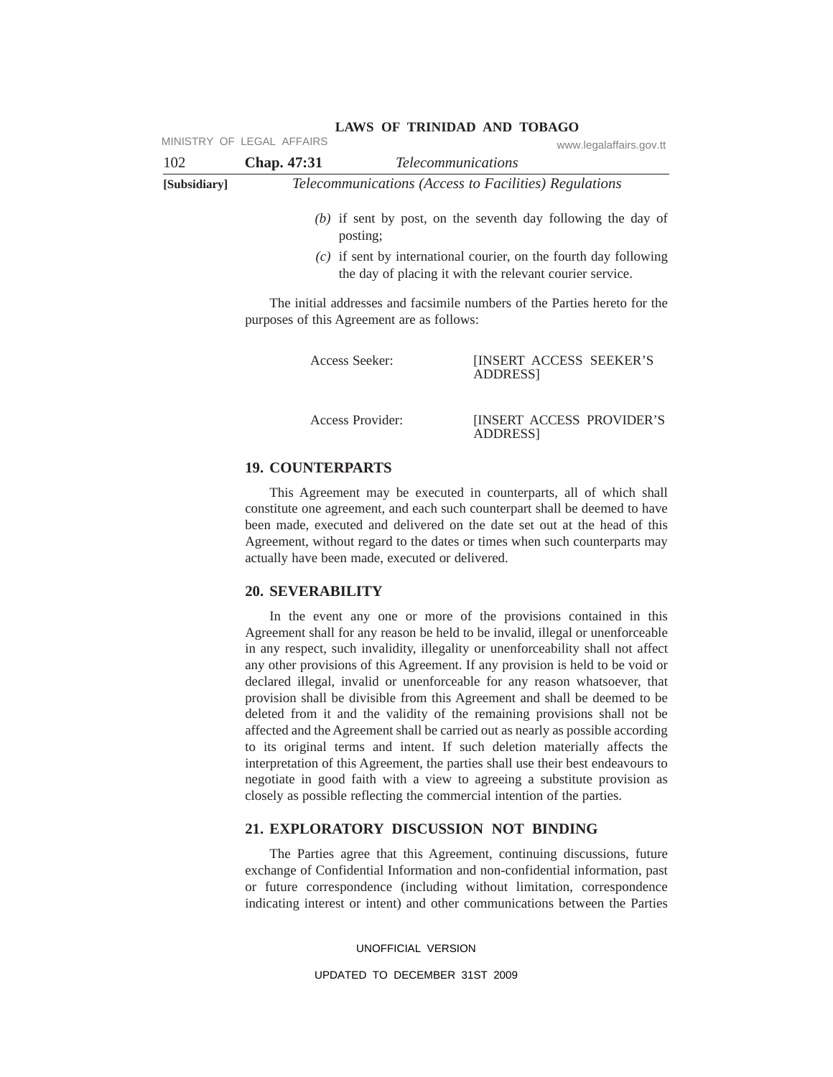|              | MINISTRY OF LEGAL AFFAIRS |                                                                                                                                 | www.legalaffairs.gov.tt |
|--------------|---------------------------|---------------------------------------------------------------------------------------------------------------------------------|-------------------------|
| 102          | Chap. 47:31               | <i>Telecommunications</i>                                                                                                       |                         |
| [Subsidiary] |                           | Telecommunications (Access to Facilities) Regulations                                                                           |                         |
|              |                           | $(b)$ if sent by post, on the seventh day following the day of<br>posting;                                                      |                         |
|              |                           | $(c)$ if sent by international courier, on the fourth day following<br>the day of placing it with the relevant courier service. |                         |
|              |                           | The initial addresses and facsimile numbers of the Parties hereto for the                                                       |                         |

purposes of this Agreement are as follows:

| Access Seeker:   | <b>INSERT ACCESS SEEKER'S</b><br>ADDRESS <sub>1</sub> |
|------------------|-------------------------------------------------------|
| Access Provider: | <b>INSERT ACCESS PROVIDER'S</b>                       |

ADDRESS]

# **19. COUNTERPARTS**

This Agreement may be executed in counterparts, all of which shall constitute one agreement, and each such counterpart shall be deemed to have been made, executed and delivered on the date set out at the head of this Agreement, without regard to the dates or times when such counterparts may actually have been made, executed or delivered.

## **20. SEVERABILITY**

In the event any one or more of the provisions contained in this Agreement shall for any reason be held to be invalid, illegal or unenforceable in any respect, such invalidity, illegality or unenforceability shall not affect any other provisions of this Agreement. If any provision is held to be void or declared illegal, invalid or unenforceable for any reason whatsoever, that provision shall be divisible from this Agreement and shall be deemed to be deleted from it and the validity of the remaining provisions shall not be affected and the Agreement shall be carried out as nearly as possible according to its original terms and intent. If such deletion materially affects the interpretation of this Agreement, the parties shall use their best endeavours to negotiate in good faith with a view to agreeing a substitute provision as closely as possible reflecting the commercial intention of the parties.

## **21. EXPLORATORY DISCUSSION NOT BINDING**

The Parties agree that this Agreement, continuing discussions, future exchange of Confidential Information and non-confidential information, past or future correspondence (including without limitation, correspondence indicating interest or intent) and other communications between the Parties

UNOFFICIAL VERSION

UPDATED TO DECEMBER 31ST 2009

## **LAWS OF TRINIDAD AND TOBAGO**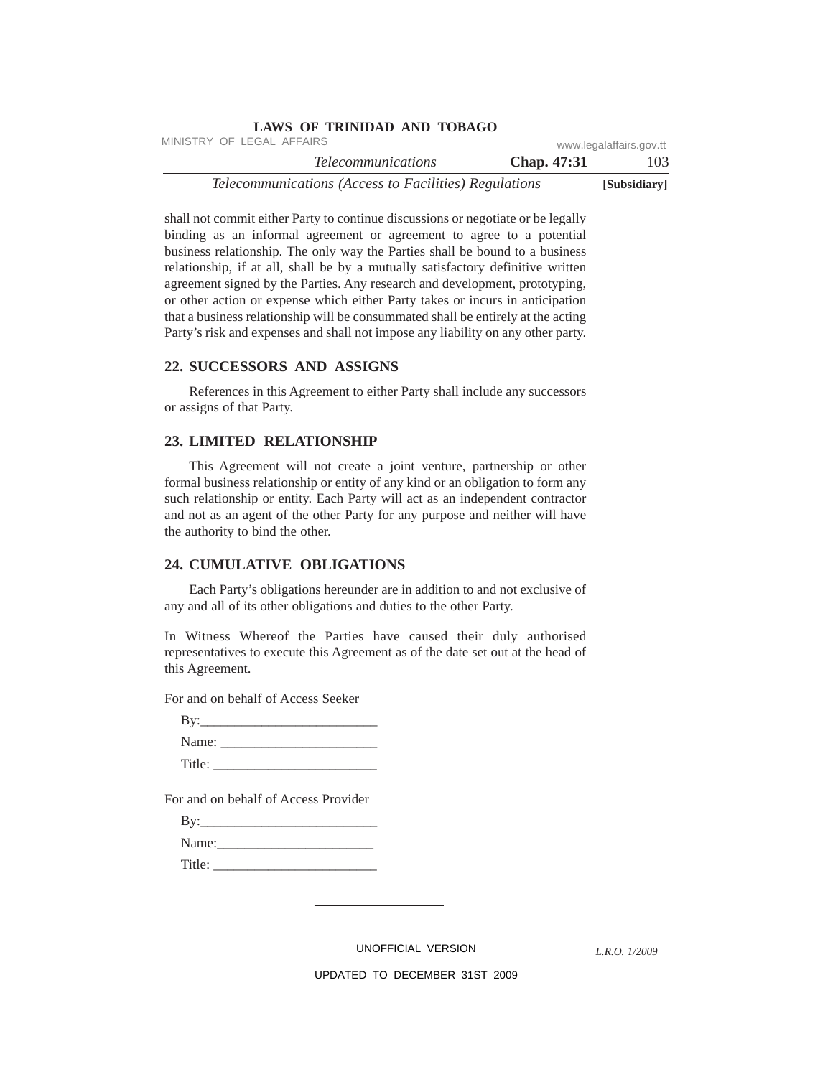|                           | LAWS OF INIMIDAD AND TODAGO                           |                         |              |
|---------------------------|-------------------------------------------------------|-------------------------|--------------|
| MINISTRY OF LEGAL AFFAIRS |                                                       | www.legalaffairs.gov.tt |              |
|                           | <i>Telecommunications</i>                             | Chap. 47:31             | 103          |
|                           | Telecommunications (Access to Facilities) Regulations |                         | [Subsidiary] |

shall not commit either Party to continue discussions or negotiate or be legally binding as an informal agreement or agreement to agree to a potential business relationship. The only way the Parties shall be bound to a business relationship, if at all, shall be by a mutually satisfactory definitive written agreement signed by the Parties. Any research and development, prototyping, or other action or expense which either Party takes or incurs in anticipation that a business relationship will be consummated shall be entirely at the acting Party's risk and expenses and shall not impose any liability on any other party.

**LAWS OF TRINIDAD AND TOBAGO**

#### **22. SUCCESSORS AND ASSIGNS**

References in this Agreement to either Party shall include any successors or assigns of that Party.

## **23. LIMITED RELATIONSHIP**

This Agreement will not create a joint venture, partnership or other formal business relationship or entity of any kind or an obligation to form any such relationship or entity. Each Party will act as an independent contractor and not as an agent of the other Party for any purpose and neither will have the authority to bind the other.

## **24. CUMULATIVE OBLIGATIONS**

Each Party's obligations hereunder are in addition to and not exclusive of any and all of its other obligations and duties to the other Party.

In Witness Whereof the Parties have caused their duly authorised representatives to execute this Agreement as of the date set out at the head of this Agreement.

For and on behalf of Access Seeker

| By:    |  |  |
|--------|--|--|
| Name:  |  |  |
| Title: |  |  |

For and on behalf of Access Provider

| By:    |
|--------|
| Name:  |
| Title: |

UNOFFICIAL VERSION

*L.R.O. 1/2009*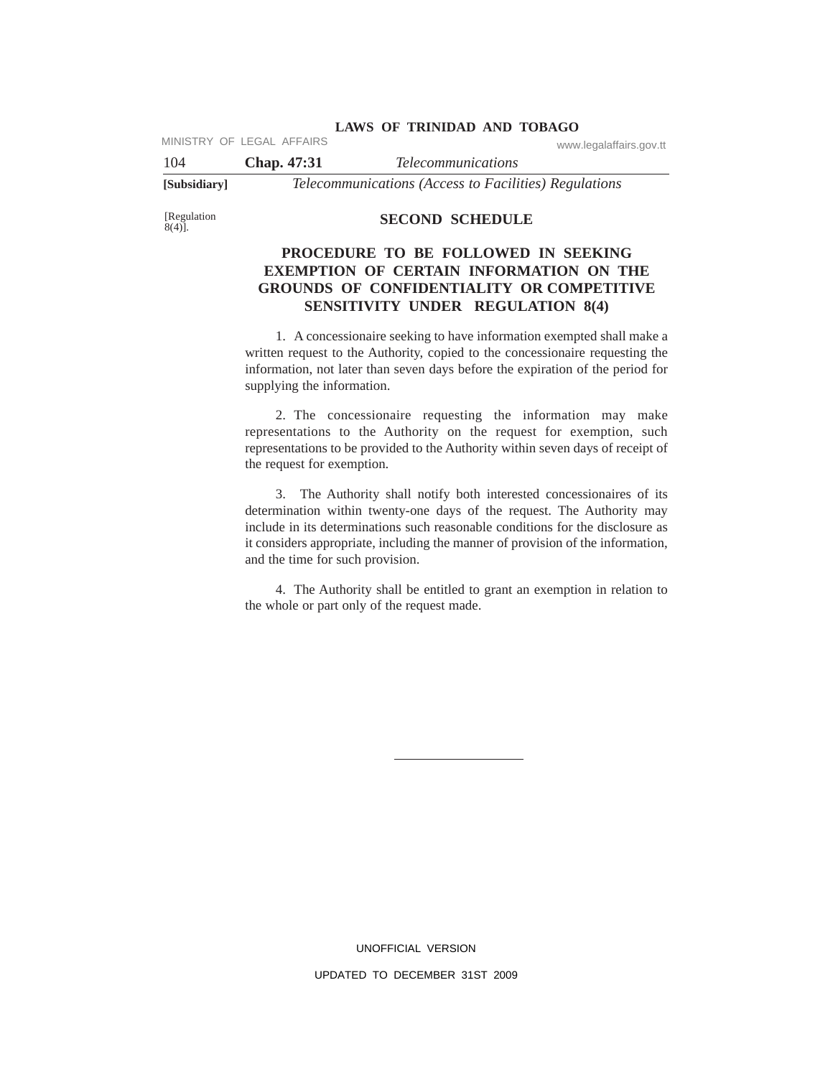MINISTRY OF LEGAL AFFAIRS www.legalaffairs.gov.tt

104 **Chap. 47:31** *Telecommunications* **[Subsidiary]** *Telecommunications (Access to Facilities) Regulations*

[Regulation 8(4)].

## **SECOND SCHEDULE**

# **PROCEDURE TO BE FOLLOWED IN SEEKING EXEMPTION OF CERTAIN INFORMATION ON THE GROUNDS OF CONFIDENTIALITY OR COMPETITIVE SENSITIVITY UNDER REGULATION 8(4)**

1. A concessionaire seeking to have information exempted shall make a written request to the Authority, copied to the concessionaire requesting the information, not later than seven days before the expiration of the period for supplying the information.

2. The concessionaire requesting the information may make representations to the Authority on the request for exemption, such representations to be provided to the Authority within seven days of receipt of the request for exemption.

3. The Authority shall notify both interested concessionaires of its determination within twenty-one days of the request. The Authority may include in its determinations such reasonable conditions for the disclosure as it considers appropriate, including the manner of provision of the information, and the time for such provision.

4. The Authority shall be entitled to grant an exemption in relation to the whole or part only of the request made.

> UNOFFICIAL VERSION UPDATED TO DECEMBER 31ST 2009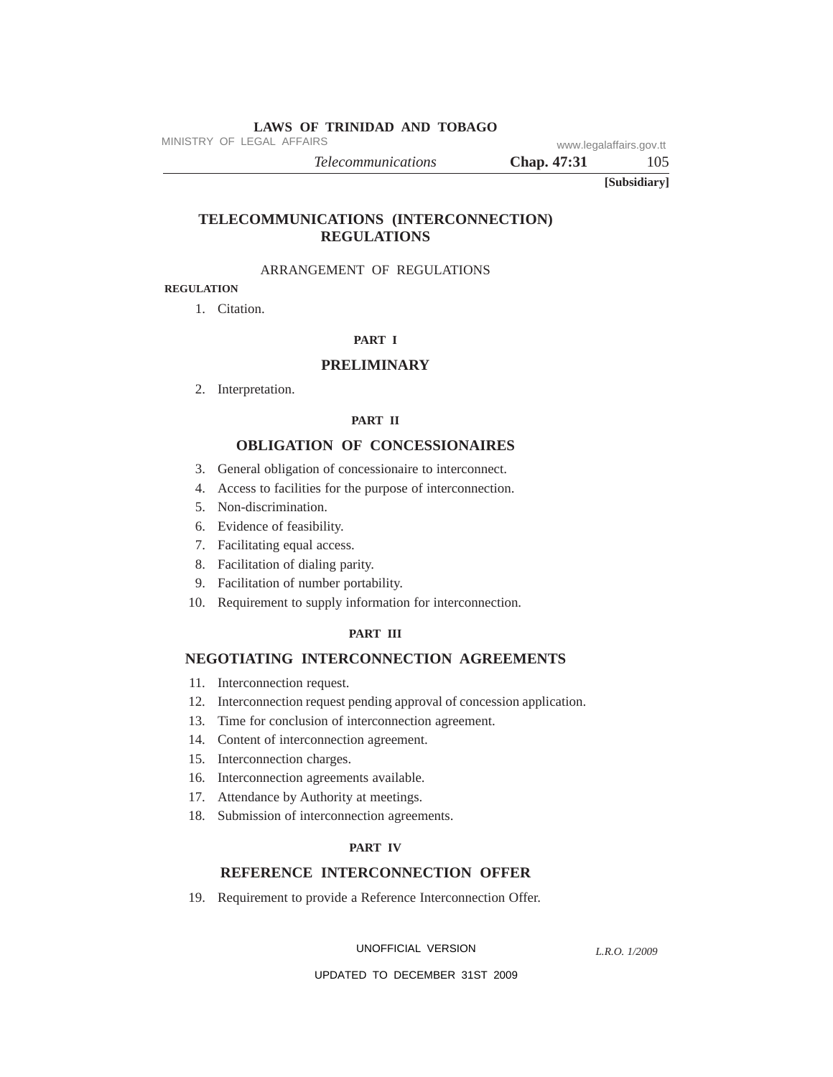MINISTRY OF LEGAL AFFAIRS www.legalaffairs.gov.tt

*Telecommunications* **Chap. 47:31** 105

**[Subsidiary]**

# **TELECOMMUNICATIONS (INTERCONNECTION) REGULATIONS**

## ARRANGEMENT OF REGULATIONS

# **REGULATION**

1. Citation.

## **PART I**

#### **PRELIMINARY**

2. Interpretation.

#### **PART II**

#### **OBLIGATION OF CONCESSIONAIRES**

- 3. General obligation of concessionaire to interconnect.
- 4. Access to facilities for the purpose of interconnection.
- 5. Non-discrimination.
- 6. Evidence of feasibility.
- 7. Facilitating equal access.
- 8. Facilitation of dialing parity.
- 9. Facilitation of number portability.
- 10. Requirement to supply information for interconnection.

#### **PART III**

## **NEGOTIATING INTERCONNECTION AGREEMENTS**

- 11. Interconnection request.
- 12. Interconnection request pending approval of concession application.
- 13. Time for conclusion of interconnection agreement.
- 14. Content of interconnection agreement.
- 15. Interconnection charges.
- 16. Interconnection agreements available.
- 17. Attendance by Authority at meetings.
- 18. Submission of interconnection agreements.

#### **PART IV**

## **REFERENCE INTERCONNECTION OFFER**

19. Requirement to provide a Reference Interconnection Offer.

UNOFFICIAL VERSION

*L.R.O. 1/2009*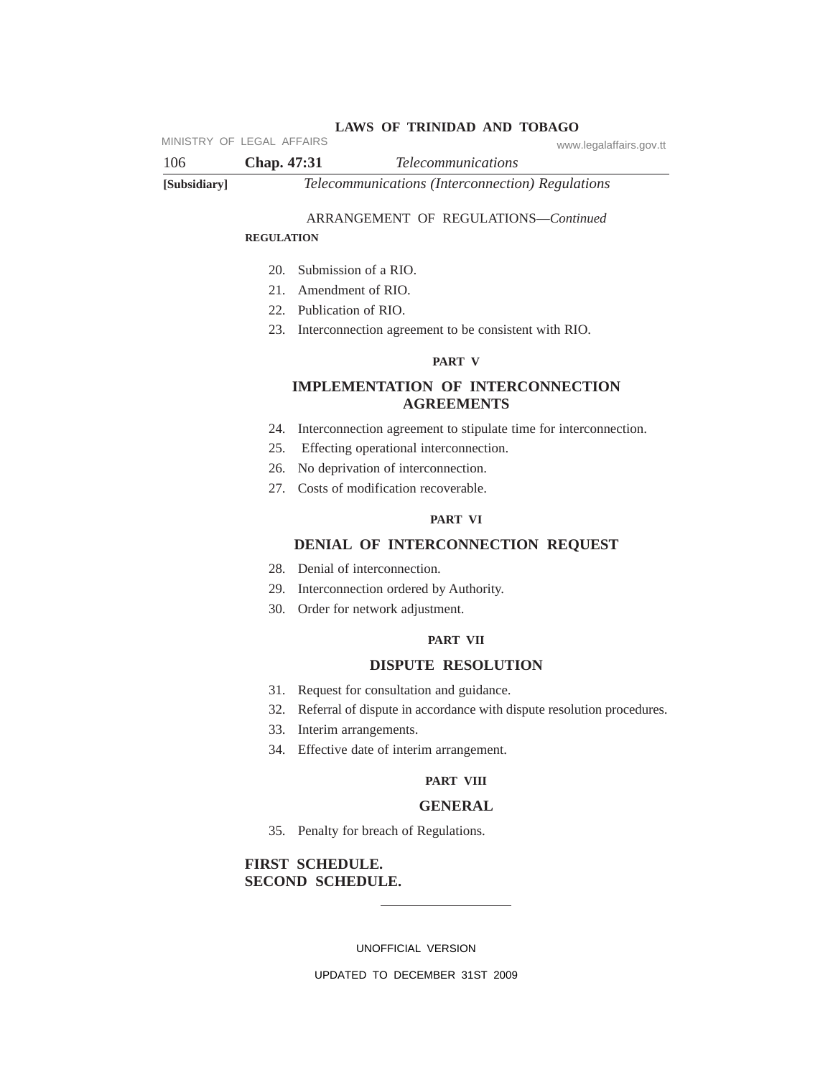MINISTRY OF LEGAL AFFAIRS www.legalaffairs.gov.tt

106 **Chap. 47:31** *Telecommunications* **[Subsidiary]** *Telecommunications (Interconnection) Regulations*

## ARRANGEMENT OF REGULATIONS—*Continued*

#### **REGULATION**

- 20. Submission of a RIO.
- 21. Amendment of RIO.
- 22. Publication of RIO.
- 23. Interconnection agreement to be consistent with RIO.

## **PART V**

# **IMPLEMENTATION OF INTERCONNECTION AGREEMENTS**

- 24. Interconnection agreement to stipulate time for interconnection.
- 25. Effecting operational interconnection.
- 26. No deprivation of interconnection.
- 27. Costs of modification recoverable.

#### **PART VI**

## **DENIAL OF INTERCONNECTION REQUEST**

- 28. Denial of interconnection.
- 29. Interconnection ordered by Authority.
- 30. Order for network adjustment.

## **PART VII**

#### **DISPUTE RESOLUTION**

- 31. Request for consultation and guidance.
- 32. Referral of dispute in accordance with dispute resolution procedures.
- 33. Interim arrangements.
- 34. Effective date of interim arrangement.

#### **PART VIII**

#### **GENERAL**

35. Penalty for breach of Regulations.

# **FIRST SCHEDULE. SECOND SCHEDULE.**

UNOFFICIAL VERSION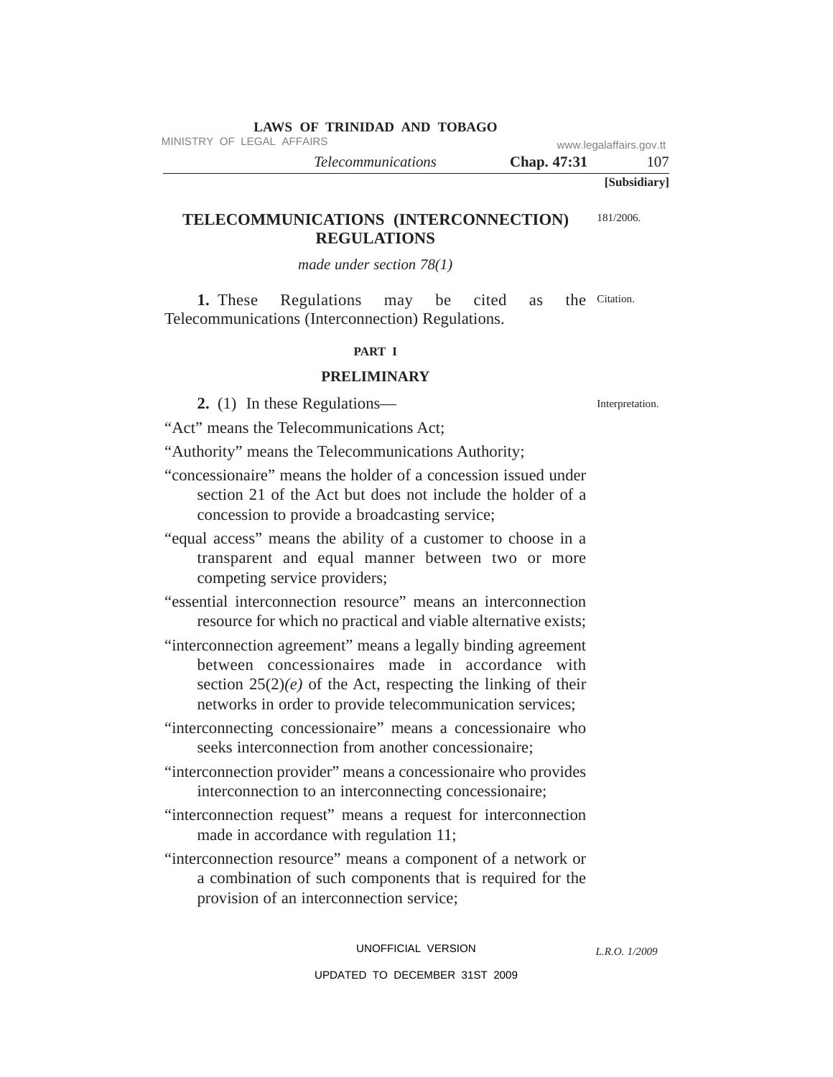|  |  |  |  | LAWS OF TRINIDAD AND TOBAGO |  |  |
|--|--|--|--|-----------------------------|--|--|
|--|--|--|--|-----------------------------|--|--|

MINISTRY OF LEGAL AFFAIRS www.legalaffairs.gov.tt

*Telecommunications* **Chap.** 47:31 107

**[Subsidiary]**

#### **TELECOMMUNICATIONS (INTERCONNECTION) REGULATIONS** 181/2006.

*made under section 78(1)*

**1.** These Regulations may be cited as Telecommunications (Interconnection) Regulations. the Citation.

## **PART I**

# **PRELIMINARY**

**2.** (1) In these Regulations—

"Act" means the Telecommunications Act;

"Authority" means the Telecommunications Authority;

- "concessionaire" means the holder of a concession issued under section 21 of the Act but does not include the holder of a concession to provide a broadcasting service;
- "equal access" means the ability of a customer to choose in a transparent and equal manner between two or more competing service providers;
- "essential interconnection resource" means an interconnection resource for which no practical and viable alternative exists;
- "interconnection agreement" means a legally binding agreement between concessionaires made in accordance with section  $25(2)(e)$  of the Act, respecting the linking of their networks in order to provide telecommunication services;
- "interconnecting concessionaire" means a concessionaire who seeks interconnection from another concessionaire;
- "interconnection provider" means a concessionaire who provides interconnection to an interconnecting concessionaire;
- "interconnection request" means a request for interconnection made in accordance with regulation 11;

"interconnection resource" means a component of a network or a combination of such components that is required for the provision of an interconnection service;

> UNOFFICIAL VERSION UPDATED TO DECEMBER 31ST 2009

Interpretation.

*L.R.O. 1/2009*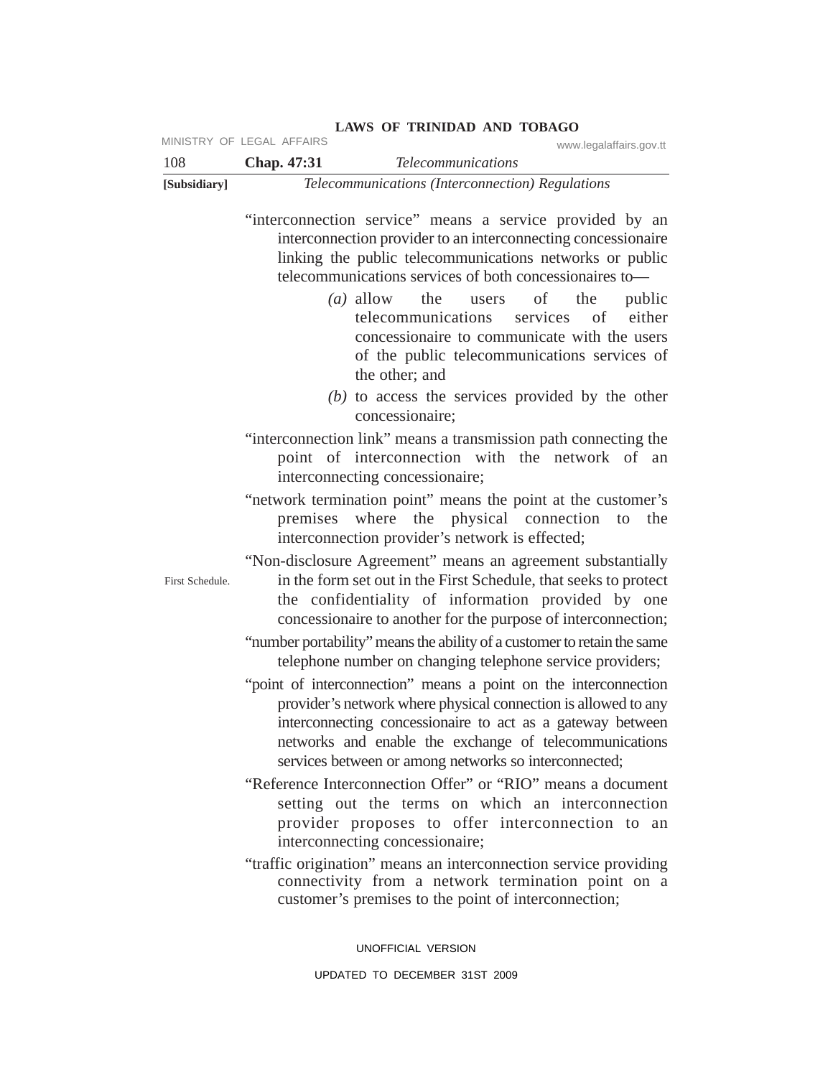| LAWS OF TRINIDAD AND TOBAGO<br>MINISTRY OF LEGAL AFFAIRS |             |                                                                                                                                                                                                                                                                                                                                                                                                                                                                                                                                                                                                                                                                                                                                                                                                                                                                                                                                                                                                                                                                                                                                                                                                                                                                                                                                                                                                                                                                                                                                                                                                                                                                                                                                                                                                                                                                                                                                                                                                           |  |  |
|----------------------------------------------------------|-------------|-----------------------------------------------------------------------------------------------------------------------------------------------------------------------------------------------------------------------------------------------------------------------------------------------------------------------------------------------------------------------------------------------------------------------------------------------------------------------------------------------------------------------------------------------------------------------------------------------------------------------------------------------------------------------------------------------------------------------------------------------------------------------------------------------------------------------------------------------------------------------------------------------------------------------------------------------------------------------------------------------------------------------------------------------------------------------------------------------------------------------------------------------------------------------------------------------------------------------------------------------------------------------------------------------------------------------------------------------------------------------------------------------------------------------------------------------------------------------------------------------------------------------------------------------------------------------------------------------------------------------------------------------------------------------------------------------------------------------------------------------------------------------------------------------------------------------------------------------------------------------------------------------------------------------------------------------------------------------------------------------------------|--|--|
| 108                                                      | Chap. 47:31 | www.legalaffairs.gov.tt<br><b>Telecommunications</b>                                                                                                                                                                                                                                                                                                                                                                                                                                                                                                                                                                                                                                                                                                                                                                                                                                                                                                                                                                                                                                                                                                                                                                                                                                                                                                                                                                                                                                                                                                                                                                                                                                                                                                                                                                                                                                                                                                                                                      |  |  |
| [Subsidiary]                                             |             | Telecommunications (Interconnection) Regulations                                                                                                                                                                                                                                                                                                                                                                                                                                                                                                                                                                                                                                                                                                                                                                                                                                                                                                                                                                                                                                                                                                                                                                                                                                                                                                                                                                                                                                                                                                                                                                                                                                                                                                                                                                                                                                                                                                                                                          |  |  |
| First Schedule.                                          |             | "interconnection service" means a service provided by an<br>interconnection provider to an interconnecting concessionaire<br>linking the public telecommunications networks or public<br>telecommunications services of both concessionaires to-<br>of<br>$(a)$ allow<br>the users<br>the<br>public<br>telecommunications<br>either<br>services<br>of<br>concessionaire to communicate with the users<br>of the public telecommunications services of<br>the other; and<br>$(b)$ to access the services provided by the other<br>concessionaire;<br>"interconnection link" means a transmission path connecting the<br>point of interconnection with the network of an<br>interconnecting concessionaire;<br>"network termination point" means the point at the customer's<br>premises where the physical connection<br>the<br>to<br>interconnection provider's network is effected;<br>"Non-disclosure Agreement" means an agreement substantially<br>in the form set out in the First Schedule, that seeks to protect<br>the confidentiality of information provided by one<br>concessionaire to another for the purpose of interconnection;<br>"number portability" means the ability of a customer to retain the same<br>telephone number on changing telephone service providers;<br>"point of interconnection" means a point on the interconnection<br>provider's network where physical connection is allowed to any<br>interconnecting concessionaire to act as a gateway between<br>networks and enable the exchange of telecommunications<br>services between or among networks so interconnected;<br>"Reference Interconnection Offer" or "RIO" means a document<br>setting out the terms on which an interconnection<br>provider proposes to offer interconnection to an<br>interconnecting concessionaire;<br>"traffic origination" means an interconnection service providing<br>connectivity from a network termination point on a<br>customer's premises to the point of interconnection; |  |  |

UNOFFICIAL VERSION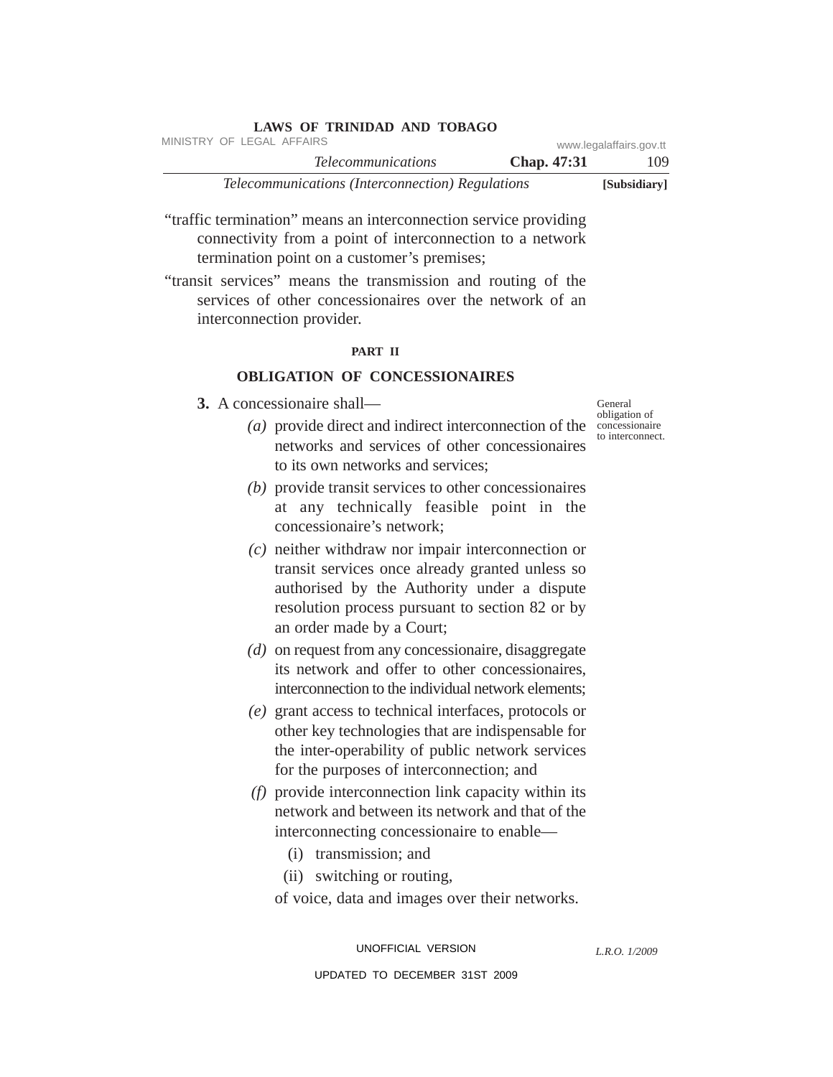| LAWS OF IKINIDAD AND TODAGO                             |                    |                         |
|---------------------------------------------------------|--------------------|-------------------------|
| MINISTRY OF LEGAL AFFAIRS                               |                    | www.legalaffairs.gov.tt |
| <i>Telecommunications</i>                               | <b>Chap.</b> 47:31 | 109                     |
| <i>Telecommunications (Interconnection) Regulations</i> |                    | [Subsidiary]            |

"traffic termination" means an interconnection service providing connectivity from a point of interconnection to a network termination point on a customer's premises;

**LAWS OF TRINIDAD AND TOBAGO**

"transit services" means the transmission and routing of the services of other concessionaires over the network of an interconnection provider.

#### **PART II**

## **OBLIGATION OF CONCESSIONAIRES**

- **3.** A concessionaire shall—
	- (a) provide direct and indirect interconnection of the concessionaire networks and services of other concessionaires to its own networks and services;
	- *(b)* provide transit services to other concessionaires at any technically feasible point in the concessionaire's network;
	- *(c)* neither withdraw nor impair interconnection or transit services once already granted unless so authorised by the Authority under a dispute resolution process pursuant to section 82 or by an order made by a Court;
	- *(d)* on request from any concessionaire, disaggregate its network and offer to other concessionaires, interconnection to the individual network elements;
	- *(e)* grant access to technical interfaces, protocols or other key technologies that are indispensable for the inter-operability of public network services for the purposes of interconnection; and
	- *(f)* provide interconnection link capacity within its network and between its network and that of the interconnecting concessionaire to enable—
		- (i) transmission; and
		- (ii) switching or routing,
		- of voice, data and images over their networks.

UNOFFICIAL VERSION UPDATED TO DECEMBER 31ST 2009 General obligation of to interconnect.

*L.R.O. 1/2009*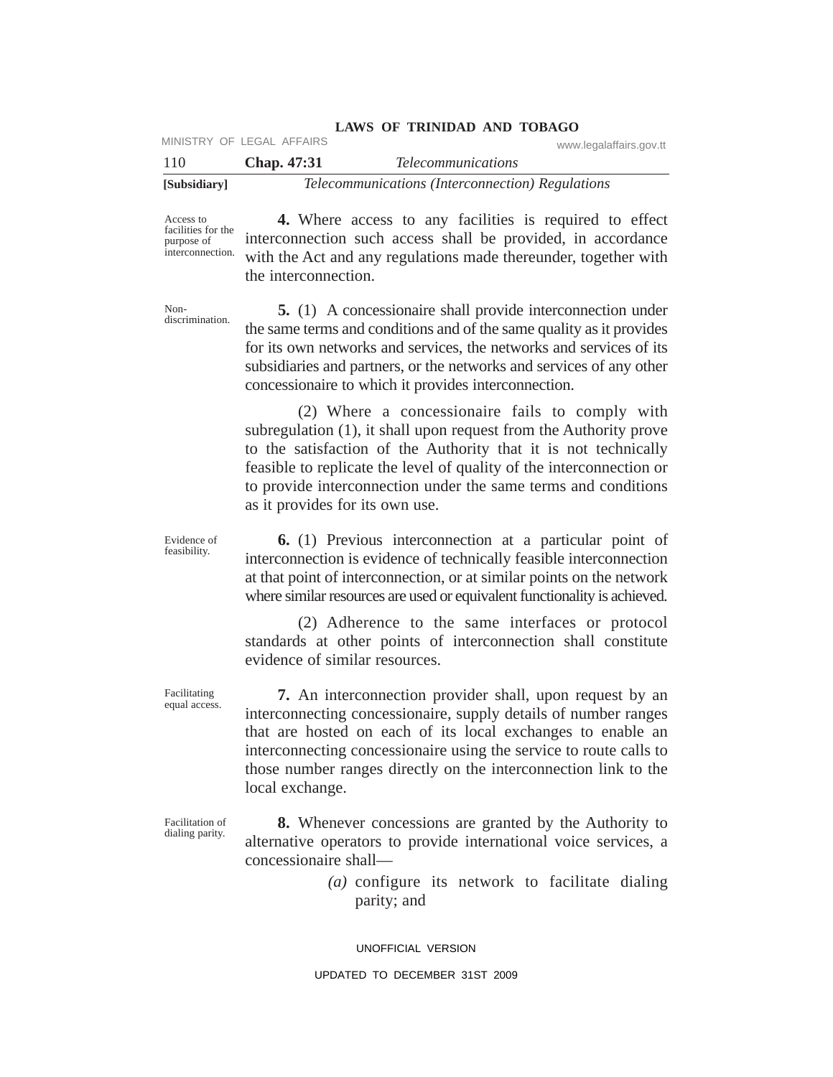| [Subsidiary] |                           | Telecommunications (Interconnection) Regulations |                         |
|--------------|---------------------------|--------------------------------------------------|-------------------------|
| 110          | <b>Chap.</b> 47:31        | <i>Telecommunications</i>                        |                         |
|              | MINISTRY OF LEGAL AFFAIRS |                                                  | www.legalaffairs.gov.tt |

Access to facilities for the purpose of interconnection.

**4.** Where access to any facilities is required to effect interconnection such access shall be provided, in accordance with the Act and any regulations made thereunder, together with the interconnection.

Nondiscrimination.

Evidence of feasibility.

Facilitating equal access.

**5.** (1) A concessionaire shall provide interconnection under the same terms and conditions and of the same quality as it provides for its own networks and services, the networks and services of its subsidiaries and partners, or the networks and services of any other concessionaire to which it provides interconnection.

(2) Where a concessionaire fails to comply with subregulation (1), it shall upon request from the Authority prove to the satisfaction of the Authority that it is not technically feasible to replicate the level of quality of the interconnection or to provide interconnection under the same terms and conditions as it provides for its own use.

**6.** (1) Previous interconnection at a particular point of interconnection is evidence of technically feasible interconnection at that point of interconnection, or at similar points on the network where similar resources are used or equivalent functionality is achieved.

(2) Adherence to the same interfaces or protocol standards at other points of interconnection shall constitute evidence of similar resources.

**7.** An interconnection provider shall, upon request by an interconnecting concessionaire, supply details of number ranges that are hosted on each of its local exchanges to enable an interconnecting concessionaire using the service to route calls to those number ranges directly on the interconnection link to the local exchange.

Facilitation of dialing parity.

**8.** Whenever concessions are granted by the Authority to alternative operators to provide international voice services, a concessionaire shall—

> *(a)* configure its network to facilitate dialing parity; and

UNOFFICIAL VERSION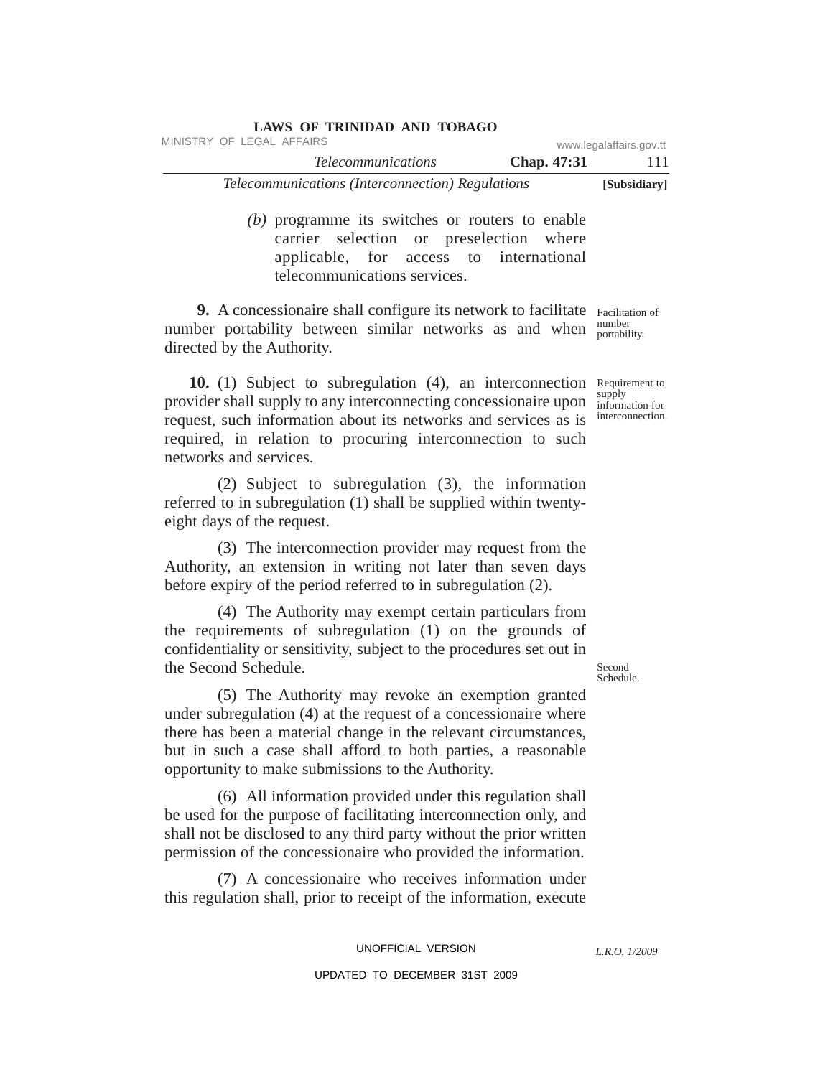| LAWS OF TRINIDAD AND TOBAGO                      |                    |                         |
|--------------------------------------------------|--------------------|-------------------------|
| MINISTRY OF LEGAL AFFAIRS                        |                    | www.legalaffairs.gov.tt |
| <i>Telecommunications</i>                        | <b>Chap.</b> 47:31 | 111                     |
| Telecommunications (Interconnection) Regulations |                    | [Subsidiary]            |

*(b)* programme its switches or routers to enable carrier selection or preselection where applicable, for access to international telecommunications services.

**9.** A concessionaire shall configure its network to facilitate Facilitation of number portability between similar networks as and when number directed by the Authority.

10. (1) Subject to subregulation (4), an interconnection Requirement to provider shall supply to any interconnecting concessionaire upon request, such information about its networks and services as is required, in relation to procuring interconnection to such networks and services. supply

(2) Subject to subregulation (3), the information referred to in subregulation (1) shall be supplied within twentyeight days of the request.

(3) The interconnection provider may request from the Authority, an extension in writing not later than seven days before expiry of the period referred to in subregulation (2).

(4) The Authority may exempt certain particulars from the requirements of subregulation (1) on the grounds of confidentiality or sensitivity, subject to the procedures set out in the Second Schedule.

(5) The Authority may revoke an exemption granted under subregulation (4) at the request of a concessionaire where there has been a material change in the relevant circumstances, but in such a case shall afford to both parties, a reasonable opportunity to make submissions to the Authority.

(6) All information provided under this regulation shall be used for the purpose of facilitating interconnection only, and shall not be disclosed to any third party without the prior written permission of the concessionaire who provided the information.

(7) A concessionaire who receives information under this regulation shall, prior to receipt of the information, execute

*L.R.O. 1/2009*

Second Schedule.

portability.

information for interconnection.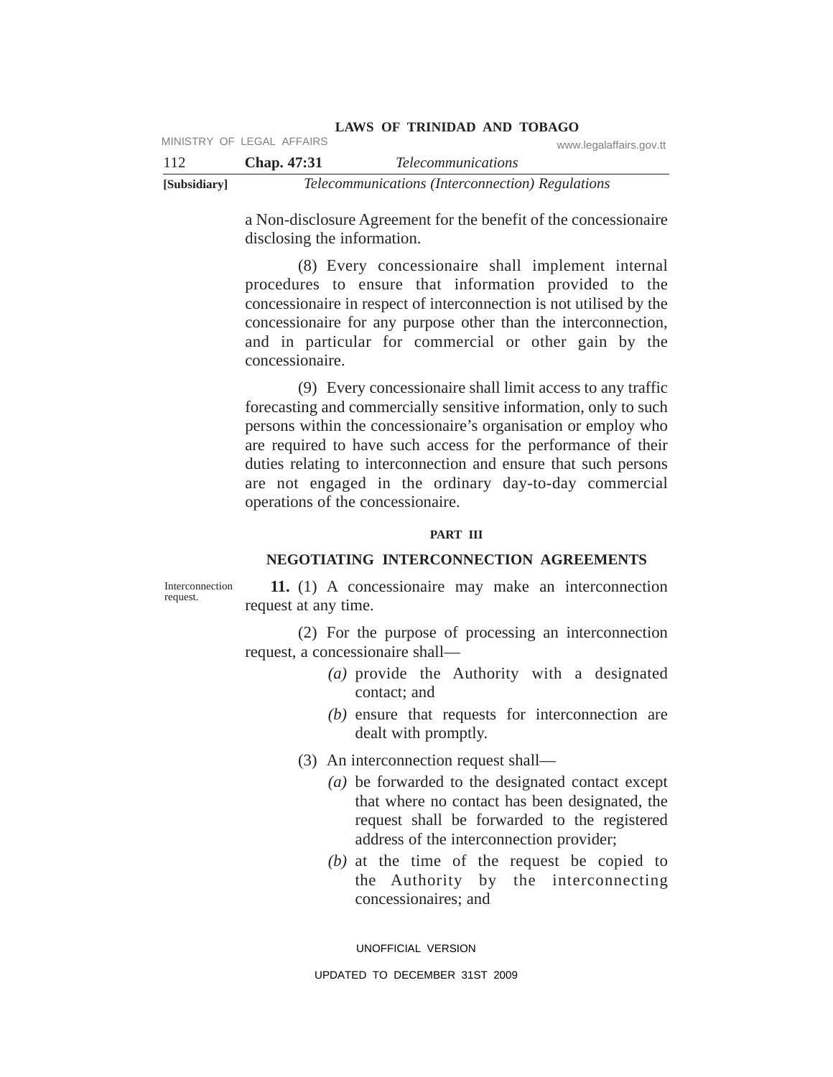| <b>LAWS OF TRINIDAD AND TOBAGO</b> |
|------------------------------------|
|------------------------------------|

|              | MINISTRY OF LEGAL AFFAIRS | www.legalaffairs.gov.tt                          |
|--------------|---------------------------|--------------------------------------------------|
| -112         | <b>Chap.</b> 47:31        | <i>Telecommunications</i>                        |
| [Subsidiary] |                           | Telecommunications (Interconnection) Regulations |

a Non-disclosure Agreement for the benefit of the concessionaire disclosing the information.

(8) Every concessionaire shall implement internal procedures to ensure that information provided to the concessionaire in respect of interconnection is not utilised by the concessionaire for any purpose other than the interconnection, and in particular for commercial or other gain by the concessionaire.

(9) Every concessionaire shall limit access to any traffic forecasting and commercially sensitive information, only to such persons within the concessionaire's organisation or employ who are required to have such access for the performance of their duties relating to interconnection and ensure that such persons are not engaged in the ordinary day-to-day commercial operations of the concessionaire.

#### **PART III**

## **NEGOTIATING INTERCONNECTION AGREEMENTS**

Interconnection request.

**11.** (1) A concessionaire may make an interconnection request at any time.

(2) For the purpose of processing an interconnection request, a concessionaire shall—

- *(a)* provide the Authority with a designated contact; and
- *(b)* ensure that requests for interconnection are dealt with promptly.
- (3) An interconnection request shall—
	- *(a)* be forwarded to the designated contact except that where no contact has been designated, the request shall be forwarded to the registered address of the interconnection provider;
	- *(b)* at the time of the request be copied to the Authority by the interconnecting concessionaires; and

UNOFFICIAL VERSION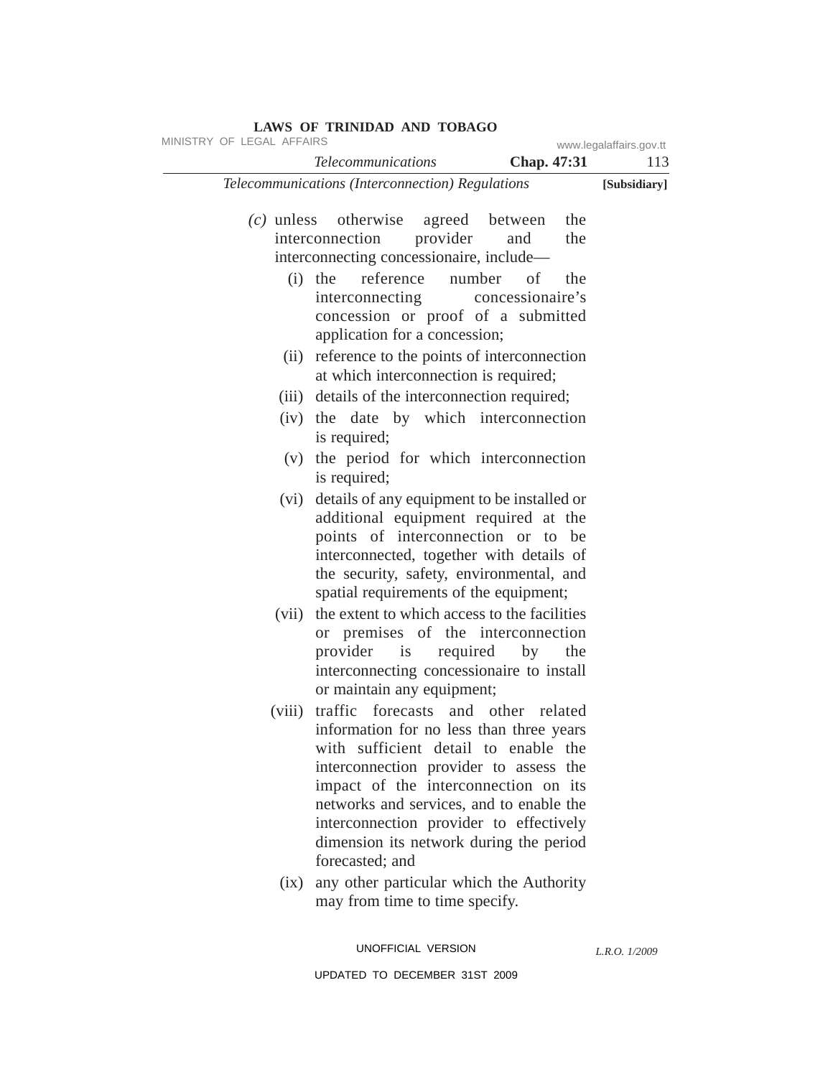|        | <b>Telecommunications</b>                                                                                                                                                                                                                                                                                                                                      | Chap. 47:31           | 113          |
|--------|----------------------------------------------------------------------------------------------------------------------------------------------------------------------------------------------------------------------------------------------------------------------------------------------------------------------------------------------------------------|-----------------------|--------------|
|        | Telecommunications (Interconnection) Regulations                                                                                                                                                                                                                                                                                                               |                       | [Subsidiary] |
|        | (c) unless otherwise agreed between<br>provider<br>interconnection<br>interconnecting concessionaire, include-                                                                                                                                                                                                                                                 | the<br>the<br>and     |              |
|        | reference                                                                                                                                                                                                                                                                                                                                                      | number of<br>the      |              |
|        | $(i)$ the<br>interconnecting<br>concession or proof of a submitted<br>application for a concession;                                                                                                                                                                                                                                                            | concessionaire's      |              |
| (ii)   | reference to the points of interconnection<br>at which interconnection is required;                                                                                                                                                                                                                                                                            |                       |              |
|        | (iii) details of the interconnection required;                                                                                                                                                                                                                                                                                                                 |                       |              |
| (iv)   | the date by which interconnection<br>is required;                                                                                                                                                                                                                                                                                                              |                       |              |
|        | (v) the period for which interconnection<br>is required;                                                                                                                                                                                                                                                                                                       |                       |              |
| (vi)   | details of any equipment to be installed or<br>additional equipment required at the<br>points of interconnection or to be<br>interconnected, together with details of<br>the security, safety, environmental, and<br>spatial requirements of the equipment;                                                                                                    |                       |              |
| (vii)  | the extent to which access to the facilities<br>or premises of the interconnection<br>provider is<br>interconnecting concessionaire to install<br>or maintain any equipment;                                                                                                                                                                                   | required<br>by<br>the |              |
| (viii) | traffic forecasts and other related<br>information for no less than three years<br>with sufficient detail to enable the<br>interconnection provider to assess the<br>impact of the interconnection on its<br>networks and services, and to enable the<br>interconnection provider to effectively<br>dimension its network during the period<br>forecasted; and |                       |              |
| (ix)   | any other particular which the Authority<br>may from time to time specify.                                                                                                                                                                                                                                                                                     |                       |              |

UNOFFICIAL VERSION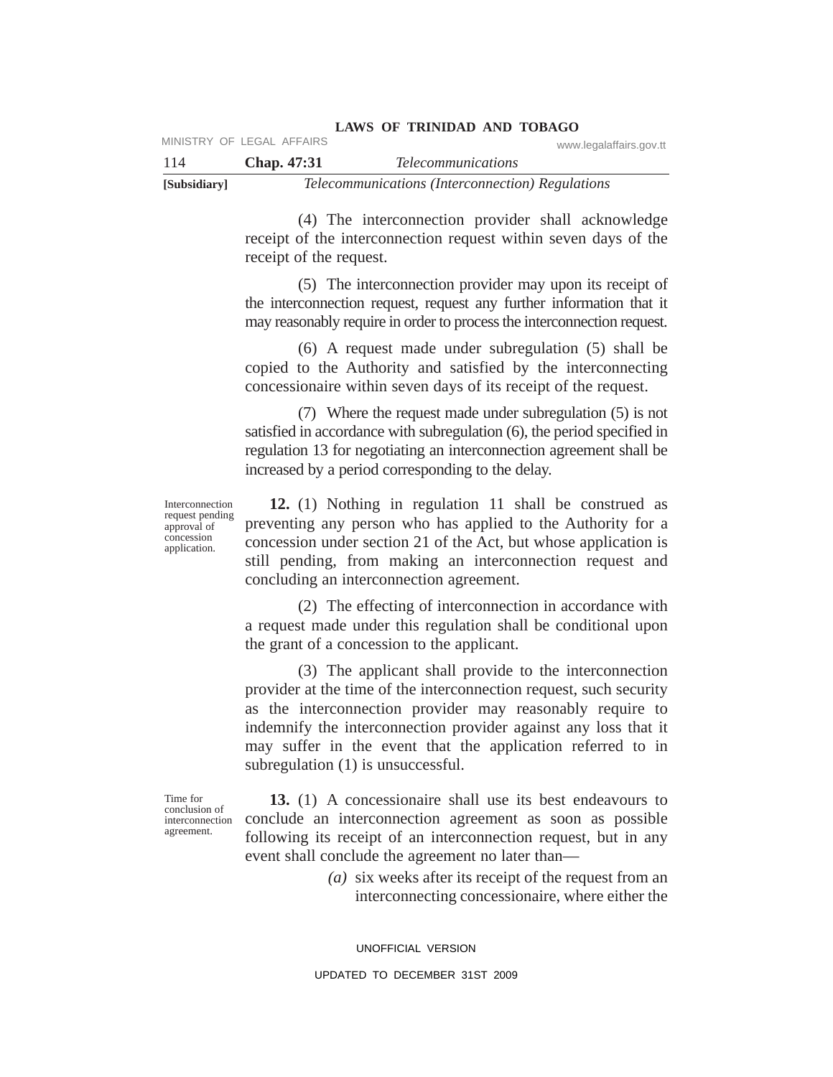| -114         | Chap. 47:31 | <i>Telecommunications</i>                        |
|--------------|-------------|--------------------------------------------------|
| [Subsidiary] |             | Telecommunications (Interconnection) Regulations |

(4) The interconnection provider shall acknowledge receipt of the interconnection request within seven days of the receipt of the request.

(5) The interconnection provider may upon its receipt of the interconnection request, request any further information that it may reasonably require in order to process the interconnection request.

(6) A request made under subregulation (5) shall be copied to the Authority and satisfied by the interconnecting concessionaire within seven days of its receipt of the request.

(7) Where the request made under subregulation (5) is not satisfied in accordance with subregulation (6), the period specified in regulation 13 for negotiating an interconnection agreement shall be increased by a period corresponding to the delay.

Interconnection request pending approval of concession application.

**12.** (1) Nothing in regulation 11 shall be construed as preventing any person who has applied to the Authority for a concession under section 21 of the Act, but whose application is still pending, from making an interconnection request and concluding an interconnection agreement.

(2) The effecting of interconnection in accordance with a request made under this regulation shall be conditional upon the grant of a concession to the applicant.

(3) The applicant shall provide to the interconnection provider at the time of the interconnection request, such security as the interconnection provider may reasonably require to indemnify the interconnection provider against any loss that it may suffer in the event that the application referred to in subregulation (1) is unsuccessful.

Time for conclusion of interconnection agreement.

**13.** (1) A concessionaire shall use its best endeavours to conclude an interconnection agreement as soon as possible following its receipt of an interconnection request, but in any event shall conclude the agreement no later than—

> *(a)* six weeks after its receipt of the request from an interconnecting concessionaire, where either the

UNOFFICIAL VERSION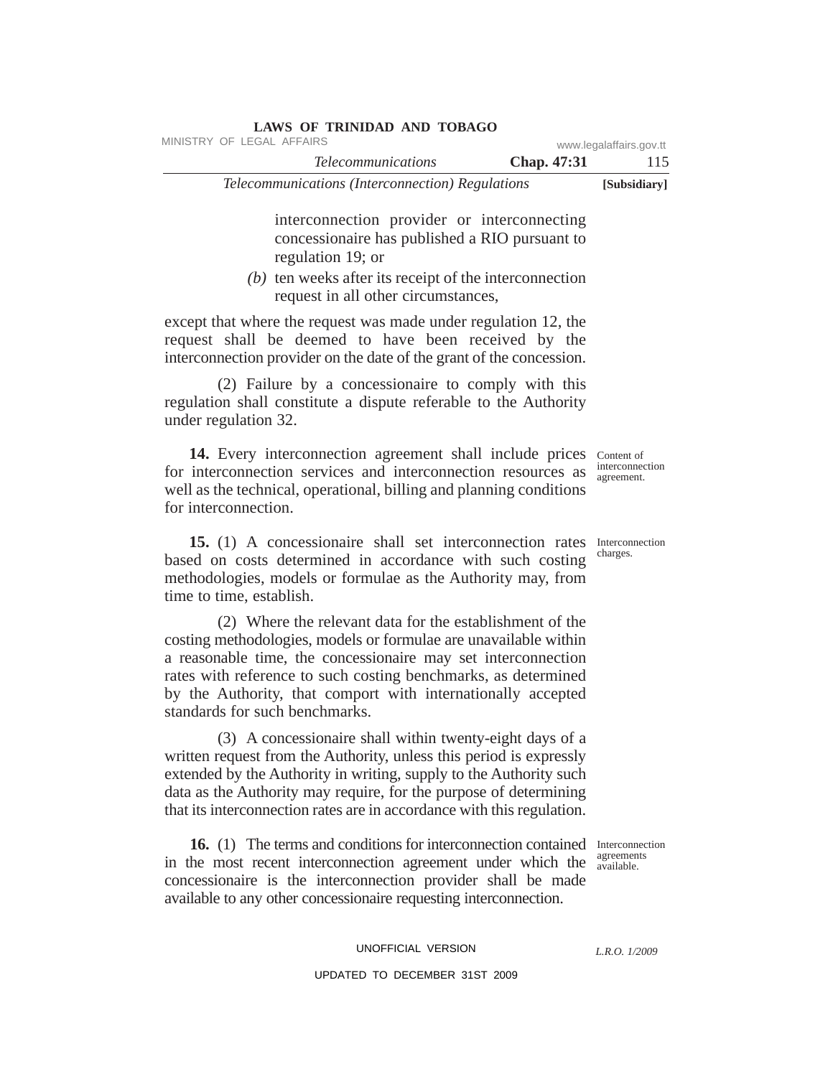| MINISTRY OF LEGAL AFFAIRS                               |                    | www.legalaffairs.gov.tt |
|---------------------------------------------------------|--------------------|-------------------------|
| <i>Telecommunications</i>                               | <b>Chap.</b> 47:31 | 115                     |
| <i>Telecommunications (Interconnection) Regulations</i> |                    | [Subsidiary]            |

interconnection provider or interconnecting concessionaire has published a RIO pursuant to regulation 19; or

*(b)* ten weeks after its receipt of the interconnection request in all other circumstances,

except that where the request was made under regulation 12, the request shall be deemed to have been received by the interconnection provider on the date of the grant of the concession.

**LAWS OF TRINIDAD AND TOBAGO**

(2) Failure by a concessionaire to comply with this regulation shall constitute a dispute referable to the Authority under regulation 32.

14. Every interconnection agreement shall include prices Content of for interconnection services and interconnection resources as well as the technical, operational, billing and planning conditions for interconnection. agreement.

15. (1) A concessionaire shall set interconnection rates Interconnection based on costs determined in accordance with such costing methodologies, models or formulae as the Authority may, from time to time, establish.

(2) Where the relevant data for the establishment of the costing methodologies, models or formulae are unavailable within a reasonable time, the concessionaire may set interconnection rates with reference to such costing benchmarks, as determined by the Authority, that comport with internationally accepted standards for such benchmarks.

(3) A concessionaire shall within twenty-eight days of a written request from the Authority, unless this period is expressly extended by the Authority in writing, supply to the Authority such data as the Authority may require, for the purpose of determining that its interconnection rates are in accordance with this regulation.

16. (1) The terms and conditions for interconnection contained Interconnection in the most recent interconnection agreement under which the  $\frac{agreement}{available}$ concessionaire is the interconnection provider shall be made available to any other concessionaire requesting interconnection.

available.

interconnection

charges.

UNOFFICIAL VERSION UPDATED TO DECEMBER 31ST 2009

*L.R.O. 1/2009*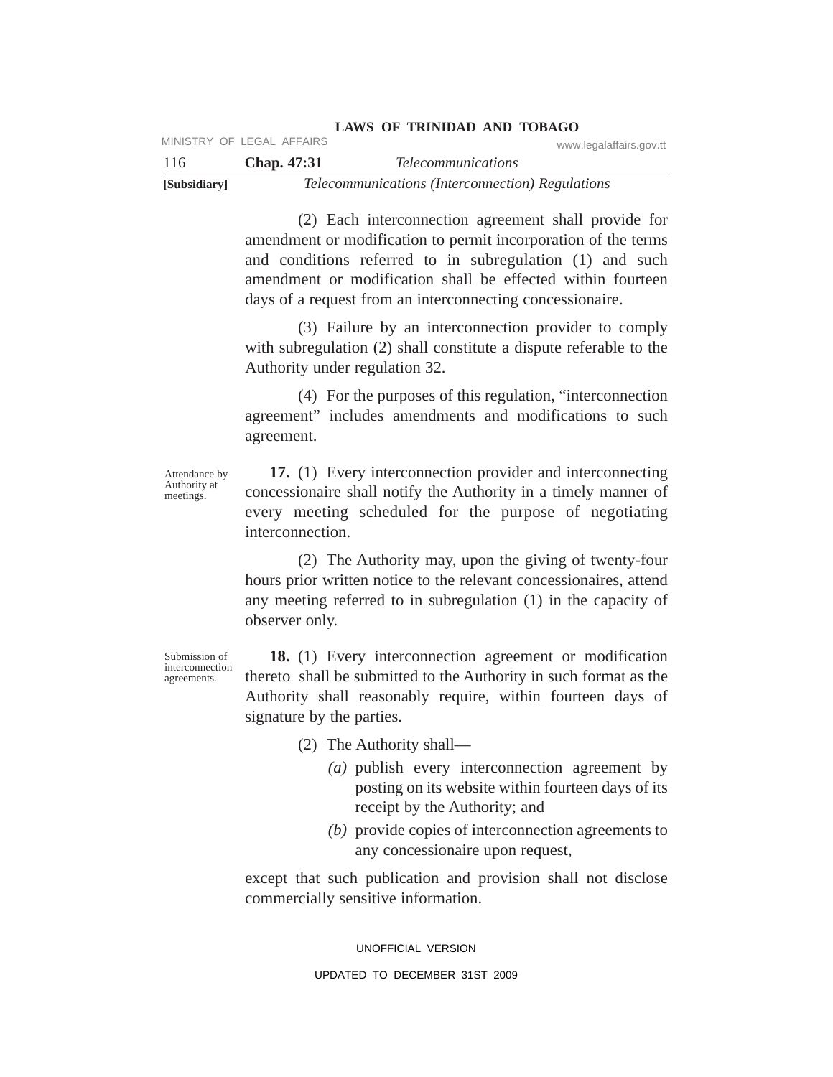| 116          | <b>Chap.</b> 47:31 | <i>Telecommunications</i>                        |  |
|--------------|--------------------|--------------------------------------------------|--|
| [Subsidiary] |                    | Telecommunications (Interconnection) Regulations |  |

(2) Each interconnection agreement shall provide for amendment or modification to permit incorporation of the terms and conditions referred to in subregulation (1) and such amendment or modification shall be effected within fourteen days of a request from an interconnecting concessionaire.

(3) Failure by an interconnection provider to comply with subregulation (2) shall constitute a dispute referable to the Authority under regulation 32.

(4) For the purposes of this regulation, "interconnection agreement" includes amendments and modifications to such agreement.

Attendance by Authority at meetings.

**17.** (1) Every interconnection provider and interconnecting concessionaire shall notify the Authority in a timely manner of every meeting scheduled for the purpose of negotiating interconnection.

(2) The Authority may, upon the giving of twenty-four hours prior written notice to the relevant concessionaires, attend any meeting referred to in subregulation (1) in the capacity of observer only.

Submission of interconnection agreements.

**18.** (1) Every interconnection agreement or modification thereto shall be submitted to the Authority in such format as the Authority shall reasonably require, within fourteen days of signature by the parties.

(2) The Authority shall—

- *(a)* publish every interconnection agreement by posting on its website within fourteen days of its receipt by the Authority; and
- *(b)* provide copies of interconnection agreements to any concessionaire upon request,

except that such publication and provision shall not disclose commercially sensitive information.

> UNOFFICIAL VERSION UPDATED TO DECEMBER 31ST 2009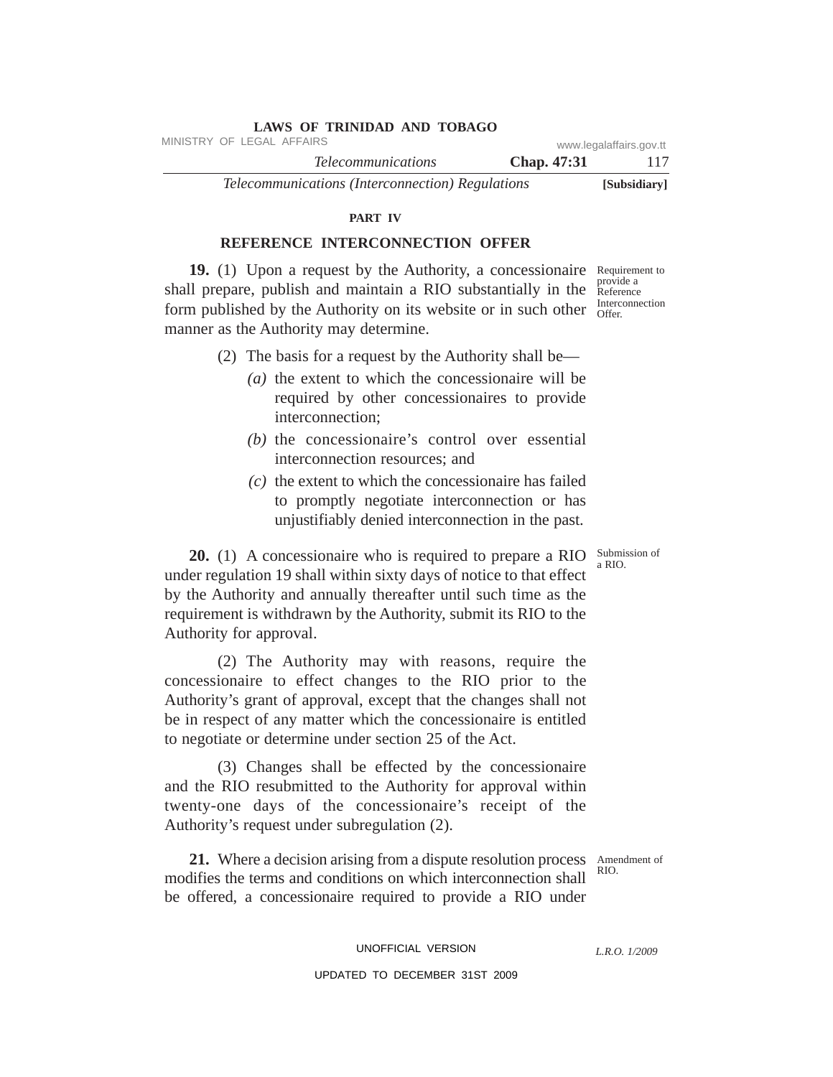| <b>LAWS OF TRINIDAD AND TOBAGO</b>               |                    |                         |
|--------------------------------------------------|--------------------|-------------------------|
| MINISTRY OF LEGAL AFFAIRS                        |                    | www.legalaffairs.gov.tt |
| <i>Telecommunications</i>                        | <b>Chap.</b> 47:31 | 117                     |
| Telecommunications (Interconnection) Regulations |                    | [Subsidiary]            |

#### **PART IV**

## **REFERENCE INTERCONNECTION OFFER**

19. (1) Upon a request by the Authority, a concessionaire Requirement to shall prepare, publish and maintain a RIO substantially in the form published by the Authority on its website or in such other manner as the Authority may determine.

- (2) The basis for a request by the Authority shall be—
	- *(a)* the extent to which the concessionaire will be required by other concessionaires to provide interconnection;
	- *(b)* the concessionaire's control over essential interconnection resources; and
	- *(c)* the extent to which the concessionaire has failed to promptly negotiate interconnection or has unjustifiably denied interconnection in the past.

**20.** (1) A concessionaire who is required to prepare a RIO under regulation 19 shall within sixty days of notice to that effect by the Authority and annually thereafter until such time as the requirement is withdrawn by the Authority, submit its RIO to the Authority for approval.

(2) The Authority may with reasons, require the concessionaire to effect changes to the RIO prior to the Authority's grant of approval, except that the changes shall not be in respect of any matter which the concessionaire is entitled to negotiate or determine under section 25 of the Act.

(3) Changes shall be effected by the concessionaire and the RIO resubmitted to the Authority for approval within twenty-one days of the concessionaire's receipt of the Authority's request under subregulation (2).

**21.** Where a decision arising from a dispute resolution process Amendment of modifies the terms and conditions on which interconnection shall be offered, a concessionaire required to provide a RIO under

RIO.

UNOFFICIAL VERSION

*L.R.O. 1/2009*

UPDATED TO DECEMBER 31ST 2009

provide a Reference Interconnection Offer.

Submission of a RIO.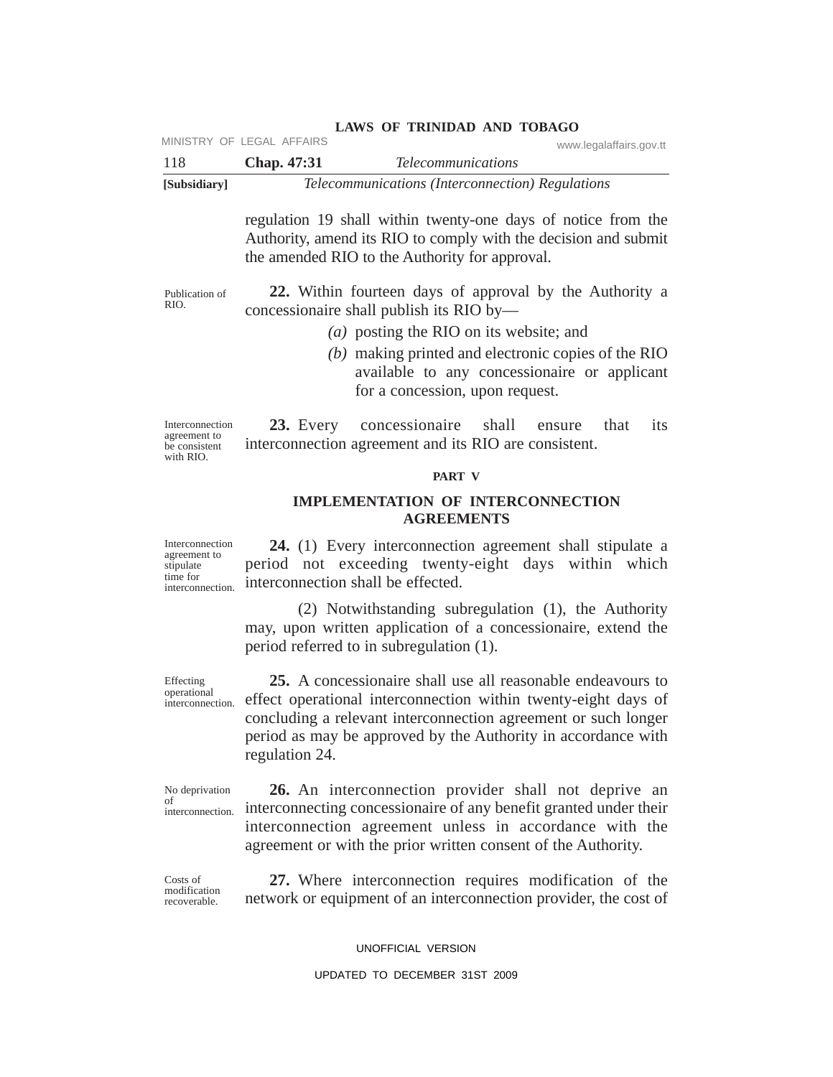|              | MINISTRY OF LEGAL AFFAIRS | www.legalaffairs.gov.tt                          |  |
|--------------|---------------------------|--------------------------------------------------|--|
| 118          | <b>Chap.</b> 47:31        | <i>Telecommunications</i>                        |  |
| [Subsidiary] |                           | Telecommunications (Interconnection) Regulations |  |

regulation 19 shall within twenty-one days of notice from the Authority, amend its RIO to comply with the decision and submit the amended RIO to the Authority for approval.

Publication of RIO.

**22.** Within fourteen days of approval by the Authority a concessionaire shall publish its RIO by—

- *(a)* posting the RIO on its website; and
- *(b)* making printed and electronic copies of the RIO available to any concessionaire or applicant for a concession, upon request.

Interconnection agreement to be consistent with RIO.

**23.** Every concessionaire shall ensure that its interconnection agreement and its RIO are consistent.

#### **PART V**

## **IMPLEMENTATION OF INTERCONNECTION AGREEMENTS**

Interconnection agreement to stipulate time for interconnection.

**24.** (1) Every interconnection agreement shall stipulate a period not exceeding twenty-eight days within which interconnection shall be effected.

(2) Notwithstanding subregulation (1), the Authority may, upon written application of a concessionaire, extend the period referred to in subregulation (1).

Effecting operational interconnection.

**25.** A concessionaire shall use all reasonable endeavours to effect operational interconnection within twenty-eight days of concluding a relevant interconnection agreement or such longer period as may be approved by the Authority in accordance with regulation 24.

No deprivation of interconnection.

**26.** An interconnection provider shall not deprive an interconnecting concessionaire of any benefit granted under their interconnection agreement unless in accordance with the agreement or with the prior written consent of the Authority.

Costs of modification recoverable.

**27.** Where interconnection requires modification of the network or equipment of an interconnection provider, the cost of

UNOFFICIAL VERSION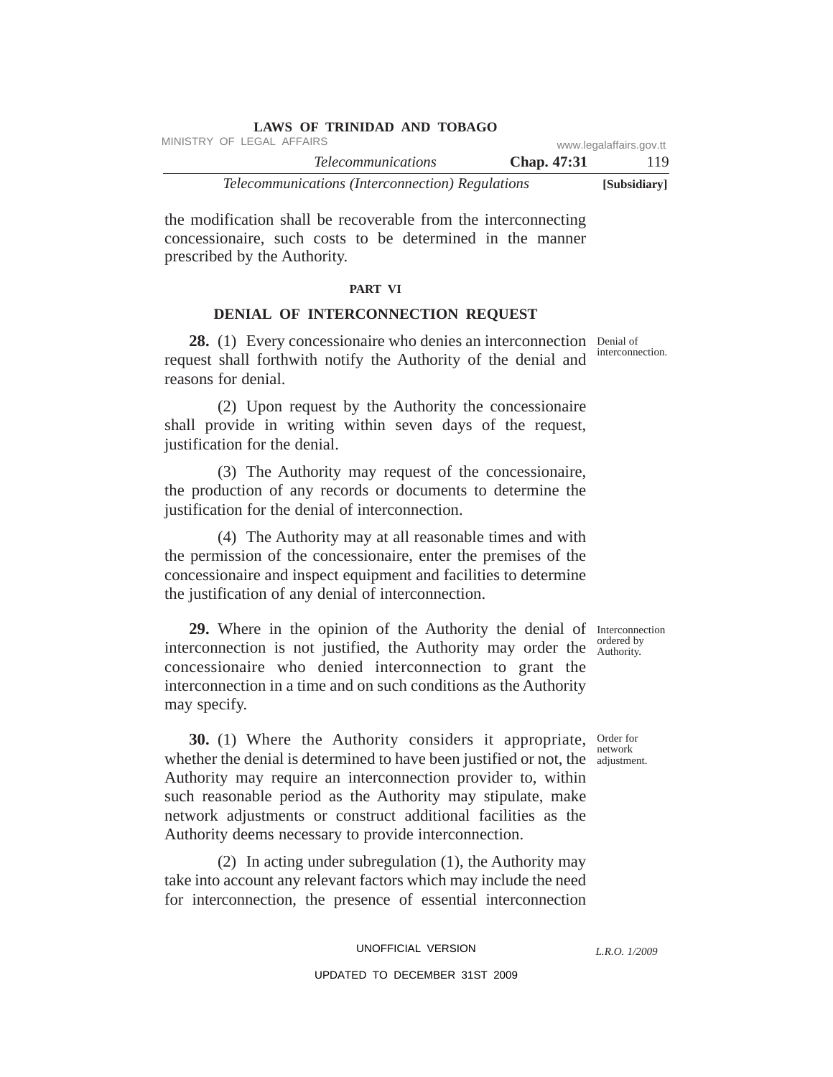| <b>LAWS OF TRINIDAD AND TOBAGO</b>               |                    |                         |
|--------------------------------------------------|--------------------|-------------------------|
| MINISTRY OF LEGAL AFFAIRS                        |                    | www.legalaffairs.gov.tt |
| <i>Telecommunications</i>                        | <b>Chap.</b> 47:31 | 119                     |
| Telecommunications (Interconnection) Regulations |                    | [Subsidiary]            |

the modification shall be recoverable from the interconnecting concessionaire, such costs to be determined in the manner prescribed by the Authority.

#### **PART VI**

## **DENIAL OF INTERCONNECTION REQUEST**

28. (1) Every concessionaire who denies an interconnection Denial of request shall forthwith notify the Authority of the denial and reasons for denial.

(2) Upon request by the Authority the concessionaire shall provide in writing within seven days of the request, justification for the denial.

(3) The Authority may request of the concessionaire, the production of any records or documents to determine the justification for the denial of interconnection.

(4) The Authority may at all reasonable times and with the permission of the concessionaire, enter the premises of the concessionaire and inspect equipment and facilities to determine the justification of any denial of interconnection.

29. Where in the opinion of the Authority the denial of Interconnection interconnection is not justified, the Authority may order the  $\frac{\text{ordered by}}{\text{Authority}}$ concessionaire who denied interconnection to grant the interconnection in a time and on such conditions as the Authority may specify.

**30.** (1) Where the Authority considers it appropriate, Order for whether the denial is determined to have been justified or not, the adjustment. Authority may require an interconnection provider to, within such reasonable period as the Authority may stipulate, make network adjustments or construct additional facilities as the Authority deems necessary to provide interconnection.

(2) In acting under subregulation (1), the Authority may take into account any relevant factors which may include the need for interconnection, the presence of essential interconnection

> UNOFFICIAL VERSION UPDATED TO DECEMBER 31ST 2009

Authority.

network

*L.R.O. 1/2009*

interconnection.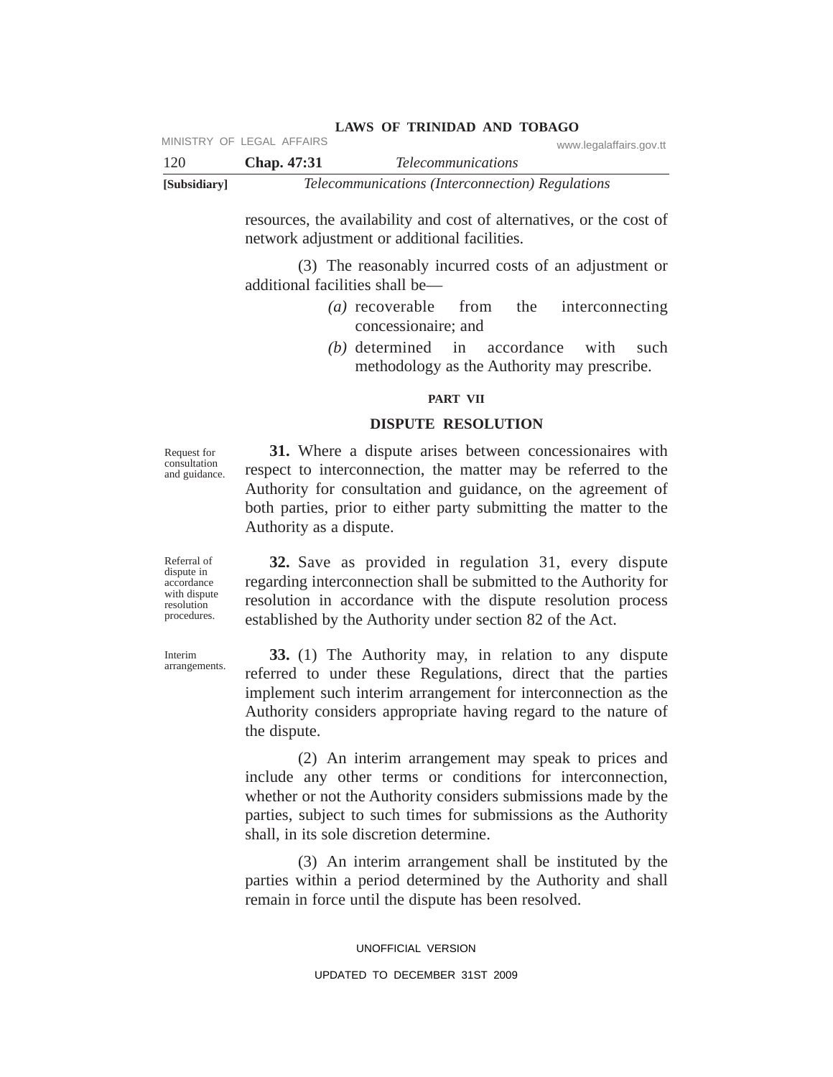| [Subsidiary] |                           | Telecommunications (Interconnection) Regulations |                         |
|--------------|---------------------------|--------------------------------------------------|-------------------------|
| 120          | <b>Chap.</b> 47:31        | <i>Telecommunications</i>                        |                         |
|              | MINISTRY OF LEGAL AFFAIRS |                                                  | www.legalaffairs.gov.tt |

resources, the availability and cost of alternatives, or the cost of network adjustment or additional facilities.

**LAWS OF TRINIDAD AND TOBAGO**

(3) The reasonably incurred costs of an adjustment or additional facilities shall be—

- *(a)* recoverable from the interconnecting concessionaire; and
- *(b)* determined in accordance with such methodology as the Authority may prescribe.

#### **PART VII**

## **DISPUTE RESOLUTION**

Request for consultation and guidance.

**31.** Where a dispute arises between concessionaires with respect to interconnection, the matter may be referred to the Authority for consultation and guidance, on the agreement of both parties, prior to either party submitting the matter to the Authority as a dispute.

**32.** Save as provided in regulation 31, every dispute regarding interconnection shall be submitted to the Authority for resolution in accordance with the dispute resolution process established by the Authority under section 82 of the Act.

**33.** (1) The Authority may, in relation to any dispute referred to under these Regulations, direct that the parties implement such interim arrangement for interconnection as the Authority considers appropriate having regard to the nature of the dispute.

(2) An interim arrangement may speak to prices and include any other terms or conditions for interconnection, whether or not the Authority considers submissions made by the parties, subject to such times for submissions as the Authority shall, in its sole discretion determine.

(3) An interim arrangement shall be instituted by the parties within a period determined by the Authority and shall remain in force until the dispute has been resolved.

> UNOFFICIAL VERSION UPDATED TO DECEMBER 31ST 2009

Referral of dispute in accordance with dispute resolution procedures.

Interim arrangements.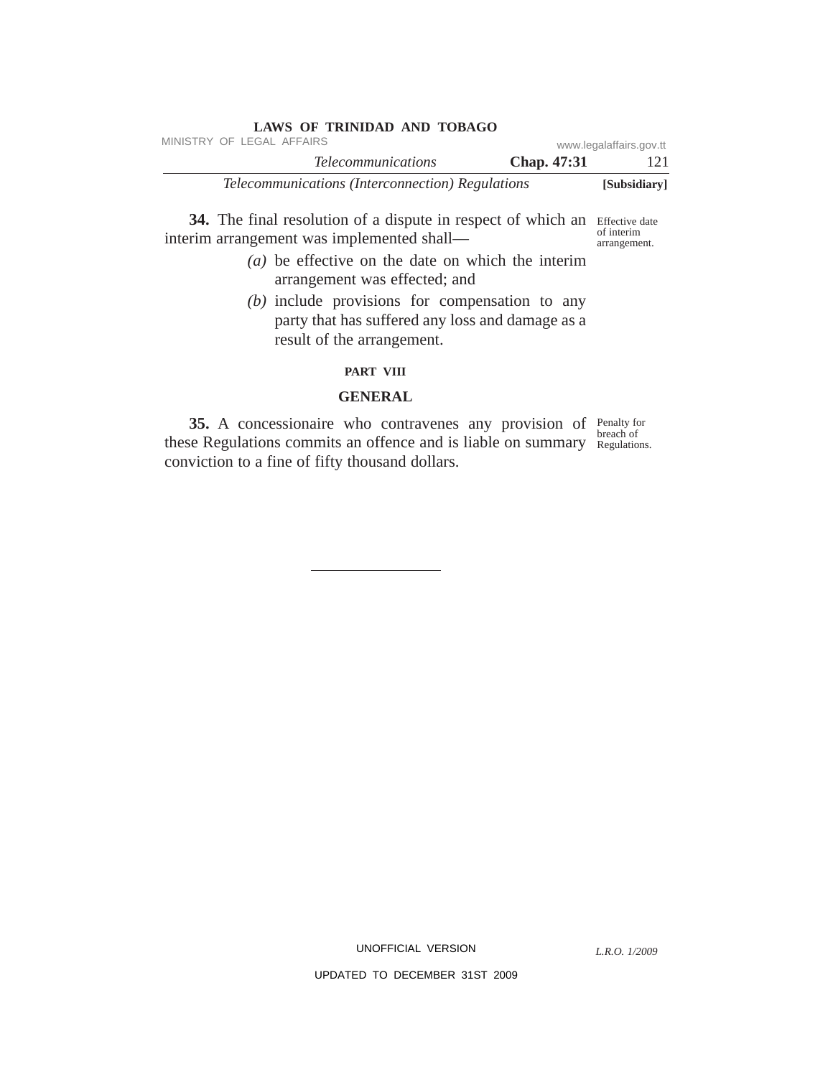| <b>LAWS OF TRINIDAD AND TOBAGO</b>                      |                           |
|---------------------------------------------------------|---------------------------|
| MINISTRY OF LEGAL AFFAIRS                               | www.legalaffairs.gov.tt   |
| <i>Telecommunications</i>                               | <b>Chap.</b> 47:31<br>121 |
| <i>Telecommunications (Interconnection) Regulations</i> | [Subsidiary]              |

**34.** The final resolution of a dispute in respect of which an Effective date interim arrangement was implemented shall of interim arrangement.

- *(a)* be effective on the date on which the interim arrangement was effected; and
- *(b)* include provisions for compensation to any party that has suffered any loss and damage as a result of the arrangement.

## **PART VIII**

## **GENERAL**

**35.** A concessionaire who contravenes any provision of Penalty for these Regulations commits an offence and is liable on summary Regulations. conviction to a fine of fifty thousand dollars. breach of

UNOFFICIAL VERSION

*L.R.O. 1/2009*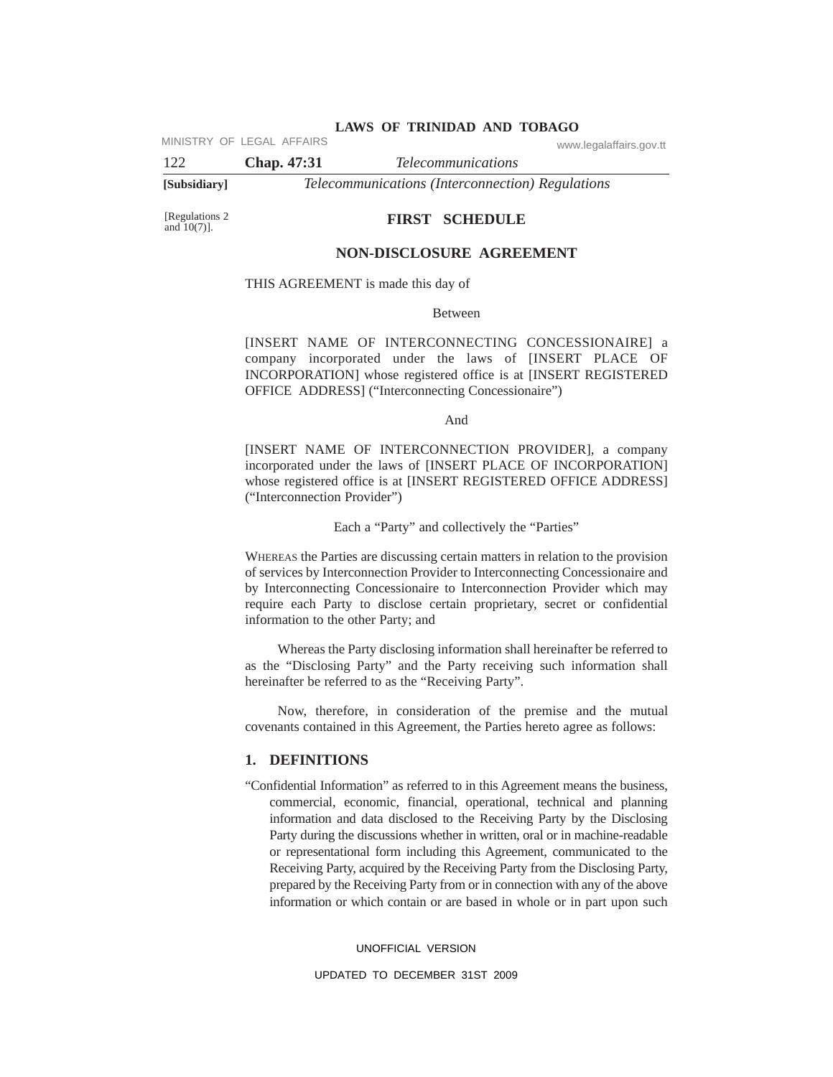MINISTRY OF LEGAL AFFAIRS www.legalaffairs.gov.tt

122 **Chap. 47:31** *Telecommunications* **[Subsidiary]** *Telecommunications (Interconnection) Regulations*

[Regulations 2 and 10(7)].

#### **FIRST SCHEDULE**

## **NON-DISCLOSURE AGREEMENT**

THIS AGREEMENT is made this day of

Between

[INSERT NAME OF INTERCONNECTING CONCESSIONAIRE] a company incorporated under the laws of [INSERT PLACE OF INCORPORATION] whose registered office is at [INSERT REGISTERED OFFICE ADDRESS] ("Interconnecting Concessionaire")

And

[INSERT NAME OF INTERCONNECTION PROVIDER], a company incorporated under the laws of [INSERT PLACE OF INCORPORATION] whose registered office is at [INSERT REGISTERED OFFICE ADDRESS] ("Interconnection Provider")

Each a "Party" and collectively the "Parties"

WHEREAS the Parties are discussing certain matters in relation to the provision of services by Interconnection Provider to Interconnecting Concessionaire and by Interconnecting Concessionaire to Interconnection Provider which may require each Party to disclose certain proprietary, secret or confidential information to the other Party; and

Whereas the Party disclosing information shall hereinafter be referred to as the "Disclosing Party" and the Party receiving such information shall hereinafter be referred to as the "Receiving Party".

Now, therefore, in consideration of the premise and the mutual covenants contained in this Agreement, the Parties hereto agree as follows:

## **1. DEFINITIONS**

"Confidential Information" as referred to in this Agreement means the business, commercial, economic, financial, operational, technical and planning information and data disclosed to the Receiving Party by the Disclosing Party during the discussions whether in written, oral or in machine-readable or representational form including this Agreement, communicated to the Receiving Party, acquired by the Receiving Party from the Disclosing Party, prepared by the Receiving Party from or in connection with any of the above information or which contain or are based in whole or in part upon such

UNOFFICIAL VERSION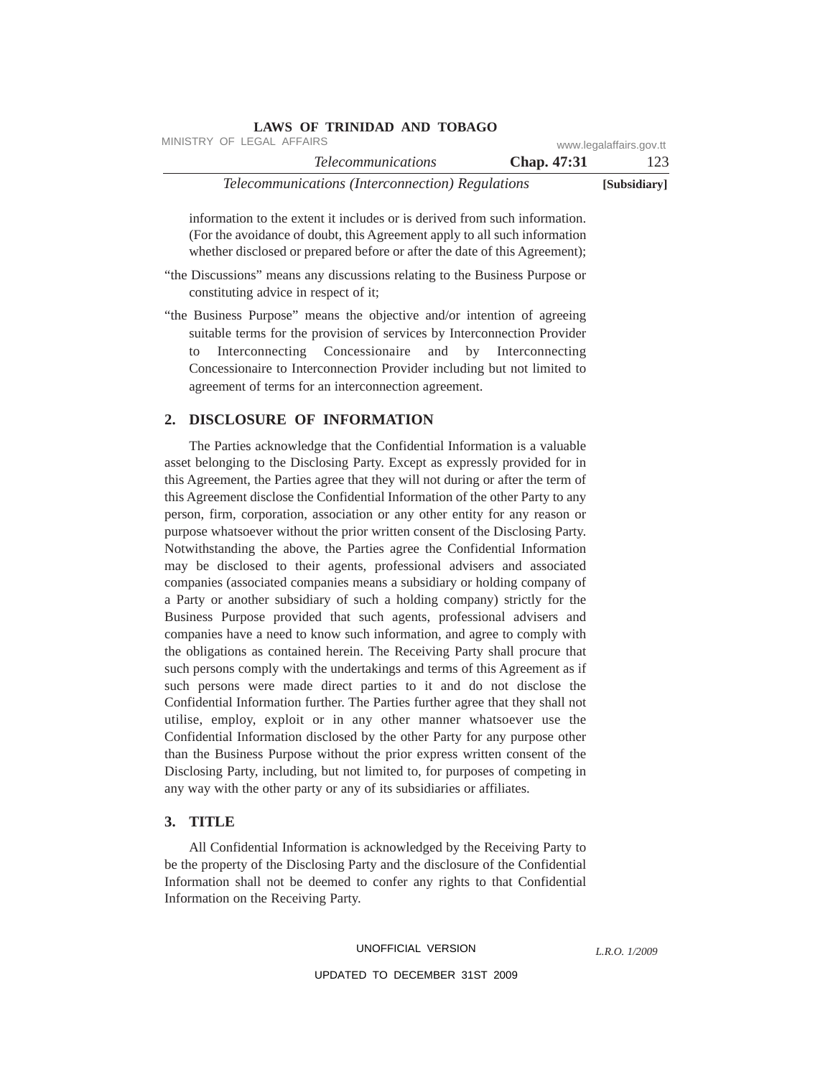| www.legalaffairs.gov.tt |             | MINISTRY OF LEGAL AFFAIRS                        |
|-------------------------|-------------|--------------------------------------------------|
| 123                     | Chap. 47:31 | <i>Telecommunications</i>                        |
| [Subsidiary]            |             | Telecommunications (Interconnection) Regulations |

information to the extent it includes or is derived from such information. (For the avoidance of doubt, this Agreement apply to all such information whether disclosed or prepared before or after the date of this Agreement);

"the Discussions" means any discussions relating to the Business Purpose or constituting advice in respect of it;

**LAWS OF TRINIDAD AND TOBAGO**

"the Business Purpose" means the objective and/or intention of agreeing suitable terms for the provision of services by Interconnection Provider to Interconnecting Concessionaire and by Interconnecting Concessionaire to Interconnection Provider including but not limited to agreement of terms for an interconnection agreement.

## **2. DISCLOSURE OF INFORMATION**

The Parties acknowledge that the Confidential Information is a valuable asset belonging to the Disclosing Party. Except as expressly provided for in this Agreement, the Parties agree that they will not during or after the term of this Agreement disclose the Confidential Information of the other Party to any person, firm, corporation, association or any other entity for any reason or purpose whatsoever without the prior written consent of the Disclosing Party. Notwithstanding the above, the Parties agree the Confidential Information may be disclosed to their agents, professional advisers and associated companies (associated companies means a subsidiary or holding company of a Party or another subsidiary of such a holding company) strictly for the Business Purpose provided that such agents, professional advisers and companies have a need to know such information, and agree to comply with the obligations as contained herein. The Receiving Party shall procure that such persons comply with the undertakings and terms of this Agreement as if such persons were made direct parties to it and do not disclose the Confidential Information further. The Parties further agree that they shall not utilise, employ, exploit or in any other manner whatsoever use the Confidential Information disclosed by the other Party for any purpose other than the Business Purpose without the prior express written consent of the Disclosing Party, including, but not limited to, for purposes of competing in any way with the other party or any of its subsidiaries or affiliates.

## **3. TITLE**

All Confidential Information is acknowledged by the Receiving Party to be the property of the Disclosing Party and the disclosure of the Confidential Information shall not be deemed to confer any rights to that Confidential Information on the Receiving Party.

#### UNOFFICIAL VERSION

*L.R.O. 1/2009*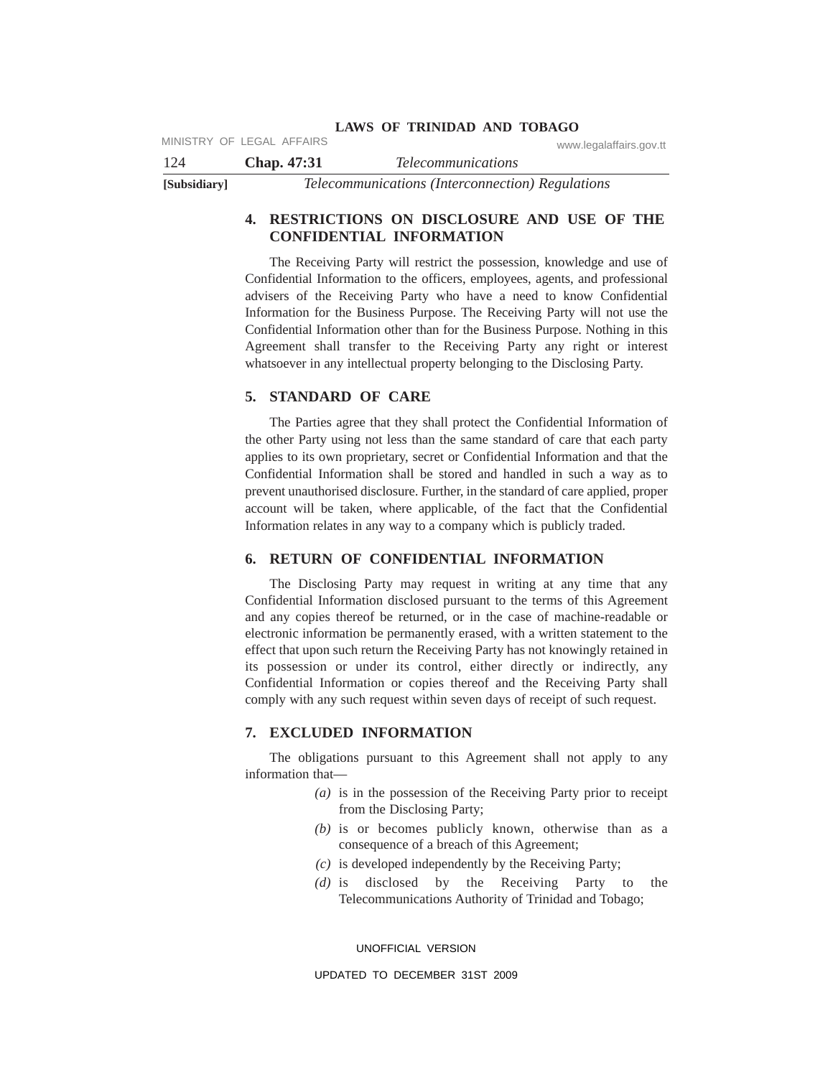|              | MINISTRY OF LEGAL AFFAIRS | www.legalaffairs.gov.tt                                 |
|--------------|---------------------------|---------------------------------------------------------|
| 124          | <b>Chap.</b> 47:31        | <i>Telecommunications</i>                               |
| [Subsidiary] |                           | <i>Telecommunications (Interconnection) Regulations</i> |

## **4. RESTRICTIONS ON DISCLOSURE AND USE OF THE CONFIDENTIAL INFORMATION**

The Receiving Party will restrict the possession, knowledge and use of Confidential Information to the officers, employees, agents, and professional advisers of the Receiving Party who have a need to know Confidential Information for the Business Purpose. The Receiving Party will not use the Confidential Information other than for the Business Purpose. Nothing in this Agreement shall transfer to the Receiving Party any right or interest whatsoever in any intellectual property belonging to the Disclosing Party.

## **5. STANDARD OF CARE**

The Parties agree that they shall protect the Confidential Information of the other Party using not less than the same standard of care that each party applies to its own proprietary, secret or Confidential Information and that the Confidential Information shall be stored and handled in such a way as to prevent unauthorised disclosure. Further, in the standard of care applied, proper account will be taken, where applicable, of the fact that the Confidential Information relates in any way to a company which is publicly traded.

## **6. RETURN OF CONFIDENTIAL INFORMATION**

The Disclosing Party may request in writing at any time that any Confidential Information disclosed pursuant to the terms of this Agreement and any copies thereof be returned, or in the case of machine-readable or electronic information be permanently erased, with a written statement to the effect that upon such return the Receiving Party has not knowingly retained in its possession or under its control, either directly or indirectly, any Confidential Information or copies thereof and the Receiving Party shall comply with any such request within seven days of receipt of such request.

## **7. EXCLUDED INFORMATION**

The obligations pursuant to this Agreement shall not apply to any information that—

- *(a)* is in the possession of the Receiving Party prior to receipt from the Disclosing Party;
- *(b)* is or becomes publicly known, otherwise than as a consequence of a breach of this Agreement;
- *(c)* is developed independently by the Receiving Party;
- *(d)* is disclosed by the Receiving Party to the Telecommunications Authority of Trinidad and Tobago;

UNOFFICIAL VERSION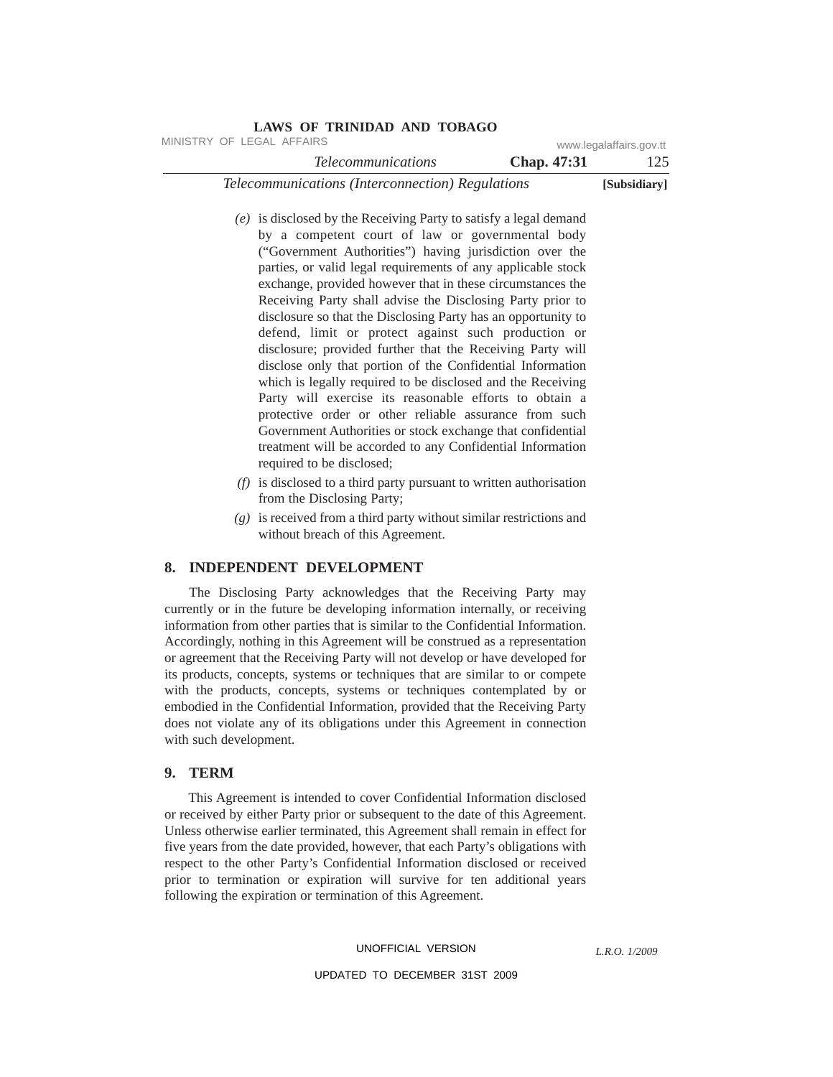| <b>LAWS OF TRINIDAD AND TOBAGO</b>                      |                    |                         |
|---------------------------------------------------------|--------------------|-------------------------|
| MINISTRY OF LEGAL AFFAIRS                               |                    | www.legalaffairs.gov.tt |
| <i>Telecommunications</i>                               | <b>Chap.</b> 47:31 | 125                     |
| <i>Telecommunications (Interconnection) Regulations</i> | [Subsidiary]       |                         |

- *(e)* is disclosed by the Receiving Party to satisfy a legal demand by a competent court of law or governmental body ("Government Authorities") having jurisdiction over the parties, or valid legal requirements of any applicable stock exchange, provided however that in these circumstances the Receiving Party shall advise the Disclosing Party prior to disclosure so that the Disclosing Party has an opportunity to defend, limit or protect against such production or disclosure; provided further that the Receiving Party will disclose only that portion of the Confidential Information which is legally required to be disclosed and the Receiving Party will exercise its reasonable efforts to obtain a protective order or other reliable assurance from such Government Authorities or stock exchange that confidential treatment will be accorded to any Confidential Information required to be disclosed;
- *(f)* is disclosed to a third party pursuant to written authorisation from the Disclosing Party;
- *(g)* is received from a third party without similar restrictions and without breach of this Agreement.

#### **8. INDEPENDENT DEVELOPMENT**

The Disclosing Party acknowledges that the Receiving Party may currently or in the future be developing information internally, or receiving information from other parties that is similar to the Confidential Information. Accordingly, nothing in this Agreement will be construed as a representation or agreement that the Receiving Party will not develop or have developed for its products, concepts, systems or techniques that are similar to or compete with the products, concepts, systems or techniques contemplated by or embodied in the Confidential Information, provided that the Receiving Party does not violate any of its obligations under this Agreement in connection with such development.

#### **9. TERM**

This Agreement is intended to cover Confidential Information disclosed or received by either Party prior or subsequent to the date of this Agreement. Unless otherwise earlier terminated, this Agreement shall remain in effect for five years from the date provided, however, that each Party's obligations with respect to the other Party's Confidential Information disclosed or received prior to termination or expiration will survive for ten additional years following the expiration or termination of this Agreement.

#### UNOFFICIAL VERSION

*L.R.O. 1/2009*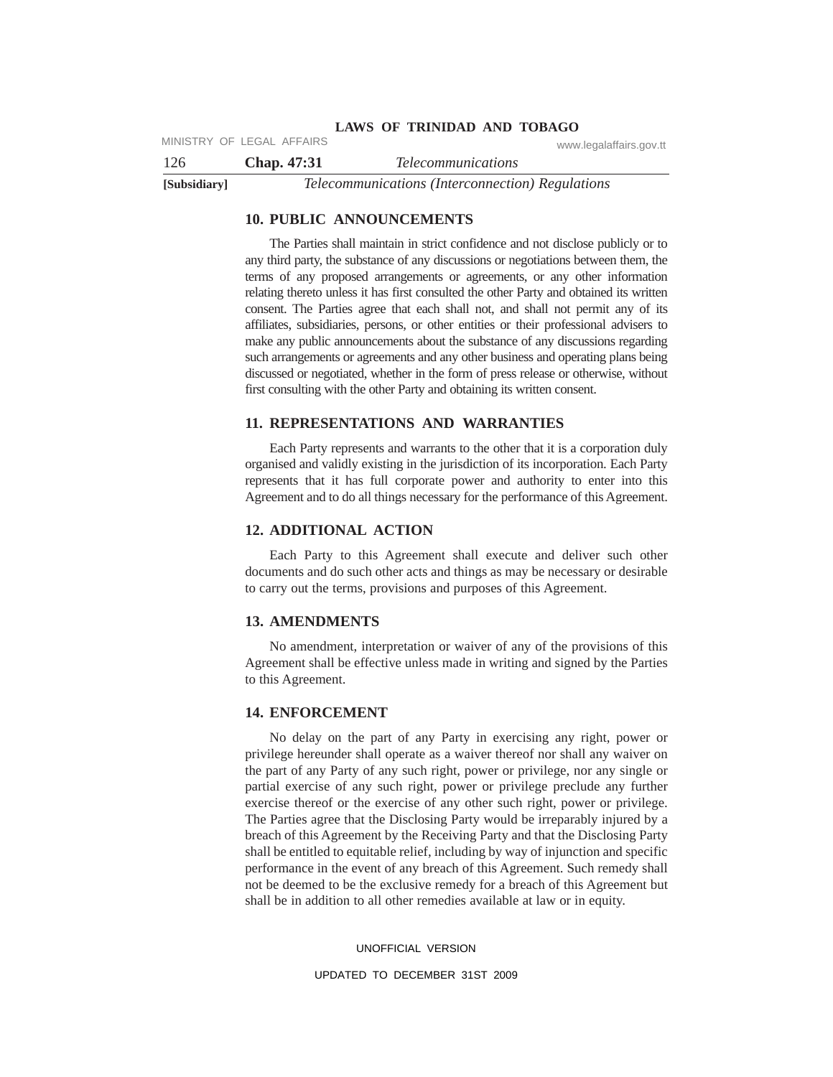## **LAWS OF TRINIDAD AND TOBAGO** MINISTRY OF LEGAL AFFAIRS www.legalaffairs.gov.tt

126 **Chap. 47:31** *Telecommunications* **[Subsidiary]** *Telecommunications (Interconnection) Regulations*

## **10. PUBLIC ANNOUNCEMENTS**

The Parties shall maintain in strict confidence and not disclose publicly or to any third party, the substance of any discussions or negotiations between them, the terms of any proposed arrangements or agreements, or any other information relating thereto unless it has first consulted the other Party and obtained its written consent. The Parties agree that each shall not, and shall not permit any of its affiliates, subsidiaries, persons, or other entities or their professional advisers to make any public announcements about the substance of any discussions regarding such arrangements or agreements and any other business and operating plans being discussed or negotiated, whether in the form of press release or otherwise, without first consulting with the other Party and obtaining its written consent.

#### **11. REPRESENTATIONS AND WARRANTIES**

Each Party represents and warrants to the other that it is a corporation duly organised and validly existing in the jurisdiction of its incorporation. Each Party represents that it has full corporate power and authority to enter into this Agreement and to do all things necessary for the performance of this Agreement.

## **12. ADDITIONAL ACTION**

Each Party to this Agreement shall execute and deliver such other documents and do such other acts and things as may be necessary or desirable to carry out the terms, provisions and purposes of this Agreement.

#### **13. AMENDMENTS**

No amendment, interpretation or waiver of any of the provisions of this Agreement shall be effective unless made in writing and signed by the Parties to this Agreement.

#### **14. ENFORCEMENT**

No delay on the part of any Party in exercising any right, power or privilege hereunder shall operate as a waiver thereof nor shall any waiver on the part of any Party of any such right, power or privilege, nor any single or partial exercise of any such right, power or privilege preclude any further exercise thereof or the exercise of any other such right, power or privilege. The Parties agree that the Disclosing Party would be irreparably injured by a breach of this Agreement by the Receiving Party and that the Disclosing Party shall be entitled to equitable relief, including by way of injunction and specific performance in the event of any breach of this Agreement. Such remedy shall not be deemed to be the exclusive remedy for a breach of this Agreement but shall be in addition to all other remedies available at law or in equity.

#### UNOFFICIAL VERSION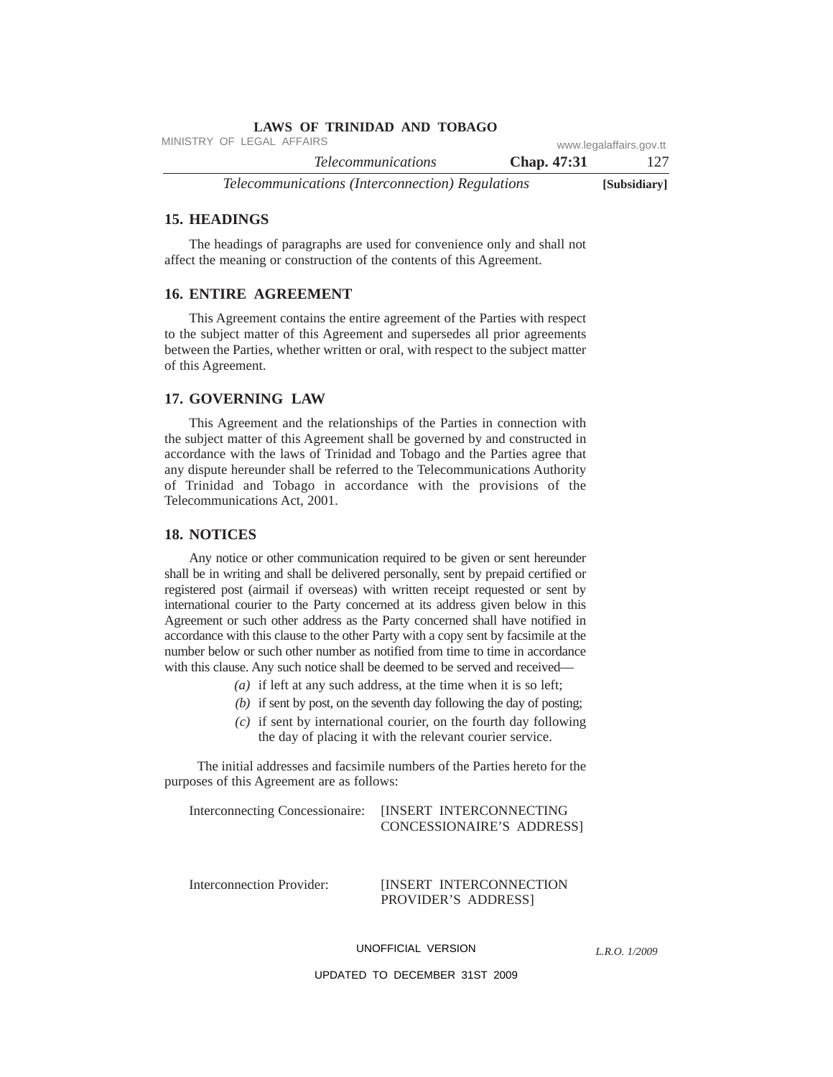| <b>LAWS OF TRINIDAD AND TOBAGO</b>               |                    |                         |
|--------------------------------------------------|--------------------|-------------------------|
| MINISTRY OF LEGAL AFFAIRS                        |                    | www.legalaffairs.gov.tt |
| <i>Telecommunications</i>                        | <b>Chap.</b> 47:31 | 127                     |
| Telecommunications (Interconnection) Regulations |                    | [Subsidiary]            |

# **15. HEADINGS**

The headings of paragraphs are used for convenience only and shall not affect the meaning or construction of the contents of this Agreement.

#### **16. ENTIRE AGREEMENT**

This Agreement contains the entire agreement of the Parties with respect to the subject matter of this Agreement and supersedes all prior agreements between the Parties, whether written or oral, with respect to the subject matter of this Agreement.

#### **17. GOVERNING LAW**

This Agreement and the relationships of the Parties in connection with the subject matter of this Agreement shall be governed by and constructed in accordance with the laws of Trinidad and Tobago and the Parties agree that any dispute hereunder shall be referred to the Telecommunications Authority of Trinidad and Tobago in accordance with the provisions of the Telecommunications Act, 2001.

#### **18. NOTICES**

Any notice or other communication required to be given or sent hereunder shall be in writing and shall be delivered personally, sent by prepaid certified or registered post (airmail if overseas) with written receipt requested or sent by international courier to the Party concerned at its address given below in this Agreement or such other address as the Party concerned shall have notified in accordance with this clause to the other Party with a copy sent by facsimile at the number below or such other number as notified from time to time in accordance with this clause. Any such notice shall be deemed to be served and received—

- *(a)* if left at any such address, at the time when it is so left;
- *(b)* if sent by post, on the seventh day following the day of posting;
- *(c)* if sent by international courier, on the fourth day following the day of placing it with the relevant courier service.

The initial addresses and facsimile numbers of the Parties hereto for the purposes of this Agreement are as follows:

Interconnecting Concessionaire: [INSERT INTERCONNECTING CONCESSIONAIRE'S ADDRESS]

Interconnection Provider: [INSERT INTERCONNECTION PROVIDER'S ADDRESS]

UNOFFICIAL VERSION

*L.R.O. 1/2009*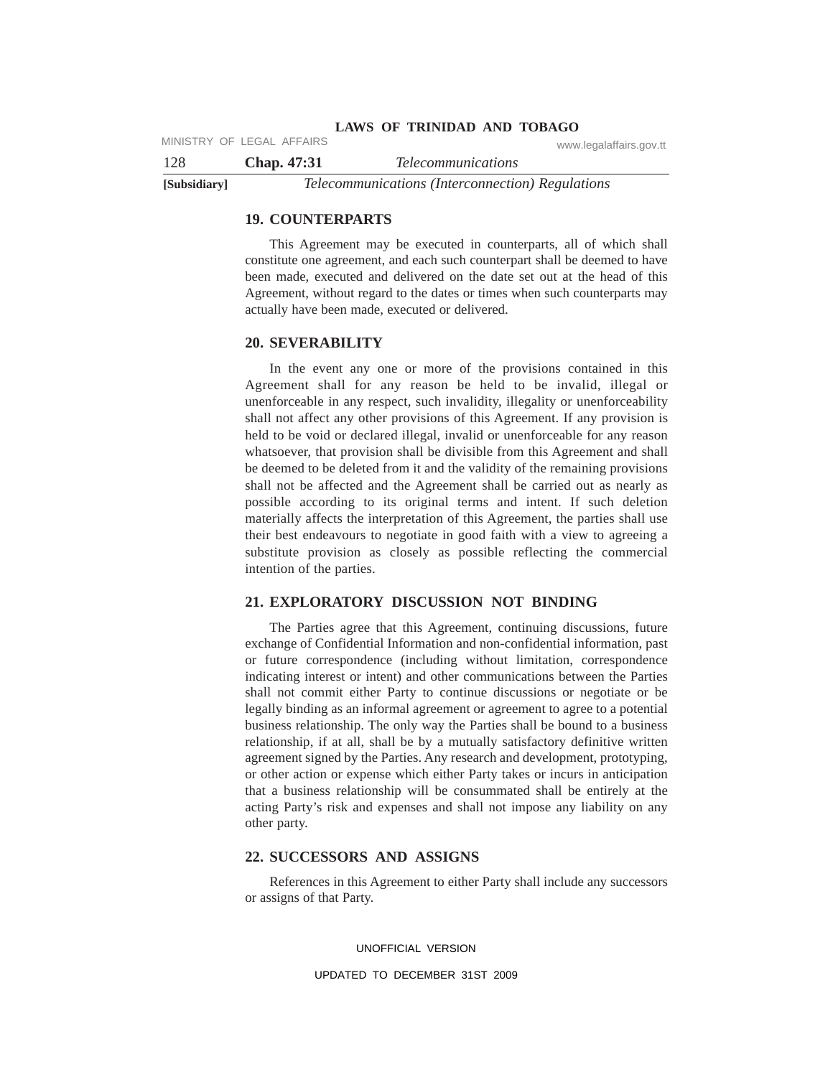128 **Chap. 47:31** *Telecommunications* MINISTRY OF LEGAL AFFAIRS www.legalaffairs.gov.tt

**[Subsidiary]** *Telecommunications (Interconnection) Regulations*

## **19. COUNTERPARTS**

This Agreement may be executed in counterparts, all of which shall constitute one agreement, and each such counterpart shall be deemed to have been made, executed and delivered on the date set out at the head of this Agreement, without regard to the dates or times when such counterparts may actually have been made, executed or delivered.

#### **20. SEVERABILITY**

In the event any one or more of the provisions contained in this Agreement shall for any reason be held to be invalid, illegal or unenforceable in any respect, such invalidity, illegality or unenforceability shall not affect any other provisions of this Agreement. If any provision is held to be void or declared illegal, invalid or unenforceable for any reason whatsoever, that provision shall be divisible from this Agreement and shall be deemed to be deleted from it and the validity of the remaining provisions shall not be affected and the Agreement shall be carried out as nearly as possible according to its original terms and intent. If such deletion materially affects the interpretation of this Agreement, the parties shall use their best endeavours to negotiate in good faith with a view to agreeing a substitute provision as closely as possible reflecting the commercial intention of the parties.

#### **21. EXPLORATORY DISCUSSION NOT BINDING**

The Parties agree that this Agreement, continuing discussions, future exchange of Confidential Information and non-confidential information, past or future correspondence (including without limitation, correspondence indicating interest or intent) and other communications between the Parties shall not commit either Party to continue discussions or negotiate or be legally binding as an informal agreement or agreement to agree to a potential business relationship. The only way the Parties shall be bound to a business relationship, if at all, shall be by a mutually satisfactory definitive written agreement signed by the Parties. Any research and development, prototyping, or other action or expense which either Party takes or incurs in anticipation that a business relationship will be consummated shall be entirely at the acting Party's risk and expenses and shall not impose any liability on any other party.

#### **22. SUCCESSORS AND ASSIGNS**

References in this Agreement to either Party shall include any successors or assigns of that Party.

UNOFFICIAL VERSION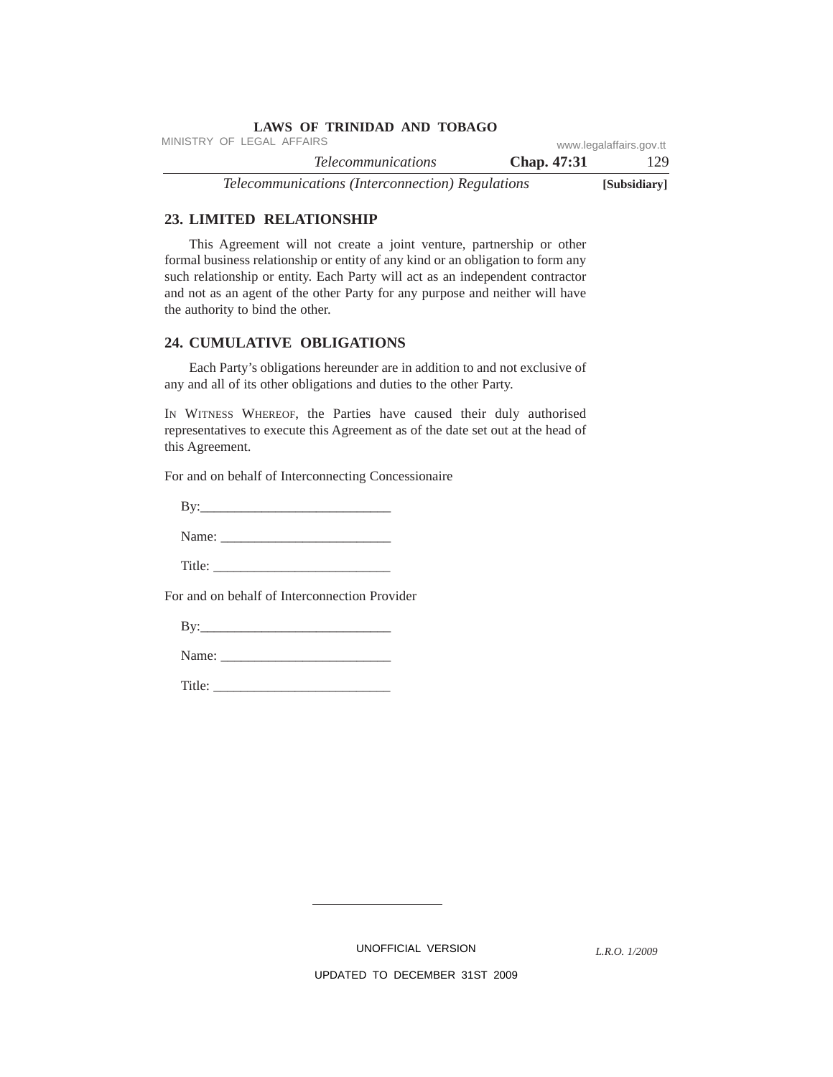| <b>LAWS OF TRINIDAD AND TOBAGO</b>               |             |                         |
|--------------------------------------------------|-------------|-------------------------|
| MINISTRY OF LEGAL AFFAIRS                        |             | www.legalaffairs.gov.tt |
| <i>Telecommunications</i>                        | Chap. 47:31 | 129                     |
| Telecommunications (Interconnection) Regulations |             | [Subsidiary]            |

#### **23. LIMITED RELATIONSHIP**

This Agreement will not create a joint venture, partnership or other formal business relationship or entity of any kind or an obligation to form any such relationship or entity. Each Party will act as an independent contractor and not as an agent of the other Party for any purpose and neither will have the authority to bind the other.

#### **24. CUMULATIVE OBLIGATIONS**

Each Party's obligations hereunder are in addition to and not exclusive of any and all of its other obligations and duties to the other Party.

IN WITNESS WHEREOF, the Parties have caused their duly authorised representatives to execute this Agreement as of the date set out at the head of this Agreement.

For and on behalf of Interconnecting Concessionaire

By:\_\_\_\_\_\_\_\_\_\_\_\_\_\_\_\_\_\_\_\_\_\_\_\_\_\_\_\_

Name: \_\_\_\_\_\_\_\_\_\_\_\_\_\_\_\_\_\_\_\_\_\_\_\_\_

Title:

For and on behalf of Interconnection Provider

By:\_\_\_\_\_\_\_\_\_\_\_\_\_\_\_\_\_\_\_\_\_\_\_\_\_\_\_\_

Name: \_\_\_\_\_\_\_\_\_\_\_\_\_\_\_\_\_\_\_\_\_\_\_\_\_

Title: \_\_\_\_\_\_\_\_\_\_\_\_\_\_\_\_\_\_\_\_\_\_\_\_\_\_

UNOFFICIAL VERSION

*L.R.O. 1/2009*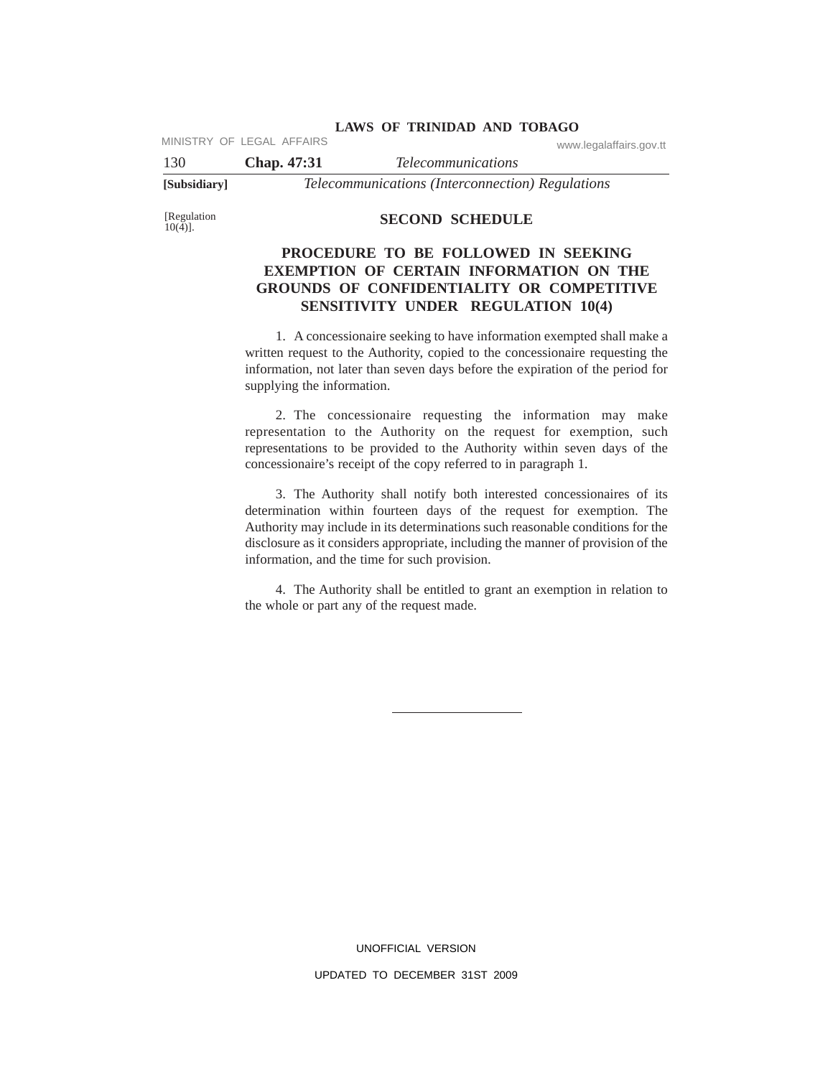MINISTRY OF LEGAL AFFAIRS www.legalaffairs.gov.tt

130 **Chap. 47:31** *Telecommunications* **[Subsidiary]** *Telecommunications (Interconnection) Regulations*

[Regulation<br>10(4)].

## **SECOND SCHEDULE**

# **PROCEDURE TO BE FOLLOWED IN SEEKING EXEMPTION OF CERTAIN INFORMATION ON THE GROUNDS OF CONFIDENTIALITY OR COMPETITIVE SENSITIVITY UNDER REGULATION 10(4)**

1. A concessionaire seeking to have information exempted shall make a written request to the Authority, copied to the concessionaire requesting the information, not later than seven days before the expiration of the period for supplying the information.

2. The concessionaire requesting the information may make representation to the Authority on the request for exemption, such representations to be provided to the Authority within seven days of the concessionaire's receipt of the copy referred to in paragraph 1.

3. The Authority shall notify both interested concessionaires of its determination within fourteen days of the request for exemption. The Authority may include in its determinations such reasonable conditions for the disclosure as it considers appropriate, including the manner of provision of the information, and the time for such provision.

4. The Authority shall be entitled to grant an exemption in relation to the whole or part any of the request made.

> UNOFFICIAL VERSION UPDATED TO DECEMBER 31ST 2009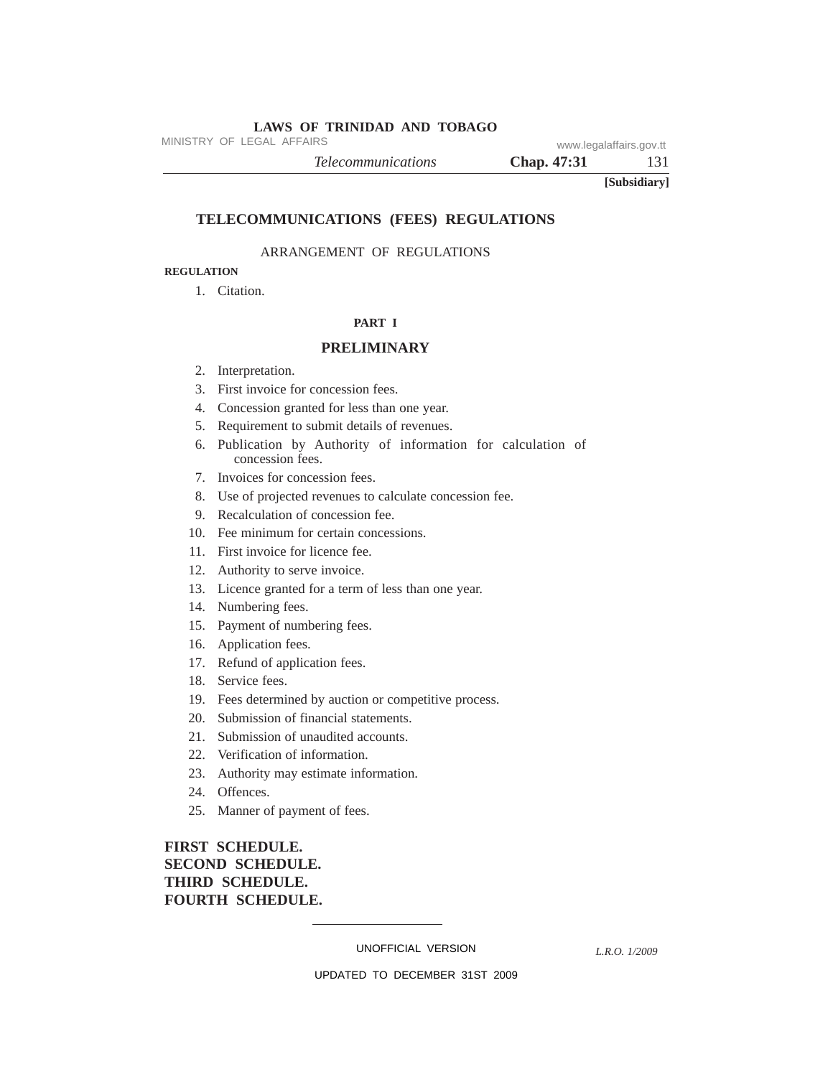MINISTRY OF LEGAL AFFAIRS www.legalaffairs.gov.tt

*Telecommunications* **Chap. 47:31** 131

**[Subsidiary]**

## **TELECOMMUNICATIONS (FEES) REGULATIONS**

#### ARRANGEMENT OF REGULATIONS

# **REGULATION**

1. Citation.

#### **PART I**

#### **PRELIMINARY**

- 2. Interpretation.
- 3. First invoice for concession fees.
- 4. Concession granted for less than one year.
- 5. Requirement to submit details of revenues.
- 6. Publication by Authority of information for calculation of concession fees.
- 7. Invoices for concession fees.
- 8. Use of projected revenues to calculate concession fee.
- 9. Recalculation of concession fee.
- 10. Fee minimum for certain concessions.
- 11. First invoice for licence fee.
- 12. Authority to serve invoice.
- 13. Licence granted for a term of less than one year.
- 14. Numbering fees.
- 15. Payment of numbering fees.
- 16. Application fees.
- 17. Refund of application fees.
- 18. Service fees.
- 19. Fees determined by auction or competitive process.
- 20. Submission of financial statements.
- 21. Submission of unaudited accounts.
- 22. Verification of information.
- 23. Authority may estimate information.
- 24. Offences.
- 25. Manner of payment of fees.

# **FIRST SCHEDULE. SECOND SCHEDULE. THIRD SCHEDULE. FOURTH SCHEDULE.**

UNOFFICIAL VERSION

*L.R.O. 1/2009*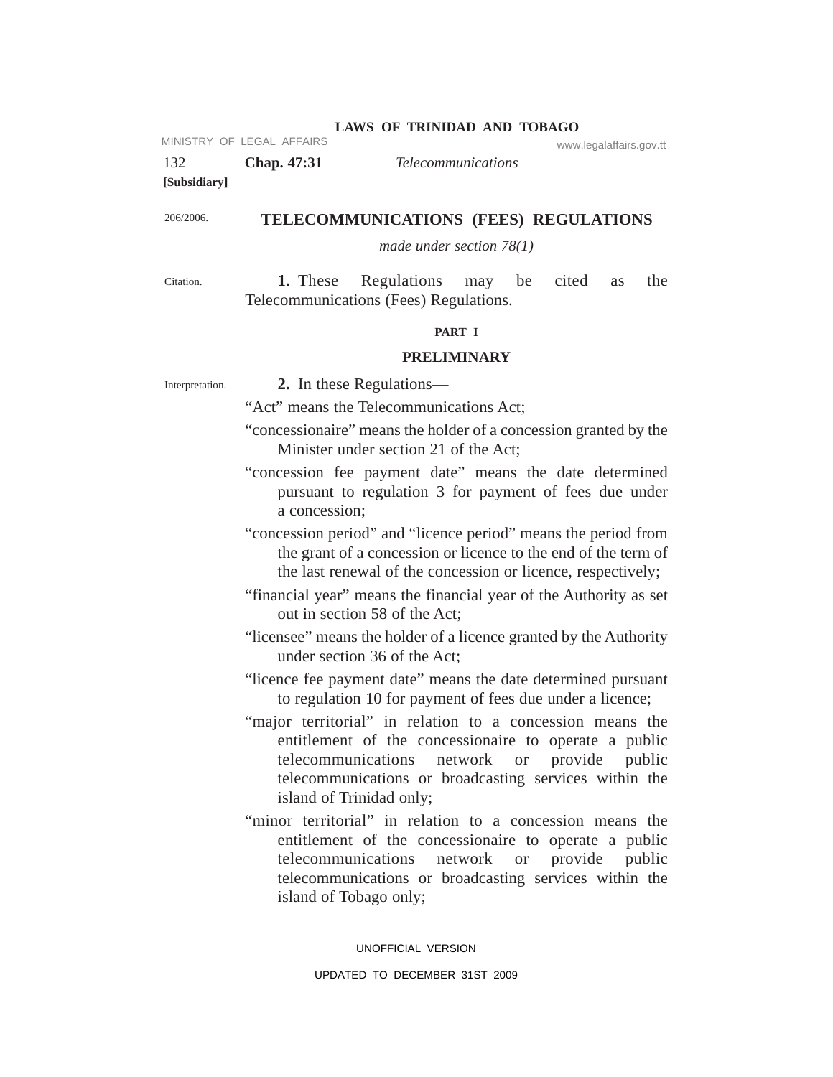|                 | MINISTRY OF LEGAL AFFAIRS<br>www.legalaffairs.gov.tt                                                                                                                                                                                                     |  |  |  |
|-----------------|----------------------------------------------------------------------------------------------------------------------------------------------------------------------------------------------------------------------------------------------------------|--|--|--|
| 132             | <b>Telecommunications</b><br>Chap. 47:31                                                                                                                                                                                                                 |  |  |  |
| [Subsidiary]    |                                                                                                                                                                                                                                                          |  |  |  |
| 206/2006.       | TELECOMMUNICATIONS (FEES) REGULATIONS                                                                                                                                                                                                                    |  |  |  |
|                 | made under section $78(1)$                                                                                                                                                                                                                               |  |  |  |
|                 |                                                                                                                                                                                                                                                          |  |  |  |
| Citation.       | Regulations<br>may be<br>cited<br>the<br>1. These<br>as<br>Telecommunications (Fees) Regulations.                                                                                                                                                        |  |  |  |
|                 | PART I                                                                                                                                                                                                                                                   |  |  |  |
|                 | <b>PRELIMINARY</b>                                                                                                                                                                                                                                       |  |  |  |
| Interpretation. | 2. In these Regulations—                                                                                                                                                                                                                                 |  |  |  |
|                 | "Act" means the Telecommunications Act;                                                                                                                                                                                                                  |  |  |  |
|                 | "concessionaire" means the holder of a concession granted by the<br>Minister under section 21 of the Act;                                                                                                                                                |  |  |  |
|                 | "concession fee payment date" means the date determined<br>pursuant to regulation 3 for payment of fees due under<br>a concession;                                                                                                                       |  |  |  |
|                 | "concession period" and "licence period" means the period from<br>the grant of a concession or licence to the end of the term of<br>the last renewal of the concession or licence, respectively;                                                         |  |  |  |
|                 | "financial year" means the financial year of the Authority as set<br>out in section 58 of the Act:                                                                                                                                                       |  |  |  |
|                 | "licensee" means the holder of a licence granted by the Authority<br>under section 36 of the Act;                                                                                                                                                        |  |  |  |
|                 | "licence fee payment date" means the date determined pursuant<br>to regulation 10 for payment of fees due under a licence;                                                                                                                               |  |  |  |
|                 | "major territorial" in relation to a concession means the<br>entitlement of the concessionaire to operate a public<br>telecommunications network or provide public<br>telecommunications or broadcasting services within the<br>island of Trinidad only; |  |  |  |
|                 | "minor territorial" in relation to a concession means the<br>entitlement of the concessionaire to operate a public<br>telecommunications network or provide public<br>telecommunications or broadcasting services within the<br>island of Tobago only;   |  |  |  |
|                 | UNOFFICIAL VERSION                                                                                                                                                                                                                                       |  |  |  |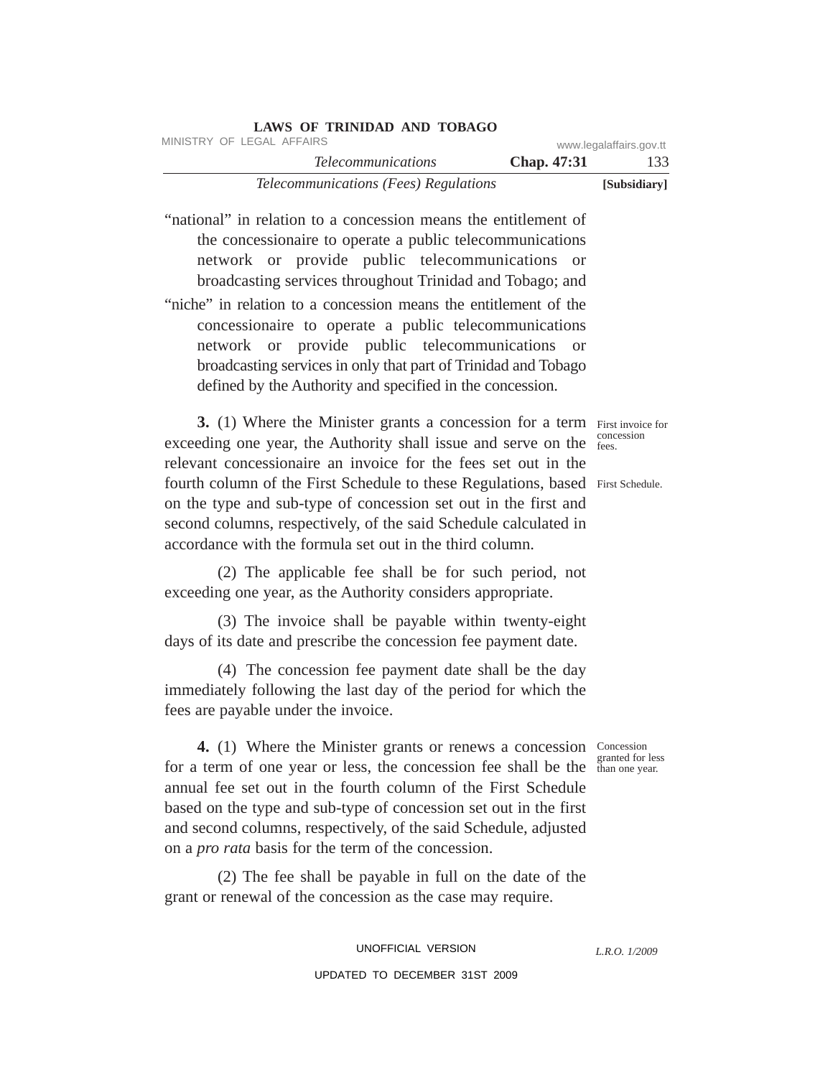| MINISTRY OF LEGAL AFFAIRS                                                                                                                                                                                                                                                                                                                                                                                                                                                                                                                             |                        | www.legalaffairs.gov.tt |
|-------------------------------------------------------------------------------------------------------------------------------------------------------------------------------------------------------------------------------------------------------------------------------------------------------------------------------------------------------------------------------------------------------------------------------------------------------------------------------------------------------------------------------------------------------|------------------------|-------------------------|
| <b>Telecommunications</b>                                                                                                                                                                                                                                                                                                                                                                                                                                                                                                                             | Chap. 47:31            | 133                     |
| Telecommunications (Fees) Regulations                                                                                                                                                                                                                                                                                                                                                                                                                                                                                                                 |                        | [Subsidiary]            |
| "national" in relation to a concession means the entitlement of<br>the concessionaire to operate a public telecommunications<br>network or provide public telecommunications<br>broadcasting services throughout Trinidad and Tobago; and<br>"niche" in relation to a concession means the entitlement of the<br>concessionaire to operate a public telecommunications<br>network or provide public telecommunications<br>broadcasting services in only that part of Trinidad and Tobago<br>defined by the Authority and specified in the concession. | <b>or</b><br><b>or</b> |                         |
| 3. (1) Where the Minister grants a concession for a term First invoice for<br>exceeding one year, the Authority shall issue and serve on the <sup>concession</sup><br>relevant concessionaire an invoice for the fees set out in the<br>fourth column of the First Schedule to these Regulations, based First Schedule.<br>on the type and sub-type of concession set out in the first and<br>second columns, respectively, of the said Schedule calculated in<br>accordance with the formula set out in the third column.                            |                        |                         |
| (2) The applicable fee shall be for such period, not<br>exceeding one year, as the Authority considers appropriate.<br>(3) The invoice shall be payable within twenty-eight                                                                                                                                                                                                                                                                                                                                                                           |                        |                         |
| days of its date and prescribe the concession fee payment date.                                                                                                                                                                                                                                                                                                                                                                                                                                                                                       |                        |                         |
| (4) The concession fee payment date shall be the day<br>immediately following the last day of the period for which the<br>fees are payable under the invoice.                                                                                                                                                                                                                                                                                                                                                                                         |                        |                         |
| 4. (1) Where the Minister grants or renews a concession Concession<br>for a term of one year or less, the concession fee shall be the than one year.<br>annual fee set out in the fourth column of the First Schedule<br>based on the type and sub-type of concession set out in the first<br>and second columns, respectively, of the said Schedule, adjusted<br>on a <i>pro rata</i> basis for the term of the concession.                                                                                                                          |                        | granted for less        |
| (2) The fee shall be payable in full on the date of the<br>grant or renewal of the concession as the case may require.                                                                                                                                                                                                                                                                                                                                                                                                                                |                        |                         |
| UNOFFICIAL VERSION                                                                                                                                                                                                                                                                                                                                                                                                                                                                                                                                    |                        | L.R.O. 1/2009           |
| UPDATED TO DECEMBER 31ST 2009                                                                                                                                                                                                                                                                                                                                                                                                                                                                                                                         |                        |                         |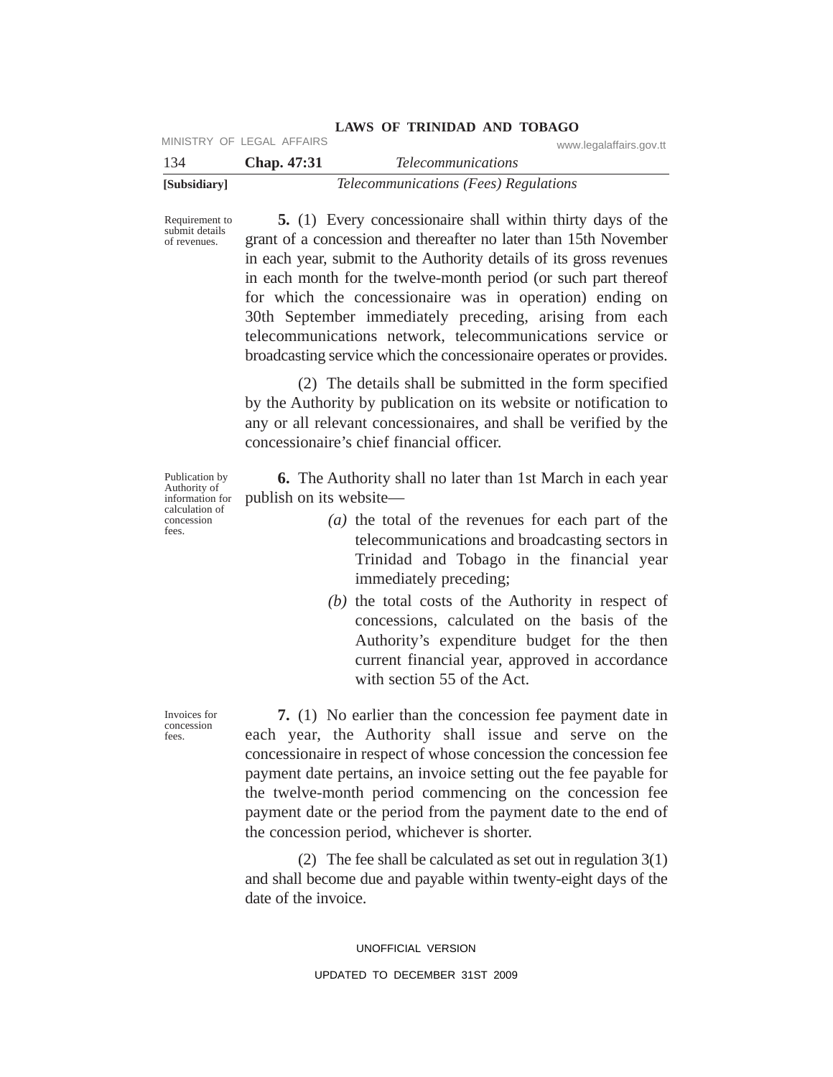| [Subsidiary] |                           | Telecommunications (Fees) Regulations |
|--------------|---------------------------|---------------------------------------|
| 134          | <b>Chap.</b> 47:31        | <i>Telecommunications</i>             |
|              | MINISTRY OF LEGAL AFFAIRS | www.legalaffairs.gov.tt               |

Requirement to submit details of revenues.

**5.** (1) Every concessionaire shall within thirty days of the grant of a concession and thereafter no later than 15th November in each year, submit to the Authority details of its gross revenues in each month for the twelve-month period (or such part thereof for which the concessionaire was in operation) ending on 30th September immediately preceding, arising from each telecommunications network, telecommunications service or broadcasting service which the concessionaire operates or provides.

**LAWS OF TRINIDAD AND TOBAGO**

(2) The details shall be submitted in the form specified by the Authority by publication on its website or notification to any or all relevant concessionaires, and shall be verified by the concessionaire's chief financial officer.

**6.** The Authority shall no later than 1st March in each year publish on its website—

- *(a)* the total of the revenues for each part of the telecommunications and broadcasting sectors in Trinidad and Tobago in the financial year immediately preceding;
- *(b)* the total costs of the Authority in respect of concessions, calculated on the basis of the Authority's expenditure budget for the then current financial year, approved in accordance with section 55 of the Act.

**7.** (1) No earlier than the concession fee payment date in each year, the Authority shall issue and serve on the concessionaire in respect of whose concession the concession fee payment date pertains, an invoice setting out the fee payable for the twelve-month period commencing on the concession fee payment date or the period from the payment date to the end of the concession period, whichever is shorter.

(2) The fee shall be calculated as set out in regulation 3(1) and shall become due and payable within twenty-eight days of the date of the invoice.

> UNOFFICIAL VERSION UPDATED TO DECEMBER 31ST 2009

Publication by Authority of information for calculation of concession fees.

Invoices for concession fees.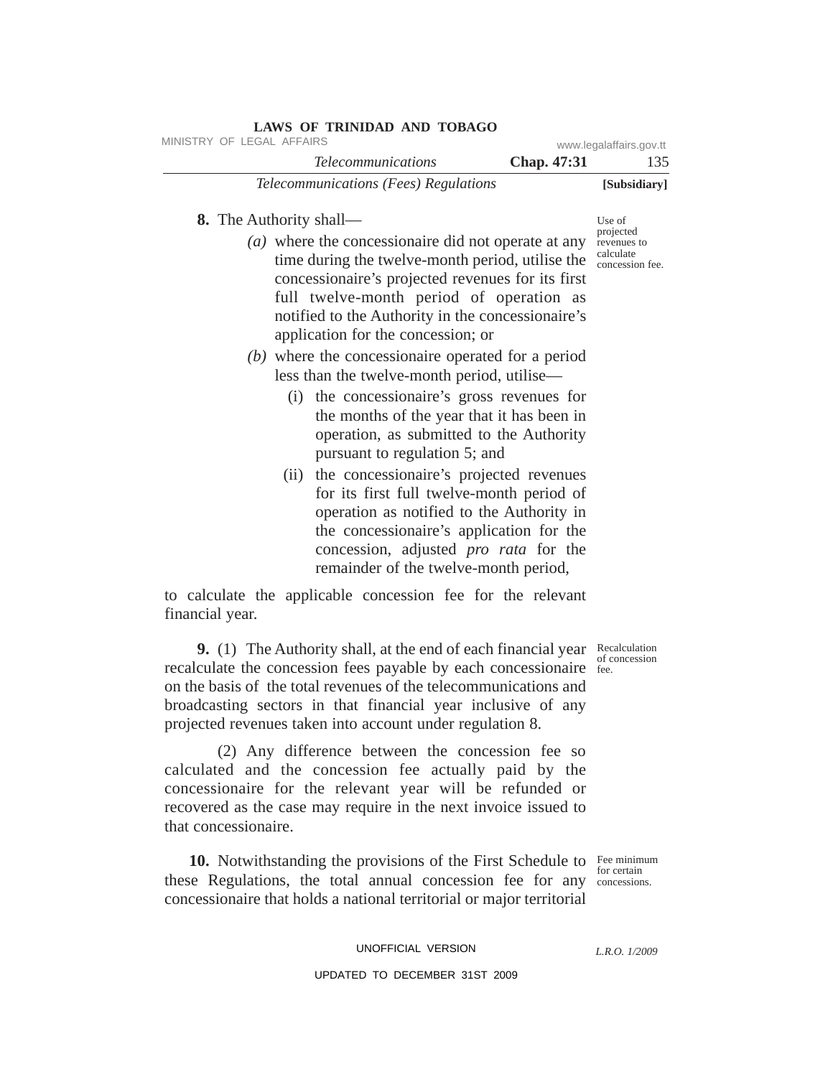| MINISTRY OF LEGAL AFFAIRS      |                                                                                                                                                                                                                                                                                                                                                                                                                                                                                                                                                                                      |             | www.legalaffairs.gov.tt                                  |
|--------------------------------|--------------------------------------------------------------------------------------------------------------------------------------------------------------------------------------------------------------------------------------------------------------------------------------------------------------------------------------------------------------------------------------------------------------------------------------------------------------------------------------------------------------------------------------------------------------------------------------|-------------|----------------------------------------------------------|
|                                | <i>Telecommunications</i>                                                                                                                                                                                                                                                                                                                                                                                                                                                                                                                                                            | Chap. 47:31 | 135                                                      |
|                                | Telecommunications (Fees) Regulations                                                                                                                                                                                                                                                                                                                                                                                                                                                                                                                                                |             | [Subsidiary]                                             |
| <b>8.</b> The Authority shall— |                                                                                                                                                                                                                                                                                                                                                                                                                                                                                                                                                                                      |             | Use of                                                   |
|                                | (a) where the concessionaire did not operate at any<br>time during the twelve-month period, utilise the<br>concessionaire's projected revenues for its first<br>full twelve-month period of operation as<br>notified to the Authority in the concessionaire's<br>application for the concession; or<br>$(b)$ where the concessionaire operated for a period<br>less than the twelve-month period, utilise—<br>(i) the concessionaire's gross revenues for<br>the months of the year that it has been in<br>operation, as submitted to the Authority<br>pursuant to regulation 5; and |             | projected<br>revenues to<br>calculate<br>concession fee. |
|                                | (ii) the concessionaire's projected revenues<br>for its first full twelve-month period of<br>operation as notified to the Authority in<br>the concessionaire's application for the<br>concession, adjusted <i>pro rata</i> for the<br>remainder of the twelve-month period,                                                                                                                                                                                                                                                                                                          |             |                                                          |
|                                | to calculate the applicable concession fee for the relevant                                                                                                                                                                                                                                                                                                                                                                                                                                                                                                                          |             |                                                          |

**9.** (1) The Authority shall, at the end of each financial year Recalculation recalculate the concession fees payable by each concessionaire fee.

financial year.

on the basis of the total revenues of the telecommunications and broadcasting sectors in that financial year inclusive of any projected revenues taken into account under regulation 8.

(2) Any difference between the concession fee so calculated and the concession fee actually paid by the concessionaire for the relevant year will be refunded or recovered as the case may require in the next invoice issued to that concessionaire.

**10.** Notwithstanding the provisions of the First Schedule to Fee minimum these Regulations, the total annual concession fee for any concessions. concessionaire that holds a national territorial or major territorial

## UNOFFICIAL VERSION

## UPDATED TO DECEMBER 31ST 2009

of concession

for certain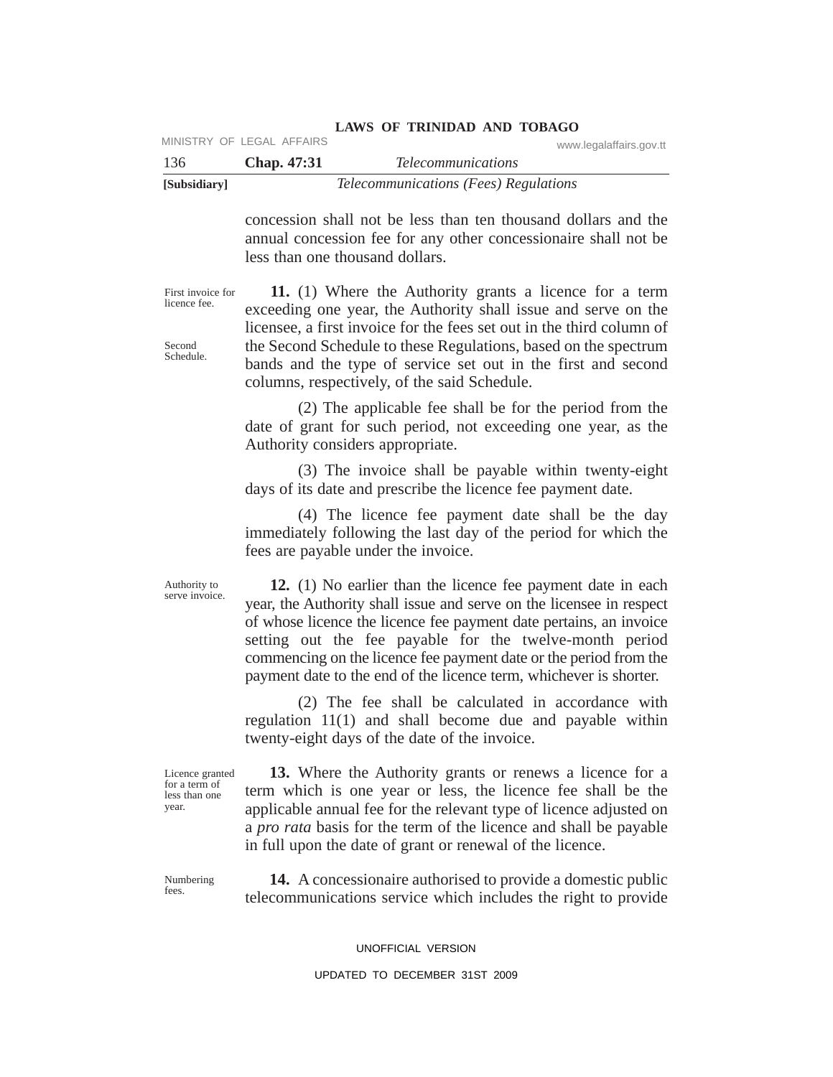| [Subsidiary] |                           | Telecommunications (Fees) Regulations |                         |
|--------------|---------------------------|---------------------------------------|-------------------------|
| 136          | <b>Chap.</b> 47:31        | <i>Telecommunications</i>             |                         |
|              | MINISTRY OF LEGAL AFFAIRS |                                       | www.legalaffairs.gov.tt |

concession shall not be less than ten thousand dollars and the annual concession fee for any other concessionaire shall not be less than one thousand dollars.

**LAWS OF TRINIDAD AND TOBAGO**

First invoice for licence fee.

Second Schedule.

**11.** (1) Where the Authority grants a licence for a term exceeding one year, the Authority shall issue and serve on the licensee, a first invoice for the fees set out in the third column of the Second Schedule to these Regulations, based on the spectrum bands and the type of service set out in the first and second columns, respectively, of the said Schedule.

(2) The applicable fee shall be for the period from the date of grant for such period, not exceeding one year, as the Authority considers appropriate.

(3) The invoice shall be payable within twenty-eight days of its date and prescribe the licence fee payment date.

(4) The licence fee payment date shall be the day immediately following the last day of the period for which the fees are payable under the invoice.

Authority to serve invoice.

**12.** (1) No earlier than the licence fee payment date in each year, the Authority shall issue and serve on the licensee in respect of whose licence the licence fee payment date pertains, an invoice setting out the fee payable for the twelve-month period commencing on the licence fee payment date or the period from the payment date to the end of the licence term, whichever is shorter.

(2) The fee shall be calculated in accordance with regulation 11(1) and shall become due and payable within twenty-eight days of the date of the invoice.

Licence granted for a term of less than one year.

**13.** Where the Authority grants or renews a licence for a term which is one year or less, the licence fee shall be the applicable annual fee for the relevant type of licence adjusted on a *pro rata* basis for the term of the licence and shall be payable in full upon the date of grant or renewal of the licence.

Numbering fees.

**14.** A concessionaire authorised to provide a domestic public telecommunications service which includes the right to provide

UNOFFICIAL VERSION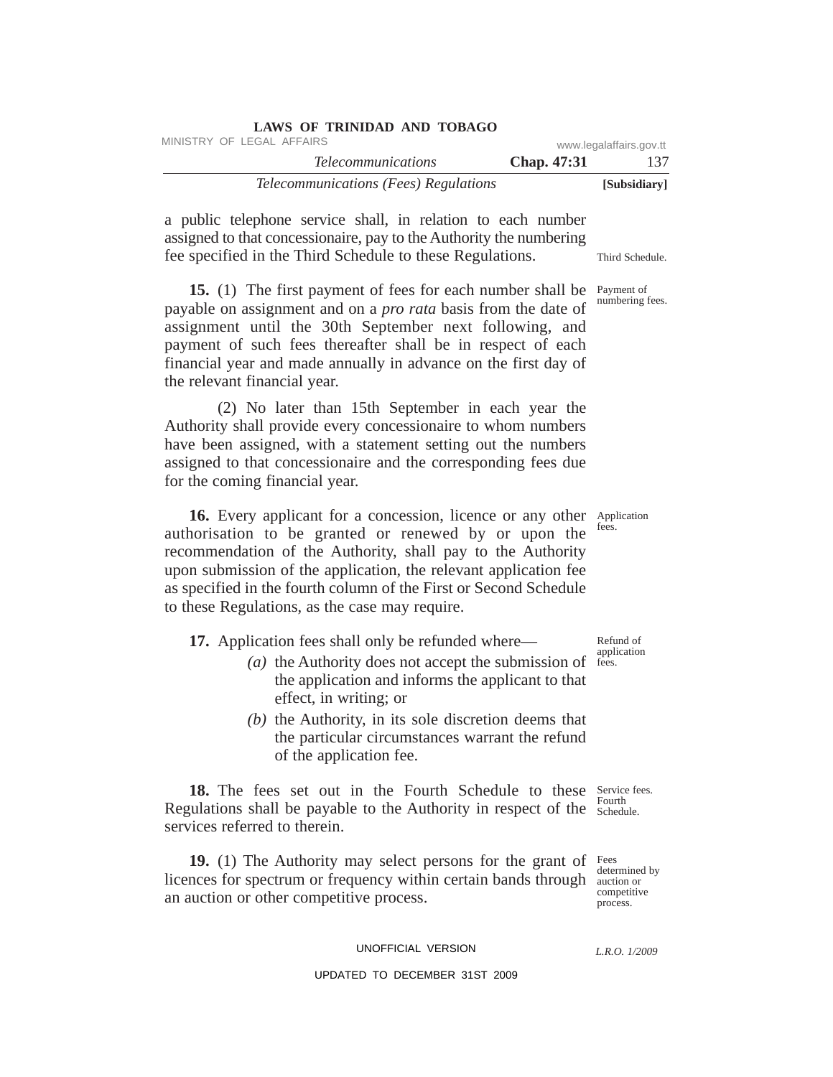| $\frac{1}{2}$                         |                    |                         |
|---------------------------------------|--------------------|-------------------------|
| MINISTRY OF LEGAL AFFAIRS             |                    | www.legalaffairs.gov.tt |
| <i>Telecommunications</i>             | <b>Chap.</b> 47:31 | 137                     |
| Telecommunications (Fees) Regulations |                    | [Subsidiary]            |

a public telephone service shall, in relation to each number assigned to that concessionaire, pay to the Authority the numbering fee specified in the Third Schedule to these Regulations.

**LAWS OF TRINIDAD AND TOBAGO**

15. (1) The first payment of fees for each number shall be Payment of payable on assignment and on a *pro rata* basis from the date of assignment until the 30th September next following, and payment of such fees thereafter shall be in respect of each financial year and made annually in advance on the first day of the relevant financial year.

(2) No later than 15th September in each year the Authority shall provide every concessionaire to whom numbers have been assigned, with a statement setting out the numbers assigned to that concessionaire and the corresponding fees due for the coming financial year.

16. Every applicant for a concession, licence or any other Application authorisation to be granted or renewed by or upon the recommendation of the Authority, shall pay to the Authority upon submission of the application, the relevant application fee as specified in the fourth column of the First or Second Schedule to these Regulations, as the case may require.

**17.** Application fees shall only be refunded where—

- (*a*) the Authority does not accept the submission of  $f$  fees. the application and informs the applicant to that effect, in writing; or
- *(b)* the Authority, in its sole discretion deems that the particular circumstances warrant the refund of the application fee.

18. The fees set out in the Fourth Schedule to these Service fees. Regulations shall be payable to the Authority in respect of the  $\frac{F_{\text{out}}}{\text{Scheduling}}$ services referred to therein. Fourth

**19.** (1) The Authority may select persons for the grant of Fees licences for spectrum or frequency within certain bands through auction or an auction or other competitive process.

determined by competitive process.

UNOFFICIAL VERSION

UPDATED TO DECEMBER 31ST 2009

Third Schedule.

numbering fees.

fees.

Refund of application

*L.R.O. 1/2009*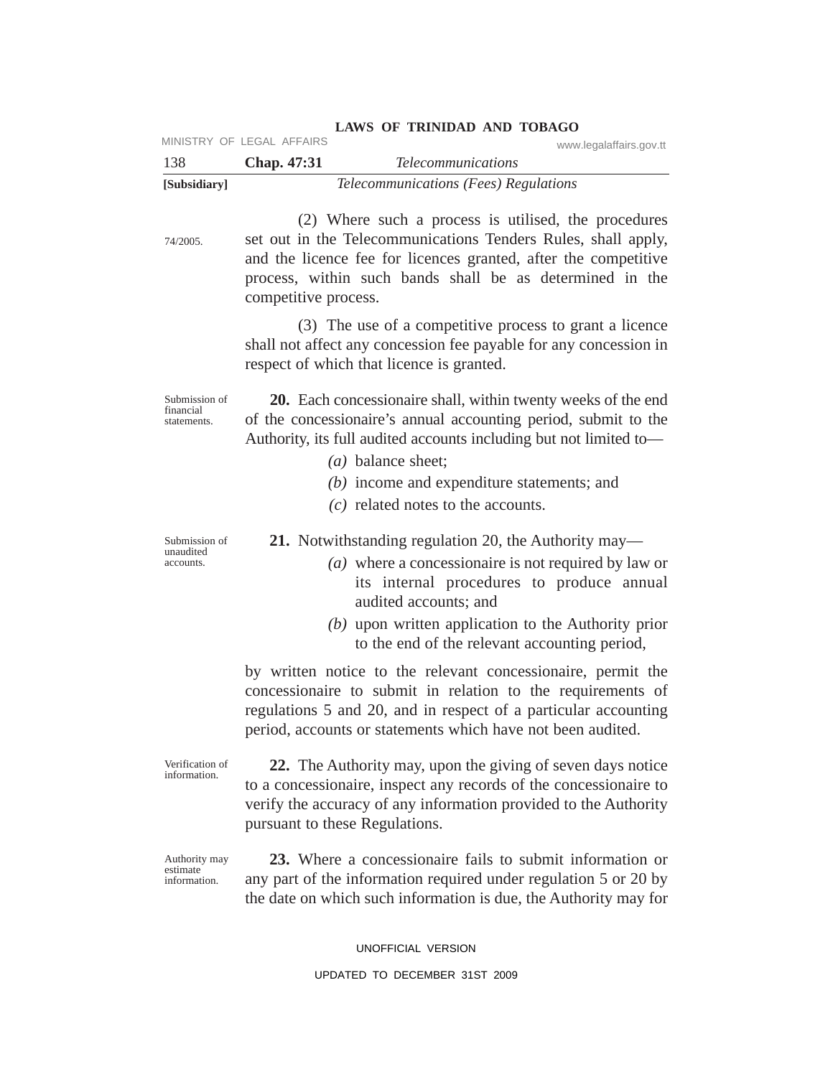| 138                                       | MINISTRY OF LEGAL AFFAIRS<br>Chap. 47:31 | www.legalaffairs.gov.tt<br><b>Telecommunications</b>                                                                                                                                                                                                                                                                                                                          |
|-------------------------------------------|------------------------------------------|-------------------------------------------------------------------------------------------------------------------------------------------------------------------------------------------------------------------------------------------------------------------------------------------------------------------------------------------------------------------------------|
| [Subsidiary]                              |                                          | Telecommunications (Fees) Regulations                                                                                                                                                                                                                                                                                                                                         |
| 74/2005.                                  | competitive process.                     | (2) Where such a process is utilised, the procedures<br>set out in the Telecommunications Tenders Rules, shall apply,<br>and the licence fee for licences granted, after the competitive<br>process, within such bands shall be as determined in the                                                                                                                          |
|                                           |                                          | (3) The use of a competitive process to grant a licence<br>shall not affect any concession fee payable for any concession in<br>respect of which that licence is granted.                                                                                                                                                                                                     |
| Submission of<br>financial<br>statements. |                                          | 20. Each concessionaire shall, within twenty weeks of the end<br>of the concessionaire's annual accounting period, submit to the<br>Authority, its full audited accounts including but not limited to-<br>$(a)$ balance sheet;<br>$(b)$ income and expenditure statements; and<br>$(c)$ related notes to the accounts.                                                        |
| Submission of<br>unaudited<br>accounts.   |                                          | <b>21.</b> Notwithstanding regulation 20, the Authority may—<br>( <i>a</i> ) where a concessionaire is not required by law or<br>its internal procedures to produce annual<br>audited accounts; and<br>$(b)$ upon written application to the Authority prior<br>to the end of the relevant accounting period,<br>by written notice to the relevant concessionaire, permit the |
|                                           |                                          | concessionaire to submit in relation to the requirements of<br>regulations 5 and 20, and in respect of a particular accounting<br>period, accounts or statements which have not been audited.                                                                                                                                                                                 |
| Verification of<br>information.           |                                          | 22. The Authority may, upon the giving of seven days notice<br>to a concessionaire, inspect any records of the concessionaire to<br>verify the accuracy of any information provided to the Authority<br>pursuant to these Regulations.                                                                                                                                        |
| Authority may<br>estimate<br>information. |                                          | 23. Where a concessionaire fails to submit information or<br>any part of the information required under regulation 5 or 20 by<br>the date on which such information is due, the Authority may for                                                                                                                                                                             |

UNOFFICIAL VERSION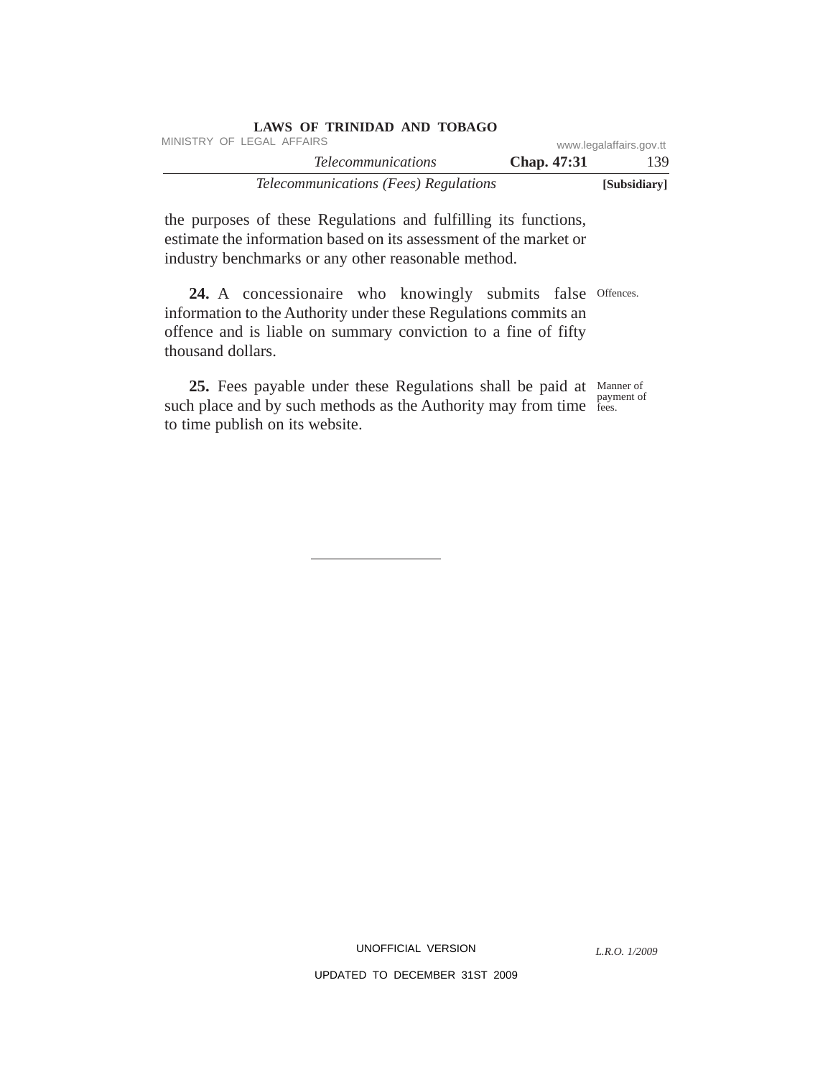| LAWS OF TRINIDAD AND TOBAGO                  |                         |              |  |
|----------------------------------------------|-------------------------|--------------|--|
| MINISTRY OF LEGAL AFFAIRS                    | www.legalaffairs.gov.tt |              |  |
| <i>Telecommunications</i>                    | Chap. 47:31             | 139.         |  |
| <i>Telecommunications (Fees) Regulations</i> |                         | [Subsidiary] |  |

the purposes of these Regulations and fulfilling its functions, estimate the information based on its assessment of the market or industry benchmarks or any other reasonable method.

24. A concessionaire who knowingly submits false Offences. information to the Authority under these Regulations commits an offence and is liable on summary conviction to a fine of fifty thousand dollars.

25. Fees payable under these Regulations shall be paid at Manner of such place and by such methods as the Authority may from time reses. to time publish on its website. fees.

UNOFFICIAL VERSION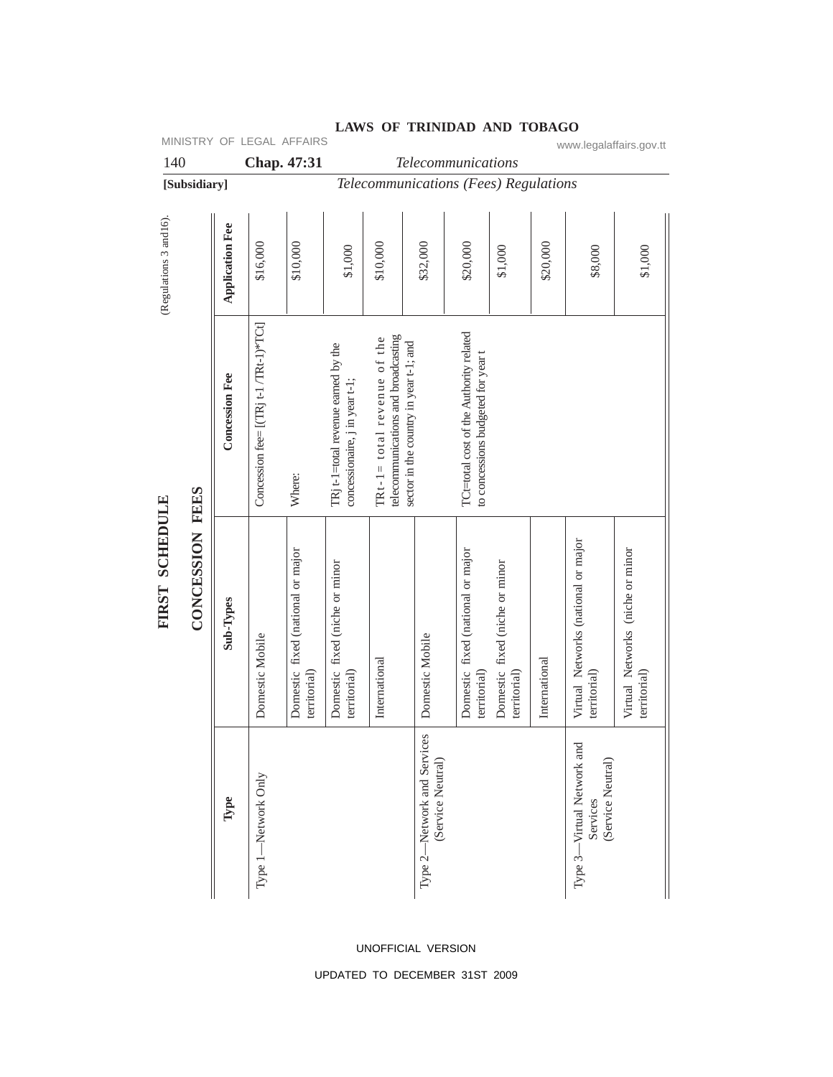| 140                                                |              |                        |                                        | Chap. 47:31                                       |                                                                       |                                                                    | Telecommunications                               |                                                                               |                                                |               |                                                               |                                                  |
|----------------------------------------------------|--------------|------------------------|----------------------------------------|---------------------------------------------------|-----------------------------------------------------------------------|--------------------------------------------------------------------|--------------------------------------------------|-------------------------------------------------------------------------------|------------------------------------------------|---------------|---------------------------------------------------------------|--------------------------------------------------|
|                                                    | [Subsidiary] |                        |                                        |                                                   |                                                                       | Telecommunications (Fees) Regulations                              |                                                  |                                                                               |                                                |               |                                                               |                                                  |
| (Regulations 3 and 16).                            |              | <b>Application Fee</b> | \$16,000                               | \$10,000                                          | \$1,000                                                               | \$10,000                                                           | \$32,000                                         | \$20,000                                                                      | \$1,000                                        | \$20,000      | \$8,000                                                       | \$1,000                                          |
| CONCESSION FEES<br><b>SCHEDULE</b><br><b>FIRST</b> |              | <b>Concession Fee</b>  | Concession fee= [(TRj t-1 /TRt-1)*TCt] | Where:                                            | TRj t-1=total revenue earned by the<br>concessionaire, j in year t-1; | telecommunications and broadcasting<br>TRt-1= total revenue of the | sector in the country in year t-1; and           | TCt=total cost of the Authority related<br>to concessions budgeted for year t |                                                |               |                                                               |                                                  |
|                                                    |              | Sub-Types              | Domestic Mobile                        | Domestic fixed (national or major<br>territorial) | Domestic fixed (niche or minor<br>territorial)                        | International                                                      | Domestic Mobile                                  | Domestic fixed (national or major<br>territorial)                             | Domestic fixed (niche or minor<br>territorial) | International | Virtual Networks (national or major<br>territorial)           | Virtual Networks (niche or minor<br>territorial) |
|                                                    |              | Type                   | Type 1-Network Only                    |                                                   |                                                                       |                                                                    | Type 2-Network and Services<br>(Service Neutral) |                                                                               |                                                |               | and<br>Type 3-Virtual Network<br>(Service Neutral<br>Services |                                                  |

## **LAWS OF TRINIDAD AND TOBAGO** MINISTRY OF LEGAL AFFAIRS www.legalaffairs.gov.tt

UNOFFICIAL VERSION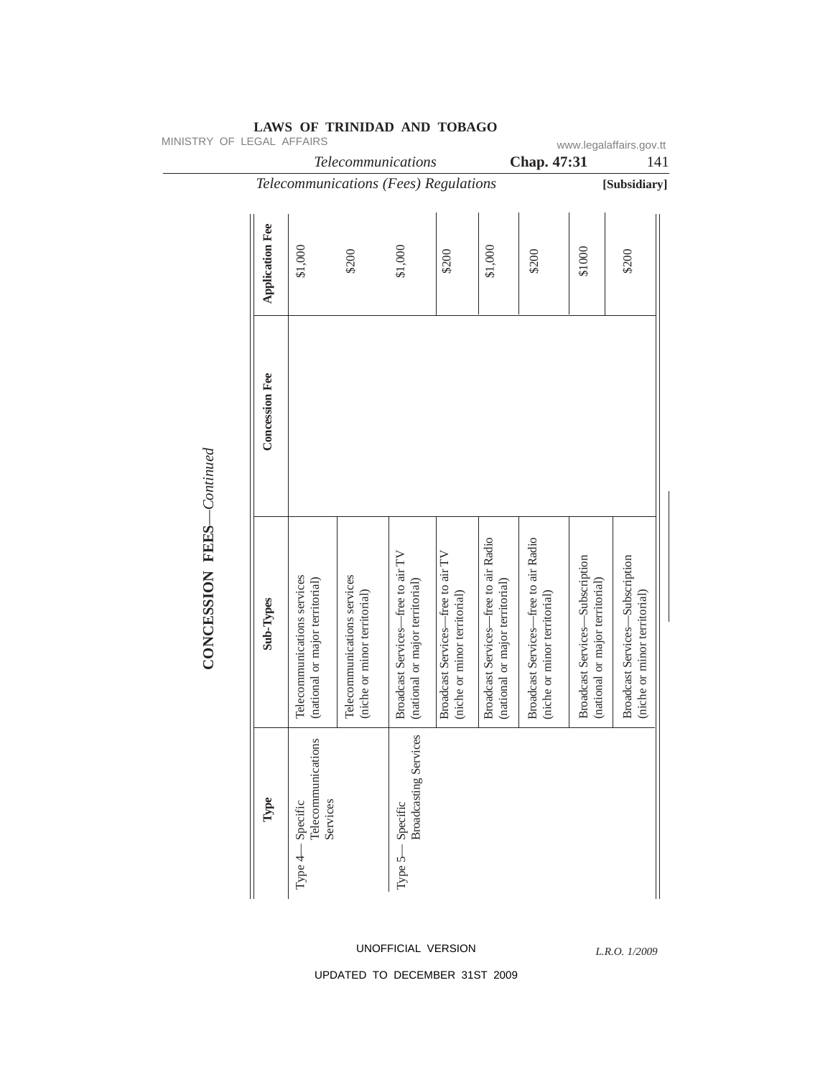| MINISTRY OF LEGAL AFFAIRS |                        |                                                                | Telecommunications                                          |                                                                      |                                                                   |                                                                         | Chap. 47:31                                                          |                                                                           | www.legalaffairs.gov.tt<br>141                                         |
|---------------------------|------------------------|----------------------------------------------------------------|-------------------------------------------------------------|----------------------------------------------------------------------|-------------------------------------------------------------------|-------------------------------------------------------------------------|----------------------------------------------------------------------|---------------------------------------------------------------------------|------------------------------------------------------------------------|
|                           |                        |                                                                | Telecommunications (Fees) Regulations                       |                                                                      |                                                                   |                                                                         |                                                                      |                                                                           | [Subsidiary]                                                           |
|                           | <b>Application Fee</b> | \$1,000                                                        | \$200                                                       | \$1,000                                                              | \$200                                                             | \$1,000                                                                 | \$200                                                                | \$1000                                                                    | \$200                                                                  |
| CONCESSION FEES-Continued | <b>Concession Fee</b>  |                                                                |                                                             |                                                                      |                                                                   |                                                                         |                                                                      |                                                                           |                                                                        |
|                           | Sub-Types              | Telecommunications services<br>(national or major territorial) | Telecommunications services<br>(niche or minor territorial) | Broadcast Services-free to air TV<br>(national or major territorial) | Broadcast Services-free to air TV<br>(niche or minor territorial) | Broadcast Services-free to air Radio<br>(national or major territorial) | Broadcast Services-free to air Radio<br>(niche or minor territorial) | <b>Broadcast Services-Subscription</b><br>(national or major territorial) | <b>Broadcast Services-Subscription</b><br>(niche or minor territorial) |
|                           | Type                   | Telecommunications<br>Services<br>Specific<br>Type 4-          |                                                             | <b>Broadcasting Services</b><br>$-$ Specific<br>Type $5-$            |                                                                   |                                                                         |                                                                      |                                                                           |                                                                        |

# UNOFFICIAL VERSION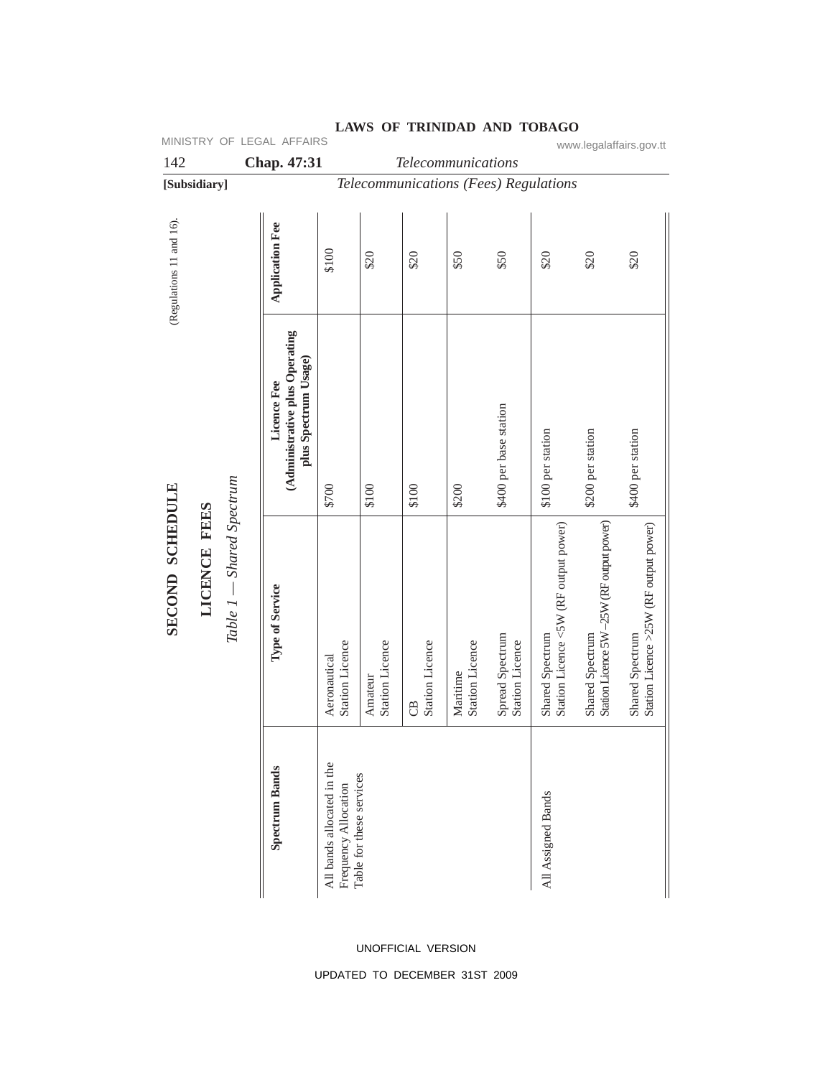| MINISTRY OF LEGAL AFFAIRS<br>www.legalaffairs.gov.tt         |                                                                       |                       |                                                                                |                                   |                              |                                       |                                           |                                                          |                                                              |                                                           |      |
|--------------------------------------------------------------|-----------------------------------------------------------------------|-----------------------|--------------------------------------------------------------------------------|-----------------------------------|------------------------------|---------------------------------------|-------------------------------------------|----------------------------------------------------------|--------------------------------------------------------------|-----------------------------------------------------------|------|
| 142                                                          |                                                                       |                       | Chap. 47:31                                                                    |                                   |                              | Telecommunications                    |                                           |                                                          |                                                              |                                                           |      |
|                                                              | [Subsidiary]                                                          |                       |                                                                                |                                   |                              | Telecommunications (Fees) Regulations |                                           |                                                          |                                                              |                                                           |      |
| (Regulations 11 and 16).                                     |                                                                       |                       | <b>Application Fee</b>                                                         | \$100                             | \$20                         | \$20                                  | \$50                                      | \$50                                                     | \$20                                                         | \$20                                                      | \$20 |
| Table 1 - Shared Spectrum<br>SECOND SCHEDULE<br>LICENCE FEES | (Administrative plus Operating<br>plus Spectrum Usage)<br>Licence Fee | \$700                 | \$100                                                                          | \$100                             | \$200                        | \$400 per base station                | \$100 per station                         | \$200 per station                                        | \$400 per station                                            |                                                           |      |
|                                                              |                                                                       | Type of Service       | Station Licence<br>Aeronautical                                                | <b>Station Licence</b><br>Amateur | <b>Station Licence</b><br>CB | <b>Station Licence</b><br>Maritime    | Spread Spectrum<br><b>Station Licence</b> | Station Licence <5W (RF output power)<br>Shared Spectrum | Station Licence 5W -25W (RF output power)<br>Shared Spectrum | Station Licence >25W (RF output power)<br>Shared Spectrum |      |
|                                                              |                                                                       | <b>Spectrum Bands</b> | All bands allocated in the<br>Table for these services<br>Frequency Allocation |                                   |                              |                                       |                                           | All Assigned Bands                                       |                                                              |                                                           |      |

# LAWS OF TRINIDAD AND TOBAGO<br>www.legalaffairs.gov.tt

# UNOFFICIAL VERSION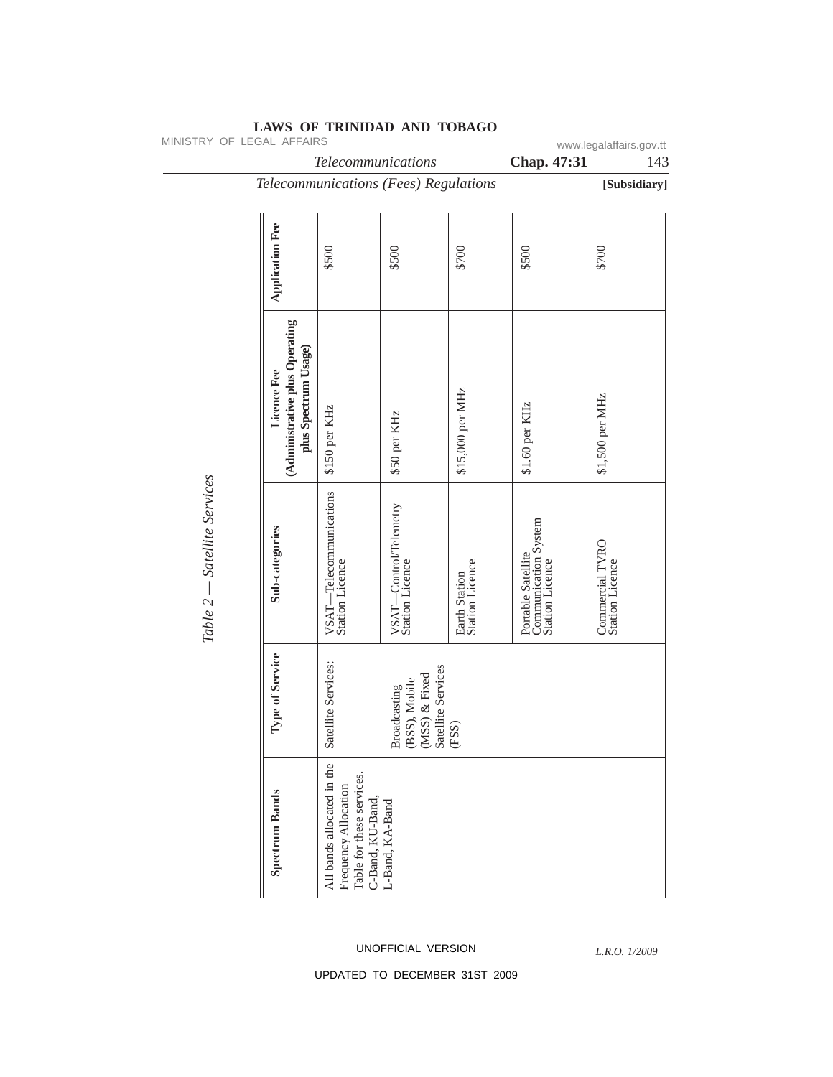| MINISTRY OF LEGAL AFFAIRS    |                                                                       | Telecommunications                                                                                  |                                                                                 |                                  |                                                               | www.legalaffairs.gov.tt            |  |
|------------------------------|-----------------------------------------------------------------------|-----------------------------------------------------------------------------------------------------|---------------------------------------------------------------------------------|----------------------------------|---------------------------------------------------------------|------------------------------------|--|
|                              |                                                                       |                                                                                                     | Chap. 47:31                                                                     | 143                              |                                                               |                                    |  |
|                              | Telecommunications (Fees) Regulations                                 |                                                                                                     |                                                                                 | [Subsidiary]                     |                                                               |                                    |  |
|                              | <b>Application Fee</b>                                                | \$500                                                                                               | \$500                                                                           | \$700                            | \$500                                                         | \$700                              |  |
| Table 2 – Satellite Services | (Administrative plus Operating<br>plus Spectrum Usage)<br>Licence Fee | \$150 per KHz                                                                                       | \$50 per KHz                                                                    | \$15,000 per MHz                 | \$1.60 per KHz                                                | \$1,500 per MHz                    |  |
|                              | Sub-categories                                                        | -Telecommunications<br>VSAT-Telecon<br>Station Licence                                              | -Control/Telemetry<br>VSAT-Contro<br>Station Licence                            | Earth Station<br>Station Licence | Portable Satellite<br>Communication System<br>Station Licence | Commercial TVRO<br>Station Licence |  |
|                              | Type of Service                                                       | Satellite Services:                                                                                 | Satellite Services<br>$(MSS)$ & Fixed<br>(BSS), Mobile<br>Broadcasting<br>(FSS) |                                  |                                                               |                                    |  |
|                              | <b>Spectrum Bands</b>                                                 | All bands allocated in the<br>Table for these services.<br>Frequency Allocation<br>C-Band, KU-Band, | L-Band, KA-Band                                                                 |                                  |                                                               |                                    |  |

## **LAWS OF TRINIDAD AND TOBAGO**

UNOFFICIAL VERSION

*L.R.O. 1/2009*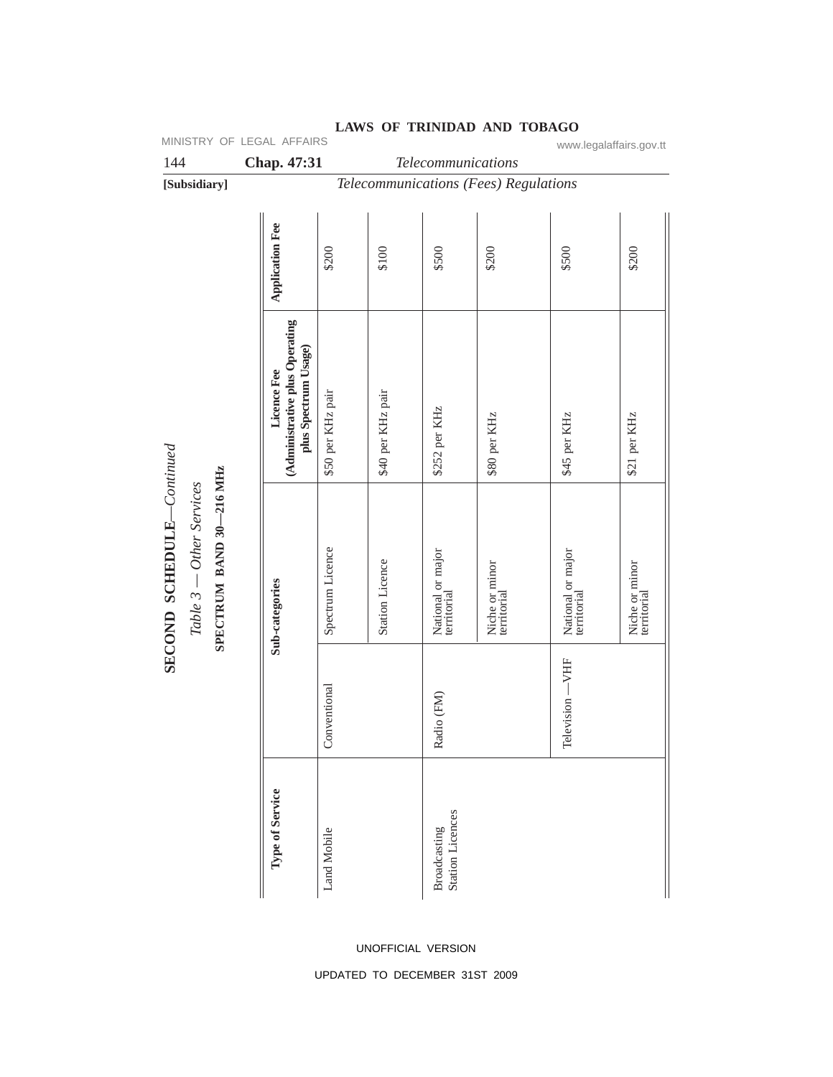| 144                                                                                     |  |                                                                       | Chap. 47:31            |                   |                        | Telecommunications                      |                                       |                                  |                               |
|-----------------------------------------------------------------------------------------|--|-----------------------------------------------------------------------|------------------------|-------------------|------------------------|-----------------------------------------|---------------------------------------|----------------------------------|-------------------------------|
| [Subsidiary]                                                                            |  |                                                                       |                        |                   |                        |                                         | Telecommunications (Fees) Regulations |                                  |                               |
|                                                                                         |  |                                                                       | <b>Application Fee</b> | \$200             | \$100                  | \$500                                   | \$200                                 | \$500                            | \$200                         |
| $SECOND$ $SCHEDULE—Continued$<br>SPECTRUM BAND 30-216 MHz<br>$Table 3 - Other Services$ |  | (Administrative plus Operating<br>plus Spectrum Usage)<br>Licence Fee | \$50 per KHz pair      | \$40 per KHz pair | \$252 per KHz          | \$80 per KHz                            | \$45 per KHz                          | \$21 per KHz                     |                               |
|                                                                                         |  |                                                                       | Sub-categories         | Spectrum Licence  | <b>Station Licence</b> | National or major<br>territorial        | Niche or minor<br>territorial         | National or major<br>territorial | Niche or minor<br>territorial |
|                                                                                         |  |                                                                       |                        | Conventional      |                        | Radio (FM)                              |                                       | Television-VHF                   |                               |
|                                                                                         |  |                                                                       | Type of Service        | Land Mobile       |                        | <b>Station Licences</b><br>Broadcasting |                                       |                                  |                               |

## **LAWS OF TRINIDAD AND TOBAGO** MINISTRY OF LEGAL AFFAIRS www.legalaffairs.gov.tt

UNOFFICIAL VERSION UPDATED TO DECEMBER 31ST 2009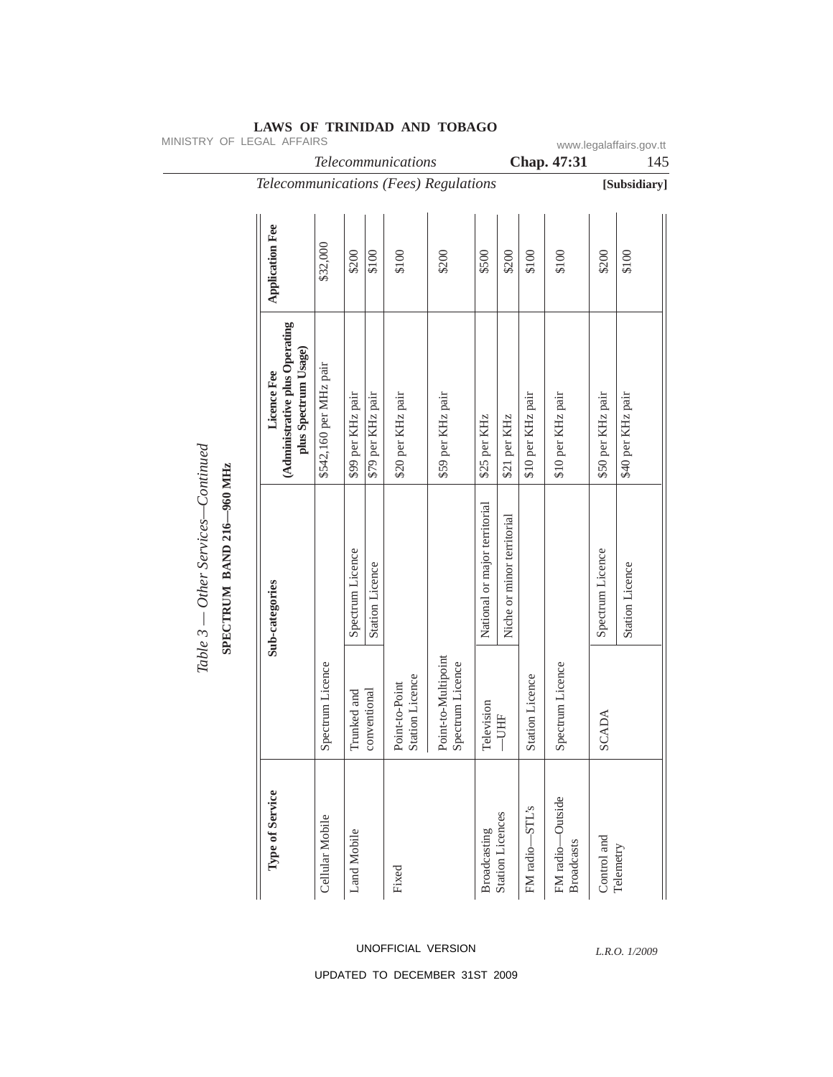| MINISTRY OF LEGAL AFFAIRS                                                                          |                        |                   |                        | Telecommunications                       |                                         |                               |                            |                        | Chap. 47:31                           |                   | www.legalaffairs.gov.tt<br>145 |
|----------------------------------------------------------------------------------------------------|------------------------|-------------------|------------------------|------------------------------------------|-----------------------------------------|-------------------------------|----------------------------|------------------------|---------------------------------------|-------------------|--------------------------------|
| Telecommunications (Fees) Regulations                                                              |                        |                   |                        |                                          |                                         |                               |                            |                        |                                       |                   | [Subsidiary]                   |
| <b>Application Fee</b>                                                                             | \$32,000               | \$200             | \$100                  | \$100                                    | \$200                                   | \$500                         | \$200                      | \$100                  | \$100                                 | \$200             | \$100                          |
| (Administrative plus Operating<br>plus Spectrum Usage)<br>Licence Fee<br>SPECTRUM BAND 216-960 MHz | \$542,160 per MHz pair | \$99 per KHz pair | \$79 per KHz pair      | \$20 per KHz pair                        | \$59 per KHz pair                       | \$25 per KHz                  | \$21 per KHz               | \$10 per KHz pair      | \$10 per KHz pair                     | \$50 per KHz pair | \$40 per KHz pair              |
| Sub-categories                                                                                     |                        | Spectrum Licence  | <b>Station Licence</b> |                                          |                                         | National or major territorial | Niche or minor territorial |                        |                                       | Spectrum Licence  | <b>Station Licence</b>         |
|                                                                                                    | Spectrum Licence       | Trunked and       | conventional           | <b>Station Licence</b><br>Point-to-Point | Point-to-Multipoint<br>Spectrum Licence | Television                    | $-$ UHF                    | <b>Station Licence</b> | Spectrum Licence                      | <b>SCADA</b>      |                                |
| Type of Service                                                                                    | Cellular Mobile        | Land Mobile       |                        | Fixed                                    |                                         | Broadcasting                  | <b>Station Licences</b>    | FM radio-STL's         | FM radio-Outside<br><b>Broadcasts</b> | Control and       | Telemetry                      |

UNOFFICIAL VERSION

*L.R.O. 1/2009*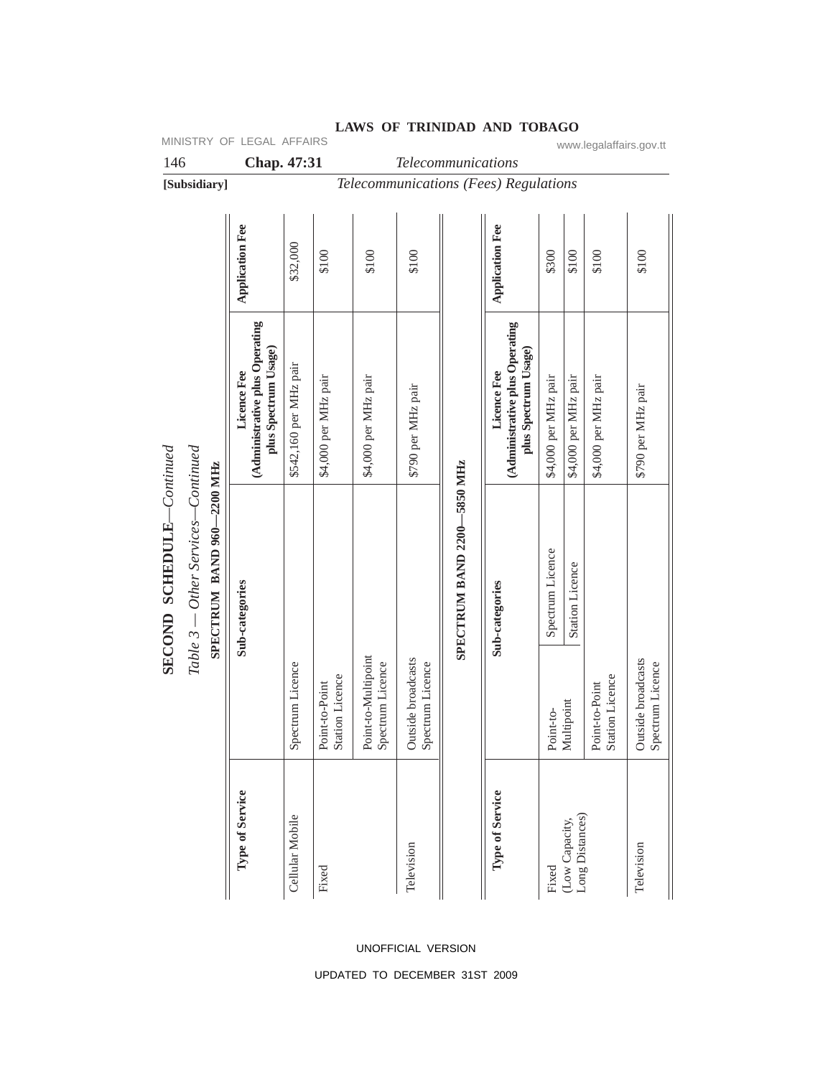| 146                       |                                                                  | Chap. 47:31<br>Telecommunications                                     |                        |                                          |                                         |                                        |                             |                                                                       |                               |                                      |                                          |                                        |
|---------------------------|------------------------------------------------------------------|-----------------------------------------------------------------------|------------------------|------------------------------------------|-----------------------------------------|----------------------------------------|-----------------------------|-----------------------------------------------------------------------|-------------------------------|--------------------------------------|------------------------------------------|----------------------------------------|
|                           | [Subsidiary]                                                     |                                                                       |                        |                                          |                                         |                                        |                             | Telecommunications (Fees) Regulations                                 |                               |                                      |                                          |                                        |
|                           |                                                                  | <b>Application Fee</b>                                                | \$32,000               | \$100                                    | \$100                                   | \$100                                  |                             | <b>Application Fee</b>                                                | \$300                         | \$100                                | \$100                                    | \$100                                  |
|                           |                                                                  | (Administrative plus Operating<br>plus Spectrum Usage)<br>Licence Fee | \$542,160 per MHz pair | \$4,000 per MHz pair                     | \$4,000 per MHz pair                    | \$790 per MHz pair                     |                             | (Administrative plus Operating<br>plus Spectrum Usage)<br>Licence Fee | \$4,000 per MHz pair          | \$4,000 per MHz pair                 | \$4,000 per MHz pair                     | \$790 per MHz pair                     |
| SECOND SCHEDULE-Continued | Table 3 — Other Services—Continued<br>SPECTRUM BAND 960-2200 MHz | Sub-categories                                                        | Spectrum Licence       | <b>Station Licence</b><br>Point-to-Point | Point-to-Multipoint<br>Spectrum Licence | Outside broadcasts<br>Spectrum Licence | SPECTRUM BAND 2200-5850 MHz | Sub-categories                                                        | Spectrum Licence<br>Point-to- | <b>Station Licence</b><br>Multipoint | <b>Station Licence</b><br>Point-to-Point | Outside broadcasts<br>Spectrum Licence |
|                           |                                                                  | Type of Service                                                       | Cellular Mobile        | Fixed                                    |                                         | Television                             |                             | Type of Service                                                       | Fixed                         | Long Distances)<br>(Low Capacity,    |                                          | Television                             |

MINISTRY OF LEGAL AFFAIRS www.legalaffairs.gov.tt

# UNOFFICIAL VERSION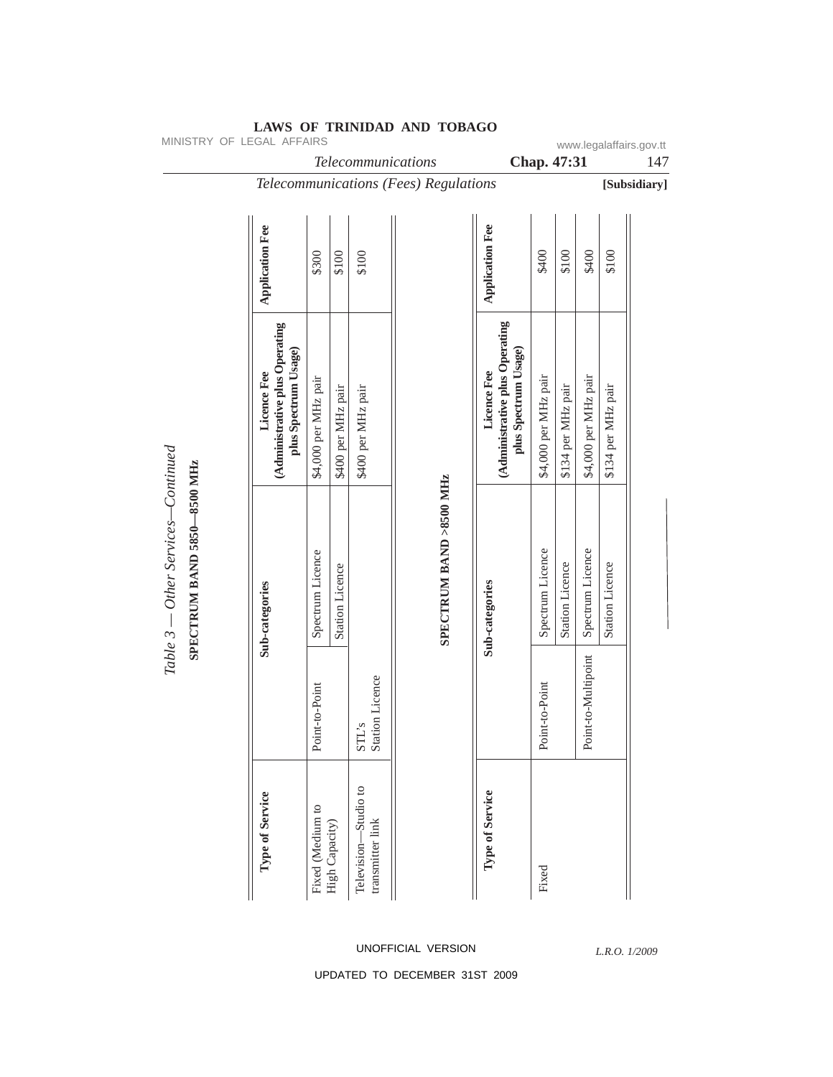| MINISTRY OF LEGAL AFFAIRS                                         |                                                                       |                      |                        | Telecommunications                       |                                       |                                                                       | Chap. 47:31          |                        |                      |                        | www.legalaffairs.gov.tt<br>147 |
|-------------------------------------------------------------------|-----------------------------------------------------------------------|----------------------|------------------------|------------------------------------------|---------------------------------------|-----------------------------------------------------------------------|----------------------|------------------------|----------------------|------------------------|--------------------------------|
|                                                                   |                                                                       |                      |                        |                                          | Telecommunications (Fees) Regulations |                                                                       |                      |                        |                      |                        | [Subsidiary]                   |
|                                                                   | <b>Application Fee</b>                                                | \$300                | \$100                  | \$100                                    |                                       | <b>Application Fee</b>                                                | \$400                | \$100                  | \$400                | \$100                  |                                |
|                                                                   | (Administrative plus Operating<br>plus Spectrum Usage)<br>Licence Fee | \$4,000 per MHz pair | \$400 per MHz pair     | \$400 per MHz pair                       |                                       | (Administrative plus Operating<br>plus Spectrum Usage)<br>Licence Fee | \$4,000 per MHz pair | \$134 per MHz pair     | \$4,000 per MHz pair | \$134 per MHz pair     |                                |
| Table 3 — Other Services—Continued<br>SPECTRUM BAND 5850-8500 MHz | Sub-categories                                                        | Spectrum Licence     | <b>Station Licence</b> |                                          | SPECTRUM BAND >8500 MHz               | Sub-categories                                                        | Spectrum Licence     | <b>Station Licence</b> | Spectrum Licence     | <b>Station Licence</b> |                                |
|                                                                   |                                                                       | Point-to-Point       |                        | <b>Station Licence</b><br>$\text{STL's}$ |                                       |                                                                       | Point-to-Point       |                        | Point-to-Multipoint  |                        |                                |
|                                                                   | Type of Service                                                       | Fixed (Medium to     | High Capacity)         | Television-Studio to<br>transmitter link |                                       | Type of Service                                                       | Fixed                |                        |                      |                        |                                |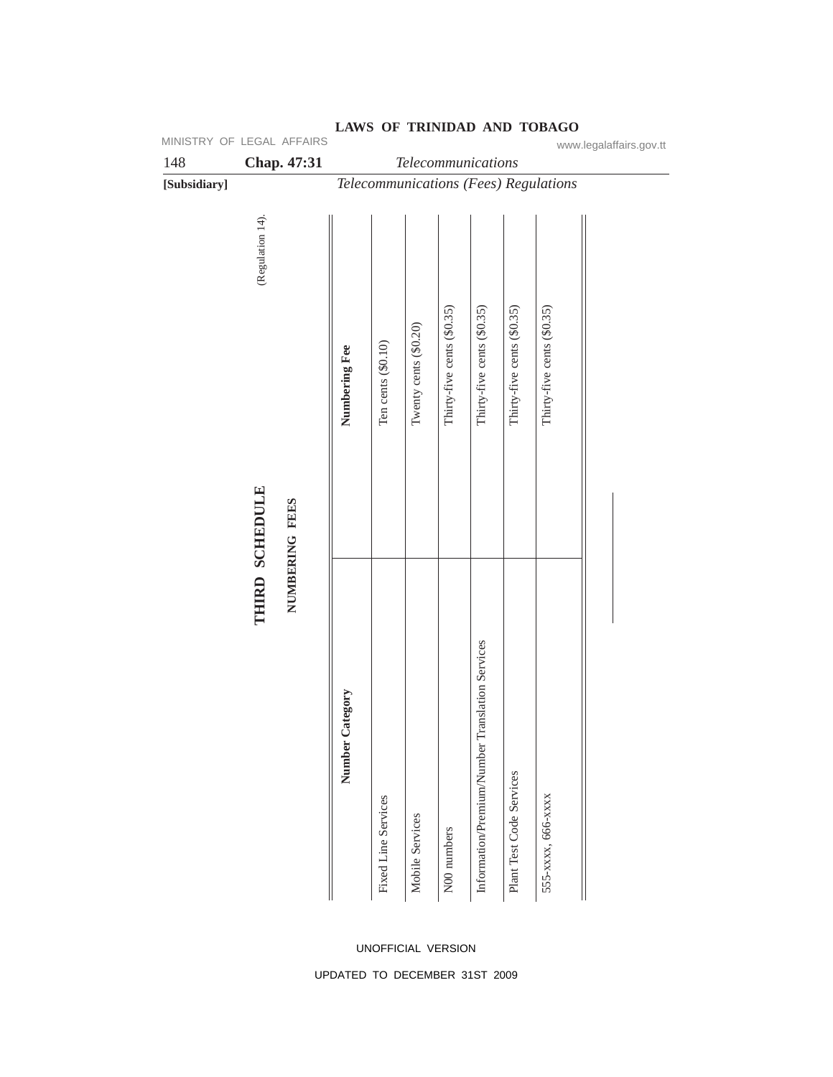| 148          |                  | Chap. 47:31    |                 |                     | Telecommunications    |                            |                                                 |                            |                                       | www.legalaffairs.gov.tt |
|--------------|------------------|----------------|-----------------|---------------------|-----------------------|----------------------------|-------------------------------------------------|----------------------------|---------------------------------------|-------------------------|
| [Subsidiary] |                  |                |                 |                     |                       |                            |                                                 |                            | Telecommunications (Fees) Regulations |                         |
|              | (Regulation 14). |                |                 |                     |                       |                            |                                                 |                            |                                       |                         |
|              |                  |                | Numbering Fee   | Ten cents (\$0.10)  | Twenty cents (\$0.20) | Thirty-five cents (\$0.35) | Thirty-five cents (\$0.35)                      | Thirty-five cents (\$0.35) | Thirty-five cents (\$0.35)            |                         |
|              | THIRD SCHEDULE   | NUMBERING FEES | Number Category | Fixed Line Services | Mobile Services       | N00 numbers                | Information/Premium/Number Translation Services | Plant Test Code Services   | 555-хххх, 666-хххх                    |                         |

### UNOFFICIAL VERSION